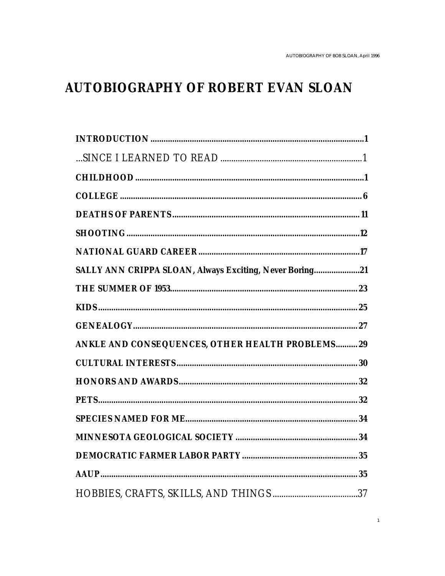## **AUTOBIOGRAPHY OF ROBERT EVAN SLOAN**

| SALLY ANN CRIPPA SLOAN, Always Exciting, Never Boring21 |  |
|---------------------------------------------------------|--|
|                                                         |  |
|                                                         |  |
|                                                         |  |
| ANKLE AND CONSEQUENCES, OTHER HEALTH PROBLEMS 29        |  |
|                                                         |  |
|                                                         |  |
|                                                         |  |
|                                                         |  |
|                                                         |  |
|                                                         |  |
|                                                         |  |
|                                                         |  |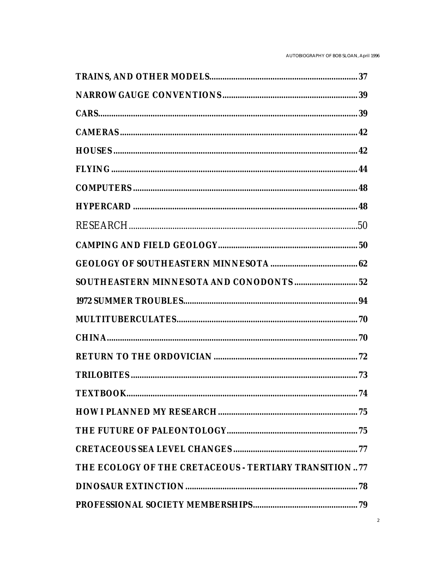| THE ECOLOGY OF THE CRETACEOUS - TERTIARY TRANSITION77 |  |
|-------------------------------------------------------|--|
|                                                       |  |
|                                                       |  |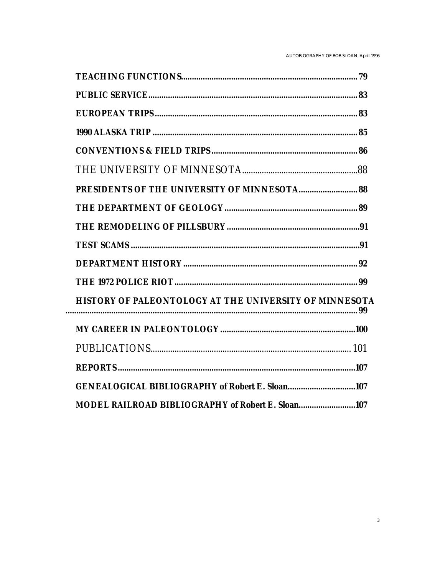| HISTORY OF PALEONTOLOGY AT THE UNIVERSITY OF MINNESOTA |
|--------------------------------------------------------|
|                                                        |
|                                                        |
|                                                        |
| GENEALOGICAL BIBLIOGRAPHY of Robert E. Sloan107        |
| MODEL RAILROAD BIBLIOGRAPHY of Robert E. Sloan107      |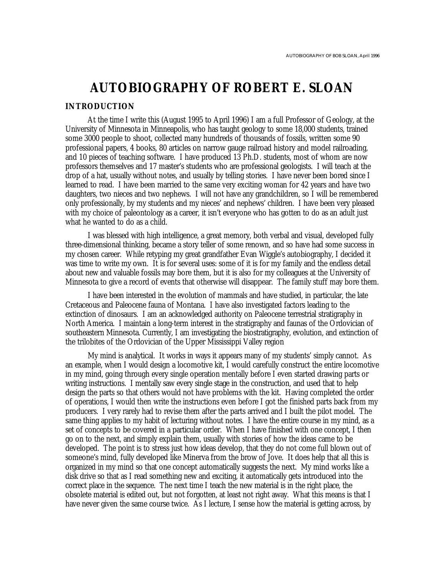# **AUTOBIOGRAPHY OF ROBERT E. SLOAN**

#### **INTRODUCTION**

At the time I write this (August 1995 to April 1996) I am a full Professor of Geology, at the University of Minnesota in Minneapolis, who has taught geology to some 18,000 students, trained some 3000 people to shoot, collected many hundreds of thousands of fossils, written some 90 professional papers, 4 books, 80 articles on narrow gauge railroad history and model railroading, and 10 pieces of teaching software. I have produced 13 Ph.D. students, most of whom are now professors themselves and 17 master's students who are professional geologists. I will teach at the drop of a hat, usually without notes, and usually by telling stories. I have never been bored since I learned to read. I have been married to the same very exciting woman for 42 years and have two daughters, two nieces and two nephews. I will not have any grandchildren, so I will be remembered only professionally, by my students and my nieces' and nephews' children. I have been very pleased with my choice of paleontology as a career, it isn't everyone who has gotten to do as an adult just what he wanted to do as a child.

I was blessed with high intelligence, a great memory, both verbal and visual, developed fully three-dimensional thinking, became a story teller of some renown, and so have had some success in my chosen career. While retyping my great grandfather Evan Wiggle's autobiography, I decided it was time to write my own. It is for several uses: some of it is for my family and the endless detail about new and valuable fossils may bore them, but it is also for my colleagues at the University of Minnesota to give a record of events that otherwise will disappear. The family stuff may bore them.

I have been interested in the evolution of mammals and have studied, in particular, the late Cretaceous and Paleocene fauna of Montana. I have also investigated factors leading to the extinction of dinosaurs. I am an acknowledged authority on Paleocene terrestrial stratigraphy in North America. I maintain a long-term interest in the stratigraphy and faunas of the Ordovician of southeastern Minnesota. Currently, I am investigating the biostratigraphy, evolution, and extinction of the trilobites of the Ordovician of the Upper Mississippi Valley region

My mind is analytical. It works in ways it appears many of my students' simply cannot. As an example, when I would design a locomotive kit, I would carefully construct the entire locomotive in my mind, going through every single operation mentally before I even started drawing parts or writing instructions. I mentally saw every single stage in the construction, and used that to help design the parts so that others would not have problems with the kit. Having completed the order of operations, I would then write the instructions even before I got the finished parts back from my producers. I very rarely had to revise them after the parts arrived and I built the pilot model. The same thing applies to my habit of lecturing without notes. I have the entire course in my mind, as a set of concepts to be covered in a particular order. When I have finished with one concept, I then go on to the next, and simply explain them, usually with stories of how the ideas came to be developed. The point is to stress just how ideas develop, that they do not come full blown out of someone's mind, fully developed like Minerva from the brow of Jove. It does help that all this is organized in my mind so that one concept automatically suggests the next. My mind works like a disk drive so that as I read something new and exciting, it automatically gets introduced into the correct place in the sequence. The next time I teach the new material is in the right place, the obsolete material is edited out, but not forgotten, at least not right away. What this means is that I have never given the same course twice. As I lecture, I sense how the material is getting across, by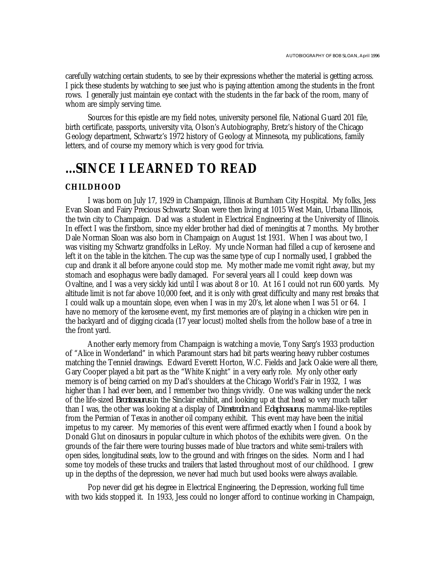carefully watching certain students, to see by their expressions whether the material is getting across. I pick these students by watching to see just who is paying attention among the students in the front rows. I generally just maintain eye contact with the students in the far back of the room, many of whom are simply serving time.

Sources for this epistle are my field notes, university personel file, National Guard 201 file, birth certificate, passports, university vita, Olson's Autobiography, Bretz's history of the Chicago Geology department, Schwartz's 1972 history of Geology at Minnesota, my publications, family letters, and of course my memory which is very good for trivia.

### **...SINCE I LEARNED TO READ**

#### **CHILDHOOD**

I was born on July 17, 1929 in Champaign, Illinois at Burnham City Hospital. My folks, Jess Evan Sloan and Fairy Precious Schwartz Sloan were then living at 1015 West Main, Urbana Illinois, the twin city to Champaign. Dad was a student in Electrical Engineering at the University of Illinois. In effect I was the firstborn, since my elder brother had died of meningitis at 7 months. My brother Dale Norman Sloan was also born in Champaign on August 1st 1931. When I was about two, I was visiting my Schwartz grandfolks in LeRoy. My uncle Norman had filled a cup of kerosene and left it on the table in the kitchen. The cup was the same type of cup I normally used, I grabbed the cup and drank it all before anyone could stop me. My mother made me vomit right away, but my stomach and esophagus were badly damaged. For several years all I could keep down was Ovaltine, and I was a very sickly kid until I was about 8 or 10. At 16 I could not run 600 yards. My altitude limit is not far above 10,000 feet, and it is only with great difficulty and many rest breaks that I could walk up a mountain slope, even when I was in my 20's, let alone when I was 51 or 64. I have no memory of the kerosene event, my first memories are of playing in a chicken wire pen in the backyard and of digging cicada (17 year locust) molted shells from the hollow base of a tree in the front yard.

Another early memory from Champaign is watching a movie, Tony Sarg's 1933 production of "Alice in Wonderland" in which Paramount stars had bit parts wearing heavy rubber costumes matching the Tenniel drawings. Edward Everett Horton, W.C. Fields and Jack Oakie were all there, Gary Cooper played a bit part as the "White Knight" in a very early role. My only other early memory is of being carried on my Dad's shoulders at the Chicago World's Fair in 1932, I was higher than I had ever been, and I remember two things vividly. One was walking under the neck of the life-sized *Brontosaurus* in the Sinclair exhibit, and looking up at that head so very much taller than I was, the other was looking at a display of *Dimetrodon* and *Edaphosaurus*, mammal-like-reptiles from the Permian of Texas in another oil company exhibit. This event may have been the initial impetus to my career. My memories of this event were affirmed exactly when I found a book by Donald Glut on dinosaurs in popular culture in which photos of the exhibits were given. On the grounds of the fair there were touring busses made of blue tractors and white semi-trailers with open sides, longitudinal seats, low to the ground and with fringes on the sides. Norm and I had some toy models of these trucks and trailers that lasted throughout most of our childhood. I grew up in the depths of the depression, we never had much but used books were always available.

Pop never did get his degree in Electrical Engineering, the Depression, working full time with two kids stopped it. In 1933, Jess could no longer afford to continue working in Champaign,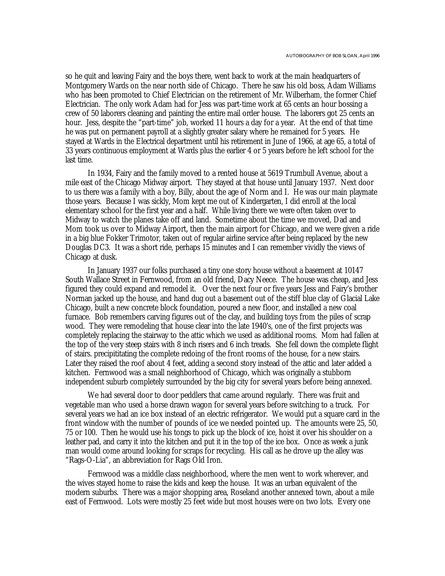so he quit and leaving Fairy and the boys there, went back to work at the main headquarters of Montgomery Wards on the near north side of Chicago. There he saw his old boss, Adam Williams who has been promoted to Chief Electrician on the retirement of Mr. Wilberham, the former Chief Electrician. The only work Adam had for Jess was part-time work at 65 cents an hour bossing a crew of 50 laborers cleaning and painting the entire mail order house. The laborers got 25 cents an hour. Jess, despite the "part-time" job, worked 11 hours a day for a year. At the end of that time he was put on permanent payroll at a slightly greater salary where he remained for 5 years. He stayed at Wards in the Electrical department until his retirement in June of 1966, at age 65, a total of 33 years continuous employment at Wards plus the earlier 4 or 5 years before he left school for the last time.

In 1934, Fairy and the family moved to a rented house at 5619 Trumbull Avenue, about a mile east of the Chicago Midway airport. They stayed at that house until January 1937. Next door to us there was a family with a boy, Billy, about the age of Norm and I. He was our main playmate those years. Because I was sickly, Mom kept me out of Kindergarten, I did enroll at the local elementary school for the first year and a half. While living there we were often taken over to Midway to watch the planes take off and land. Sometime about the time we moved, Dad and Mom took us over to Midway Airport, then the main airport for Chicago, and we were given a ride in a big blue Fokker Trimotor, taken out of regular airline service after being replaced by the new Douglas DC3. It was a short ride, perhaps 15 minutes and I can remember vividly the views of Chicago at dusk.

In January 1937 our folks purchased a tiny one story house without a basement at 10147 South Wallace Street in Fernwood, from an old friend, Dacy Neece. The house was cheap, and Jess figured they could expand and remodel it. Over the next four or five years Jess and Fairy's brother Norman jacked up the house, and hand dug out a basement out of the stiff blue clay of Glacial Lake Chicago, built a new concrete block foundation, poured a new floor, and installed a new coal furnace. Bob remembers carving figures out of the clay, and building toys from the piles of scrap wood. They were remodeling that house clear into the late 1940's, one of the first projects was completely replacing the stairway to the attic which we used as additional rooms. Mom had fallen at the top of the very steep stairs with 8 inch risers and 6 inch treads. She fell down the complete flight of stairs. precipititating the complete redoing of the front rooms of the house, for a new stairs. Later they raised the roof about 4 feet, adding a second story instead of the attic and later added a kitchen. Fernwood was a small neighborhood of Chicago, which was originally a stubborn independent suburb completely surrounded by the big city for several years before being annexed.

We had several door to door peddlers that came around regularly. There was fruit and vegetable man who used a horse drawn wagon for several years before switching to a truck. For several years we had an ice box instead of an electric refrigerator. We would put a square card in the front window with the number of pounds of ice we needed pointed up. The amounts were 25, 50, 75 or 100. Then he would use his tongs to pick up the block of ice, hoist it over his shoulder on a leather pad, and carry it into the kitchen and put it in the top of the ice box. Once as week a junk man would come around looking for scraps for recycling. His call as he drove up the alley was "Rags-O-Lia", an abbreviation for Rags Old Iron.

Fernwood was a middle class neighborhood, where the men went to work wherever, and the wives stayed home to raise the kids and keep the house. It was an urban equivalent of the modern suburbs. There was a major shopping area, Roseland another annexed town, about a mile east of Fernwood. Lots were mostly 25 feet wide but most houses were on two lots. Every one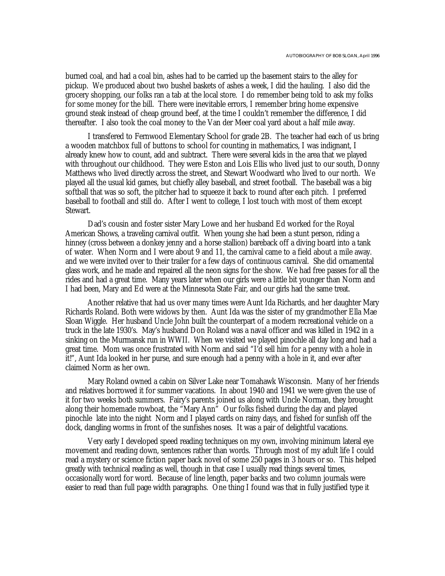burned coal, and had a coal bin, ashes had to be carried up the basement stairs to the alley for pickup. We produced about two bushel baskets of ashes a week, I did the hauling. I also did the grocery shopping, our folks ran a tab at the local store. I do remember being told to ask my folks for some money for the bill. There were inevitable errors, I remember bring home expensive ground steak instead of cheap ground beef, at the time I couldn't remember the difference, I did thereafter. I also took the coal money to the Van der Meer coal yard about a half mile away.

I transfered to Fernwood Elementary School for grade 2B. The teacher had each of us bring a wooden matchbox full of buttons to school for counting in mathematics, I was indignant, I already knew how to count, add and subtract. There were several kids in the area that we played with throughout our childhood. They were Eston and Lois Ellis who lived just to our south, Donny Matthews who lived directly across the street, and Stewart Woodward who lived to our north. We played all the usual kid games, but chiefly alley baseball, and street football. The baseball was a big softball that was so soft, the pitcher had to squeeze it back to round after each pitch. I preferred baseball to football and still do. After I went to college, I lost touch with most of them except Stewart.

Dad's cousin and foster sister Mary Lowe and her husband Ed worked for the Royal American Shows, a traveling carnival outfit. When young she had been a stunt person, riding a hinney (cross between a donkey jenny and a horse stallion) bareback off a diving board into a tank of water. When Norm and I were about 9 and 11, the carnival came to a field about a mile away. and we were invited over to their trailer for a few days of continuous carnival. She did ornamental glass work, and he made and repaired all the neon signs for the show. We had free passes for all the rides and had a great time. Many years later when our girls were a little bit younger than Norm and I had been, Mary and Ed were at the Minnesota State Fair, and our girls had the same treat.

Another relative that had us over many times were Aunt Ida Richards, and her daughter Mary Richards Roland. Both were widows by then. Aunt Ida was the sister of my grandmother Ella Mae Sloan Wiggle. Her husband Uncle John built the counterpart of a modern recreational vehicle on a truck in the late 1930's. May's husband Don Roland was a naval officer and was killed in 1942 in a sinking on the Murmansk run in WWII. When we visited we played pinochle all day long and had a great time. Mom was once frustrated with Norm and said "I'd sell him for a penny with a hole in it!", Aunt Ida looked in her purse, and sure enough had a penny with a hole in it, and ever after claimed Norm as her own.

Mary Roland owned a cabin on Silver Lake near Tomahawk Wisconsin. Many of her friends and relatives borrowed it for summer vacations. In about 1940 and 1941 we were given the use of it for two weeks both summers. Fairy's parents joined us along with Uncle Norman, they brought along their homemade rowboat, the "Mary Ann" Our folks fished during the day and played pinochle late into the night Norm and I played cards on rainy days, and fished for sunfish off the dock, dangling worms in front of the sunfishes noses. It was a pair of delightful vacations.

Very early I developed speed reading techniques on my own, involving minimum lateral eye movement and reading down, sentences rather than words. Through most of my adult life I could read a mystery or science fiction paper back novel of some 250 pages in 3 hours or so. This helped greatly with technical reading as well, though in that case I usually read things several times, occasionally word for word. Because of line length, paper backs and two column journals were easier to read than full page width paragraphs. One thing I found was that in fully justified type it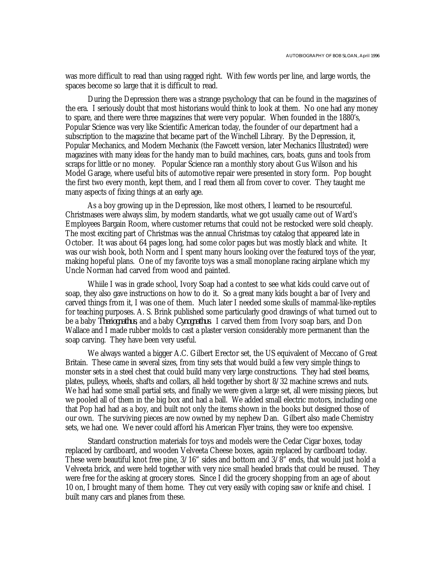was more difficult to read than using ragged right. With few words per line, and large words, the spaces become so large that it is difficult to read.

During the Depression there was a strange psychology that can be found in the magazines of the era. I seriously doubt that most historians would think to look at them. No one had any money to spare, and there were three magazines that were very popular. When founded in the 1880's, Popular Science was very like Scientific American today, the founder of our department had a subscription to the magazine that became part of the Winchell Library. By the Depression, it, Popular Mechanics, and Modern Mechanix (the Fawcett version, later Mechanics Illustrated) were magazines with many ideas for the handy man to build machines, cars, boats, guns and tools from scraps for little or no money. Popular Science ran a monthly story about Gus Wilson and his Model Garage, where useful bits of automotive repair were presented in story form. Pop bought the first two every month, kept them, and I read them all from cover to cover. They taught me many aspects of fixing things at an early age.

As a boy growing up in the Depression, like most others, I learned to be resourceful. Christmases were always slim, by modern standards, what we got usually came out of Ward's Employees Bargain Room, where customer returns that could not be restocked were sold cheaply. The most exciting part of Christmas was the annual Christmas toy catalog that appeared late in October. It was about 64 pages long, had some color pages but was mostly black and white. It was our wish book, both Norm and I spent many hours looking over the featured toys of the year, making hopeful plans. One of my favorite toys was a small monoplane racing airplane which my Uncle Norman had carved from wood and painted.

Whiile I was in grade school, Ivory Soap had a contest to see what kids could carve out of soap, they also gave instructions on how to do it. So a great many kids bought a bar of Ivery and carved things from it, I was one of them. Much later I needed some skulls of mammal-like-reptiles for teaching purposes. A. S. Brink published some particularly good drawings of what turned out to be a baby *Theriognathus*, and a baby *Cynognathus*. I carved them from Ivory soap bars, and Don Wallace and I made rubber molds to cast a plaster version considerably more permanent than the soap carving. They have been very useful.

We always wanted a bigger A.C. Gilbert Erector set, the US equivalent of Meccano of Great Britain. These came in several sizes, from tiny sets that would build a few very simple things to monster sets in a steel chest that could build many very large constructions. They had steel beams, plates, pulleys, wheels, shafts and collars, all held together by short 8/32 machine screws and nuts. We had had some small partial sets, and finally we were given a large set, all were missing pieces, but we pooled all of them in the big box and had a ball. We added small electric motors, including one that Pop had had as a boy, and built not only the items shown in the books but designed those of our own. The surviving pieces are now owned by my nephew Dan. Gilbert also made Chemistry sets, we had one. We never could afford his American Flyer trains, they were too expensive.

Standard construction materials for toys and models were the Cedar Cigar boxes, today replaced by cardboard, and wooden Velveeta Cheese boxes, again replaced by cardboard today. These were beautiful knot free pine, 3/16" sides and bottom and 3/8" ends, that would just hold a Velveeta brick, and were held together with very nice small headed brads that could be reused. They were free for the asking at grocery stores. Since I did the grocery shopping from an age of about 10 on, I brought many of them home. They cut very easily with coping saw or knife and chisel. I built many cars and planes from these.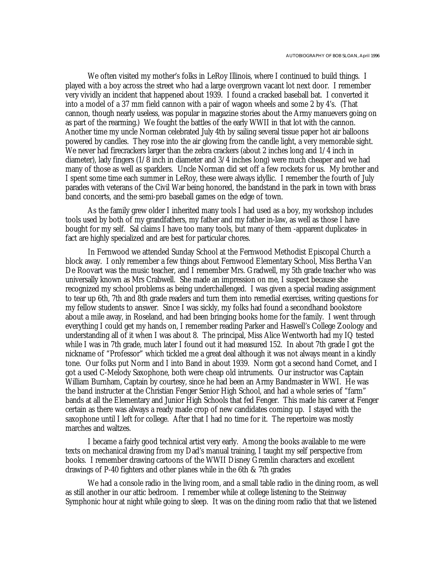We often visited my mother's folks in LeRoy Illinois, where I continued to build things. I played with a boy across the street who had a large overgrown vacant lot next door. I remember very vividly an incident that happened about 1939. I found a cracked baseball bat. I converted it into a model of a 37 mm field cannon with a pair of wagon wheels and some 2 by 4's. (That cannon, though nearly useless, was popular in magazine stories about the Army manuevers going on as part of the rearming.) We fought the battles of the early WWII in that lot with the cannon. Another time my uncle Norman celebrated July 4th by sailing several tissue paper hot air balloons powered by candles. They rose into the air glowing from the candle light, a very memorable sight. We never had firecrackers larger than the zebra crackers (about 2 inches long and  $1/4$  inch in diameter), lady fingers (1/8 inch in diameter and 3/4 inches long) were much cheaper and we had many of those as well as sparklers. Uncle Norman did set off a few rockets for us. My brother and I spent some time each summer in LeRoy, these were always idyllic. I remember the fourth of July parades with veterans of the Civil War being honored, the bandstand in the park in town with brass band concerts, and the semi-pro baseball games on the edge of town.

As the family grew older I inherited many tools I had used as a boy, my workshop includes tools used by both of my grandfathers, my father and my father in-law, as well as those I have bought for my self. Sal claims I have too many tools, but many of them -apparent duplicates- in fact are highly specialized and are best for particular chores.

In Fernwood we attended Sunday School at the Fernwood Methodist Episcopal Church a block away. I only remember a few things about Fernwood Elementary School, Miss Bertha Van De Roovart was the music teacher, and I remember Mrs. Gradwell, my 5th grade teacher who was universally known as Mrs Crabwell. She made an impression on me, I suspect because she recognized my school problems as being underchallenged. I was given a special reading assignment to tear up 6th, 7th and 8th grade readers and turn them into remedial exercises, writing questions for my fellow students to answer. Since I was sickly, my folks had found a secondhand bookstore about a mile away, in Roseland, and had been bringing books home for the family. I went through everything I could get my hands on, I remember reading Parker and Haswell's College Zoology and understanding all of it when I was about 8. The principal, Miss Alice Wentworth had my IQ tested while I was in 7th grade, much later I found out it had measured 152. In about 7th grade I got the nickname of "Professor" which tickled me a great deal although it was not always meant in a kindly tone. Our folks put Norm and I into Band in about 1939. Norm got a second hand Cornet, and I got a used C-Melody Saxophone, both were cheap old intruments. Our instructor was Captain William Burnham, Captain by courtesy, since he had been an Army Bandmaster in WWI. He was the band instructer at the Christian Fenger Senior High School, and had a whole series of "farm" bands at all the Elementary and Junior High Schools that fed Fenger. This made his career at Fenger certain as there was always a ready made crop of new candidates coming up. I stayed with the saxophone until I left for college. After that I had no time for it. The repertoire was mostly marches and waltzes.

I became a fairly good technical artist very early. Among the books available to me were texts on mechanical drawing from my Dad's manual training, I taught my self perspective from books. I remember drawing cartoons of the WWII Disney Gremlin characters and excellent drawings of P-40 fighters and other planes while in the 6th & 7th grades

We had a console radio in the living room, and a small table radio in the dining room, as well as still another in our attic bedroom. I remember while at college listening to the Steinway Symphonic hour at night while going to sleep. It was on the dining room radio that that we listened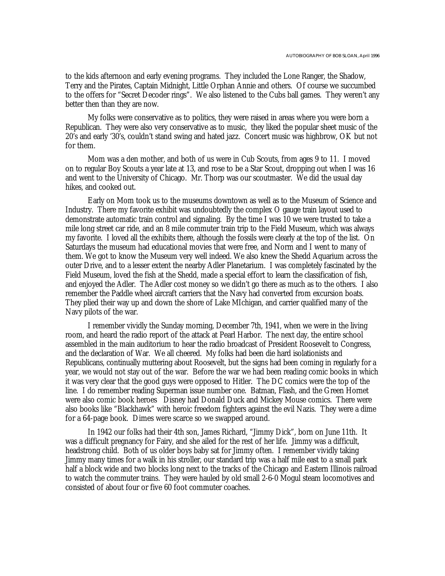to the kids afternoon and early evening programs. They included the Lone Ranger, the Shadow, Terry and the Pirates, Captain Midnight, Little Orphan Annie and others. Of course we succumbed to the offers for "Secret Decoder rings". We also listened to the Cubs ball games. They weren't any better then than they are now.

My folks were conservative as to politics, they were raised in areas where you were born a Republican. They were also very conservative as to music, they liked the popular sheet music of the 20's and early '30's, couldn't stand swing and hated jazz. Concert music was highbrow, OK but not for them.

Mom was a den mother, and both of us were in Cub Scouts, from ages 9 to 11. I moved on to regular Boy Scouts a year late at 13, and rose to be a Star Scout, dropping out when I was 16 and went to the University of Chicago. Mr. Thorp was our scoutmaster. We did the usual day hikes, and cooked out.

Early on Mom took us to the museums downtown as well as to the Museum of Science and Industry. There my favorite exhibit was undoubtedly the complex O gauge train layout used to demonstrate automatic train control and signaling. By the time I was 10 we were trusted to take a mile long street car ride, and an 8 mile commuter train trip to the Field Museum, which was always my favorite. I loved all the exhibits there, although the fossils were clearly at the top of the list. On Saturdays the museum had educational movies that were free, and Norm and I went to many of them. We got to know the Museum very well indeed. We also knew the Shedd Aquarium across the outer Drive, and to a lesser extent the nearby Adler Planetarium. I was completely fascinated by the Field Museum, loved the fish at the Shedd, made a special effort to learn the classification of fish, and enjoyed the Adler. The Adler cost money so we didn't go there as much as to the others. I also remember the Paddle wheel aircraft carriers that the Navy had converted from excursion boats. They plied their way up and down the shore of Lake MIchigan, and carrier qualified many of the Navy pilots of the war.

I remember vividly the Sunday morning, December 7th, 1941, when we were in the living room, and heard the radio report of the attack at Pearl Harbor. The next day, the entire school assembled in the main auditorium to hear the radio broadcast of President Roosevelt to Congress, and the declaration of War. We all cheered. My folks had been die hard isolationists and Republicans, continually muttering about Roosevelt, but the signs had been coming in regularly for a year, we would not stay out of the war. Before the war we had been reading comic books in which it was very clear that the good guys were opposed to Hitler. The DC comics were the top of the line. I do remember reading Superman issue number one. Batman, Flash, and the Green Hornet were also comic book heroes Disney had Donald Duck and Mickey Mouse comics. There were also books like "Blackhawk" with heroic freedom fighters against the evil Nazis. They were a dime for a 64-page book. Dimes were scarce so we swapped around.

In 1942 our folks had their 4th son, James Richard, "Jimmy Dick", born on June 11th. It was a difficult pregnancy for Fairy, and she ailed for the rest of her life. Jimmy was a difficult, headstrong child. Both of us older boys baby sat for Jimmy often. I remember vividly taking Jimmy many times for a walk in his stroller, our standard trip was a half mile east to a small park half a block wide and two blocks long next to the tracks of the Chicago and Eastern Illinois railroad to watch the commuter trains. They were hauled by old small 2-6-0 Mogul steam locomotives and consisted of about four or five 60 foot commuter coaches.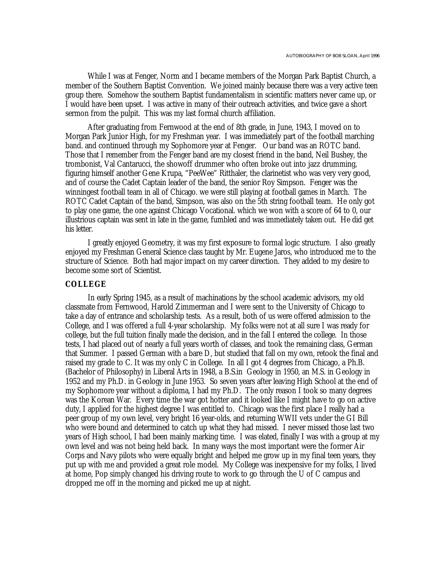While I was at Fenger, Norm and I became members of the Morgan Park Baptist Church, a member of the Southern Baptist Convention. We joined mainly because there was a very active teen group there. Somehow the southern Baptist fundamentalism in scientific matters never came up, or I would have been upset. I was active in many of their outreach activities, and twice gave a short sermon from the pulpit. This was my last formal church affiliation.

After graduating from Fernwood at the end of 8th grade, in June, 1943, I moved on to Morgan Park Junior High, for my Freshman year. I was immediately part of the football marching band. and continued through my Sophomore year at Fenger. Our band was an ROTC band. Those that I remember from the Fenger band are my closest friend in the band, Neil Bushey, the trombonist, Val Cantarucci, the showoff drummer who often broke out into jazz drumming, figuring himself another Gene Krupa, "PeeWee" Ritthaler, the clarinetist who was very very good, and of course the Cadet Captain leader of the band, the senior Roy Simpson. Fenger was the winningest football team in all of Chicago. we were still playing at football games in March. The ROTC Cadet Captain of the band, Simpson, was also on the 5th string football team. He only got to play one game, the one against Chicago Vocational. which we won with a score of 64 to 0, our illustrious captain was sent in late in the game, fumbled and was immediately taken out. He did get his letter.

I greatly enjoyed Geometry, it was my first exposure to formal logic structure. I also greatly enjoyed my Freshman General Science class taught by Mr. Eugene Jaros, who introduced me to the structure of Science. Both had major impact on my career direction. They added to my desire to become some sort of Scientist.

#### **COLLEGE**

In early Spring 1945, as a result of machinations by the school academic advisors, my old classmate from Fernwood, Harold Zimmerman and I were sent to the University of Chicago to take a day of entrance and scholarship tests. As a result, both of us were offered admission to the College, and I was offered a full 4-year scholarship. My folks were not at all sure I was ready for college, but the full tuition finally made the decision, and in the fall I entered the college. In those tests, I had placed out of nearly a full years worth of classes, and took the remaining class, German that Summer. I passed German with a bare D, but studied that fall on my own, retook the final and raised my grade to C. It was my only C in College. In all I got 4 degrees from Chicago, a Ph.B. (Bachelor of Philosophy) in Liberal Arts in 1948, a B.S.in Geology in 1950, an M.S. in Geology in 1952 and my Ph.D. in Geology in June 1953. So seven years after leaving High School at the end of my Sophomore year without a diploma, I had my Ph.D. The only reason I took so many degrees was the Korean War. Every time the war got hotter and it looked like I might have to go on active duty, I applied for the highest degree I was entitled to. Chicago was the first place I really had a peer group of my own level, very bright 16 year-olds, and returning WWII vets under the GI Bill who were bound and determined to catch up what they had missed. I never missed those last two years of High school, I had been mainly marking time. I was elated, finally I was with a group at my own level and was not being held back. In many ways the most important were the former Air Corps and Navy pilots who were equally bright and helped me grow up in my final teen years, they put up with me and provided a great role model. My College was inexpensive for my folks, I lived at home, Pop simply changed his driving route to work to go through the U of C campus and dropped me off in the morning and picked me up at night.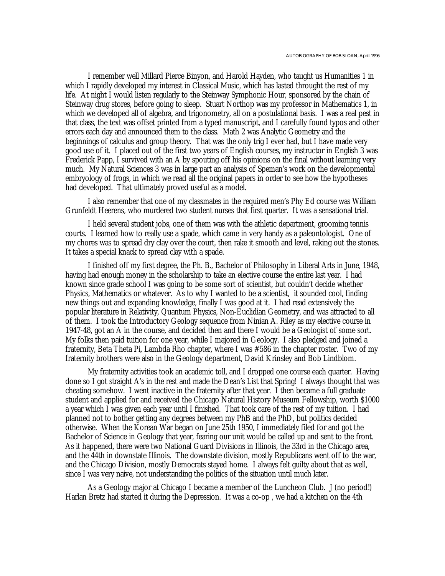I remember well Millard Pierce Binyon, and Harold Hayden, who taught us Humanities 1 in which I rapidly developed my interest in Classical Music, which has lasted throught the rest of my life. At night I would listen regularly to the Steinway Symphonic Hour, sponsored by the chain of Steinway drug stores, before going to sleep. Stuart Northop was my professor in Mathematics 1, in which we developed all of algebra, and trigonometry, all on a postulational basis. I was a real pest in that class, the text was offset printed from a typed manuscript, and I carefully found typos and other errors each day and announced them to the class. Math 2 was Analytic Geometry and the beginnings of calculus and group theory. That was the only trig I ever had, but I have made very good use of it. I placed out of the first two years of English courses, my instructor in English 3 was Frederick Papp, I survived with an A by spouting off his opinions on the final without learning very much. My Natural Sciences 3 was in large part an analysis of Speman's work on the developmental embryology of frogs, in which we read all the original papers in order to see how the hypotheses had developed. That ultimately proved useful as a model.

I also remember that one of my classmates in the required men's Phy Ed course was William Grunfeldt Heerens, who murdered two student nurses that first quarter. It was a sensational trial.

I held several student jobs, one of them was with the athletic department, grooming tennis courts. I learned how to really use a spade, which came in very handy as a paleontologist. One of my chores was to spread dry clay over the court, then rake it smooth and level, raking out the stones. It takes a special knack to spread clay with a spade.

I finished off my first degree, the Ph. B., Bachelor of Philosophy in Liberal Arts in June, 1948, having had enough money in the scholarship to take an elective course the entire last year. I had known since grade school I was going to be some sort of scientist, but couldn't decide whether Physics, Mathematics or whatever. As to why I wanted to be a scientist, it sounded cool, finding new things out and expanding knowledge, finally I was good at it. I had read extensively the popular literature in Relativity, Quantum Physics, Non-Euclidian Geometry, and was attracted to all of them. I took the Introductory Geology sequence from Ninian A. Riley as my elective course in 1947-48, got an A in the course, and decided then and there I would be a Geologist of some sort. My folks then paid tuition for one year, while I majored in Geology. I also pledged and joined a fraternity, Beta Theta Pi, Lambda Rho chapter, where I was #586 in the chapter roster. Two of my fraternity brothers were also in the Geology department, David Krinsley and Bob Lindblom.

My fraternity activities took an academic toll, and I dropped one course each quarter. Having done so I got straight A's in the rest and made the Dean's List that Spring! I always thought that was cheating somehow. I went inactive in the fraternity after that year. I then became a full graduate student and applied for and received the Chicago Natural History Museum Fellowship, worth \$1000 a year which I was given each year until I finished. That took care of the rest of my tuition. I had planned not to bother getting any degrees between my PhB and the PhD, but politics decided otherwise. When the Korean War began on June 25th 1950, I immediately filed for and got the Bachelor of Science in Geology that year, fearing our unit would be called up and sent to the front. As it happened, there were two National Guard Divisions in Illinois, the 33rd in the Chicago area, and the 44th in downstate Illinois. The downstate division, mostly Republicans went off to the war, and the Chicago Division, mostly Democrats stayed home. I always felt guilty about that as well, since I was very naive, not understanding the politics of the situation until much later.

As a Geology major at Chicago I became a member of the Luncheon Club. J (no period!) Harlan Bretz had started it during the Depression. It was a co-op , we had a kitchen on the 4th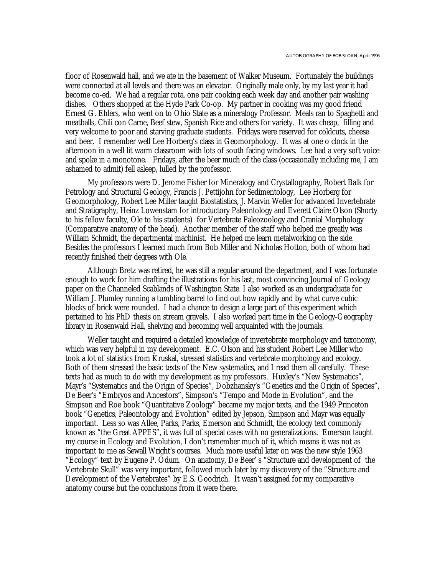floor of Rosenwald hall, and we ate in the basement of Walker Museum. Fortunately the buildings were connected at all levels and there was an elevator. Originally male only, by my last year it had become co-ed. We had a regular rota. one pair cooking each week day and another pair washing dishes. Others shopped at the Hyde Park Co-op. My partner in cooking was my good friend Ernest G. Ehlers, who went on to Ohio State as a mineralogy Professor. Meals ran to Spaghetti and meatballs, Chili con Carne, Beef stew, Spanish Rice and others for variety. It was cheap, filling and very welcome to poor and starving graduate students. Fridays were reserved for coldcuts, cheese and beer. I remember well Lee Horberg's class in Geomorphology. It was at one o clock in the afternoon in a well lit warm classroom with lots of south facing windows. Lee had a very soft voice and spoke in a monotone. Fridays, after the beer much of the class (occasionally including me, I am ashamed to admit) fell asleep, lulled by the professor.

My professors were D. Jerome Fisher for Mineralogy and Crystallography, Robert Balk for Petrology and Structural Geology, Francis J. Pettijohn for Sedimentology, Lee Horberg for Geomorphology, Robert Lee Miller taught Biostatistics, J. Marvin Weller for advanced Invertebrate and Stratigraphy, Heinz Lowenstam for introductory Paleontology and Everett Claire Olson (Shorty to his fellow faculty, Ole to his students) for Vertebrate Paleozoology and Cranial Morphology (Comparative anatomy of the head). Another member of the staff who helped me greatly was William Schmidt, the departmental machinist. He helped me learn metalworking on the side. Besides the professors I learned much from Bob Miller and Nicholas Hotton, both of whom had recently finished their degrees with Ole.

Although Bretz was retired, he was still a regular around the department, and I was fortunate enough to work for him drafting the illustrations for his last, most convincing Journal of Geology paper on the Channeled Scablands of Washington State. I also worked as an undergraduate for William J. Plumley running a tumbling barrel to find out how rapidly and by what curve cubic blocks of brick were rounded. I had a chance to design a large part of this experiment which pertained to his PhD thesis on stream gravels. I also worked part time in the Geology-Geography library in Rosenwald Hall, shelving and becoming well acquainted with the journals.

Weller taught and required a detailed knowledge of invertebrate morphology and taxonomy, which was very helpful in my development. E.C. Olson and his student Robert Lee Miller who took a lot of statistics from Kruskal, stressed statistics and vertebrate morphology and ecology. Both of them stressed the basic texts of the New systematics, and I read them all carefully. These texts had as much to do with my development as my professors. Huxley's "New Systematics", Mayr's "Systematics and the Origin of Species", Dobzhansky's "Genetics and the Origin of Species", De Beer's "Embryos and Ancestors", Simpson's "Tempo and Mode in Evolution", and the Simpson and Roe book "Quantitative Zoology" became my major texts, and the 1949 Princeton book "Genetics, Paleontology and Evolution" edited by Jepson, Simpson and Mayr was equally important. Less so was Allee, Parks, Parks, Emerson and Schmidt, the ecology text commonly known as "the Great APPES", it was full of special cases with no generalizations. Emerson taught my course in Ecology and Evolution, I don't remember much of it, which means it was not as important to me as Sewall Wright's courses. Much more useful later on was the new style 1963 "Ecology" text by Eugene P. Odum. On anatomy, De Beer' s "Structure and development of the Vertebrate Skull" was very important, followed much later by my discovery of the "Structure and Development of the Vertebrates" by E.S. Goodrich. It wasn't assigned for my comparative anatomy course but the conclusions from it were there.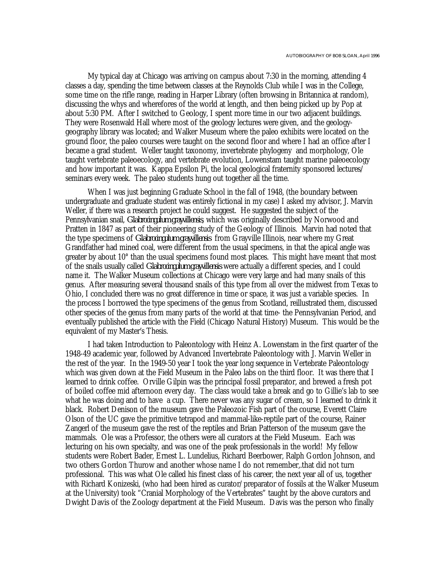My typical day at Chicago was arriving on campus about 7:30 in the morning, attending 4 classes a day, spending the time between classes at the Reynolds Club while I was in the College, some time on the rifle range, reading in Harper Library (often browsing in Britannica at random), discussing the whys and wherefores of the world at length, and then being picked up by Pop at about 5:30 PM. After I switched to Geology, I spent more time in our two adjacent buildings. They were Rosenwald Hall where most of the geology lectures were given, and the geologygeography library was located; and Walker Museum where the paleo exhibits were located on the ground floor, the paleo courses were taught on the second floor and where I had an office after I became a grad student. Weller taught taxonomy, invertebrate phylogeny and morphology, Ole taught vertebrate paleoecology, and vertebrate evolution, Lowenstam taught marine paleoecology and how important it was. Kappa Epsilon Pi, the local geological fraternity sponsored lectures/ seminars every week. The paleo students hung out together all the time.

When I was just beginning Graduate School in the fall of 1948, (the boundary between undergraduate and graduate student was entirely fictional in my case) I asked my advisor, J. Marvin Weller, if there was a research project he could suggest. He suggested the subject of the Pennsylvanian snail, *Glabrocingulum grayvillensis*, which was originally described by Norwood and Pratten in 1847 as part of their pioneering study of the Geology of Illinois. Marvin had noted that the type specimens of *Glabrocingulum grayvillensis* from Grayville Illinois, near where my Great Grandfather had mined coal, were different from the usual specimens, in that the apical angle was greater by about 10° than the usual specimens found most places. This might have meant that most of the snails usually called *Glabrocingulum grayvillensis* were actually a different species, and I could name it. The Walker Museum collections at Chicago were very large and had many snails of this genus. After measuring several thousand snails of this type from all over the midwest from Texas to Ohio, I concluded there was no great difference in time or space, it was just a variable species. In the process I borrowed the type specimens of the genus from Scotland, reillustrated them, discussed other species of the genus from many parts of the world at that time- the Pennsylvanian Period, and eventually published the article with the Field (Chicago Natural History) Museum. This would be the equivalent of my Master's Thesis.

I had taken Introduction to Paleontology with Heinz A. Lowenstam in the first quarter of the 1948-49 academic year, followed by Advanced Invertebrate Paleontology with J. Marvin Weller in the rest of the year. In the 1949-50 year I took the year long sequence in Vertebrate Paleontology which was given down at the Field Museum in the Paleo labs on the third floor. It was there that I learned to drink coffee. Orville Gilpin was the principal fossil preparator, and brewed a fresh pot of boiled coffee mid afternoon every day. The class would take a break and go to Gillie's lab to see what he was doing and to have a cup. There never was any sugar of cream, so I learned to drink it black. Robert Denison of the museum gave the Paleozoic Fish part of the course, Everett Claire Olson of the UC gave the primitive tetrapod and mammal-like-reptile part of the course, Rainer Zangerl of the museum gave the rest of the reptiles and Brian Patterson of the museum gave the mammals. Ole was a Professor, the others were all curators at the Field Museum. Each was lecturing on his own specialty, and was one of the peak professionals in the world! My fellow students were Robert Bader, Ernest L. Lundelius, Richard Beerbower, Ralph Gordon Johnson, and two others Gordon Thurow and another whose name I do not remember,.that did not turn professional. This was what Ole called his finest class of his career, the next year all of us, together with Richard Konizeski, (who had been hired as curator/preparator of fossils at the Walker Museum at the University) took "Cranial Morphology of the Vertebrates" taught by the above curators and Dwight Davis of the Zoology department at the Field Museum. Davis was the person who finally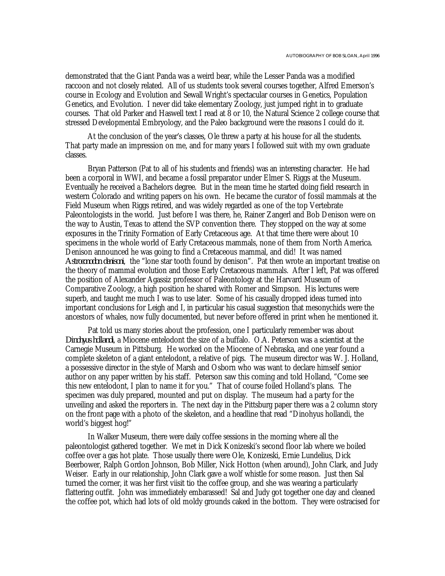demonstrated that the Giant Panda was a weird bear, while the Lesser Panda was a modified raccoon and not closely related. All of us students took several courses together, Alfred Emerson's course in Ecology and Evolution and Sewall Wright's spectacular courses in Genetics, Population Genetics, and Evolution. I never did take elementary Zoology, just jumped right in to graduate courses. That old Parker and Haswell text I read at 8 or 10, the Natural Science 2 college course that stressed Developmental Embryology, and the Paleo background were the reasons I could do it.

At the conclusion of the year's classes, Ole threw a party at his house for all the students. That party made an impression on me, and for many years I followed suit with my own graduate classes.

Bryan Patterson (Pat to all of his students and friends) was an interesting character. He had been a corporal in WWI, and became a fossil preparator under Elmer S. Riggs at the Museum. Eventually he received a Bachelors degree. But in the mean time he started doing field research in western Colorado and writing papers on his own. He became the curator of fossil mammals at the Field Museum when Riggs retired, and was widely regarded as one of the top Vertebrate Paleontologists in the world. Just before I was there, he, Rainer Zangerl and Bob Denison were on the way to Austin, Texas to attend the SVP convention there. They stopped on the way at some exposures in the Trinity Formation of Early Cretaceous age. At that time there were about 10 specimens in the whole world of Early Cretaceous mammals, none of them from North America. Denison announced he was going to find a Cretaceous mammal, and did! It was named *Astroconodon denisoni*, the "lone star tooth found by denison". Pat then wrote an important treatise on the theory of mammal evolution and those Early Cretaceous mammals. After I left, Pat was offered the position of Alexander Agassiz professor of Paleontology at the Harvard Museum of Comparative Zoology, a high position he shared with Romer and Simpson. His lectures were superb, and taught me much I was to use later. Some of his casually dropped ideas turned into important conclusions for Leigh and I, in particular his casual suggestion that mesonychids were the ancestors of whales, now fully documented, but never before offered in print when he mentioned it.

Pat told us many stories about the profession, one I particularly remember was about *Dinohyus hollandi*, a Miocene entelodont the size of a buffalo. O.A. Peterson was a scientist at the Carnegie Museum in Pittsburg. He worked on the Miocene of Nebraska, and one year found a complete skeleton of a giant entelodont, a relative of pigs. The museum director was W. J. Holland, a possessive director in the style of Marsh and Osborn who was want to declare himself senior author on any paper written by his staff. Peterson saw this coming and told Holland, "Come see this new entelodont, I plan to name it for you." That of course foiled Holland's plans. The specimen was duly prepared, mounted and put on display. The museum had a party for the unveiling and asked the reporters in. The next day in the Pittsburg paper there was a 2 column story on the front page with a photo of the skeleton, and a headline that read "Dinohyus hollandi, the world's biggest hog!"

In Walker Museum, there were daily coffee sessions in the morning where all the paleontologist gathered together. We met in Dick Konizeski's second floor lab where we boiled coffee over a gas hot plate. Those usually there were Ole, Konizeski, Ernie Lundelius, Dick Beerbower, Ralph Gordon Johnson, Bob Miller, Nick Hotton (when around), John Clark, and Judy Weiser. Early in our relationship, John Clark gave a wolf whistle for some reason. Just then Sal turned the corner, it was her first viisit tio the coffee group, and she was wearing a particularly flattering outfit. John was immediately embarassed! Sal and Judy got together one day and cleaned the coffee pot, which had lots of old moldy grounds caked in the bottom. They were ostracised for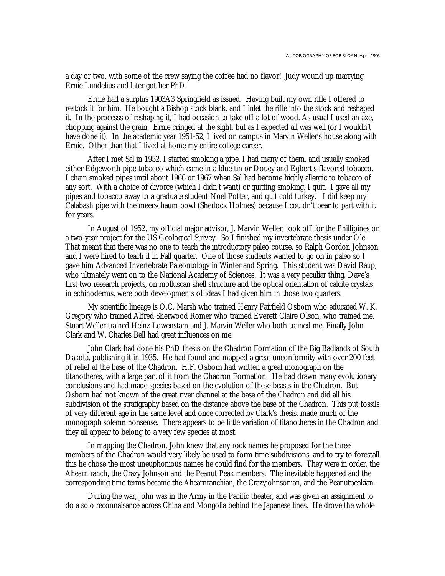a day or two, with some of the crew saying the coffee had no flavor! Judy wound up marrying Ernie Lundelius and later got her PhD.

Ernie had a surplus 1903A3 Springfield as issued. Having built my own rifle I offered to restock it for him. He bought a Bishop stock blank. and I inlet the rifle into the stock and reshaped it. In the processs of reshaping it, I had occasion to take off a lot of wood. As usual I used an axe, chopping against the grain. Ernie cringed at the sight, but as I expected all was well (or I wouldn't have done it). In the academic year 1951-52, I lived on campus in Marvin Weller's house along with Ernie. Other than that I lived at home my entire college career.

After I met Sal in 1952, I started smoking a pipe, I had many of them, and usually smoked either Edgeworth pipe tobacco which came in a blue tin or Douey and Egbert's flavored tobacco. I chain smoked pipes until about 1966 or 1967 when Sal had become highly allergic to tobacco of any sort. With a choice of divorce (which I didn't want) or quitting smoking, I quit. I gave all my pipes and tobacco away to a graduate student Noel Potter, and quit cold turkey. I did keep my Calabash pipe with the meerschaum bowl (Sherlock Holmes) because I couldn't bear to part with it for years.

In August of 1952, my official major advisor, J. Marvin Weller, took off for the Phillipines on a two-year project for the US Geological Survey. So I finished my invertebrate thesis under Ole. That meant that there was no one to teach the introductory paleo course, so Ralph Gordon Johnson and I were hired to teach it in Fall quarter. One of those students wanted to go on in paleo so I gave him Advanced Invertebrate Paleontology in Winter and Spring. This student was David Raup, who ultmately went on to the National Academy of Sciences. It was a very peculiar thing, Dave's first two research projects, on molluscan shell structure and the optical orientation of calcite crystals in echinoderms, were both developments of ideas I had given him in those two quarters.

My scientific lineage is O.C. Marsh who trained Henry Fairfield Osborn who educated W. K. Gregory who trained Alfred Sherwood Romer who trained Everett Claire Olson, who trained me. Stuart Weller trained Heinz Lowenstam and J. Marvin Weller who both trained me, Finally John Clark and W. Charles Bell had great influences on me.

John Clark had done his PhD thesis on the Chadron Formation of the Big Badlands of South Dakota, publishing it in 1935. He had found and mapped a great unconformity with over 200 feet of relief at the base of the Chadron. H.F. Osborn had written a great monograph on the titanotheres, with a large part of it from the Chadron Formation. He had drawn many evolutionary conclusions and had made species based on the evolution of these beasts in the Chadron. But Osborn had not known of the great river channel at the base of the Chadron and did all his subdivision of the stratigraphy based on the distance above the base of the Chadron. This put fossils of very different age in the same level and once corrected by Clark's thesis, made much of the monograph solemn nonsense. There appears to be little variation of titanotheres in the Chadron and they all appear to belong to a very few species at most.

In mapping the Chadron, John knew that any rock names he proposed for the three members of the Chadron would very likely be used to form time subdivisions, and to try to forestall this he chose the most uneuphonious names he could find for the members. They were in order, the Ahearn ranch, the Crazy Johnson and the Peanut Peak members. The inevitable happened and the corresponding time terms became the Ahearnranchian, the Crazyjohnsonian, and the Peanutpeakian.

During the war, John was in the Army in the Pacific theater, and was given an assignment to do a solo reconnaisance across China and Mongolia behind the Japanese lines. He drove the whole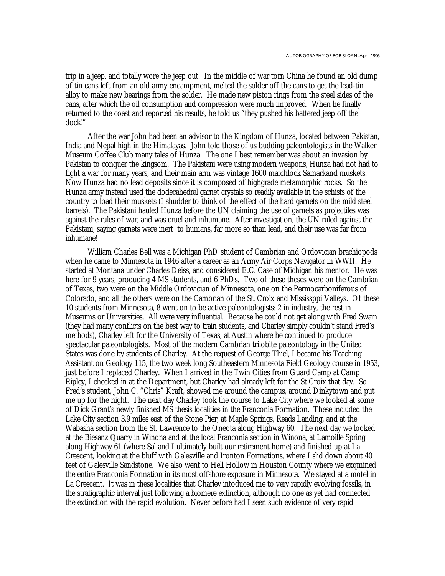trip in a jeep, and totally wore the jeep out. In the middle of war torn China he found an old dump of tin cans left from an old army encampment, melted the solder off the cans to get the lead-tin alloy to make new bearings from the solder. He made new piston rings from the steel sides of the cans, after which the oil consumption and compression were much improved. When he finally returned to the coast and reported his results, he told us "they pushed his battered jeep off the dock!"

After the war John had been an advisor to the Kingdom of Hunza, located between Pakistan, India and Nepal high in the Himalayas. John told those of us budding paleontologists in the Walker Museum Coffee Club many tales of Hunza. The one I best remember was about an invasion by Pakistan to conquer the kingsom. The Pakistani were using modern weapons, Hunza had not had to fight a war for many years, and their main arm was vintage 1600 matchlock Samarkand muskets. Now Hunza had no lead deposits since it is composed of highgrade metamorphic rocks. So the Hunza army instead used the dodecahedral garnet crystals so readily available in the schists of the country to load their muskets (I shudder to think of the effect of the hard garnets on the mild steel barrels). The Pakistani hauled Hunza before the UN claiming the use of garnets as projectiles was against the rules of war, and was cruel and inhumane. After investigation, the UN ruled against the Pakistani, saying garnets were inert to humans, far more so than lead, and their use was far from inhumane!

William Charles Bell was a Michigan PhD student of Cambrian and Ordovician brachiopods when he came to Minnesota in 1946 after a career as an Army Air Corps Navigator in WWII. He started at Montana under Charles Deiss, and considered E.C. Case of Michigan his mentor. He was here for 9 years, producing 4 MS students, and 6 PhDs. Two of these theses were on the Cambrian of Texas, two were on the Middle Ordovician of Minnesota, one on the Permocarboniferous of Colorado, and all the others were on the Cambrian of the St. Croix and Mississppi Valleys. Of these 10 students from Minnesota, 8 went on to be active paleontologists: 2 in industry, the rest in Museums or Universities. All were very influential. Because he could not get along with Fred Swain (they had many conflicts on the best way to train students, and Charley simply couldn't stand Fred's methods), Charley left for the University of Texas, at Austin where he continued to produce spectacular paleontologists. Most of the modern Cambrian trilobite paleontology in the United States was done by students of Charley. At the request of George Thiel, I became his Teaching Assistant on Geology 115, the two week long Southeastern Minnesota Field Geology course in 1953, just before I replaced Charley. When I arrived in the Twin Cities from Guard Camp at Camp Ripley, I checked in at the Department, but Charley had already left for the St Croix that day. So Fred's student, John C. "Chris" Kraft, showed me around the campus, around Dinkytown and put me up for the night. The next day Charley took the course to Lake City where we looked at some of Dick Grant's newly finished MS thesis localities in the Franconia Formation. These included the Lake City section 3.9 miles east of the Stone Pier, at Maple Springs, Reads Landing, and at the Wabasha section from the St. Lawrence to the Oneota along Highway 60. The next day we looked at the Biesanz Quarry in Winona and at the local Franconia section in Winona, at Lamoille Spring along Highway 61 (where Sal and I ultimately built our retirement home) and finished up at La Crescent, looking at the bluff with Galesville and Ironton Formations, where I slid down about 40 feet of Galesville Sandstone. We also went to Hell Hollow in Houston County where we exqmined the entire Franconia Formation in its most offshore exposure in Minnesota. We stayed at a motel in La Crescent. It was in these localities that Charley intoduced me to very rapidly evolving fossils, in the stratigraphic interval just following a biomere extinction, although no one as yet had connected the extinction with the rapid evolution. Never before had I seen such evidence of very rapid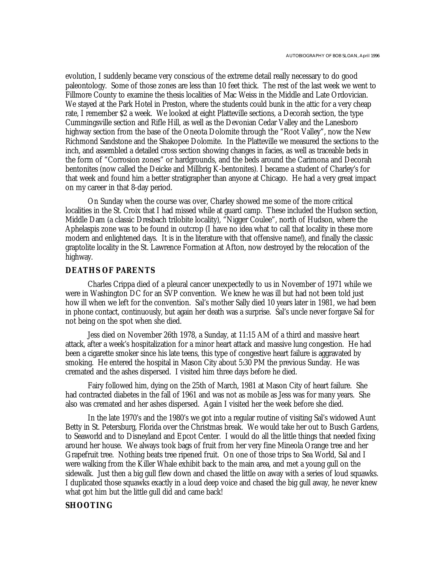evolution, I suddenly became very conscious of the extreme detail really necessary to do good paleontology. Some of those zones are less than 10 feet thick. The rest of the last week we went to Fillmore County to examine the thesis localities of Mac Weiss in the Middle and Late Ordovician. We stayed at the Park Hotel in Preston, where the students could bunk in the attic for a very cheap rate, I remember \$2 a week. We looked at eight Platteville sections, a Decorah section, the type Cummingsville section and Rifle Hill, as well as the Devonian Cedar Valley and the Lanesboro highway section from the base of the Oneota Dolomite through the "Root Valley", now the New Richmond Sandstone and the Shakopee Dolomite. In the Platteville we measured the sections to the inch, and assembled a detailed cross section showing changes in facies, as well as traceable beds in the form of "Corrosion zones" or hardgrounds, and the beds around the Carimona and Decorah bentonites (now called the Deicke and Millbrig K-bentonites). I became a student of Charley's for that week and found him a better stratigrapher than anyone at Chicago. He had a very great impact on my career in that 8-day period.

On Sunday when the course was over, Charley showed me some of the more critical localities in the St. Croix that I had missed while at guard camp. These included the Hudson section, Middle Dam (a classic Dresbach trilobite locality), "Nigger Coulee", north of Hudson, where the Aphelaspis zone was to be found in outcrop (I have no idea what to call that locality in these more modern and enlightened days. It is in the literature with that offensive name!), and finally the classic graptolite locality in the St. Lawrence Formation at Afton, now destroyed by the relocation of the highway.

#### **DEATHS OF PARENTS**

Charles Crippa died of a pleural cancer unexpectedly to us in November of 1971 while we were in Washington DC for an SVP convention. We knew he was ill but had not been told just how ill when we left for the convention. Sal's mother Sally died 10 years later in 1981, we had been in phone contact, continuously, but again her death was a surprise. Sal's uncle never forgave Sal for not being on the spot when she died.

Jess died on November 26th 1978, a Sunday, at 11:15 AM of a third and massive heart attack, after a week's hospitalization for a minor heart attack and massive lung congestion. He had been a cigarette smoker since his late teens, this type of congestive heart failure is aggravated by smoking. He entered the hospital in Mason City about 5:30 PM the previous Sunday. He was cremated and the ashes dispersed. I visited him three days before he died.

Fairy followed him, dying on the 25th of March, 1981 at Mason City of heart failure. She had contracted diabetes in the fall of 1961 and was not as mobile as Jess was for many years. She also was cremated and her ashes dispersed. Again I visited her the week before she died.

In the late 1970's and the 1980's we got into a regular routine of visiting Sal's widowed Aunt Betty in St. Petersburg, Florida over the Christmas break. We would take her out to Busch Gardens, to Seaworld and to Disneyland and Epcot Center. I would do all the little things that needed fixing around her house. We always took bags of fruit from her very fine Mineola Orange tree and her Grapefruit tree. Nothing beats tree ripened fruit. On one of those trips to Sea World, Sal and I were walking from the Killer Whale exhibit back to the main area, and met a young gull on the sidewalk. Just then a big gull flew down and chased the little on away with a series of loud squawks. I duplicated those squawks exactly in a loud deep voice and chased the big gull away, he never knew what got him but the little gull did and came back!

#### **SHOOTING**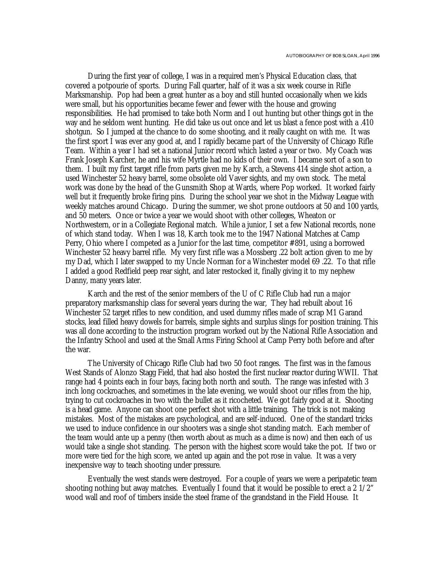During the first year of college, I was in a required men's Physical Education class, that covered a potpourie of sports. During Fall quarter, half of it was a six week course in Rifle Marksmanship. Pop had been a great hunter as a boy and still hunted occasionally when we kids were small, but his opportunities became fewer and fewer with the house and growing responsibilities. He had promised to take both Norm and I out hunting but other things got in the way and he seldom went hunting. He did take us out once and let us blast a fence post with a .410 shotgun. So I jumped at the chance to do some shooting, and it really caught on with me. It was the first sport I was ever any good at, and I rapidly became part of the University of Chicago Rifle Team. Within a year I had set a national Junior record which lasted a year or two. My Coach was Frank Joseph Karcher, he and his wife Myrtle had no kids of their own. I became sort of a son to them. I built my first target rifle from parts given me by Karch, a Stevens 414 single shot action, a used Winchester 52 heavy barrel, some obsolete old Vaver sights, and my own stock. The metal work was done by the head of the Gunsmith Shop at Wards, where Pop worked. It worked fairly well but it frequently broke firing pins. During the school year we shot in the Midway League with weekly matches around Chicago. During the summer, we shot prone outdoors at 50 and 100 yards, and 50 meters. Once or twice a year we would shoot with other colleges, Wheaton or Northwestern, or in a Collegiate Regional match. While a junior, I set a few National records, none of which stand today. When I was 18, Karch took me to the 1947 National Matches at Camp Perry, Ohio where I competed as a Junior for the last time, competitor #891, using a borrowed Winchester 52 heavy barrel rifle. My very first rifle was a Mossberg .22 bolt action given to me by my Dad, which I later swapped to my Uncle Norman for a Winchester model 69 .22. To that rifle I added a good Redfield peep rear sight, and later restocked it, finally giving it to my nephew Danny, many years later.

Karch and the rest of the senior members of the U of C Rifle Club had run a major preparatory marksmanship class for several years during the war, They had rebuilt about 16 Winchester 52 target rifles to new condition, and used dummy rifles made of scrap M1 Garand stocks, lead filled heavy dowels for barrels, simple sights and surplus slings for position training. This was all done according to the instruction program worked out by the National Rifle Association and the Infantry School and used at the Small Arms Firing School at Camp Perry both before and after the war.

The University of Chicago Rifle Club had two 50 foot ranges. The first was in the famous West Stands of Alonzo Stagg Field, that had also hosted the first nuclear reactor during WWII. That range had 4 points each in four bays, facing both north and south. The range was infested with 3 inch long cockroaches, and sometimes in the late evening, we would shoot our rifles from the hip, trying to cut cockroaches in two with the bullet as it ricocheted. We got fairly good at it. Shooting is a head game. Anyone can shoot one perfect shot with a little training. The trick is not making mistakes. Most of the mistakes are psychological, and are self-induced. One of the standard tricks we used to induce confidence in our shooters was a single shot standing match. Each member of the team would ante up a penny (then worth about as much as a dime is now) and then each of us would take a single shot standing. The person with the highest score would take the pot. If two or more were tied for the high score, we anted up again and the pot rose in value. It was a very inexpensive way to teach shooting under pressure.

Eventually the west stands were destroyed. For a couple of years we were a peripatetic team shooting nothing but away matches. Eventually I found that it would be possible to erect a 2 1/2" wood wall and roof of timbers inside the steel frame of the grandstand in the Field House. It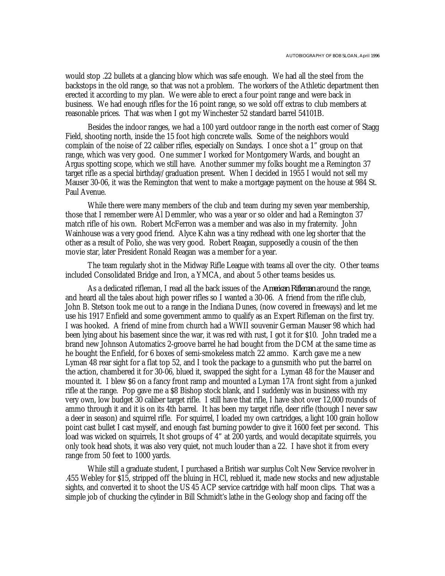would stop .22 bullets at a glancing blow which was safe enough. We had all the steel from the backstops in the old range, so that was not a problem. The workers of the Athletic department then erected it according to my plan. We were able to erect a four point range and were back in business. We had enough rifles for the 16 point range, so we sold off extras to club members at reasonable prices. That was when I got my Winchester 52 standard barrel 54101B.

Besides the indoor ranges, we had a 100 yard outdoor range in the north east corner of Stagg Field, shooting north, inside the 15 foot high concrete walls. Some of the neighbors would complain of the noise of 22 caliber rifles, especially on Sundays. I once shot a 1" group on that range, which was very good. One summer I worked for Montgomery Wards, and bought an Argus spotting scope, which we still have. Another summer my folks bought me a Remington 37 target rifle as a special birthday/graduation present. When I decided in 1955 I would not sell my Mauser 30-06, it was the Remington that went to make a mortgage payment on the house at 984 St. Paul Avenue.

While there were many members of the club and team during my seven year membership, those that I remember were Al Demmler, who was a year or so older and had a Remington 37 match rifle of his own. Robert McFerron was a member and was also in my fraternity. John Wainhouse was a very good friend. Alyce Kahn was a tiny redhead with one leg shorter that the other as a result of Polio, she was very good. Robert Reagan, supposedly a cousin of the then movie star, later President Ronald Reagan was a member for a year.

The team regularly shot in the Midway Rifle League with teams all over the city. Other teams included Consolidated Bridge and Iron, a YMCA, and about 5 other teams besides us.

As a dedicated rifleman, I read all the back issues of the *American Rifleman* around the range, and heard all the tales about high power rifles so I wanted a 30-06. A friend from the rifle club, John B. Stetson took me out to a range in the Indiana Dunes, (now covered in freeways) and let me use his 1917 Enfield and some government ammo to qualify as an Expert Rifleman on the first try. I was hooked. A friend of mine from church had a WWII souvenir German Mauser 98 which had been lying about his basement since the war, it was red with rust, I got it for \$10. John traded me a brand new Johnson Automatics 2-groove barrel he had bought from the DCM at the same time as he bought the Enfield, for 6 boxes of semi-smokeless match 22 ammo. Karch gave me a new Lyman 48 rear sight for a flat top 52, and I took the package to a gunsmith who put the barrel on the action, chambered it for 30-06, blued it, swapped the sight for a Lyman 48 for the Mauser and mounted it. I blew \$6 on a fancy front ramp and mounted a Lyman 17A front sight from a junked rifle at the range. Pop gave me a \$8 Bishop stock blank, and I suddenly was in business with my very own, low budget 30 caliber target rifle. I still have that rifle, I have shot over 12,000 rounds of ammo through it and it is on its 4th barrel. It has been my target rifle, deer rifle (though I never saw a deer in season) and squirrel rifle. For squirrel, I loaded my own cartridges, a light 100 grain hollow point cast bullet I cast myself, and enough fast burning powder to give it 1600 feet per second. This load was wicked on squirrels, It shot groups of 4" at 200 yards, and would decapitate squirrels, you only took head shots, it was also very quiet, not much louder than a 22. I have shot it from every range from 50 feet to 1000 yards.

While still a graduate student, I purchased a British war surplus Colt New Service revolver in .455 Webley for \$15, stripped off the bluing in HCl, reblued it, made new stocks and new adjustable sights, and converted it to shoot the US 45 ACP service cartridge with half moon clips. That was a simple job of chucking the cylinder in Bill Schmidt's lathe in the Geology shop and facing off the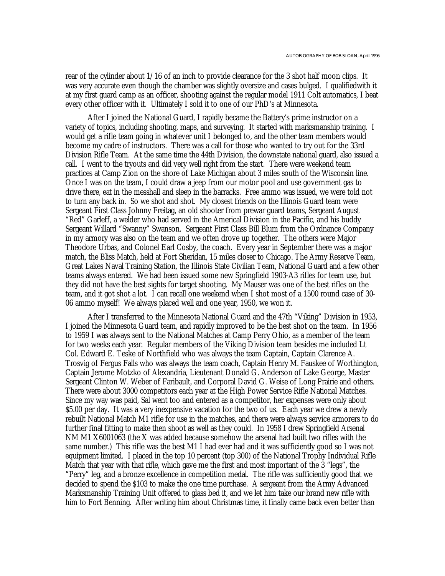rear of the cylinder about 1/16 of an inch to provide clearance for the 3 shot half moon clips. It was very accurate even though the chamber was slightly oversize and cases bulged. I qualifiedwith it at my first guard camp as an officer, shooting against the regular model 1911 Colt automatics, I beat every other officer with it. Ultimately I sold it to one of our PhD's at Minnesota.

After I joined the National Guard, I rapidly became the Battery's prime instructor on a variety of topics, including shooting, maps, and surveying. It started with marksmanship training. I would get a rifle team going in whatever unit I belonged to, and the other team members would become my cadre of instructors. There was a call for those who wanted to try out for the 33rd Division Rifle Team. At the same time the 44th Division, the downstate national guard, also issued a call. I went to the tryouts and did very well right from the start. There were weekend team practices at Camp Zion on the shore of Lake Michigan about 3 miles south of the Wisconsin line. Once I was on the team, I could draw a jeep from our motor pool and use government gas to drive there, eat in the messhall and sleep in the barracks. Free ammo was issued, we were told not to turn any back in. So we shot and shot. My closest friends on the Illinois Guard team were Sergeant First Class Johnny Freitag, an old shooter from prewar guard teams, Sergeant August "Red" Garleff, a welder who had served in the Americal Division in the Pacific, and his buddy Sergeant Willard "Swanny" Swanson. Sergeant First Class Bill Blum from the Ordnance Company in my armory was also on the team and we often drove up together. The others were Major Theodore Urbas, and Colonel Earl Cosby, the coach. Every year in September there was a major match, the Bliss Match, held at Fort Sheridan, 15 miles closer to Chicago. The Army Reserve Team, Great Lakes Naval Training Station, the Illinois State Civilian Team, National Guard and a few other teams always entered. We had been issued some new Springfield 1903-A3 rifles for team use, but they did not have the best sights for target shooting. My Mauser was one of the best rifles on the team, and it got shot a lot. I can recall one weekend when I shot most of a 1500 round case of 30- 06 ammo myself! We always placed well and one year, 1950, we won it.

After I transferred to the Minnesota National Guard and the 47th "Viking" Division in 1953, I joined the Minnesota Guard team, and rapidly improved to be the best shot on the team. In 1956 to 1959 I was always sent to the National Matches at Camp Perry Ohio, as a member of the team for two weeks each year. Regular members of the Viking Division team besides me included Lt Col. Edward E. Teske of Northfield who was always the team Captain, Captain Clarence A. Trosvig of Fergus Falls who was always the team coach, Captain Henry M. Fauskee of Worthington, Captain Jerome Motzko of Alexandria, Lieutenant Donald G. Anderson of Lake George, Master Sergeant Clinton W. Weber of Faribault, and Corporal David G. Weise of Long Prairie and others. There were about 3000 competitors each year at the High Power Service Rifle National Matches. Since my way was paid, Sal went too and entered as a competitor, her expenses were only about \$5.00 per day. It was a very inexpensive vacation for the two of us. Each year we drew a newly rebuilt National Match M1 rifle for use in the matches, and there were always service armorers to do further final fitting to make then shoot as well as they could. In 1958 I drew Springfield Arsenal NM M1 X6001063 (the X was added because somehow the arsenal had built two rifles with the same number.) This rifle was the best M1 I had ever had and it was sufficiently good so I was not equipment limited. I placed in the top 10 percent (top 300) of the National Trophy Individual Rifle Match that year with that rifle, which gave me the first and most important of the 3 "legs", the "Perry" leg, and a bronze excellence in competition medal. The rifle was sufficiently good that we decided to spend the \$103 to make the one time purchase. A sergeant from the Army Advanced Marksmanship Training Unit offered to glass bed it, and we let him take our brand new rifle with him to Fort Benning. After writing him about Christmas time, it finally came back even better than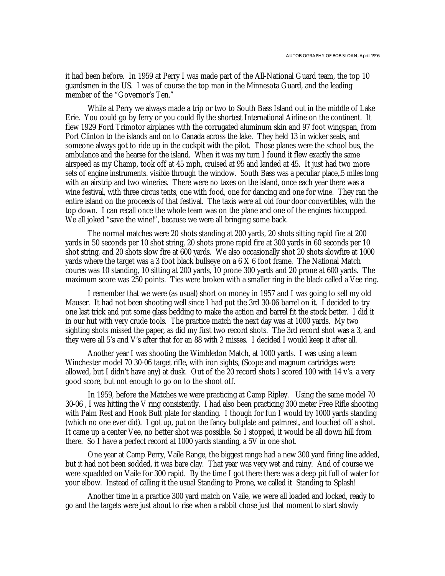it had been before. In 1959 at Perry I was made part of the All-National Guard team, the top 10 guardsmen in the US. I was of course the top man in the Minnesota Guard, and the leading member of the "Governor's Ten."

While at Perry we always made a trip or two to South Bass Island out in the middle of Lake Erie. You could go by ferry or you could fly the shortest International Airline on the continent. It flew 1929 Ford Trimotor airplanes with the corrugated aluminum skin and 97 foot wingspan, from Port Clinton to the islands and on to Canada across the lake. They held 13 in wicker seats, and someone always got to ride up in the cockpit with the pilot. Those planes were the school bus, the ambulance and the hearse for the island. When it was my turn I found it flew exactly the same airspeed as my Champ, took off at 45 mph, cruised at 95 and landed at 45. It just had two more sets of engine instruments. visible through the window. South Bass was a peculiar place,.5 miles long with an airstrip and two wineries. There were no taxes on the island, once each year there was a wine festival, with three circus tents, one with food, one for dancing and one for wine. They ran the entire island on the proceeds of that festival. The taxis were all old four door convertibles, with the top down. I can recall once the whole team was on the plane and one of the engines hiccupped. We all joked "save the wine!", because we were all bringing some back.

The normal matches were 20 shots standing at 200 yards, 20 shots sitting rapid fire at 200 yards in 50 seconds per 10 shot string, 20 shots prone rapid fire at 300 yards in 60 seconds per 10 shot string, and 20 shots slow fire at 600 yards. We also occasionally shot 20 shots slowfire at 1000 yards where the target was a 3 foot black bullseye on a 6 X 6 foot frame. The National Match coures was 10 standing, 10 sitting at 200 yards, 10 prone 300 yards and 20 prone at 600 yards. The maximum score was 250 points. Ties were broken with a smaller ring in the black called a Vee ring.

I remember that we were (as usual) short on money in 1957 and I was going to sell my old Mauser. It had not been shooting well since I had put the 3rd 30-06 barrel on it. I decided to try one last trick and put some glass bedding to make the action and barrel fit the stock better. I did it in our hut with very crude tools. The practice match the next day was at 1000 yards. My two sighting shots missed the paper, as did my first two record shots. The 3rd record shot was a 3, and they were all 5's and V's after that for an 88 with 2 misses. I decided I would keep it after all.

Another year I was shooting the Wimbledon Match, at 1000 yards. I was using a team Winchester model 70 30-06 target rifle, with iron sights, (Scope and magnum cartridges were allowed, but I didn't have any) at dusk. Out of the 20 record shots I scored 100 with 14 v's. a very good score, but not enough to go on to the shoot off.

In 1959, before the Matches we were practicing at Camp Ripley. Using the same model 70 30-06 , I was hitting the V ring consistently. I had also been practicing 300 meter Free Rifle shooting with Palm Rest and Hook Butt plate for standing. I though for fun I would try 1000 yards standing (which no one ever did). I got up, put on the fancy buttplate and palmrest, and touched off a shot. It came up a center Vee, no better shot was possible. So I stopped, it would be all down hill from there. So I have a perfect record at 1000 yards standing, a 5V in one shot.

One year at Camp Perry, Vaile Range, the biggest range had a new 300 yard firing line added, but it had not been sodded, it was bare clay. That year was very wet and rainy. And of course we were squadded on Vaile for 300 rapid. By the time I got there there was a deep pit full of water for your elbow. Instead of calling it the usual Standing to Prone, we called it Standing to Splash!

Another time in a practice 300 yard match on Vaile, we were all loaded and locked, ready to go and the targets were just about to rise when a rabbit chose just that moment to start slowly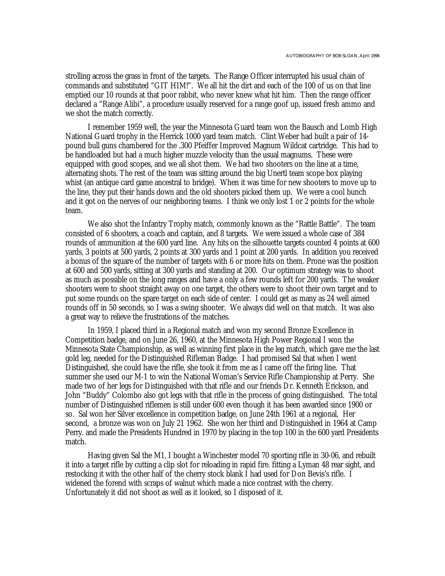strolling across the grass in front of the targets. The Range Officer interrupted his usual chain of commands and substituted "GIT HIM!". We all hit the dirt and each of the 100 of us on that line emptied our 10 rounds at that poor rabbit, who never knew what hit him. Then the range officer declared a "Range Alibi", a procedure usually reserved for a range goof up, issued fresh ammo and we shot the match correctly.

I remember 1959 well, the year the Minnesota Guard team won the Bausch and Lomb High National Guard trophy in the Herrick 1000 yard team match. Clint Weber had built a pair of 14 pound bull guns chambered for the .300 Pfeiffer Improved Magnum Wildcat cartridge. This had to be handloaded but had a much higher muzzle velocity than the usual magnums. These were equipped with good scopes, and we all shot them. We had two shooters on the line at a time, alternating shots. The rest of the team was sitting around the big Unertl team scope box playing whist (an antique card game ancestral to bridge). When it was time for new shooters to move up to the line, they put their hands down and the old shooters picked them up. We were a cool bunch and it got on the nerves of our neighboring teams. I think we only lost 1 or 2 points for the whole team.

We also shot the Infantry Trophy match, commonly known as the "Rattle Battle". The team consisted of 6 shooters, a coach and captain, and 8 targets. We were issued a whole case of 384 rounds of ammunition at the 600 yard line. Any hits on the silhouette targets counted 4 points at 600 yards, 3 points at 500 yards, 2 points at 300 yards and 1 point at 200 yards. In addition you received a bonus of the square of the number of targets with 6 or more hits on them. Prone was the position at 600 and 500 yards, sitting at 300 yards and standing at 200. Our optimum strategy was to shoot as much as possible on the long ranges and have a only a few rounds left for 200 yards. The weaker shooters were to shoot straight away on one target, the others were to shoot their own target and to put some rounds on the spare target on each side of center. I could get as many as 24 well aimed rounds off in 50 seconds, so I was a swing shooter. We always did well on that match. It was also a great way to relieve the frustrations of the matches.

In 1959, I placed third in a Regional match and won my second Bronze Excellence in Competition badge, and on June 26, 1960, at the Minnesota High Power Regional I won the Minnesota State Championship, as well as winning first place in the leg match, which gave me the last gold leg, needed for the Distinguished Rifleman Badge. I had promised Sal that when I went Distinguished, she could have the rifle, she took it from me as I came off the firing line. That summer she used our M-1 to win the National Woman's Service Rifle Championship at Perry. She made two of her legs for Distinguished with that rifle and our friends Dr. Kenneth Erickson, and John "Buddy" Colombo also got legs with that rifle in the process of going distinguished. The total number of Distinguished riflemen is still under 600 even though it has been awarded since 1900 or so. Sal won her Silver excellence in competition badge, on June 24th 1961 at a regional, Her second, a bronze was won on July 21 1962. She won her third and Distinguished in 1964 at Camp Perry. and made the Presidents Hundred in 1970 by placing in the top 100 in the 600 yard Presidents match.

Having given Sal the M1, I bought a Winchester model 70 sporting rifle in 30-06, and rebuilt it into a target rifle by cutting a clip slot for reloading in rapid fire. fitting a Lyman 48 rear sight, and restocking it with the other half of the cherry stock blank I had used for Don Bevis's rifle. I widened the forend with scraps of walnut which made a nice contrast with the cherry. Unfortunately it did not shoot as well as it looked, so I disposed of it.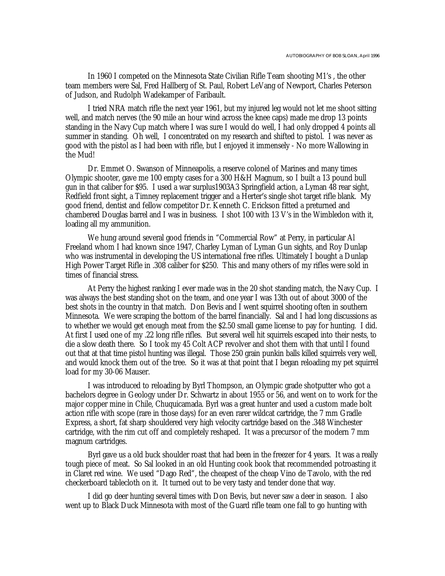In 1960 I competed on the Minnesota State Civilian Rifle Team shooting M1's , the other team members were Sal, Fred Hallberg of St. Paul, Robert LeVang of Newport, Charles Peterson of Judson, and Rudolph Wadekamper of Faribault.

I tried NRA match rifle the next year 1961, but my injured leg would not let me shoot sitting well, and match nerves (the 90 mile an hour wind across the knee caps) made me drop 13 points standing in the Navy Cup match where I was sure I would do well, I had only dropped 4 points all summer in standing. Oh well, I concentrated on my research and shifted to pistol. I was never as good with the pistol as I had been with rifle, but I enjoyed it immensely - No more Wallowing in the Mud!

Dr. Emmet O. Swanson of Minneapolis, a reserve colonel of Marines and many times Olympic shooter, gave me 100 empty cases for a 300 H&H Magnum, so I built a 13 pound bull gun in that caliber for \$95. I used a war surplus1903A3 Springfield action, a Lyman 48 rear sight, Redfield front sight, a Timney replacement trigger and a Herter's single shot target rifle blank. My good friend, dentist and fellow competitor Dr. Kenneth C. Erickson fitted a preturned and chambered Douglas barrel and I was in business. I shot 100 with 13 V's in the Wimbledon with it, loading all my ammunition.

We hung around several good friends in "Commercial Row" at Perry, in particular Al Freeland whom I had known since 1947, Charley Lyman of Lyman Gun sights, and Roy Dunlap who was instrumental in developing the US international free rifles. Ultimately I bought a Dunlap High Power Target Rifle in .308 caliber for \$250. This and many others of my rifles were sold in times of financial stress.

At Perry the highest ranking I ever made was in the 20 shot standing match, the Navy Cup. I was always the best standing shot on the team, and one year I was 13th out of about 3000 of the best shots in the country in that match. Don Bevis and I went squirrel shooting often in southern Minnesota. We were scraping the bottom of the barrel financially. Sal and I had long discussions as to whether we would get enough meat from the \$2.50 small game license to pay for hunting. I did. At first I used one of my .22 long rifle rifles. But several well hit squirrels escaped into their nests, to die a slow death there. So I took my 45 Colt ACP revolver and shot them with that until I found out that at that time pistol hunting was illegal. Those 250 grain punkin balls killed squirrels very well, and would knock them out of the tree. So it was at that point that I began reloading my pet squirrel load for my 30-06 Mauser.

I was introduced to reloading by Byrl Thompson, an Olympic grade shotputter who got a bachelors degree in Geology under Dr. Schwartz in about 1955 or 56, and went on to work for the major copper mine in Chile, Chuquicamada. Byrl was a great hunter and used a custom made bolt action rifle with scope (rare in those days) for an even rarer wildcat cartridge, the 7 mm Gradle Express, a short, fat sharp shouldered very high velocity cartridge based on the .348 Winchester cartridge, with the rim cut off and completely reshaped. It was a precursor of the modern 7 mm magnum cartridges.

Byrl gave us a old buck shoulder roast that had been in the freezer for 4 years. It was a really tough piece of meat. So Sal looked in an old Hunting cook book that recommended potroasting it in Claret red wine. We used "Dago Red", the cheapest of the cheap Vino de Tavolo, with the red checkerboard tablecloth on it. It turned out to be very tasty and tender done that way.

I did go deer hunting several times with Don Bevis, but never saw a deer in season. I also went up to Black Duck Minnesota with most of the Guard rifle team one fall to go hunting with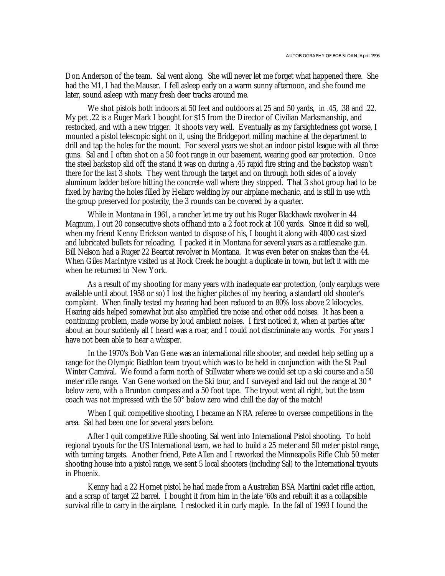Don Anderson of the team. Sal went along. She will never let me forget what happened there. She had the M1, I had the Mauser. I fell asleep early on a warm sunny afternoon, and she found me later, sound asleep with many fresh deer tracks around me.

We shot pistols both indoors at 50 feet and outdoors at 25 and 50 yards, in .45, .38 and .22. My pet .22 is a Ruger Mark I bought for \$15 from the Director of Civilian Marksmanship, and restocked, and with a new trigger. It shoots very well. Eventually as my farsightedness got worse, I mounted a pistol telescopic sight on it, using the Bridgeport milling machine at the department to drill and tap the holes for the mount. For several years we shot an indoor pistol league with all three guns. Sal and I often shot on a 50 foot range in our basement, wearing good ear protection. Once the steel backstop slid off the stand it was on during a .45 rapid fire string and the backstop wasn't there for the last 3 shots. They went through the target and on through both sides of a lovely aluminum ladder before hitting the concrete wall where they stopped. That 3 shot group had to be fixed by having the holes filled by Heliarc welding by our airplane mechanic, and is still in use with the group preserved for posterity, the 3 rounds can be covered by a quarter.

While in Montana in 1961, a rancher let me try out his Ruger Blackhawk revolver in 44 Magnum, I out 20 consecutive shots offhand into a 2 foot rock at 100 yards. Since it did so well, when my friend Kenny Erickson wanted to dispose of his, I bought it along with 4000 cast sized and lubricated bullets for reloading. I packed it in Montana for several years as a rattlesnake gun. Bill Nelson had a Ruger 22 Bearcat revolver in Montana. It was even beter on snakes than the 44. When Giles MacIntyre visited us at Rock Creek he bought a duplicate in town, but left it with me when he returned to New York.

As a result of my shooting for many years with inadequate ear protection, (only earplugs were available until about 1958 or so) I lost the higher pitches of my hearing, a standard old shooter's complaint. When finally tested my hearing had been reduced to an 80% loss above 2 kilocycles. Hearing aids helped somewhat but also amplified tire noise and other odd noises. It has been a continuing problem, made worse by loud ambient noises. I first noticed it, when at parties after about an hour suddenly all I heard was a roar, and I could not discriminate any words. For years I have not been able to hear a whisper.

In the 1970's Bob Van Gene was an international rifle shooter, and needed help setting up a range for the Olympic Biathlon team tryout which was to be held in conjunction with the St Paul Winter Carnival. We found a farm north of Stillwater where we could set up a ski course and a 50 meter rifle range. Van Gene worked on the Ski tour, and I surveyed and laid out the range at 30 ° below zero, with a Brunton compass and a 50 foot tape. The tryout went all right, but the team coach was not impressed with the 50° below zero wind chill the day of the match!

When I quit competitive shooting, I became an NRA referee to oversee competitions in the area. Sal had been one for several years before.

After I quit competitive Rifle shooting, Sal went into International Pistol shooting. To hold regional tryouts for the US International team, we had to build a 25 meter and 50 meter pistol range, with turning targets. Another friend, Pete Allen and I reworked the Minneapolis Rifle Club 50 meter shooting house into a pistol range, we sent 5 local shooters (including Sal) to the International tryouts in Phoenix.

Kenny had a 22 Hornet pistol he had made from a Australian BSA Martini cadet rifle action, and a scrap of target 22 barrel. I bought it from him in the late '60s and rebuilt it as a collapsible survival rifle to carry in the airplane. I restocked it in curly maple. In the fall of 1993 I found the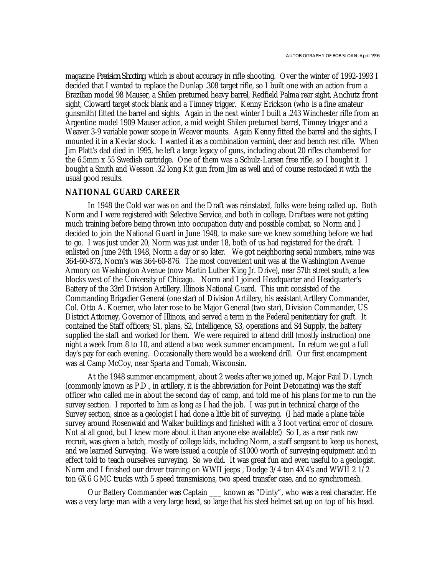magazine *Precision Shooting*, which is about accuracy in rifle shooting. Over the winter of 1992-1993 I decided that I wanted to replace the Dunlap .308 target rifle, so I built one with an action from a Brazilian model 98 Mauser, a Shilen preturned heavy barrel, Redfield Palma rear sight, Anchutz front sight, Cloward target stock blank and a Timney trigger. Kenny Erickson (who is a fine amateur gunsmith) fitted the barrel and sights. Again in the next winter I built a .243 Winchester rifle from an Argentine model 1909 Mauser action, a mid weight Shilen preturned barrel, Timney trigger and a Weaver 3-9 variable power scope in Weaver mounts. Again Kenny fitted the barrel and the sights, I mounted it in a Kevlar stock. I wanted it as a combination varmint, deer and bench rest rifle. When Jim Platt's dad died in 1995, he left a large legacy of guns, including about 20 rifles chambered for the 6.5mm x 55 Swedish cartridge. One of them was a Schulz-Larsen free rifle, so I bought it. I bought a Smith and Wesson .32 long Kit gun from Jim as well and of course restocked it with the usual good results.

#### **NATIONAL GUARD CAREER**

In 1948 the Cold war was on and the Draft was reinstated, folks were being called up. Both Norm and I were registered with Selective Service, and both in college. Draftees were not getting much training before being thrown into occupation duty and possible combat, so Norm and I decided to join the National Guard in June 1948, to make sure we knew something before we had to go. I was just under 20, Norm was just under 18, both of us had registered for the draft. I enlisted on June 24th 1948, Norm a day or so later. We got neighboring serial numbers, mine was 364-60-873, Norm's was 364-60-876. The most convenient unit was at the Washington Avenue Armory on Washington Avenue (now Martin Luther King Jr. Drive), near 57th street south, a few blocks west of the University of Chicago. Norm and I joined Headquarter and Headquarter's Battery of the 33rd Division Artillery, Illinois National Guard. This unit consisted of the Commanding Brigadier General (one star) of Division Artillery, his assistant Artllery Commander, Col. Otto A. Koerner, who later rose to be Major General (two star), Division Commander, US District Attorney, Governor of Illinois, and served a term in the Federal penitentiary for graft. It contained the Staff officers; S1, plans, S2, Intelligence, S3, operations and S4 Supply, the battery supplied the staff and worked for them. We were required to attend drill (mostly instruction) one night a week from 8 to 10, and attend a two week summer encampment. In return we got a full day's pay for each evening. Occasionally there would be a weekend drill. Our first encampment was at Camp McCoy, near Sparta and Tomah, Wisconsin.

At the 1948 summer encampment, about 2 weeks after we joined up, Major Paul D. Lynch (commonly known as P.D., in artillery, it is the abbreviation for Point Detonating) was the staff officer who called me in about the second day of camp, and told me of his plans for me to run the survey section. I reported to him as long as I had the job. I was put in technical charge of the Survey section, since as a geologist I had done a little bit of surveying. (I had made a plane table survey around Rosenwald and Walker buildings and finished with a 3 foot vertical error of closure. Not at all good, but I knew more about it than anyone else available!) So I, as a rear rank raw recruit, was given a batch, mostly of college kids, including Norm, a staff sergeant to keep us honest, and we learned Surveying. We were issued a couple of \$1000 worth of surveying equipment and in effect told to teach ourselves surveying. So we did. It was great fun and even useful to a geologist. Norm and I finished our driver training on WWII jeeps , Dodge 3/4 ton 4X4's and WWII 2 1/2 ton 6X6 GMC trucks with 5 speed transmisions, two speed transfer case, and no synchromesh.

Our Battery Commander was Captain \_\_\_ known as "Dinty", who was a real character. He was a very large man with a very large head, so large that his steel helmet sat up on top of his head.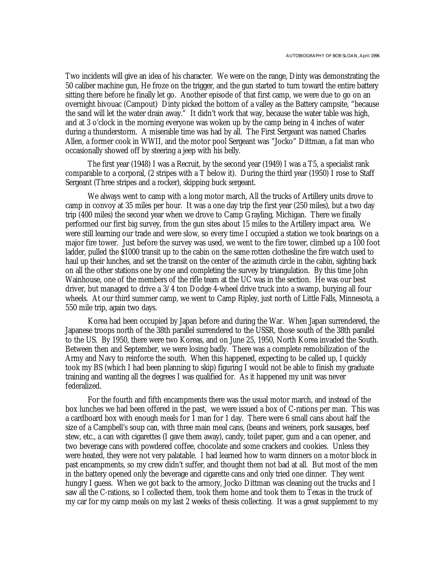Two incidents will give an idea of his character. We were on the range, Dinty was demonstrating the 50 caliber machine gun, He froze on the trigger, and the gun started to turn toward the entire battery sitting there before he finally let go. Another episode of that first camp, we were due to go on an overnight bivouac (Campout) Dinty picked the bottom of a valley as the Battery campsite, "because the sand will let the water drain away." It didn't work that way, because the water table was high, and at 3 o'clock in the morning everyone was woken up by the camp being in 4 inches of water during a thunderstorm. A miserable time was had by all. The First Sergeant was named Charles Allen, a former cook in WWII, and the motor pool Sergeant was "Jocko" Dittman, a fat man who occasionally showed off by steering a jeep with his belly.

The first year (1948) I was a Recruit, by the second year (1949) I was a T5, a specialist rank comparable to a corporal, (2 stripes with a T below it). During the third year (1950) I rose to Staff Sergeant (Three stripes and a rocker), skipping buck sergeant.

We always went to camp with a long motor march, All the trucks of Artillery units drove to camp in convoy at 35 miles per hour. It was a one day trip the first year (250 miles), but a two day trip (400 miles) the second year when we drove to Camp Grayling, Michigan. There we finally performed our first big survey, from the gun sites about 15 miles to the Artillery impact area. We were still learning our trade and were slow, so every time I occupied a station we took bearings on a major fire tower. Just before the survey was used, we went to the fire tower, climbed up a 100 foot ladder, pulled the \$1000 transit up to the cabin on the same rotten clothesline the fire watch used to haul up their lunches, and set the transit on the center of the azimuth circle in the cabin, sighting back on all the other stations one by one and completing the survey by triangulation. By this time John Wainhouse, one of the members of the rifle team at the UC was in the section. He was our best driver, but managed to drive a 3/4 ton Dodge 4-wheel drive truck into a swamp, burying all four wheels. At our third summer camp, we went to Camp Ripley, just north of Little Falls, Minnesota, a 550 mile trip, again two days.

Korea had been occupied by Japan before and during the War. When Japan surrendered, the Japanese troops north of the 38th parallel surrendered to the USSR, those south of the 38th parallel to the US. By 1950, there were two Koreas, and on June 25, 1950, North Korea invaded the South. Between then and September, we were losing badly. There was a complete remobilization of the Army and Navy to reinforce the south. When this happened, expecting to be called up, I quickly took my BS (which I had been planning to skip) figuring I would not be able to finish my graduate training and wanting all the degrees I was qualified for. As it happened my unit was never federalized.

For the fourth and fifth encampments there was the usual motor march, and instead of the box lunches we had been offered in the past, we were issued a box of C-rations per man. This was a cardboard box with enough meals for 1 man for 1 day. There were 6 small cans about half the size of a Campbell's soup can, with three main meal cans, (beans and weiners, pork sausages, beef stew, etc., a can with cigarettes (I gave them away), candy, toilet paper, gum and a can opener, and two beverage cans with powdered coffee, chocolate and some crackers and cookies. Unless they were heated, they were not very palatable. I had learned how to warm dinners on a motor block in past encampments, so my crew didn't suffer, and thought them not bad at all. But most of the men in the battery opened only the beverage and cigarette cans and only tried one dinner. They went hungry I guess. When we got back to the armory, Jocko Dittman was cleaning out the trucks and I saw all the C-rations, so I collected them, took them home and took them to Texas in the truck of my car for my camp meals on my last 2 weeks of thesis collecting. It was a great supplement to my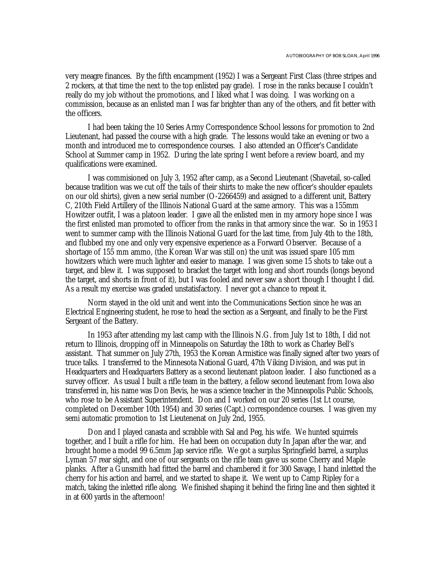very meagre finances. By the fifth encampment (1952) I was a Sergeant First Class (three stripes and 2 rockers, at that time the next to the top enlisted pay grade). I rose in the ranks because I couldn't really do my job without the promotions, and I liked what I was doing. I was working on a commission, because as an enlisted man I was far brighter than any of the others, and fit better with the officers.

I had been taking the 10 Series Army Correspondence School lessons for promotion to 2nd Lieutenant, had passed the course with a high grade. The lessons would take an evening or two a month and introduced me to correspondence courses. I also attended an Officer's Candidate School at Summer camp in 1952. During the late spring I went before a review board, and my qualifications were examined.

I was commisioned on July 3, 1952 after camp, as a Second Lieutenant (Shavetail, so-called because tradition was we cut off the tails of their shirts to make the new officer's shoulder epaulets on our old shirts), given a new serial number (O-2266459) and assigned to a different unit, Battery C, 210th Field Artillery of the Illinois National Guard at the same armory. This was a 155mm Howitzer outfit, I was a platoon leader. I gave all the enlisted men in my armory hope since I was the first enlisted man promoted to officer from the ranks in that armory since the war. So in 1953 I went to summer camp with the Illinois National Guard for the last time, from July 4th to the 18th, and flubbed my one and only very expensive experience as a Forward Observer. Because of a shortage of 155 mm ammo, (the Korean War was still on) the unit was issued spare 105 mm howitzers which were much lighter and easier to manage. I was given some 15 shots to take out a target, and blew it. I was supposed to bracket the target with long and short rounds (longs beyond the target, and shorts in front of it), but I was fooled and never saw a short though I thought I did. As a result my exercise was graded unstatisfactory. I never got a chance to repeat it.

Norm stayed in the old unit and went into the Communications Section since he was an Electrical Engineering student, he rose to head the section as a Sergeant, and finally to be the First Sergeant of the Battery.

In 1953 after attending my last camp with the Illinois N.G. from July 1st to 18th, I did not return to Illinois, dropping off in Minneapolis on Saturday the 18th to work as Charley Bell's assistant. That summer on July 27th, 1953 the Korean Armistice was finally signed after two years of truce talks. I transferred to the Minnesota National Guard, 47th Viking Division, and was put in Headquarters and Headquarters Battery as a second lieutenant platoon leader. I also functioned as a survey officer. As usual I built a rifle team in the battery, a fellow second lieutenant from Iowa also transferred in, his name was Don Bevis, he was a science teacher in the Minneapolis Public Schools, who rose to be Assistant Superintendent. Don and I worked on our 20 series (1st Lt course, completed on December 10th 1954) and 30 series (Capt.) correspondence courses. I was given my semi automatic promotion to 1st Lieutenenat on July 2nd, 1955.

Don and I played canasta and scrabble with Sal and Peg, his wife. We hunted squirrels together, and I built a rifle for him. He had been on occupation duty In Japan after the war, and brought home a model 99 6.5mm Jap service rifle. We got a surplus Springfield barrel, a surplus Lyman 57 rear sight, and one of our sergeants on the rifle team gave us some Cherry and Maple planks. After a Gunsmith had fitted the barrel and chambered it for 300 Savage, I hand inletted the cherry for his action and barrel, and we started to shape it. We went up to Camp Ripley for a match, taking the inletted rifle along. We finished shaping it behind the firing line and then sighted it in at 600 yards in the afternoon!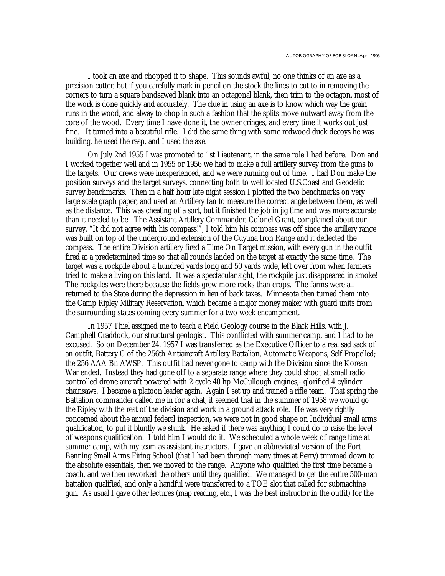I took an axe and chopped it to shape. This sounds awful, no one thinks of an axe as a precision cutter, but if you carefully mark in pencil on the stock the lines to cut to in removing the corners to turn a square bandsawed blank into an octagonal blank, then trim to the octagon, most of the work is done quickly and accurately. The clue in using an axe is to know which way the grain runs in the wood, and alway to chop in such a fashion that the splits move outward away from the core of the wood. Every time I have done it, the owner cringes, and every time it works out just fine. It turned into a beautiful rifle. I did the same thing with some redwood duck decoys he was building, he used the rasp, and I used the axe.

On July 2nd 1955 I was promoted to 1st Lieutenant, in the same role I had before. Don and I worked together well and in 1955 or 1956 we had to make a full artillery survey from the guns to the targets. Our crews were inexperienced, and we were running out of time. I had Don make the position surveys and the target surveys. connecting both to well located U.S.Coast and Geodetic survey benchmarks. Then in a half hour late night session I plotted the two benchmarks on very large scale graph paper, and used an Artillery fan to measure the correct angle between them, as well as the distance. This was cheating of a sort, but it finished the job in jig time and was more accurate than it needed to be. The Assistant Artillery Commander, Colonel Grant, complained about our survey, "It did not agree with his compass!", I told him his compass was off since the artillery range was built on top of the underground extension of the Cuyuna Iron Range and it deflected the compass. The entire Division artillery fired a Time On Target mission, with every gun in the outfit fired at a predetermined time so that all rounds landed on the target at exactly the same time. The target was a rockpile about a hundred yards long and 50 yards wide, left over from when farmers tried to make a living on this land. It was a spectacular sight, the rockpile just disappeared in smoke! The rockpiles were there because the fields grew more rocks than crops. The farms were all returned to the State during the depression in lieu of back taxes. Minnesota then turned them into the Camp Ripley Military Reservation, which became a major money maker with guard units from the surrounding states coming every summer for a two week encampment.

In 1957 Thiel assigned me to teach a Field Geology course in the Black Hills, with J. Campbell Craddock, our structural geologist. This conflicted with summer camp, and I had to be excused. So on December 24, 1957 I was transferred as the Executive Officer to a real sad sack of an outfit, Battery C of the 256th Antiaircraft Artillery Battalion, Automatic Weapons, Self Propelled; the 256 AAA Bn AWSP. This outfit had never gone to camp with the Division since the Korean War ended. Instead they had gone off to a separate range where they could shoot at small radio controlled drone aircraft powered with 2-cycle 40 hp McCullough engines,- glorified 4 cylinder chainsaws. I became a platoon leader again. Again I set up and trained a rifle team. That spring the Battalion commander called me in for a chat, it seemed that in the summer of 1958 we would go the Ripley with the rest of the division and work in a ground attack role. He was very rightly concerned about the annual federal inspection, we were not in good shape on Individual small arms qualification, to put it bluntly we stunk. He asked if there was anything I could do to raise the level of weapons qualification. I told him I would do it. We scheduled a whole week of range time at summer camp, with my team as assistant instructors. I gave an abbreviated version of the Fort Benning Small Arms Firing School (that I had been through many times at Perry) trimmed down to the absolute essentials, then we moved to the range. Anyone who qualified the first time became a coach, and we then reworked the others until they qualified. We managed to get the entire 500-man battalion qualified, and only a handful were transferred to a TOE slot that called for submachine gun. As usual I gave other lectures (map reading, etc., I was the best instructor in the outfit) for the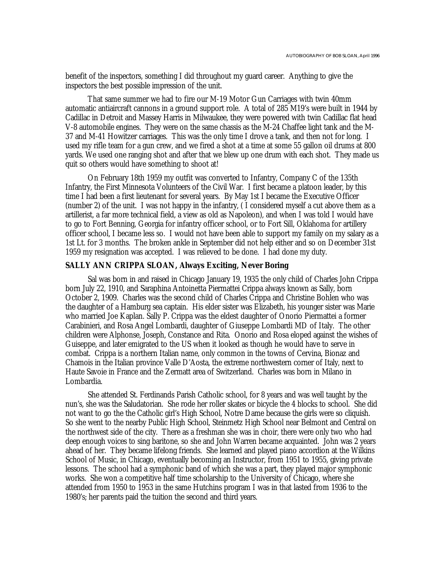benefit of the inspectors, something I did throughout my guard career. Anything to give the inspectors the best possible impression of the unit.

That same summer we had to fire our M-19 Motor Gun Carriages with twin 40mm automatic antiaircraft cannons in a ground support role. A total of 285 M19's were built in 1944 by Cadillac in Detroit and Massey Harris in Milwaukee, they were powered with twin Cadillac flat head V-8 automobile engines. They were on the same chassis as the M-24 Chaffee light tank and the M-37 and M-41 Howitzer carriages. This was the only time I drove a tank, and then not for long. I used my rifle team for a gun crew, and we fired a shot at a time at some 55 gallon oil drums at 800 yards. We used one ranging shot and after that we blew up one drum with each shot. They made us quit so others would have something to shoot at!

On February 18th 1959 my outfit was converted to Infantry, Company C of the 135th Infantry, the First Minnesota Volunteers of the Civil War. I first became a platoon leader, by this time I had been a first lieutenant for several years. By May 1st I became the Executive Officer (number 2) of the unit. I was not happy in the infantry, ( I considered myself a cut above them as a artillerist, a far more technical field, a view as old as Napoleon), and when I was told I would have to go to Fort Benning, Georgia for infantry officer school, or to Fort Sill, Oklahoma for artillery officer school, I became less so. I would not have been able to support my family on my salary as a 1st Lt. for 3 months. The broken ankle in September did not help either and so on December 31st 1959 my resignation was accepted. I was relieved to be done. I had done my duty.

#### **SALLY ANN CRIPPA SLOAN, Always Exciting, Never Boring**

Sal was born in and raised in Chicago January 19, 1935 the only child of Charles John Crippa born July 22, 1910, and Saraphina Antoinetta Piermattei Crippa always known as Sally, born October 2, 1909. Charles was the second child of Charles Crippa and Christine Bohlen who was the daughter of a Hamburg sea captain. His elder sister was Elizabeth, his younger sister was Marie who married Joe Kaplan. Sally P. Crippa was the eldest daughter of Onorio Piermattei a former Carabinieri, and Rosa Angel Lombardi, daughter of Giuseppe Lombardi MD of Italy. The other children were Alphonse, Joseph, Constance and Rita. Onorio and Rosa eloped against the wishes of Guiseppe, and later emigrated to the US when it looked as though he would have to serve in combat. Crippa is a northern Italian name, only common in the towns of Cervina, Bionaz and Chamois in the Italian province Valle D'Aosta, the extreme northwestern corner of Italy, next to Haute Savoie in France and the Zermatt area of Switzerland. Charles was born in Milano in Lombardia.

She attended St. Ferdinands Parish Catholic school, for 8 years and was well taught by the nun's, she was the Saludatorian. She rode her roller skates or bicycle the 4 blocks to school. She did not want to go the the Catholic girl's High School, Notre Dame because the girls were so cliquish. So she went to the nearby Public High School, Steinmetz High School near Belmont and Central on the northwest side of the city. There as a freshman she was in choir, there were only two who had deep enough voices to sing baritone, so she and John Warren became acquainted. John was 2 years ahead of her. They became lifelong friends. She learned and played piano accordion at the Wilkins School of Music, in Chicago, eventually becoming an Instructor, from 1951 to 1955, giving private lessons. The school had a symphonic band of which she was a part, they played major symphonic works. She won a competitive half time scholarship to the University of Chicago, where she attended from 1950 to 1953 in the same Hutchins program I was in that lasted from 1936 to the 1980's; her parents paid the tuition the second and third years.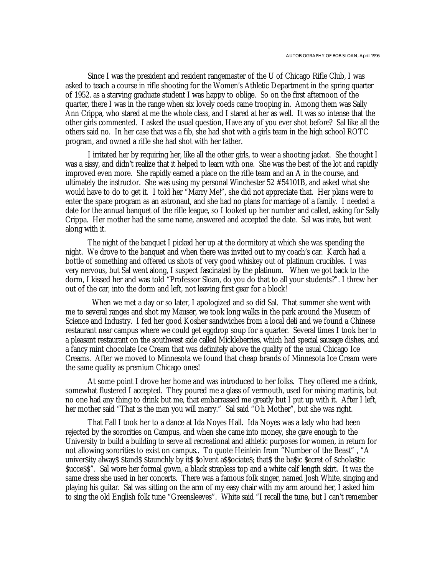Since I was the president and resident rangemaster of the U of Chicago Rifle Club, I was asked to teach a course in rifle shooting for the Women's Athletic Department in the spring quarter of 1952. as a starving graduate student I was happy to oblige. So on the first afternoon of the quarter, there I was in the range when six lovely coeds came trooping in. Among them was Sally Ann Crippa, who stared at me the whole class, and I stared at her as well. It was so intense that the other girls commented. I asked the usual question, Have any of you ever shot before? Sal like all the others said no. In her case that was a fib, she had shot with a girls team in the high school ROTC program, and owned a rifle she had shot with her father.

I irritated her by requiring her, like all the other girls, to wear a shooting jacket. She thought I was a sissy, and didn't realize that it helped to learn with one. She was the best of the lot and rapidly improved even more. She rapidly earned a place on the rifle team and an A in the course, and ultimately the instructor. She was using my personal Winchester 52 #54101B, and asked what she would have to do to get it. I told her "Marry Me!", she did not appreciate that. Her plans were to enter the space program as an astronaut, and she had no plans for marriage of a family. I needed a date for the annual banquet of the rifle league, so I looked up her number and called, asking for Sally Crippa. Her mother had the same name, answered and accepted the date. Sal was irate, but went along with it.

The night of the banquet I picked her up at the dormitory at which she was spending the night. We drove to the banquet and when there was invited out to my coach's car. Karch had a bottle of something and offered us shots of very good whiskey out of platinum crucibles. I was very nervous, but Sal went along, I suspect fascinated by the platinum. When we got back to the dorm, I kissed her and was told "Professor Sloan, do you do that to all your students?". I threw her out of the car, into the dorm and left, not leaving first gear for a block!

 When we met a day or so later, I apologized and so did Sal. That summer she went with me to several ranges and shot my Mauser, we took long walks in the park around the Museum of Science and Industry. I fed her good Kosher sandwiches from a local deli and we found a Chinese restaurant near campus where we could get eggdrop soup for a quarter. Several times I took her to a pleasant restaurant on the southwest side called Mickleberries, which had special sausage dishes, and a fancy mint chocolate Ice Cream that was definitely above the quality of the usual Chicago Ice Creams. After we moved to Minnesota we found that cheap brands of Minnesota Ice Cream were the same quality as premium Chicago ones!

At some point I drove her home and was introduced to her folks. They offered me a drink, somewhat flustered I accepted. They poured me a glass of vermouth, used for mixing martinis, but no one had any thing to drink but me, that embarrassed me greatly but I put up with it. After I left, her mother said "That is the man you will marry." Sal said "Oh Mother", but she was right.

That Fall I took her to a dance at Ida Noyes Hall. Ida Noyes was a lady who had been rejected by the sororities on Campus, and when she came into money, she gave enough to the University to build a building to serve all recreational and athletic purposes for women, in return for not allowing sororities to exist on campus.. To quote Heinlein from "Number of the Beast" , "A univer\$ity alway\$ \$tand\$ \$taunchly by it\$ \$olvent a\$\$ociate\$; that\$ the ba\$ic \$ecret of \$chola\$tic \$ucce\$\$". Sal wore her formal gown, a black strapless top and a white calf length skirt. It was the same dress she used in her concerts. There was a famous folk singer, named Josh White, singing and playing his guitar. Sal was sitting on the arm of my easy chair with my arm around her, I asked him to sing the old English folk tune "Greensleeves". White said "I recall the tune, but I can't remember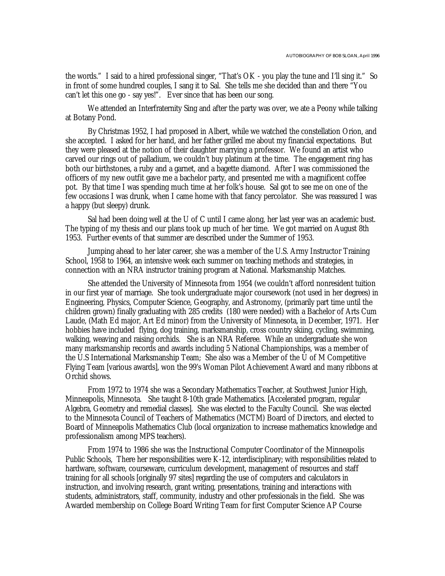the words." I said to a hired professional singer, "That's OK - you play the tune and I'll sing it." So in front of some hundred couples, I sang it to Sal. She tells me she decided than and there "You can't let this one go - say yes!". Ever since that has been our song.

We attended an Interfraternity Sing and after the party was over, we ate a Peony while talking at Botany Pond.

By Christmas 1952, I had proposed in Albert, while we watched the constellation Orion, and she accepted. I asked for her hand, and her father grilled me about my financial expectations. But they were pleased at the notion of their daughter marrying a professor. We found an artist who carved our rings out of palladium, we couldn't buy platinum at the time. The engagement ring has both our birthstones, a ruby and a garnet, and a bagette diamond. After I was commissioned the officers of my new outfit gave me a bachelor party, and presented me with a magnificent coffee pot. By that time I was spending much time at her folk's house. Sal got to see me on one of the few occasions I was drunk, when I came home with that fancy percolator. She was reassured I was a happy (but sleepy) drunk.

Sal had been doing well at the U of C until I came along, her last year was an academic bust. The typing of my thesis and our plans took up much of her time. We got married on August 8th 1953. Further events of that summer are described under the Summer of 1953.

Jumping ahead to her later career, she was a member of the U.S. Army Instructor Training School, 1958 to 1964, an intensive week each summer on teaching methods and strategies, in connection with an NRA instructor training program at National. Marksmanship Matches.

She attended the University of Minnesota from 1954 (we couldn't afford nonresident tuition in our first year of marriage. She took undergraduate major coursework (not used in her degrees) in Engineering, Physics, Computer Science, Geography, and Astronomy, (primarily part time until the children grown) finally graduating with 285 credits (180 were needed) with a Bachelor of Arts Cum Laude, (Math Ed major, Art Ed minor) from the University of Minnesota, in December, 1971. Her hobbies have included flying, dog training, marksmanship, cross country skiing, cycling, swimming, walking, weaving and raising orchids. She is an NRA Referee. While an undergraduate she won many marksmanship records and awards including 5 National Championships, was a member of the U.S International Marksmanship Team; She also was a Member of the U of M Competitive Flying Team [various awards], won the 99's Woman Pilot Achievement Award and many ribbons at Orchid shows.

From 1972 to 1974 she was a Secondary Mathematics Teacher, at Southwest Junior High, Minneapolis, Minnesota. She taught 8-10th grade Mathematics. [Accelerated program, regular Algebra, Geometry and remedial classes]. She was elected to the Faculty Council. She was elected to the Minnesota Council of Teachers of Mathematics (MCTM) Board of Directors, and elected to Board of Minneapolis Mathematics Club (local organization to increase mathematics knowledge and professionalism among MPS teachers).

From 1974 to 1986 she was the Instructional Computer Coordinator of the Minneapolis Public Schools, There her responsibilities were K-12, interdisciplinary; with responsibilities related to hardware, software, courseware, curriculum development, management of resources and staff training for all schools [originally 97 sites] regarding the use of computers and calculators in instruction, and involving research, grant writing, presentations, training and interactions with students, administrators, staff, community, industry and other professionals in the field. She was Awarded membership on College Board Writing Team for first Computer Science AP Course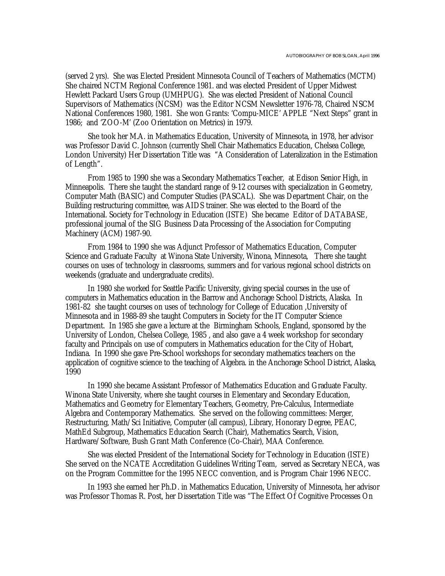(served 2 yrs). She was Elected President Minnesota Council of Teachers of Mathematics (MCTM) She chaired NCTM Regional Conference 1981. and was elected President of Upper Midwest Hewlett Packard Users Group (UMHPUG). She was elected President of National Council Supervisors of Mathematics (NCSM) was the Editor NCSM Newsletter 1976-78, Chaired NSCM National Conferences 1980, 1981. She won Grants: 'Compu-MICE' APPLE "Next Steps" grant in 1986; and 'ZOO-M' (Zoo Orientation on Metrics) in 1979.

She took her M.A. in Mathematics Education, University of Minnesota, in 1978, her advisor was Professor David C. Johnson (currently Shell Chair Mathematics Education, Chelsea College, London University) Her Dissertation Title was "A Consideration of Lateralization in the Estimation of Length".

From 1985 to 1990 she was a Secondary Mathematics Teacher, at Edison Senior High, in Minneapolis. There she taught the standard range of 9-12 courses with specialization in Geometry, Computer Math (BASIC) and Computer Studies (PASCAL). She was Department Chair, on the Building restructuring committee, was AIDS trainer. She was elected to the Board of the International. Society for Technology in Education (ISTE) She became Editor of DATABASE, professional journal of the SIG Business Data Processing of the Association for Computing Machinery (ACM) 1987-90.

From 1984 to 1990 she was Adjunct Professor of Mathematics Education, Computer Science and Graduate Faculty at Winona State University, Winona, Minnesota, There she taught courses on uses of technology in classrooms, summers and for various regional school districts on weekends (graduate and undergraduate credits).

In 1980 she worked for Seattle Pacific University, giving special courses in the use of computers in Mathematics education in the Barrow and Anchorage School Districts, Alaska. In 1981-82 she taught courses on uses of technology for College of Education ,University of Minnesota and in 1988-89 she taught Computers in Society for the IT Computer Science Department. In 1985 she gave a lecture at the Birmingham Schools, England, sponsored by the University of London, Chelsea College, 1985 , and also gave a 4 week workshop for secondary faculty and Principals on use of computers in Mathematics education for the City of Hobart, Indiana. In 1990 she gave Pre-School workshops for secondary mathematics teachers on the application of cognitive science to the teaching of Algebra. in the Anchorage School District, Alaska, 1990

In 1990 she became Assistant Professor of Mathematics Education and Graduate Faculty. Winona State University, where she taught courses in Elementary and Secondary Education, Mathematics and Geometry for Elementary Teachers, Geometry, Pre-Calculus, Intermediate Algebra and Contemporary Mathematics. She served on the following committees: Merger, Restructuring, Math/Sci Initiative, Computer (all campus), Library, Honorary Degree, PEAC, MathEd Subgroup, Mathematics Education Search (Chair), Mathematics Search, Vision, Hardware/Software, Bush Grant Math Conference (Co-Chair), MAA Conference.

She was elected President of the International Society for Technology in Education (ISTE) She served on the NCATE Accreditation Guidelines Writing Team, served as Secretary NECA, was on the Program Committee for the 1995 NECC convention, and is Program Chair 1996 NECC.

In 1993 she earned her Ph.D. in Mathematics Education, University of Minnesota, her advisor was Professor Thomas R. Post, her Dissertation Title was "The Effect Of Cognitive Processes On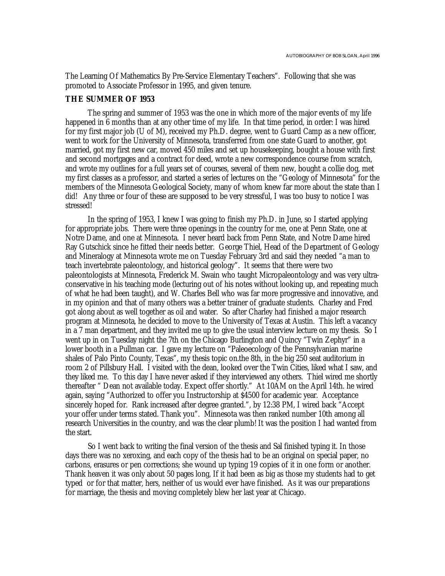The Learning Of Mathematics By Pre-Service Elementary Teachers". Following that she was promoted to Associate Professor in 1995, and given tenure.

#### **THE SUMMER OF 1953**

The spring and summer of 1953 was the one in which more of the major events of my life happened in 6 months than at any other time of my life. In that time period, in order: I was hired for my first major job (U of M), received my Ph.D. degree, went to Guard Camp as a new officer, went to work for the University of Minnesota, transferred from one state Guard to another, got married, got my first new car, moved 450 miles and set up housekeeping, bought a house with first and second mortgages and a contract for deed, wrote a new correspondence course from scratch, and wrote my outlines for a full years set of courses, several of them new, bought a collie dog, met my first classes as a professor, and started a series of lectures on the "Geology of Minnesota" for the members of the Minnesota Geological Society, many of whom knew far more about the state than I did! Any three or four of these are supposed to be very stressful, I was too busy to notice I was stressed!

In the spring of 1953, I knew I was going to finish my Ph.D. in June, so I started applying for appropriate jobs. There were three openings in the country for me, one at Penn State, one at Notre Dame, and one at Minnesota. I never heard back from Penn State, and Notre Dame hired Ray Gutschick since he fitted their needs better. George Thiel, Head of the Department of Geology and Mineralogy at Minnesota wrote me on Tuesday February 3rd and said they needed "a man to teach invertebrate paleontology, and historical geology". It seems that there were two paleontologists at Minnesota, Frederick M. Swain who taught Micropaleontology and was very ultraconservative in his teaching mode (lecturing out of his notes without looking up, and repeating much of what he had been taught), and W. Charles Bell who was far more progressive and innovative, and in my opinion and that of many others was a better trainer of graduate students. Charley and Fred got along about as well together as oil and water. So after Charley had finished a major research program at Minnesota, he decided to move to the University of Texas at Austin. This left a vacancy in a 7 man department, and they invited me up to give the usual interview lecture on my thesis. So I went up in on Tuesday night the 7th on the Chicago Burlington and Quincy "Twin Zephyr" in a lower booth in a Pullman car. I gave my lecture on "Paleoecology of the Pennsylvanian marine shales of Palo Pinto County, Texas", my thesis topic on.the 8th, in the big 250 seat auditorium in room 2 of Pillsbury Hall. I visited with the dean, looked over the Twin Cities, liked what I saw, and they liked me. To this day I have never asked if they interviewed any others. Thiel wired me shortly thereafter " Dean not available today. Expect offer shortly." At 10AM on the April 14th. he wired again, saying "Authorized to offer you Instructorship at \$4500 for academic year. Acceptance sincerely hoped for. Rank increased after degree granted.", by 12:38 PM, I wired back "Accept your offer under terms stated. Thank you". Minnesota was then ranked number 10th among all research Universities in the country, and was the clear plumb! It was the position I had wanted from the start.

So I went back to writing the final version of the thesis and Sal finished typing it. In those days there was no xeroxing, and each copy of the thesis had to be an original on special paper, no carbons, erasures or pen corrections; she wound up typing 19 copies of it in one form or another. Thank heaven it was only about 50 pages long, If it had been as big as those my students had to get typed or for that matter, hers, neither of us would ever have finished. As it was our preparations for marriage, the thesis and moving completely blew her last year at Chicago.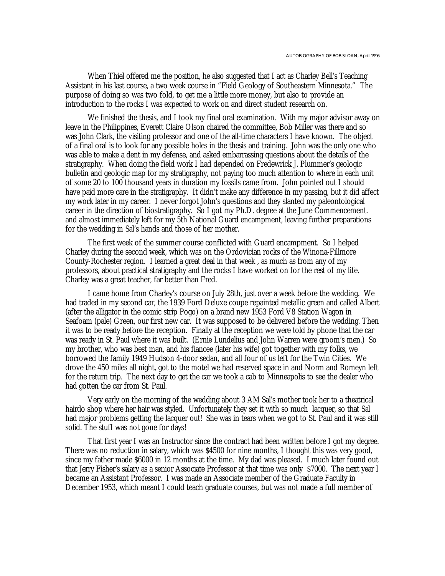When Thiel offered me the position, he also suggested that I act as Charley Bell's Teaching Assistant in his last course, a two week course in "Field Geology of Southeastern Minnesota." The purpose of doing so was two fold, to get me a little more money, but also to provide an introduction to the rocks I was expected to work on and direct student research on.

We finished the thesis, and I took my final oral examination. With my major advisor away on leave in the Philippines, Everett Claire Olson chaired the committee, Bob Miller was there and so was John Clark, the visiting professor and one of the all-time characters I have known. The object of a final oral is to look for any possible holes in the thesis and training. John was the only one who was able to make a dent in my defense, and asked embarrassing questions about the details of the stratigraphy. When doing the field work I had depended on Fredewrick J. Plummer's geologic bulletin and geologic map for my stratigraphy, not paying too much attention to where in each unit of some 20 to 100 thousand years in duration my fossils came from. John pointed out I should have paid more care in the stratigraphy. It didn't make any difference in my passing, but it did affect my work later in my career. I never forgot John's questions and they slanted my paleontological career in the direction of biostratigraphy. So I got my Ph.D. degree at the June Commencement. and almost immediately left for my 5th National Guard encampment, leaving further preparations for the wedding in Sal's hands and those of her mother.

The first week of the summer course conflicted with Guard encampment. So I helped Charley during the second week, which was on the Ordovician rocks of the Winona-Fillmore County-Rochester region. I learned a great deal in that week , as much as from any of my professors, about practical stratigraphy and the rocks I have worked on for the rest of my life. Charley was a great teacher, far better than Fred.

I came home from Charley's course on July 28th, just over a week before the wedding. We had traded in my second car, the 1939 Ford Deluxe coupe repainted metallic green and called Albert (after the alligator in the comic strip Pogo) on a brand new 1953 Ford V8 Station Wagon in Seafoam (pale) Green, our first new car. It was supposed to be delivered before the wedding. Then it was to be ready before the reception. Finally at the reception we were told by phone that the car was ready in St. Paul where it was built. (Ernie Lundelius and John Warren were groom's men.) So my brother, who was best man, and his fiancee (later his wife) got together with my folks, we borrowed the family 1949 Hudson 4-door sedan, and all four of us left for the Twin Cities. We drove the 450 miles all night, got to the motel we had reserved space in and Norm and Romeyn left for the return trip. The next day to get the car we took a cab to Minneapolis to see the dealer who had gotten the car from St. Paul.

Very early on the morning of the wedding about 3 AM Sal's mother took her to a theatrical hairdo shop where her hair was styled. Unfortunately they set it with so much lacquer, so that Sal had major problems getting the lacquer out! She was in tears when we got to St. Paul and it was still solid. The stuff was not gone for days!

That first year I was an Instructor since the contract had been written before I got my degree. There was no reduction in salary, which was \$4500 for nine months, I thought this was very good, since my father made \$6000 in 12 months at the time. My dad was pleased. I much later found out that Jerry Fisher's salary as a senior Associate Professor at that time was only \$7000. The next year I became an Assistant Professor. I was made an Associate member of the Graduate Faculty in December 1953, which meant I could teach graduate courses, but was not made a full member of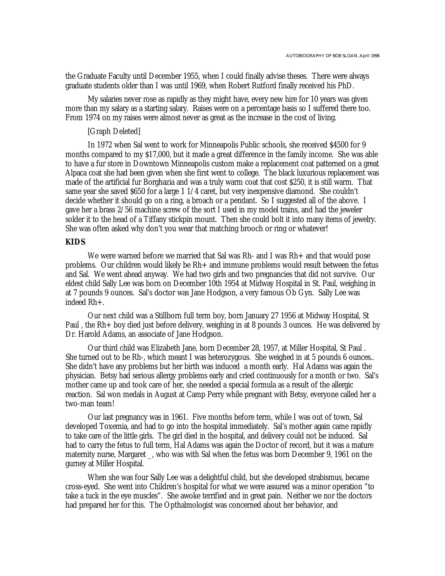the Graduate Faculty until December 1955, when I could finally advise theses. There were always graduate students older than I was until 1969, when Robert Rutford finally received his PhD.

My salaries never rose as rapidly as they might have, every new hire for 10 years was given more than my salary as a starting salary. Raises were on a percentage basis so I suffered there too. From 1974 on my raises were almost never as great as the increase in the cost of living.

#### [Graph Deleted]

In 1972 when Sal went to work for Minneapolis Public schools, she received \$4500 for 9 months compared to my \$17,000, but it made a great difference in the family income. She was able to have a fur store in Downtown Minneapolis custom make a replacement coat patterned on a great Alpaca coat she had been given when she first went to college. The black luxurious replacement was made of the artificial fur Borghazia and was a truly warm coat that cost \$250, it is still warm. That same year she saved \$650 for a large 1 1/4 caret, but very inexpensive diamond. She couldn't decide whether it should go on a ring, a broach or a pendant. So I suggested all of the above. I gave her a brass 2/56 machine screw of the sort I used in my model trains, and had the jeweler solder it to the head of a Tiffany stickpin mount. Then she could bolt it into many items of jewelry. She was often asked why don't you wear that matching brooch or ring or whatever!

#### **KIDS**

We were warned before we married that Sal was Rh- and I was Rh+ and that would pose problems. Our children would likely be Rh+ and immune problems would result between the fetus and Sal. We went ahead anyway. We had two girls and two pregnancies that did not survive. Our eldest child Sally Lee was born on December 10th 1954 at Midway Hospital in St. Paul, weighing in at 7 pounds 9 ounces. Sal's doctor was Jane Hodgson, a very famous Ob Gyn. Sally Lee was indeed Rh+.

Our next child was a Stillborn full term boy, born January 27 1956 at Midway Hospital, St Paul , the Rh+ boy died just before delivery, weighing in at 8 pounds 3 ounces. He was delivered by Dr. Harold Adams, an associate of Jane Hodgson.

Our third child was Elizabeth Jane, born December 28, 1957, at Miller Hospital, St Paul . She turned out to be Rh-, which meant I was heterozygous. She weighed in at 5 pounds 6 ounces.. She didn't have any problems but her birth was induced a month early. Hal Adams was again the physician. Betsy had serious allergy problems early and cried continuously for a month or two. Sal's mother came up and took care of her, she needed a special formula as a result of the allergic reaction. Sal won medals in August at Camp Perry while pregnant with Betsy, everyone called her a two-man team!

Our last pregnancy was in 1961. Five months before term, while I was out of town, Sal developed Toxemia, and had to go into the hospital immediately. Sal's mother again came rapidly to take care of the little girls. The girl died in the hospital, and delivery could not be induced. Sal had to carry the fetus to full term, Hal Adams was again the Doctor of record, but it was a mature maternity nurse, Margaret \_, who was with Sal when the fetus was born December 9, 1961 on the gurney at Miller Hospital.

When she was four Sally Lee was a delightful child, but she developed strabismus, became cross-eyed. She went into Children's hospital for what we were assured was a minor operation "to take a tuck in the eye muscles". She awoke terrified and in great pain. Neither we nor the doctors had prepared her for this. The Opthalmologist was concerned about her behavior, and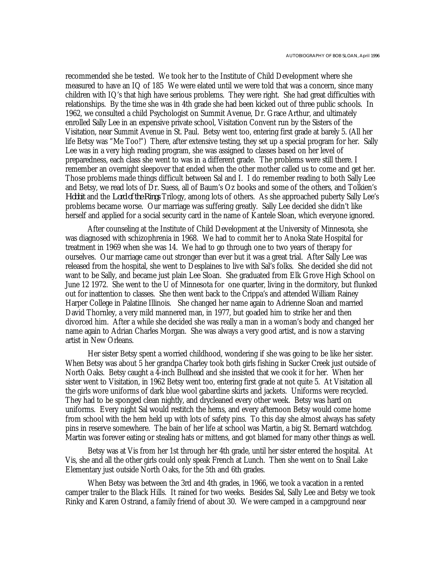recommended she be tested. We took her to the Institute of Child Development where she measured to have an IQ of 185 We were elated until we were told that was a concern, since many children with IQ's that high have serious problems. They were right. She had great difficulties with relationships. By the time she was in 4th grade she had been kicked out of three public schools. In 1962, we consulted a child Psychologist on Summit Avenue, Dr. Grace Arthur, and ultimately enrolled Sally Lee in an expensive private school, Visitation Convent run by the Sisters of the Visitation, near Summit Avenue in St. Paul. Betsy went too, entering first grade at barely 5. (All her life Betsy was "Me Too!") There, after extensive testing, they set up a special program for her. Sally Lee was in a very high reading program, she was assigned to classes based on her level of preparedness, each class she went to was in a different grade. The problems were still there. I remember an overnight sleepover that ended when the other mother called us to come and get her. Those problems made things difficult between Sal and I. I do remember reading to both Sally Lee and Betsy, we read lots of Dr. Suess, all of Baum's Oz books and some of the others, and Tolkien's *Hobbit* and the *Lord of the Rings* Trilogy, among lots of others. As she approached puberty Sally Lee's problems became worse. Our marriage was suffering greatly. Sally Lee decided she didn't like herself and applied for a social security card in the name of Kantele Sloan, which everyone ignored.

After counseling at the Institute of Child Development at the University of Minnesota, she was diagnosed with schizophrenia in 1968. We had to commit her to Anoka State Hospital for treatment in 1969 when she was 14. We had to go through one to two years of therapy for ourselves. Our marriage came out stronger than ever but it was a great trial. After Sally Lee was released from the hospital, she went to Desplaines to live with Sal's folks. She decided she did not want to be Sally, and became just plain Lee Sloan. She graduated from Elk Grove High School on June 12 1972. She went to the U of Minnesota for one quarter, living in the dormitory, but flunked out for inattention to classes. She then went back to the Crippa's and attended William Rainey Harper College in Palatine Illinois. She changed her name again to Adrienne Sloan and married David Thornley, a very mild mannered man, in 1977, but goaded him to strike her and then divorced him. After a while she decided she was really a man in a woman's body and changed her name again to Adrian Charles Morgan. She was always a very good artist, and is now a starving artist in New Orleans.

Her sister Betsy spent a worried childhood, wondering if she was going to be like her sister. When Betsy was about 5 her grandpa Charley took both girls fishing in Sucker Creek just outside of North Oaks. Betsy caught a 4-inch Bullhead and she insisted that we cook it for her. When her sister went to Visitation, in 1962 Betsy went too, entering first grade at not quite 5. At Visitation all the girls wore uniforms of dark blue wool gabardine skirts and jackets. Uniforms were recycled. They had to be sponged clean nightly, and drycleaned every other week. Betsy was hard on uniforms. Every night Sal would restitch the hems, and every afternoon Betsy would come home from school with the hem held up with lots of safety pins. To this day she almost always has safety pins in reserve somewhere. The bain of her life at school was Martin, a big St. Bernard watchdog. Martin was forever eating or stealing hats or mittens, and got blamed for many other things as well.

Betsy was at Vis from her 1st through her 4th grade, until her sister entered the hospital. At Vis, she and all the other girls could only speak French at Lunch. Then she went on to Snail Lake Elementary just outside North Oaks, for the 5th and 6th grades.

When Betsy was between the 3rd and 4th grades, in 1966, we took a vacation in a rented camper trailer to the Black Hills. It rained for two weeks. Besides Sal, Sally Lee and Betsy we took Rinky and Karen Ostrand, a family friend of about 30. We were camped in a campground near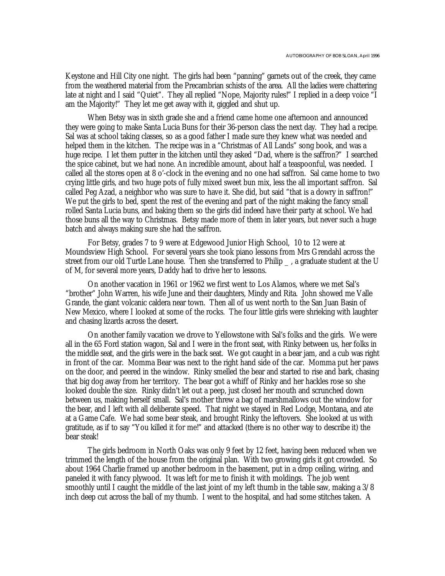Keystone and Hill City one night. The girls had been "panning" garnets out of the creek, they came from the weathered material from the Precambrian schists of the area. All the ladies were chattering late at night and I said "Quiet". They all replied "Nope, Majority rules!" I replied in a deep voice "I am the Majority!" They let me get away with it, giggled and shut up.

When Betsy was in sixth grade she and a friend came home one afternoon and announced they were going to make Santa Lucia Buns for their 36-person class the next day. They had a recipe. Sal was at school taking classes, so as a good father I made sure they knew what was needed and helped them in the kitchen. The recipe was in a "Christmas of All Lands" song book, and was a huge recipe. I let them putter in the kitchen until they asked "Dad, where is the saffron?" I searched the spice cabinet, but we had none. An incredible amount, about half a teaspoonful, was needed. I called all the stores open at 8 o'-clock in the evening and no one had saffron. Sal came home to two crying little girls, and two huge pots of fully mixed sweet bun mix, less the all important saffron. Sal called Peg Azad, a neighbor who was sure to have it. She did, but said "that is a dowry in saffron!" We put the girls to bed, spent the rest of the evening and part of the night making the fancy small rolled Santa Lucia buns, and baking them so the girls did indeed have their party at school. We had those buns all the way to Christmas. Betsy made more of them in later years, but never such a huge batch and always making sure she had the saffron.

For Betsy, grades 7 to 9 were at Edgewood Junior High School, 10 to 12 were at Moundsview High School. For several years she took piano lessons from Mrs Grendahl across the street from our old Turtle Lane house. Then she transferred to Philip \_, a graduate student at the U of M, for several more years, Daddy had to drive her to lessons.

On another vacation in 1961 or 1962 we first went to Los Alamos, where we met Sal's "brother" John Warren, his wife June and their daughters, Mindy and Rita. John showed me Valle Grande, the giant volcanic caldera near town. Then all of us went north to the San Juan Basin of New Mexico, where I looked at some of the rocks. The four little girls were shrieking with laughter and chasing lizards across the desert.

On another family vacation we drove to Yellowstone with Sal's folks and the girls. We were all in the 65 Ford station wagon, Sal and I were in the front seat, with Rinky between us, her folks in the middle seat, and the girls were in the back seat. We got caught in a bear jam, and a cub was right in front of the car. Momma Bear was next to the right hand side of the car. Momma put her paws on the door, and peered in the window. Rinky smelled the bear and started to rise and bark, chasing that big dog away from her territory. The bear got a whiff of Rinky and her hackles rose so she looked double the size. Rinky didn't let out a peep, just closed her mouth and scrunched down between us, making herself small. Sal's mother threw a bag of marshmallows out the window for the bear, and I left with all deliberate speed. That night we stayed in Red Lodge, Montana, and ate at a Game Cafe. We had some bear steak, and brought Rinky the leftovers. She looked at us with gratitude, as if to say "You killed it for me!" and attacked (there is no other way to describe it) the bear steak!

The girls bedroom in North Oaks was only 9 feet by 12 feet, having been reduced when we trimmed the length of the house from the original plan. With two growing girls it got crowded. So about 1964 Charlie framed up another bedroom in the basement, put in a drop ceiling, wiring, and paneled it with fancy plywood. It was left for me to finish it with moldings. The job went smoothly until I caught the middle of the last joint of my left thumb in the table saw, making a 3/8 inch deep cut across the ball of my thumb. I went to the hospital, and had some stitches taken. A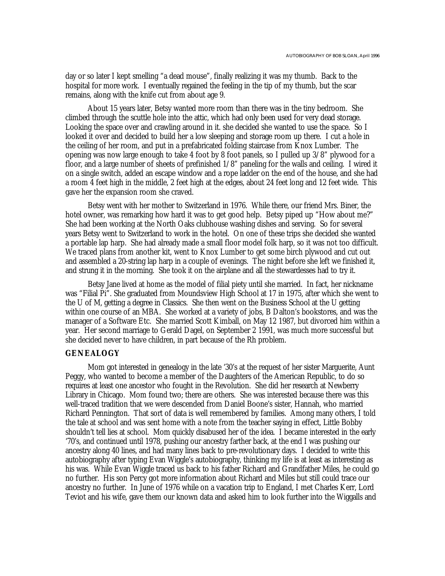day or so later I kept smelling "a dead mouse", finally realizing it was my thumb. Back to the hospital for more work. I eventually regained the feeling in the tip of my thumb, but the scar remains, along with the knife cut from about age 9.

About 15 years later, Betsy wanted more room than there was in the tiny bedroom. She climbed through the scuttle hole into the attic, which had only been used for very dead storage. Looking the space over and crawling around in it. she decided she wanted to use the space. So I looked it over and decided to build her a low sleeping and storage room up there. I cut a hole in the ceiling of her room, and put in a prefabricated folding staircase from Knox Lumber. The opening was now large enough to take 4 foot by 8 foot panels, so I pulled up 3/8" plywood for a floor, and a large number of sheets of prefinished 1/8" paneling for the walls and ceiling. I wired it on a single switch, added an escape window and a rope ladder on the end of the house, and she had a room 4 feet high in the middle, 2 feet high at the edges, about 24 feet long and 12 feet wide. This gave her the expansion room she craved.

Betsy went with her mother to Switzerland in 1976. While there, our friend Mrs. Biner, the hotel owner, was remarking how hard it was to get good help. Betsy piped up "How about me?" She had been working at the North Oaks clubhouse washing dishes and serving. So for several years Betsy went to Switzerland to work in the hotel. On one of these trips she decided she wanted a portable lap harp. She had already made a small floor model folk harp, so it was not too difficult. We traced plans from another kit, went to Knox Lumber to get some birch plywood and cut out and assembled a 20-string lap harp in a couple of evenings. The night before she left we finished it, and strung it in the morning. She took it on the airplane and all the stewardesses had to try it.

Betsy Jane lived at home as the model of filial piety until she married. In fact, her nickname was "Filial Pi". She graduated from Moundsview High School at 17 in 1975, after which she went to the U of M, getting a degree in Classics. She then went on the Business School at the U getting within one course of an MBA. She worked at a variety of jobs, B Dalton's bookstores, and was the manager of a Software Etc. She married Scott Kimball, on May 12 1987, but divorced him within a year. Her second marriage to Gerald Dagel, on September 2 1991, was much more successful but she decided never to have children, in part because of the Rh problem.

## **GENEALOGY**

Mom got interested in genealogy in the late '30's at the request of her sister Marguerite, Aunt Peggy, who wanted to become a member of the Daughters of the American Republic, to do so requires at least one ancestor who fought in the Revolution. She did her research at Newberry Library in Chicago. Mom found two; there are others. She was interested because there was this well-traced tradition that we were descended from Daniel Boone's sister, Hannah, who married Richard Pennington. That sort of data is well remembered by families. Among many others, I told the tale at school and was sent home with a note from the teacher saying in effect, Little Bobby shouldn't tell lies at school. Mom quickly disabused her of the idea. I became interested in the early '70's, and continued until 1978, pushing our ancestry farther back, at the end I was pushing our ancestry along 40 lines, and had many lines back to pre-revolutionary days. I decided to write this autobiography after typing Evan Wiggle's autobiography, thinking my life is at least as interesting as his was. While Evan Wiggle traced us back to his father Richard and Grandfather Miles, he could go no further. His son Percy got more information about Richard and Miles but still could trace our ancestry no further. In June of 1976 while on a vacation trip to England, I met Charles Kerr, Lord Teviot and his wife, gave them our known data and asked him to look further into the Wiggalls and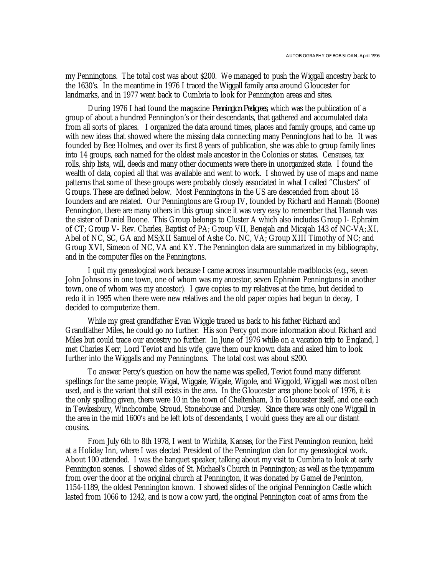my Penningtons. The total cost was about \$200. We managed to push the Wiggall ancestry back to the 1630's. In the meantime in 1976 I traced the Wiggall family area around Gloucester for landmarks, and in 1977 went back to Cumbria to look for Pennington areas and sites.

During 1976 I had found the magazine *Pennington Pedigrees*, which was the publication of a group of about a hundred Pennington's or their descendants, that gathered and accumulated data from all sorts of places. I organized the data around times, places and family groups, and came up with new ideas that showed where the missing data connecting many Penningtons had to be. It was founded by Bee Holmes, and over its first 8 years of publication, she was able to group family lines into 14 groups, each named for the oldest male ancestor in the Colonies or states. Censuses, tax rolls, ship lists, will, deeds and many other documents were there in unorganized state. I found the wealth of data, copied all that was available and went to work. I showed by use of maps and name patterns that some of these groups were probably closely associated in what I called "Clusters" of Groups. These are defined below. Most Penningtons in the US are descended from about 18 founders and are related. Our Penningtons are Group IV, founded by Richard and Hannah (Boone) Pennington, there are many others in this group since it was very easy to remember that Hannah was the sister of Daniel Boone. This Group belongs to Cluster A which also includes Group I- Ephraim of CT; Group V- Rev. Charles, Baptist of PA; Group VII, Benejah and Micajah 143 of NC-VA;.XI, Abel of NC, SC, GA and MS;XII Samuel of Ashe Co. NC, VA; Group XIII Timothy of NC; and Group XVI, Simeon of NC, VA and KY. The Pennington data are summarized in my bibliography, and in the computer files on the Penningtons.

I quit my genealogical work because I came across insurmountable roadblocks (e.g., seven John Johnsons in one town, one of whom was my ancestor, seven Ephraim Penningtons in another town, one of whom was my ancestor). I gave copies to my relatives at the time, but decided to redo it in 1995 when there were new relatives and the old paper copies had begun to decay, I decided to computerize them.

While my great grandfather Evan Wiggle traced us back to his father Richard and Grandfather Miles, he could go no further. His son Percy got more information about Richard and Miles but could trace our ancestry no further. In June of 1976 while on a vacation trip to England, I met Charles Kerr, Lord Teviot and his wife, gave them our known data and asked him to look further into the Wiggalls and my Penningtons. The total cost was about \$200.

To answer Percy's question on how the name was spelled, Teviot found many different spellings for the same people, Wigal, Wiggale, Wigale, Wigole, and Wiggold, Wiggall was most often used, and is the variant that still exists in the area. In the Gloucester area phone book of 1976, it is the only spelling given, there were 10 in the town of Cheltenham, 3 in Gloucester itself, and one each in Tewkesbury, Winchcombe, Stroud, Stonehouse and Dursley. Since there was only one Wiggall in the area in the mid 1600's and he left lots of descendants, I would guess they are all our distant cousins.

From July 6th to 8th 1978, I went to Wichita, Kansas, for the First Pennington reunion, held at a Holiday Inn, where I was elected President of the Pennington clan for my genealogical work. About 100 attended. I was the banquet speaker, talking about my visit to Cumbria to look at early Pennington scenes. I showed slides of St. Michael's Church in Pennington; as well as the tympanum from over the door at the original church at Pennington, it was donated by Gamel de Peninton, 1154-1189, the oldest Pennington known. I showed slides of the original Pennington Castle which lasted from 1066 to 1242, and is now a cow yard, the original Pennington coat of arms from the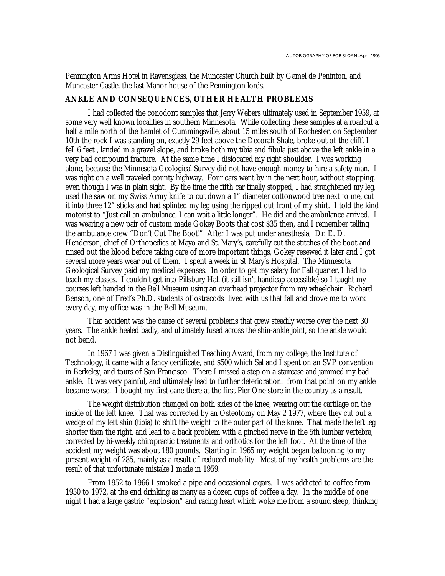Pennington Arms Hotel in Ravensglass, the Muncaster Church built by Gamel de Peninton, and Muncaster Castle, the last Manor house of the Pennington lords.

#### **ANKLE AND CONSEQUENCES, OTHER HEALTH PROBLEMS**

I had collected the conodont samples that Jerry Webers ultimately used in September 1959, at some very well known localities in southern Minnesota. While collecting these samples at a roadcut a half a mile north of the hamlet of Cummingsville, about 15 miles south of Rochester, on September 10th the rock I was standing on, exactly 29 feet above the Decorah Shale, broke out of the cliff. I fell 6 feet , landed in a gravel slope, and broke both my tibia and fibula just above the left ankle in a very bad compound fracture. At the same time I dislocated my right shoulder. I was working alone, because the Minnesota Geological Survey did not have enough money to hire a safety man. I was right on a well traveled county highway. Four cars went by in the next hour, without stopping, even though I was in plain sight. By the time the fifth car finally stopped, I had straightened my leg, used the saw on my Swiss Army knife to cut down a 1" diameter cottonwood tree next to me, cut it into three 12" sticks and had splinted my leg using the ripped out front of my shirt. I told the kind motorist to "Just call an ambulance, I can wait a little longer". He did and the ambulance arrived. I was wearing a new pair of custom made Gokey Boots that cost \$35 then, and I remember telling the ambulance crew "Don't Cut The Boot!" After I was put under anesthesia, Dr. E. D. Henderson, chief of Orthopedics at Mayo and St. Mary's, carefully cut the stitches of the boot and rinsed out the blood before taking care of more important things, Gokey resewed it later and I got several more years wear out of them. I spent a week in St Mary's Hospital. The Minnesota Geological Survey paid my medical expenses. In order to get my salary for Fall quarter, I had to teach my classes. I couldn't get into Pillsbury Hall (it still isn't handicap accessible) so I taught my courses left handed in the Bell Museum using an overhead projector from my wheelchair. Richard Benson, one of Fred's Ph.D. students of ostracods lived with us that fall and drove me to work every day, my office was in the Bell Museum.

That accident was the cause of several problems that grew steadily worse over the next 30 years. The ankle healed badly, and ultimately fused across the shin-ankle joint, so the ankle would not bend.

In 1967 I was given a Distinguished Teaching Award, from my college, the Institute of Technology, it came with a fancy certificate, and \$500 which Sal and I spent on an SVP convention in Berkeley, and tours of San Francisco. There I missed a step on a staircase and jammed my bad ankle. It was very painful, and ultimately lead to further deterioration. from that point on my ankle became worse. I bought my first cane there at the first Pier One store in the country as a result.

The weight distribution changed on both sides of the knee, wearing out the cartilage on the inside of the left knee. That was corrected by an Osteotomy on May 2 1977, where they cut out a wedge of my left shin (tibia) to shift the weight to the outer part of the knee. That made the left leg shorter than the right, and lead to a back problem with a pinched nerve in the 5th lumbar vertebra, corrected by bi-weekly chiropractic treatments and orthotics for the left foot. At the time of the accident my weight was about 180 pounds. Starting in 1965 my weight began ballooning to my present weight of 285, mainly as a result of reduced mobility. Most of my health problems are the result of that unfortunate mistake I made in 1959.

From 1952 to 1966 I smoked a pipe and occasional cigars. I was addicted to coffee from 1950 to 1972, at the end drinking as many as a dozen cups of coffee a day. In the middle of one night I had a large gastric "explosion" and racing heart which woke me from a sound sleep, thinking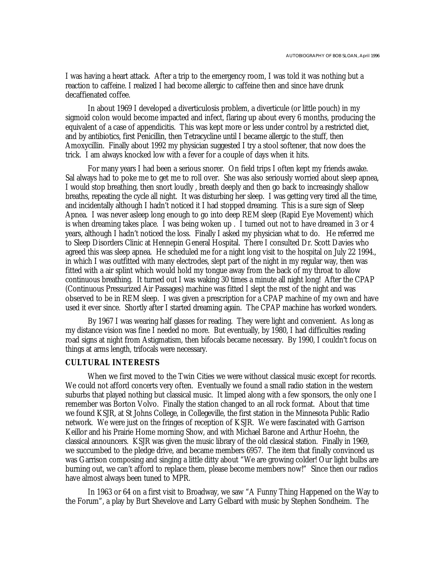I was having a heart attack. After a trip to the emergency room, I was told it was nothing but a reaction to caffeine. I realized I had become allergic to caffeine then and since have drunk decaffienated coffee.

In about 1969 I developed a diverticulosis problem, a diverticule (or little pouch) in my sigmoid colon would become impacted and infect, flaring up about every 6 months, producing the equivalent of a case of appendicitis. This was kept more or less under control by a restricted diet, and by antibiotics, first Penicillin, then Tetracycline until I became allergic to the stuff, then Amoxycillin. Finally about 1992 my physician suggested I try a stool softener, that now does the trick. I am always knocked low with a fever for a couple of days when it hits.

For many years I had been a serious snorer. On field trips I often kept my friends awake. Sal always had to poke me to get me to roll over. She was also seriously worried about sleep apnea, I would stop breathing, then snort loudly , breath deeply and then go back to increasingly shallow breaths, repeating the cycle all night. It was disturbing her sleep. I was getting very tired all the time, and incidentally although I hadn't noticed it I had stopped dreaming. This is a sure sign of Sleep Apnea. I was never asleep long enough to go into deep REM sleep (Rapid Eye Movement) which is when dreaming takes place. I was being woken up . I turned out not to have dreamed in 3 or 4 years, although I hadn't noticed the loss. Finally I asked my physician what to do. He referred me to Sleep Disorders Clinic at Hennepin General Hospital. There I consulted Dr. Scott Davies who agreed this was sleep apnea. He scheduled me for a night long visit to the hospital on July 22 1994., in which I was outfitted with many electrodes, slept part of the night in my regular way, then was fitted with a air splint which would hold my tongue away from the back of my throat to allow continuous breathing. It turned out I was waking 30 times a minute all night long! After the CPAP (Continuous Pressurized Air Passages) machine was fitted I slept the rest of the night and was observed to be in REM sleep. I was given a prescription for a CPAP machine of my own and have used it ever since. Shortly after I started dreaming again. The CPAP machine has worked wonders.

By 1967 I was wearing half glasses for reading. They were light and convenient. As long as my distance vision was fine I needed no more. But eventually, by 1980, I had difficulties reading road signs at night from Astigmatism, then bifocals became necessary. By 1990, I couldn't focus on things at arms length, trifocals were necessary.

## **CULTURAL INTERESTS**

When we first moved to the Twin Cities we were without classical music except for records. We could not afford concerts very often. Eventually we found a small radio station in the western suburbs that played nothing but classical music. It limped along with a few sponsors, the only one I remember was Borton Volvo. Finally the station changed to an all rock format. About that time we found KSJR, at St Johns College, in Collegeville, the first station in the Minnesota Public Radio network. We were just on the fringes of reception of KSJR. We were fascinated with Garrison Keillor and his Prairie Home morning Show, and with Michael Barone and Arthur Hoehn, the classical announcers. KSJR was given the music library of the old classical station. Finally in 1969, we succumbed to the pledge drive, and became members 6957. The item that finally convinced us was Garrison composing and singing a little ditty about "We are growing colder! Our light bulbs are burning out, we can't afford to replace them, please become members now!" Since then our radios have almost always been tuned to MPR.

In 1963 or 64 on a first visit to Broadway, we saw "A Funny Thing Happened on the Way to the Forum", a play by Burt Shevelove and Larry Gelbard with music by Stephen Sondheim. The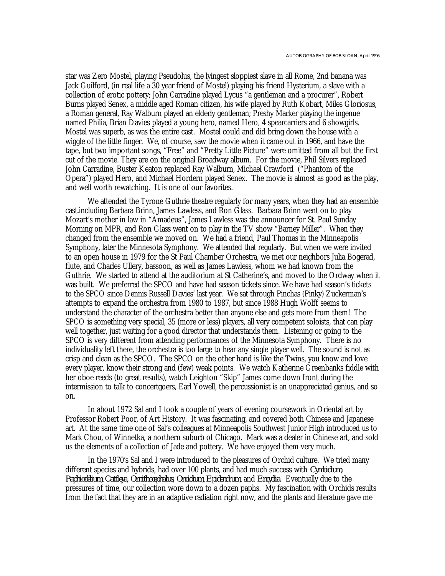star was Zero Mostel, playing Pseudolus, the lyingest sloppiest slave in all Rome, 2nd banana was Jack Guilford, (in real life a 30 year friend of Mostel) playing his friend Hysterium, a slave with a collection of erotic pottery; John Carradine played Lycus "a gentleman and a procurer", Robert Burns played Senex, a middle aged Roman citizen, his wife played by Ruth Kobart, Miles Gloriosus, a Roman general, Ray Walburn played an elderly gentleman; Preshy Marker playing the ingenue named Philia, Brian Davies played a young hero, named Hero, 4 spearcarriers and 6 showgirls. Mostel was superb, as was the entire cast. Mostel could and did bring down the house with a wiggle of the little finger. We, of course, saw the movie when it came out in 1966, and have the tape, but two important songs, "Free" and "Pretty Little Picture" were omitted from all but the first cut of the movie. They are on the original Broadway album. For the movie, Phil Silvers replaced John Carradine, Buster Keaton replaced Ray Walburn, Michael Crawford ("Phantom of the Opera") played Hero, and Michael Hordern played Senex. The movie is almost as good as the play, and well worth rewatching. It is one of our favorites.

We attended the Tyrone Guthrie theatre regularly for many years, when they had an ensemble cast.including Barbara Brinn, James Lawless, and Ron Glass. Barbara Brinn went on to play Mozart's mother in law in "Amadeus", James Lawless was the announcer for St. Paul Sunday Morning on MPR, and Ron Glass went on to play in the TV show "Barney Miller". When they changed from the ensemble we moved on. We had a friend, Paul Thomas in the Minneapolis Symphony, later the Minnesota Symphony. We attended that regularly. But when we were invited to an open house in 1979 for the St Paul Chamber Orchestra, we met our neighbors Julia Bogerad, flute, and Charles Ullery, bassoon, as well as James Lawless, whom we had known from the Guthrie. We started to attend at the auditorium at St Catherine's, and moved to the Ordway when it was built. We preferred the SPCO and have had season tickets since. We have had season's tickets to the SPCO since Dennis Russell Davies' last year. We sat through Pinchas (Pinky) Zuckerman's attempts to expand the orchestra from 1980 to 1987, but since 1988 Hugh Wolff seems to understand the character of the orchestra better than anyone else and gets more from them! The SPCO is something very special, 35 (more or less) players, all very competent soloists, that can play well together, just waiting for a good director that understands them. Listening or going to the SPCO is very different from attending performances of the Minnesota Symphony. There is no individuality left there, the orchestra is too large to hear any single player well. The sound is not as crisp and clean as the SPCO. The SPCO on the other hand is like the Twins, you know and love every player, know their strong and (few) weak points. We watch Katherine Greenbanks fiddle with her oboe reeds (to great results), watch Leighton "Skip" James come down front during the intermission to talk to concertgoers, Earl Yowell, the percussionist is an unappreciated genius, and so on.

In about 1972 Sal and I took a couple of years of evening coursework in Oriental art by Professor Robert Poor, of Art History. It was fascinating, and covered both Chinese and Japanese art. At the same time one of Sal's colleagues at Minneapolis Southwest Junior High introduced us to Mark Chou, of Winnetka, a northern suburb of Chicago. Mark was a dealer in Chinese art, and sold us the elements of a collection of Jade and pottery. We have enjoyed them very much.

In the 1970's Sal and I were introduced to the pleasures of Orchid culture. We tried many different species and hybrids, had over 100 plants, and had much success with *Cymbidium, Paphiodelium, Cattleya, Ornithocephalus, Oncidium, Epidendrum,* and *Encyclia*. Eventually due to the pressures of time, our collection wore down to a dozen paphs. My fascination with Orchids results from the fact that they are in an adaptive radiation right now, and the plants and literature gave me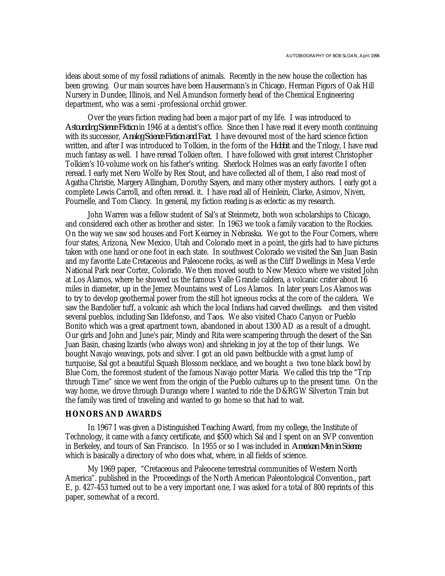ideas about some of my fossil radiations of animals. Recently in the new house the collection has been growing. Our main sources have been Hausermann's in Chicago, Herman Pigors of Oak Hill Nursery in Dundee, Illinois, and Neil Amundson formerly head of the Chemical Engineering department, who was a semi -professional orchid grower.

Over the years fiction reading had been a major part of my life. I was introduced to *Astounding Science Fiction* in 1946 at a dentist's office. Since then I have read it every month continuing with its successor, *Analog Science Fiction and Fact*. I have devoured most of the hard science fiction written, and after I was introduced to Tolkien, in the form of the *Hobbit* and the Trilogy, I have read much fantasy as well. I have reread Tolkien often. I have followed with great interest Christopher Tolkien's 10-volume work on his father's writing. Sherlock Holmes was an early favorite I often reread. I early met Nero Wolfe by Rex Stout, and have collected all of them, I also read most of Agatha Christie, Margery Allingham, Dorothy Sayers, and many other mystery authors. I early got a complete Lewis Carroll, and often reread. it. I have read all of Heinlein, Clarke, Asimov, Niven, Pournelle, and Tom Clancy. In general, my fiction reading is as eclectic as my research.

John Warren was a fellow student of Sal's at Steinmetz, both won scholarships to Chicago, and considered each other as brother and sister. In 1963 we took a family vacation to the Rockies. On the way we saw sod houses and Fort Kearney in Nebraska. We got to the Four Corners, where four states, Arizona, New Mexico, Utah and Colorado meet in a point, the girls had to have pictures taken with one hand or one foot in each state. In southwest Colorado we visited the San Juan Basin and my favorite Late Cretaceous and Paleocene rocks, as well as the Cliff Dwellings in Mesa Verde National Park near Cortez, Colorado. We then moved south to New Mexico where we visited John at Los Alamos, where he showed us the famous Valle Grande caldera, a volcanic crater about 16 miles in diameter, up in the Jemez Mountains west of Los Alamos. In later years Los Alamos was to try to develop geothermal power from the still hot igneous rocks at the core of the caldera. We saw the Bandolier tuff, a volcanic ash which the local Indians had carved dwellings. and then visited several pueblos, including San Ildefonso, and Taos. We also visited Chaco Canyon or Pueblo Bonito which was a great apartment town, abandoned in about 1300 AD as a result of a drought. Our girls and John and June's pair, Mindy and Rita were scampering through the desert of the San Juan Basin, chasing lizards (who always won) and shrieking in joy at the top of their lungs. We bought Navajo weavings, pots and silver. I got an old pawn beltbuckle with a great lump of turquoise, Sal got a beautiful Squash Blossom necklace, and we bought a two tone black bowl by Blue Corn, the foremost student of the famous Navajo potter Maria. We called this trip the "Trip through Time" since we went from the origin of the Pueblo cultures up to the present time. On the way home, we drove through Durango where I wanted to ride the D&RGW Silverton Train but the family was tired of traveling and wanted to go home so that had to wait.

## **HONORS AND AWARDS**

In 1967 I was given a Distinguished Teaching Award, from my college, the Institute of Technology, it came with a fancy certificate, and \$500 which Sal and I spent on an SVP convention in Berkeley, and tours of San Francisco. In 1955 or so I was included in *American Men in Science*, which is basically a directory of who does what, where, in all fields of science.

My 1969 paper, "Cretaceous and Paleocene terrestrial communities of Western North America". published in the Proceedings of the North American Paleontological Convention., part E, p. 427-453 turned out to be a very important one, I was asked for a total of 800 reprints of this paper, somewhat of a record.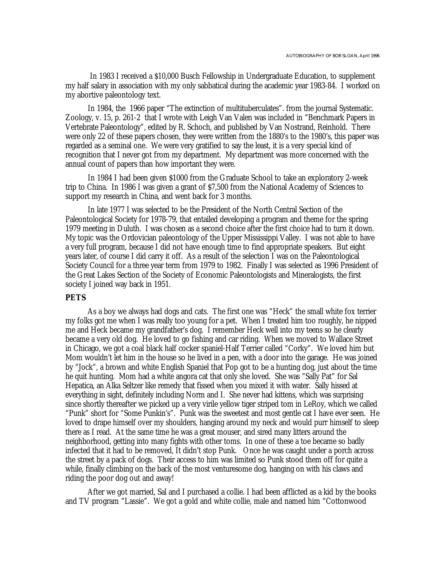In 1983 I received a \$10,000 Busch Fellowship in Undergraduate Education, to supplement my half salary in association with my only sabbatical during the academic year 1983-84. I worked on my abortive paleontology text.

In 1984, the 1966 paper "The extinction of multituberculates". from the journal Systematic. Zoology, v. 15, p. 261-2 that I wrote with Leigh Van Valen was included in "Benchmark Papers in Vertebrate Paleontology", edited by R. Schoch, and published by Van Nostrand, Reinhold. There were only 22 of these papers chosen, they were written from the 1880's to the 1980's, this paper was regarded as a seminal one. We were very gratified to say the least, it is a very special kind of recognition that I never got from my department. My department was more concerned with the annual count of papers than how important they were.

In 1984 I had been given \$1000 from the Graduate School to take an exploratory 2-week trip to China. In 1986 I was given a grant of \$7,500 from the National Academy of Sciences to support my research in China, and went back for 3 months.

In late 1977 I was selected to be the President of the North Central Section of the Paleontological Society for 1978-79, that entailed developing a program and theme for the spring 1979 meeting in Duluth. I was chosen as a second choice after the first choice had to turn it down. My topic was the Ordovician paleontology of the Upper Mississippi Valley. I was not able to have a very full program, because I did not have enough time to find appropriate speakers. But eight years later, of course I did carry it off. As a result of the selection I was on the Paleontological Society Council for a three year term from 1979 to 1982. Finally I was selected as 1996 President of the Great Lakes Section of the Society of Economic Paleontologists and Mineralogists, the first society I joined way back in 1951.

## **PETS**

As a boy we always had dogs and cats. The first one was "Heck" the small white fox terrier my folks got me when I was really too young for a pet. When I treated him too roughly, he nipped me and Heck became my grandfather's dog. I remember Heck well into my teens so he clearly became a very old dog. He loved to go fishing and car riding. When we moved to Wallace Street in Chicago, we got a coal black half cocker spaniel-Half Terrier called "Corky". We loved him but Mom wouldn't let him in the house so he lived in a pen, with a door into the garage. He was joined by "Jock", a brown and white English Spaniel that Pop got to be a hunting dog, just about the time he quit hunting. Mom had a white angora cat that only she loved. She was "Sally Pat" for Sal Hepatica, an Alka Seltzer like remedy that fissed when you mixed it with water. Sally hissed at everything in sight, definitely including Norm and I. She never had kittens, which was surprising since shortly thereafter we picked up a very virile yellow tiger striped tom in LeRoy, which we called "Punk" short for "Some Punkin's". Punk was the sweetest and most gentle cat I have ever seen. He loved to drape himself over my shoulders, hanging around my neck and would purr himself to sleep there as I read. At the same time he was a great mouser, and sired many litters around the neighborhood, getting into many fights with other toms. In one of these a toe became so badly infected that it had to be removed, It didn't stop Punk. Once he was caught under a porch across the street by a pack of dogs. Their access to him was limited so Punk stood them off for quite a while, finally climbing on the back of the most venturesome dog, hanging on with his claws and riding the poor dog out and away!

After we got married, Sal and I purchased a collie. I had been afflicted as a kid by the books and TV program "Lassie". We got a gold and white collie, male and named him "Cottonwood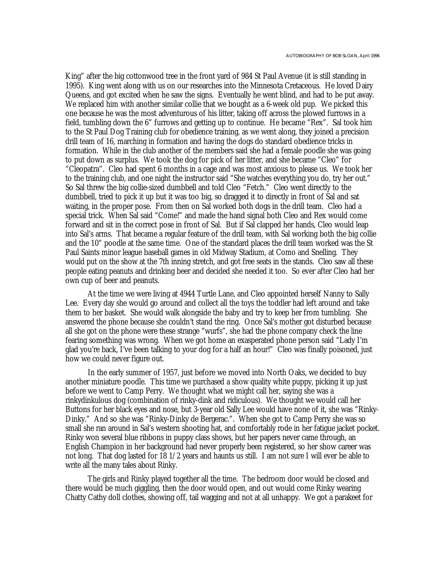King" after the big cottonwood tree in the front yard of 984 St Paul Avenue (it is still standing in 1995). King went along with us on our researches into the Minnesota Cretaceous. He loved Dairy Queens, and got excited when he saw the signs. Eventually he went blind, and had to be put away. We replaced him with another similar collie that we bought as a 6-week old pup. We picked this one because he was the most adventurous of his litter, taking off across the plowed furrows in a field, tumbling down the 6" furrows and getting up to continue. He became "Rex". Sal took him to the St Paul Dog Training club for obedience training, as we went along, they joined a precision drill team of 16, marching in formation and having the dogs do standard obedience tricks in formation. While in the club another of the members said she had a female poodle she was going to put down as surplus. We took the dog for pick of her litter, and she became "Cleo" for "Cleopatra". Cleo had spent 6 months in a cage and was most anxious to please us. We took her to the training club, and one night the instructor said "She watches everything you do, try her out." So Sal threw the big collie-sized dumbbell and told Cleo "Fetch." Cleo went directly to the dumbbell, tried to pick it up but it was too big, so dragged it to directly in front of Sal and sat waiting, in the proper pose. From then on Sal worked both dogs in the drill team. Cleo had a special trick. When Sal said "Come!" and made the hand signal both Cleo and Rex would come forward and sit in the correct pose in front of Sal. But if Sal clapped her hands, Cleo would leap into Sal's arms. That became a regular feature of the drill team, with Sal working both the big collie and the 10" poodle at the same time. One of the standard places the drill team worked was the St Paul Saints minor league baseball games in old Midway Stadium, at Como and Snelling. They would put on the show at the 7th inning stretch, and got free seats in the stands. Cleo saw all these people eating peanuts and drinking beer and decided she needed it too. So ever after Cleo had her own cup of beer and peanuts.

At the time we were living at 4944 Turtle Lane, and Cleo appointed herself Nanny to Sally Lee. Every day she would go around and collect all the toys the toddler had left around and take them to her basket. She would walk alongside the baby and try to keep her from tumbling. She answered the phone because she couldn't stand the ring. Once Sal's mother got disturbed because all she got on the phone were these strange "wurfs", she had the phone company check the line fearing something was wrong. When we got home an exasperated phone person said "Lady I'm glad you're back, I've been talking to your dog for a half an hour!" Cleo was finally poisoned, just how we could never figure out.

In the early summer of 1957, just before we moved into North Oaks, we decided to buy another miniature poodle. This time we purchased a show quality white puppy, picking it up just before we went to Camp Perry. We thought what we might call her, saying she was a rinkydinkulous dog (combination of rinky-dink and ridiculous). We thought we would call her Buttons for her black eyes and nose, but 3-year old Sally Lee would have none of it, she was "Rinky-Dinky." And so she was "Rinky-Dinky de Bergerac.". When she got to Camp Perry she was so small she ran around in Sal's western shooting hat, and comfortably rode in her fatigue jacket pocket. Rinky won several blue ribbons in puppy class shows, but her papers never came through, an English Champion in her background had never properly been registered, so her show career was not long. That dog lasted for 18 1/2 years and haunts us still. I am not sure I will ever be able to write all the many tales about Rinky.

The girls and Rinky played together all the time. The bedroom door would be closed and there would be much giggling, then the door would open, and out would come Rinky wearing Chatty Cathy doll clothes, showing off, tail wagging and not at all unhappy. We got a parakeet for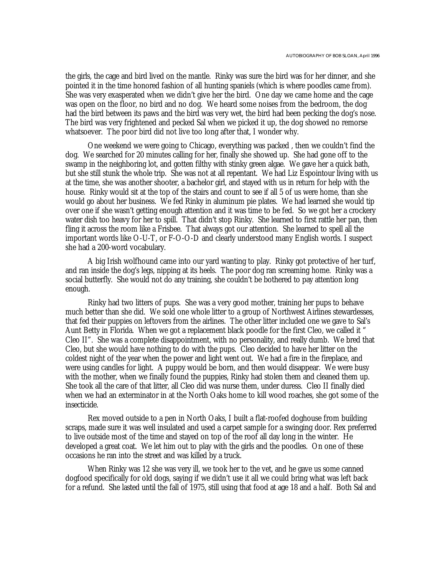the girls, the cage and bird lived on the mantle. Rinky was sure the bird was for her dinner, and she pointed it in the time honored fashion of all hunting spaniels (which is where poodles came from). She was very exasperated when we didn't give her the bird. One day we came home and the cage was open on the floor, no bird and no dog. We heard some noises from the bedroom, the dog had the bird between its paws and the bird was very wet, the bird had been pecking the dog's nose. The bird was very frightened and pecked Sal when we picked it up, the dog showed no remorse whatsoever. The poor bird did not live too long after that, I wonder why.

One weekend we were going to Chicago, everything was packed , then we couldn't find the dog. We searched for 20 minutes calling for her, finally she showed up. She had gone off to the swamp in the neighboring lot, and gotten filthy with stinky green algae. We gave her a quick bath, but she still stunk the whole trip. She was not at all repentant. We had Liz Espointour living with us at the time, she was another shooter, a bachelor girl, and stayed with us in return for help with the house. Rinky would sit at the top of the stairs and count to see if all 5 of us were home, than she would go about her business. We fed Rinky in aluminum pie plates. We had learned she would tip over one if she wasn't getting enough attention and it was time to be fed. So we got her a crockery water dish too heavy for her to spill. That didn't stop Rinky. She learned to first rattle her pan, then fling it across the room like a Frisbee. That always got our attention. She learned to spell all the important words like O-U-T, or F-O-O-D and clearly understood many English words. I suspect she had a 200-word vocabulary.

A big Irish wolfhound came into our yard wanting to play. Rinky got protective of her turf, and ran inside the dog's legs, nipping at its heels. The poor dog ran screaming home. Rinky was a social butterfly. She would not do any training, she couldn't be bothered to pay attention long enough.

Rinky had two litters of pups. She was a very good mother, training her pups to behave much better than she did. We sold one whole litter to a group of Northwest Airlines stewardesses, that fed their puppies on leftovers from the airlines. The other litter included one we gave to Sal's Aunt Betty in Florida. When we got a replacement black poodle for the first Cleo, we called it " Cleo II". She was a complete disappointment, with no personality, and really dumb. We bred that Cleo, but she would have nothing to do with the pups. Cleo decided to have her litter on the coldest night of the year when the power and light went out. We had a fire in the fireplace, and were using candles for light. A puppy would be born, and then would disappear. We were busy with the mother, when we finally found the puppies, Rinky had stolen them and cleaned them up. She took all the care of that litter, all Cleo did was nurse them, under duress. Cleo II finally died when we had an exterminator in at the North Oaks home to kill wood roaches, she got some of the insecticide.

Rex moved outside to a pen in North Oaks, I built a flat-roofed doghouse from building scraps, made sure it was well insulated and used a carpet sample for a swinging door. Rex preferred to live outside most of the time and stayed on top of the roof all day long in the winter. He developed a great coat. We let him out to play with the girls and the poodles. On one of these occasions he ran into the street and was killed by a truck.

When Rinky was 12 she was very ill, we took her to the vet, and he gave us some canned dogfood specifically for old dogs, saying if we didn't use it all we could bring what was left back for a refund. She lasted until the fall of 1975, still using that food at age 18 and a half. Both Sal and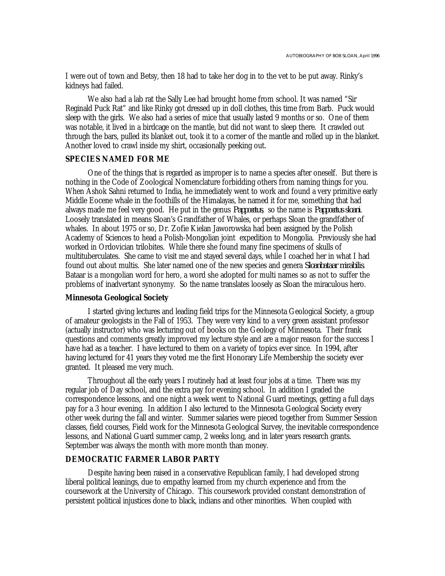I were out of town and Betsy, then 18 had to take her dog in to the vet to be put away. Rinky's kidneys had failed.

We also had a lab rat the Sally Lee had brought home from school. It was named "Sir Reginald Puck Rat" and like Rinky got dressed up in doll clothes, this time from Barb. Puck would sleep with the girls. We also had a series of mice that usually lasted 9 months or so. One of them was notable, it lived in a birdcage on the mantle, but did not want to sleep there. It crawled out through the bars, pulled its blanket out, took it to a corner of the mantle and rolled up in the blanket. Another loved to crawl inside my shirt, occasionally peeking out.

#### **SPECIES NAMED FOR ME**

One of the things that is regarded as improper is to name a species after oneself. But there is nothing in the Code of Zoological Nomenclature forbidding others from naming things for you. When Ashok Sahni returned to India, he immediately went to work and found a very primitive early Middle Eocene whale in the foothills of the Himalayas, he named it for me, something that had always made me feel very good. He put in the genus *Pappocetus*, so the name is *Pappocetus sloani*. Loosely translated in means Sloan's Grandfather of Whales, or perhaps Sloan the grandfather of whales. In about 1975 or so, Dr. Zofie Kielan Jaworowska had been assigned by the Polish Academy of Sciences to head a Polish-Mongolian joint expedition to Mongolia. Previously she had worked in Ordovician trilobites. While there she found many fine specimens of skulls of multituberculates. She came to visit me and stayed several days, while I coached her in what I had found out about multis. She later named one of the new species and genera *Sloanbataar mirabilis*. Bataar is a mongolian word for hero, a word she adopted for multi names so as not to suffer the problems of inadvertant synonymy. So the name translates loosely as Sloan the miraculous hero.

## **Minnesota Geological Society**

I started giving lectures and leading field trips for the Minnesota Geological Society, a group of amateur geologists in the Fall of 1953. They were very kind to a very green assistant professor (actually instructor) who was lecturing out of books on the Geology of Minnesota. Their frank questions and comments greatly improved my lecture style and are a major reason for the success I have had as a teacher. I have lectured to them on a variety of topics ever since. In 1994, after having lectured for 41 years they voted me the first Honorary Life Membership the society ever granted. It pleased me very much.

Throughout all the early years I routinely had at least four jobs at a time. There was my regular job of Day school, and the extra pay for evening school. In addition I graded the correspondence lessons, and one night a week went to National Guard meetings, getting a full days pay for a 3 hour evening. In addition I also lectured to the Minnesota Geological Society every other week during the fall and winter. Summer salaries were pieced together from Summer Session classes, field courses, Field work for the Minnesota Geological Survey, the inevitable correspondence lessons, and National Guard summer camp, 2 weeks long, and in later years research grants. September was always the month with more month than money.

## **DEMOCRATIC FARMER LABOR PARTY**

Despite having been raised in a conservative Republican family, I had developed strong liberal political leanings, due to empathy learned from my church experience and from the coursework at the University of Chicago. This coursework provided constant demonstration of persistent political injustices done to black, indians and other minorities. When coupled with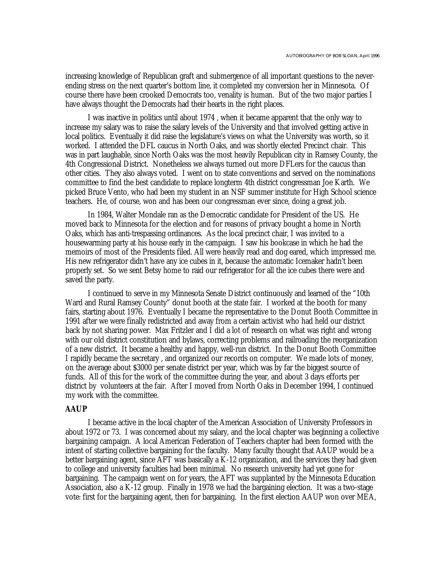increasing knowledge of Republican graft and submergence of all important questions to the neverending stress on the next quarter's bottom line, it completed my conversion her in Minnesota. Of course there have been crooked Democrats too, venality is human. But of the two major parties I have always thought the Democrats had their hearts in the right places.

I was inactive in politics until about 1974 , when it became apparent that the only way to increase my salary was to raise the salary levels of the University and that involved getting active in local politics. Eventually it did raise the legislature's views on what the University was worth, so it worked. I attended the DFL caucus in North Oaks, and was shortly elected Precinct chair. This was in part laughable, since North Oaks was the most heavily Republican city in Ramsey County, the 4th Congressional District. Nonetheless we always turned out more DFLers for the caucus than other cities. They also always voted. I went on to state conventions and served on the nominations committee to find the best candidate to replace longterm 4th district congressman Joe Karth. We picked Bruce Vento, who had been my student in an NSF summer institute for High School science teachers. He, of course, won and has been our congressman ever since, doing a great job.

In 1984, Walter Mondale ran as the Democratic candidate for President of the US. He moved back to Minnesota for the election and for reasons of privacy bought a home in North Oaks, which has anti-trespassing ordinances. As the local precinct chair, I was invited to a housewarming party at his house early in the campaign. I saw his bookcase in which he had the memoirs of most of the Presidents filed. All were heavily read and dog eared, which impressed me. His new refrigerator didn't have any ice cubes in it, because the automatic Icemaker hadn't been properly set. So we sent Betsy home to raid our refrigerator for all the ice cubes there were and saved the party.

I continued to serve in my Minnesota Senate District continuously and learned of the "10th Ward and Rural Ramsey County" donut booth at the state fair. I worked at the booth for many fairs, starting about 1976. Eventually I became the representative to the Donut Booth Committee in 1991 after we were finally redistricted and away from a certain activist who had held our district back by not sharing power. Max Fritzler and I did a lot of research on what was right and wrong with our old district constitution and bylaws, correcting problems and railroading the reorganization of a new district. It became a healthy and happy, well-run district. In the Donut Booth Committee I rapidly became the secretary , and organized our records on computer. We made lots of money, on the average about \$3000 per senate district per year, which was by far the biggest source of funds. All of this for the work of the committee during the year, and about 3 days efforts per district by volunteers at the fair. After I moved from North Oaks in December 1994, I continued my work with the committee.

## **AAUP**

I became active in the local chapter of the American Association of University Professors in about 1972 or 73. I was concerned about my salary, and the local chapter was beginning a collective bargaining campaign. A local American Federation of Teachers chapter had been formed with the intent of starting collective bargaining for the faculty. Many faculty thought that AAUP would be a better bargaining agent, since AFT was basically a K-12 organization, and the services they had given to college and university faculties had been minimal. No research university had yet gone for bargaining. The campaign went on for years, the AFT was supplanted by the Minnesota Education Association, also a K-12 group. Finally in 1978 we had the bargaining election. It was a two-stage vote: first for the bargaining agent, then for bargaining. In the first election AAUP won over MEA,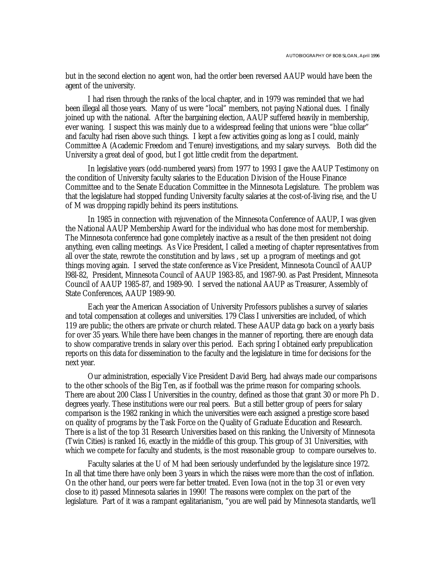but in the second election no agent won, had the order been reversed AAUP would have been the agent of the university.

I had risen through the ranks of the local chapter, and in 1979 was reminded that we had been illegal all those years. Many of us were "local" members, not paying National dues. I finally joined up with the national. After the bargaining election, AAUP suffered heavily in membership, ever waning. I suspect this was mainly due to a widespread feeling that unions were "blue collar" and faculty had risen above such things. I kept a few activities going as long as I could, mainly Committee A (Academic Freedom and Tenure) investigations, and my salary surveys. Both did the University a great deal of good, but I got little credit from the department.

In legislative years (odd-numbered years) from 1977 to 1993 I gave the AAUP Testimony on the condition of University faculty salaries to the Education Division of the House Finance Committee and to the Senate Education Committee in the Minnesota Legislature. The problem was that the legislature had stopped funding University faculty salaries at the cost-of-living rise, and the U of M was dropping rapidly behind its peers institutions.

In 1985 in connection with rejuvenation of the Minnesota Conference of AAUP, I was given the National AAUP Membership Award for the individual who has done most for membership. The Minnesota conference had gone completely inactive as a result of the then president not doing anything, even calling meetings. As Vice President, I called a meeting of chapter representatives from all over the state, rewrote the constitution and by laws , set up a program of meetings and got things moving again. I served the state conference as Vice President, Minnesota Council of AAUP l98l-82, President, Minnesota Council of AAUP 1983-85, and 1987-90. as Past President, Minnesota Council of AAUP 1985-87, and 1989-90. I served the national AAUP as Treasurer, Assembly of State Conferences, AAUP 1989-90.

Each year the American Association of University Professors publishes a survey of salaries and total compensation at colleges and universities. 179 Class I universities are included, of which 119 are public; the others are private or church related. These AAUP data go back on a yearly basis for over 35 years. While there have been changes in the manner of reporting, there are enough data to show comparative trends in salary over this period. Each spring I obtained early prepublication reports on this data for dissemination to the faculty and the legislature in time for decisions for the next year.

Our administration, especially Vice President David Berg, had always made our comparisons to the other schools of the Big Ten, as if football was the prime reason for comparing schools. There are about 200 Class I Universities in the country, defined as those that grant 30 or more Ph D. degrees yearly. These institutions were our real peers. But a still better group of peers for salary comparison is the 1982 ranking in which the universities were each assigned a prestige score based on quality of programs by the Task Force on the Quality of Graduate Education and Research. There is a list of the top 31 Research Universities based on this ranking, the University of Minnesota (Twin Cities) is ranked 16, exactly in the middle of this group. This group of 31 Universities, with which we compete for faculty and students, is the most reasonable group to compare ourselves to.

Faculty salaries at the U of M had been seriously underfunded by the legislature since 1972. In all that time there have only been 3 years in which the raises were more than the cost of inflation. On the other hand, our peers were far better treated. Even Iowa (not in the top 31 or even very close to it) passed Minnesota salaries in 1990! The reasons were complex on the part of the legislature. Part of it was a rampant egalitarianism, "you are well paid by Minnesota standards, we'll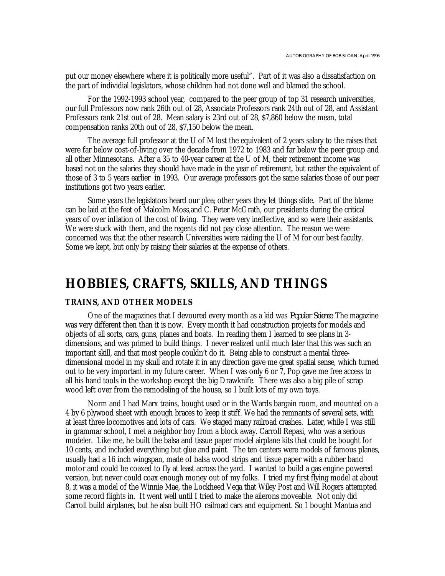put our money elsewhere where it is politically more useful". Part of it was also a dissatisfaction on the part of individial legislators, whose children had not done well and blamed the school.

For the 1992-1993 school year, compared to the peer group of top 31 research universities, our full Professors now rank 26th out of 28, Associate Professors rank 24th out of 28, and Assistant Professors rank 21st out of 28. Mean salary is 23rd out of 28, \$7,860 below the mean, total compensation ranks 20th out of 28, \$7,150 below the mean.

The average full professor at the U of M lost the equivalent of 2 years salary to the raises that were far below cost-of-living over the decade from 1972 to 1983 and far below the peer group and all other Minnesotans. After a 35 to 40-year career at the U of M, their retirement income was based not on the salaries they should have made in the year of retirement, but rather the equivalent of those of 3 to 5 years earlier in 1993. Our average professors got the same salaries those of our peer institutions got two years earlier.

Some years the legislators heard our plea; other years they let things slide. Part of the blame can be laid at the feet of Malcolm Moss,and C. Peter McGrath, our presidents during the critical years of over inflation of the cost of living. They were very ineffective, and so were their assistants. We were stuck with them, and the regents did not pay close attention. The reason we were concerned was that the other research Universities were raiding the U of M for our best faculty. Some we kept, but only by raising their salaries at the expense of others.

## **HOBBIES, CRAFTS, SKILLS, AND THINGS**

## **TRAINS, AND OTHER MODELS**

One of the magazines that I devoured every month as a kid was *Popular Science*. The magazine was very different then than it is now. Every month it had construction projects for models and objects of all sorts, cars, guns, planes and boats. In reading them I learned to see plans in 3 dimensions, and was primed to build things. I never realized until much later that this was such an important skill, and that most people couldn't do it. Being able to construct a mental threedimensional model in my skull and rotate it in any direction gave me great spatial sense, which turned out to be very important in my future career. When I was only 6 or 7, Pop gave me free access to all his hand tools in the workshop except the big Drawknife. There was also a big pile of scrap wood left over from the remodeling of the house, so I built lots of my own toys.

Norm and I had Marx trains, bought used or in the Wards bargain room, and mounted on a 4 by 6 plywood sheet with enough braces to keep it stiff. We had the remnants of several sets, with at least three locomotives and lots of cars. We staged many railroad crashes. Later, while I was still in grammar school, I met a neighbor boy from a block away. Carroll Repasi, who was a serious modeler. Like me, he built the balsa and tissue paper model airplane kits that could be bought for 10 cents, and included everything but glue and paint. The ten centers were models of famous planes, usually had a 16 inch wingspan, made of balsa wood strips and tissue paper with a rubber band motor and could be coaxed to fly at least across the yard. I wanted to build a gas engine powered version, but never could coax enough money out of my folks. I tried my first flying model at about 8, it was a model of the Winnie Mae, the Lockheed Vega that Wiley Post and Will Rogers attempted some record flights in. It went well until I tried to make the ailerons moveable. Not only did Carroll build airplanes, but he also built HO railroad cars and equipment. So I bought Mantua and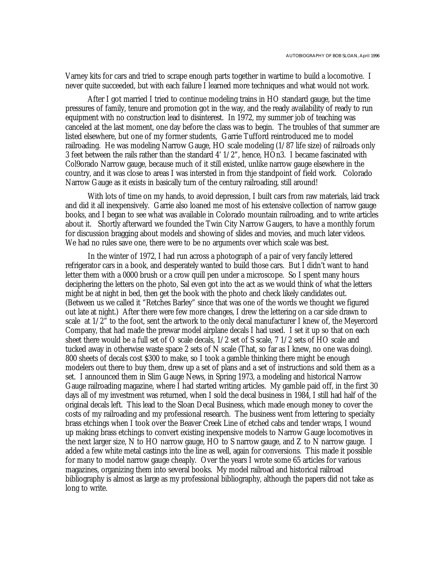Varney kits for cars and tried to scrape enough parts together in wartime to build a locomotive. I never quite succeeded, but with each failure I learned more techniques and what would not work.

After I got married I tried to continue modeling trains in HO standard gauge, but the time pressures of family, tenure and promotion got in the way, and the ready availability of ready to run equipment with no construction lead to disinterest. In 1972, my summer job of teaching was canceled at the last moment, one day before the class was to begin. The troubles of that summer are listed elsewhere, but one of my former students, Garrie Tufford reintroduced me to model railroading. He was modeling Narrow Gauge, HO scale modeling (1/87 life size) of railroads only 3 feet between the rails rather than the standard 4' 1/2", hence, HOn3. I became fascinated with Col9orado Narrow gauge, because much of it still existed, unlike narrow gauge elsewhere in the country, and it was close to areas I was intersted in from thje standpoint of field work. Colorado Narrow Gauge as it exists in basically turn of the century railroading, still around!

With lots of time on my hands, to avoid depression, I built cars from raw materials, laid track and did it all inexpensively. Garrie also loaned me most of his extensive collection of narrow gauge books, and I began to see what was available in Colorado mountain railroading, and to write articles about it. Shortly afterward we founded the Twin City Narrow Gaugers, to have a monthly forum for discussion bragging about models and showing of slides and movies, and much later videos. We had no rules save one, there were to be no arguments over which scale was best.

In the winter of 1972, I had run across a photograph of a pair of very fancily lettered refrigerator cars in a book, and desperately wanted to build those cars. But I didn't want to hand letter them with a 0000 brush or a crow quill pen under a microscope. So I spent many hours deciphering the letters on the photo, Sal even got into the act as we would think of what the letters might be at night in bed, then get the book with the photo and check likely candidates out. (Between us we called it "Retches Barley" since that was one of the words we thought we figured out late at night.) After there were few more changes, I drew the lettering on a car side drawn to scale at 1/2" to the foot, sent the artwork to the only decal manufacturer I knew of, the Meyercord Company, that had made the prewar model airplane decals I had used. I set it up so that on each sheet there would be a full set of O scale decals, 1/2 set of S scale, 7 1/2 sets of HO scale and tucked away in otherwise waste space 2 sets of N scale (That, so far as I knew, no one was doing). 800 sheets of decals cost \$300 to make, so I took a gamble thinking there might be enough modelers out there to buy them, drew up a set of plans and a set of instructions and sold them as a set. I announced them in Slim Gauge News, in Spring 1973, a modeling and historical Narrow Gauge railroading magazine, where I had started writing articles. My gamble paid off, in the first 30 days all of my investment was returned, when I sold the decal business in 1984, I still had half of the original decals left. This lead to the Sloan Decal Business, which made enough money to cover the costs of my railroading and my professional research. The business went from lettering to specialty brass etchings when I took over the Beaver Creek Line of etched cabs and tender wraps, I wound up making brass etchings to convert existing inexpensive models to Narrow Gauge locomotives in the next larger size, N to HO narrow gauge, HO to S narrow gauge, and Z to N narrow gauge. I added a few white metal castings into the line as well, again for conversions. This made it possible for many to model narrow gauge cheaply. Over the years I wrote some 65 articles for various magazines, organizing them into several books. My model railroad and historical railroad bibliography is almost as large as my professional bibliography, although the papers did not take as long to write.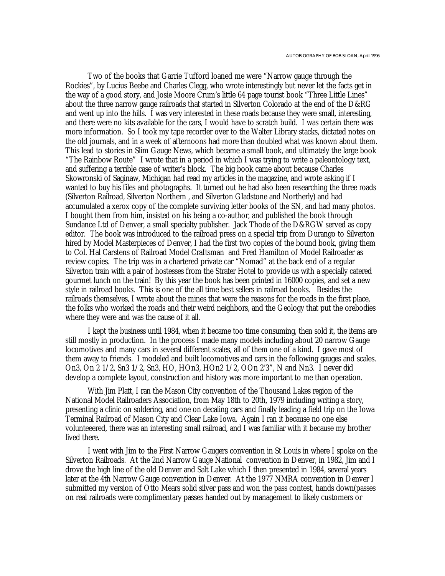Two of the books that Garrie Tufford loaned me were "Narrow gauge through the Rockies", by Lucius Beebe and Charles Clegg, who wrote interestingly but never let the facts get in the way of a good story, and Josie Moore Crum's little 64 page tourist book "Three Little Lines" about the three narrow gauge railroads that started in Silverton Colorado at the end of the D&RG and went up into the hills. I was very interested in these roads because they were small, interesting, and there were no kits available for the cars, I would have to scratch build. I was certain there was more information. So I took my tape recorder over to the Walter Library stacks, dictated notes on the old journals, and in a week of afternoons had more than doubled what was known about them. This lead to stories in Slim Gauge News, which became a small book, and ultimately the large book "The Rainbow Route" I wrote that in a period in which I was trying to write a paleontology text, and suffering a terrible case of writer's block. The big book came about because Charles Skowronski of Saginaw, Michigan had read my articles in the magazine, and wrote asking if I wanted to buy his files and photographs. It turned out he had also been researching the three roads (Silverton Railroad, Silverton Northern , and Silverton Gladstone and Northerly) and had accumulated a xerox copy of the complete surviving letter books of the SN, and had many photos. I bought them from him, insisted on his being a co-author, and published the book through Sundance Ltd of Denver, a small specialty publisher. Jack Thode of the D&RGW served as copy editor. The book was introduced to the railroad press on a special trip from Durango to Silverton hired by Model Masterpieces of Denver, I had the first two copies of the bound book, giving them to Col. Hal Carstens of Railroad Model Craftsman and Fred Hamilton of Model Railroader as review copies. The trip was in a chartered private car "Nomad" at the back end of a regular Silverton train with a pair of hostesses from the Strater Hotel to provide us with a specially catered gourmet lunch on the train! By this year the book has been printed in 16000 copies, and set a new style in railroad books. This is one of the all time best sellers in railroad books. Besides the railroads themselves, I wrote about the mines that were the reasons for the roads in the first place, the folks who worked the roads and their weird neighbors, and the Geology that put the orebodies where they were and was the cause of it all.

I kept the business until 1984, when it became too time consuming, then sold it, the items are still mostly in production. In the process I made many models including about 20 narrow Gauge locomotives and many cars in several different scales, all of them one of a kind. I gave most of them away to friends. I modeled and built locomotives and cars in the following gauges and scales. On3, On 2 1/2, Sn3 1/2, Sn3, HO, HOn3, HOn2 1/2, OOn 2'3", N and Nn3. I never did develop a complete layout, construction and history was more important to me than operation.

With Jim Platt, I ran the Mason City convention of the Thousand Lakes region of the National Model Railroaders Association, from May 18th to 20th, 1979 including writing a story, presenting a clinic on soldering, and one on decaling cars and finally leading a field trip on the Iowa Terminal Railroad of Mason City and Clear Lake Iowa. Again I ran it because no one else volunteeered, there was an interesting small railroad, and I was familiar with it because my brother lived there.

I went with Jim to the First Narrow Gaugers convention in St Louis in where I spoke on the Silverton Railroads. At the 2nd Narrow Gauge National convention in Denver, in 1982, Jim and I drove the high line of the old Denver and Salt Lake which I then presented in 1984, several years later at the 4th Narrow Gauge convention in Denver. At the 1977 NMRA convention in Denver I submitted my version of Otto Mears solid silver pass and won the pass contest, hands down(passes on real railroads were complimentary passes handed out by management to likely customers or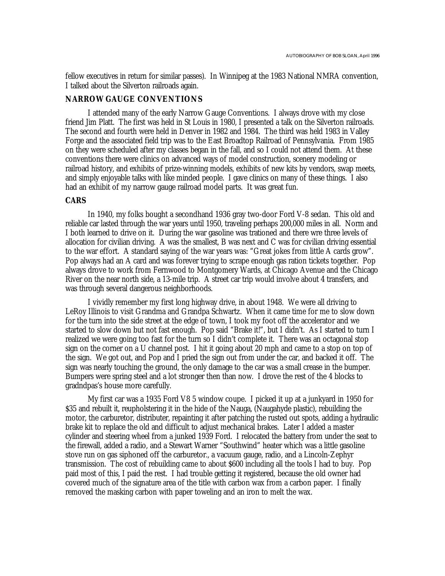fellow executives in return for similar passes). In Winnipeg at the 1983 National NMRA convention, I talked about the Silverton railroads again.

#### **NARROW GAUGE CONVENTIONS**

I attended many of the early Narrow Gauge Conventions. I always drove with my close friend Jim Platt. The first was held in St Louis in 1980, I presented a talk on the Silverton railroads. The second and fourth were held in Denver in 1982 and 1984. The third was held 1983 in Valley Forge and the associated field trip was to the East Broadtop Railroad of Pennsylvania. From 1985 on they were scheduled after my classes began in the fall, and so I could not attend them. At these conventions there were clinics on advanced ways of model construction, scenery modeling or railroad history, and exhibits of prize-winning models, exhibits of new kits by vendors, swap meets, and simply enjoyable talks with like minded people. I gave clinics on many of these things. I also had an exhibit of my narrow gauge railroad model parts. It was great fun.

#### **CARS**

In 1940, my folks bought a secondhand 1936 gray two-door Ford V-8 sedan. This old and reliable car lasted through the war years until 1950, traveling perhaps 200,000 miles in all. Norm and I both learned to drive on it. During the war gasoline was trationed and there wre three levels of allocation for civilian driving. A was the smallest, B was next and C was for civilian driving essential to the war effort. A standard saying of the war years was: "Great jokes from little A cards grow". Pop always had an A card and was forever trying to scrape enough gas ration tickets together. Pop always drove to work from Fernwood to Montgomery Wards, at Chicago Avenue and the Chicago River on the near north side, a 13-mile trip. A street car trip would involve about 4 transfers, and was through several dangerous neighborhoods.

I vividly remember my first long highway drive, in about 1948. We were all driving to LeRoy Illinois to visit Grandma and Grandpa Schwartz. When it came time for me to slow down for the turn into the side street at the edge of town, I took my foot off the accelerator and we started to slow down but not fast enough. Pop said "Brake it!", but I didn't. As I started to turn I realized we were going too fast for the turn so I didn't complete it. There was an octagonal stop sign on the corner on a U channel post. I hit it going about 20 mph and came to a stop on top of the sign. We got out, and Pop and I pried the sign out from under the car, and backed it off. The sign was nearly touching the ground, the only damage to the car was a small crease in the bumper. Bumpers were spring steel and a lot stronger then than now. I drove the rest of the 4 blocks to gradndpas's house more carefully.

My first car was a 1935 Ford V8 5 window coupe. I picked it up at a junkyard in 1950 for \$35 and rebuilt it, reupholstering it in the hide of the Nauga, (Naugahyde plastic), rebuilding the motor, the carburetor, distributer, repainting it after patching the rusted out spots, adding a hydraulic brake kit to replace the old and difficult to adjust mechanical brakes. Later I added a master cylinder and steering wheel from a junked 1939 Ford. I relocated the battery from under the seat to the firewall, added a radio, and a Stewart Warner "Southwind" heater which was a little gasoline stove run on gas siphoned off the carburetor., a vacuum gauge, radio, and a Lincoln-Zephyr transmission. The cost of rebuilding came to about \$600 including all the tools I had to buy. Pop paid most of this, I paid the rest. I had trouble getting it registered, because the old owner had covered much of the signature area of the title with carbon wax from a carbon paper. I finally removed the masking carbon with paper toweling and an iron to melt the wax.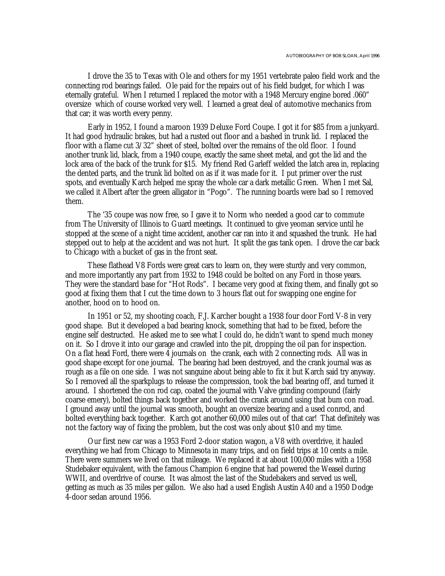I drove the 35 to Texas with Ole and others for my 1951 vertebrate paleo field work and the connecting rod bearings failed. Ole paid for the repairs out of his field budget, for which I was eternally grateful. When I returned I replaced the motor with a 1948 Mercury engine bored .060" oversize which of course worked very well. I learned a great deal of automotive mechanics from that car; it was worth every penny.

Early in 1952, I found a maroon 1939 Deluxe Ford Coupe. I got it for \$85 from a junkyard. It had good hydraulic brakes, but had a rusted out floor and a bashed in trunk lid. I replaced the floor with a flame cut 3/32" sheet of steel, bolted over the remains of the old floor. I found another trunk lid, black, from a 1940 coupe, exactly the same sheet metal, and got the lid and the lock area of the back of the trunk for \$15. My friend Red Garleff welded the latch area in, replacing the dented parts, and the trunk lid bolted on as if it was made for it. I put primer over the rust spots, and eventually Karch helped me spray the whole car a dark metallic Green. When I met Sal, we called it Albert after the green alligator in "Pogo". The running boards were bad so I removed them.

The '35 coupe was now free, so I gave it to Norm who needed a good car to commute from The University of Illinois to Guard meetings. It continued to give yeoman service until he stopped at the scene of a night time accident, another car ran into it and squashed the trunk. He had stepped out to help at the accident and was not hurt. It split the gas tank open. I drove the car back to Chicago with a bucket of gas in the front seat.

These flathead V8 Fords were great cars to learn on, they were sturdy and very common, and more importantly any part from 1932 to 1948 could be bolted on any Ford in those years. They were the standard base for "Hot Rods". I became very good at fixing them, and finally got so good at fixing them that I cut the time down to 3 hours flat out for swapping one engine for another, hood on to hood on.

In 1951 or 52, my shooting coach, F.J. Karcher bought a 1938 four door Ford V-8 in very good shape. But it developed a bad bearing knock, something that had to be fixed, before the engine self destructed. He asked me to see what I could do, he didn't want to spend much money on it. So I drove it into our garage and crawled into the pit, dropping the oil pan for inspection. On a flat head Ford, there were 4 journals on the crank, each with 2 connecting rods. All was in good shape except for one journal. The bearing had been destroyed, and the crank journal was as rough as a file on one side. I was not sanguine about being able to fix it but Karch said try anyway. So I removed all the sparkplugs to release the compression, took the bad bearing off, and turned it around. I shortened the con rod cap, coated the journal with Valve grinding compound (fairly coarse emery), bolted things back together and worked the crank around using that bum con road. I ground away until the journal was smooth, bought an oversize bearing and a used conrod, and bolted everything back together. Karch got another 60,000 miles out of that car! That definitely was not the factory way of fixing the problem, but the cost was only about \$10 and my time.

Our first new car was a 1953 Ford 2-door station wagon, a V8 with overdrive, it hauled everything we had from Chicago to Minnesota in many trips, and on field trips at 10 cents a mile. There were summers we lived on that mileage. We replaced it at about 100,000 miles with a 1958 Studebaker equivalent, with the famous Champion 6 engine that had powered the Weasel during WWII, and overdrive of course. It was almost the last of the Studebakers and served us well, getting as much as 35 miles per gallon. We also had a used English Austin A40 and a 1950 Dodge 4-door sedan around 1956.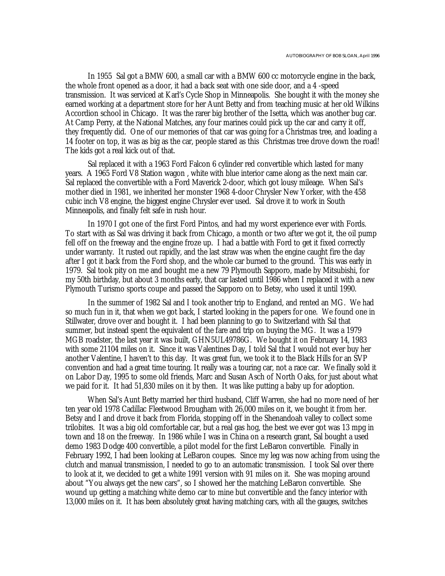In 1955 Sal got a BMW 600, a small car with a BMW 600 cc motorcycle engine in the back, the whole front opened as a door, it had a back seat with one side door, and a 4 -speed transmission. It was serviced at Karl's Cycle Shop in Minneapolis. She bought it with the money she earned working at a department store for her Aunt Betty and from teaching music at her old Wilkins Accordion school in Chicago. It was the rarer big brother of the Isetta, which was another bug car. At Camp Perry, at the National Matches, any four marines could pick up the car and carry it off, they frequently did. One of our memories of that car was going for a Christmas tree, and loading a 14 footer on top, it was as big as the car, people stared as this Christmas tree drove down the road! The kids got a real kick out of that.

Sal replaced it with a 1963 Ford Falcon 6 cylinder red convertible which lasted for many years. A 1965 Ford V8 Station wagon , white with blue interior came along as the next main car. Sal replaced the convertible with a Ford Maverick 2-door, which got lousy mileage. When Sal's mother died in 1981, we inherited her monster 1968 4-door Chrysler New Yorker, with the 458 cubic inch V8 engine, the biggest engine Chrysler ever used. Sal drove it to work in South Minneapolis, and finally felt safe in rush hour.

In 1970 I got one of the first Ford Pintos, and had my worst experience ever with Fords. To start with as Sal was driving it back from Chicago, a month or two after we got it, the oil pump fell off on the freeway and the engine froze up. I had a battle with Ford to get it fixed correctly under warranty. It rusted out rapidly, and the last straw was when the engine caught fire the day after I got it back from the Ford shop, and the whole car burned to the ground. This was early in 1979. Sal took pity on me and bought me a new 79 Plymouth Sapporo, made by Mitsubishi, for my 50th birthday, but about 3 months early, that car lasted until 1986 when I replaced it with a new Plymouth Turismo sports coupe and passed the Sapporo on to Betsy, who used it until 1990.

In the summer of 1982 Sal and I took another trip to England, and rented an MG. We had so much fun in it, that when we got back, I started looking in the papers for one. We found one in Stillwater, drove over and bought it. I had been planning to go to Switzerland with Sal that summer, but instead spent the equivalent of the fare and trip on buying the MG. It was a 1979 MGB roadster, the last year it was built, GHN5UL49786G. We bought it on February 14, 1983 with some 21104 miles on it. Since it was Valentines Day, I told Sal that I would not ever buy her another Valentine, I haven't to this day. It was great fun, we took it to the Black Hills for an SVP convention and had a great time touring. It really was a touring car, not a race car. We finally sold it on Labor Day, 1995 to some old friends, Marc and Susan Asch of North Oaks, for just about what we paid for it. It had 51,830 miles on it by then. It was like putting a baby up for adoption.

When Sal's Aunt Betty married her third husband, Cliff Warren, she had no more need of her ten year old 1978 Cadillac Fleetwood Brougham with 26,000 miles on it, we bought it from her. Betsy and I and drove it back from Florida, stopping off in the Shenandoah valley to collect some trilobites. It was a big old comfortable car, but a real gas hog, the best we ever got was 13 mpg in town and 18 on the freeway. In 1986 while I was in China on a research grant, Sal bought a used demo 1983 Dodge 400 convertible, a pilot model for the first LeBaron convertible. Finally in February 1992, I had been looking at LeBaron coupes. Since my leg was now aching from using the clutch and manual transmission, I needed to go to an automatic transmission. I took Sal over there to look at it, we decided to get a white 1991 version with 91 miles on it. She was moping around about "You always get the new cars", so I showed her the matching LeBaron convertible. She wound up getting a matching white demo car to mine but convertible and the fancy interior with 13,000 miles on it. It has been absolutely great having matching cars, with all the gauges, switches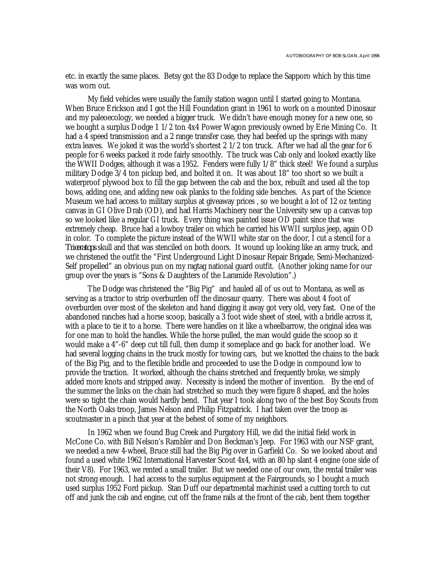etc. in exactly the same places. Betsy got the 83 Dodge to replace the Sapporo which by this time was worn out.

My field vehicles were usually the family station wagon until I started going to Montana. When Bruce Erickson and I got the Hill Foundation grant in 1961 to work on a mounted Dinosaur and my paleoecology, we needed a bigger truck. We didn't have enough money for a new one, so we bought a surplus Dodge 1 1/2 ton 4x4 Power Wagon previously owned by Erie Mining Co. It had a 4 speed transmission and a 2 range transfer case, they had beefed up the springs with many extra leaves. We joked it was the world's shortest 2 1/2 ton truck. After we had all the gear for 6 people for 6 weeks packed it rode fairly smoothly. The truck was Cab only and looked exactly like the WWII Dodges, although it was a 1952. Fenders were fully 1/8" thick steel! We found a surplus military Dodge 3/4 ton pickup bed, and bolted it on. It was about 18" too short so we built a waterproof plywood box to fill the gap between the cab and the box, rebuilt and used all the top bows, adding one, and adding new oak planks to the folding side benches. As part of the Science Museum we had access to military surplus at giveaway prices , so we bought a lot of 12 oz tenting canvas in GI Olive Drab (OD), and had Harris Machinery near the University sew up a canvas top so we looked like a regular GI truck. Every thing was painted issue OD paint since that was extremely cheap. Bruce had a lowboy trailer on which he carried his WWII surplus jeep, again OD in color. To complete the picture instead of the WWII white star on the door, I cut a stencil for a *Triceratops* skull and that was stenciled on both doors. It wound up looking like an army truck, and we christened the outfit the "First Underground Light Dinosaur Repair Brigade, Semi-Mechanized-Self propelled" an obvious pun on my ragtag national guard outfit. (Another joking name for our group over the years is "Sons & Daughters of the Laramide Revolution".)

The Dodge was christened the "Big Pig" and hauled all of us out to Montana, as well as serving as a tractor to strip overburden off the dinosaur quarry. There was about 4 foot of overburden over most of the skeleton and hand digging it away got very old, very fast. One of the abandoned ranches had a horse scoop, basically a 3 foot wide sheet of steel, with a bridle across it, with a place to tie it to a horse. There were handles on it like a wheelbarrow, the original idea was for one man to hold the handles. While the horse pulled, the man would guide the scoop so it would make a 4"-6" deep cut till full, then dump it someplace and go back for another load. We had several logging chains in the truck mostly for towing cars, but we knotted the chains to the back of the Big Pig, and to the flexible bridle and proceeded to use the Dodge in compound low to provide the traction. It worked, although the chains stretched and frequently broke, we simply added more knots and stripped away. Necessity is indeed the mother of invention. By the end of the summer the links on the chain had stretched so much they were figure 8 shaped, and the holes were so tight the chain would hardly bend. That year I took along two of the best Boy Scouts from the North Oaks troop, James Nelson and Philip Fitzpatrick. I had taken over the troop as scoutmaster in a pinch that year at the behest of some of my neighbors.

In 1962 when we found Bug Creek and Purgatory Hill, we did the initial field work in McCone Co. with Bill Nelson's Rambler and Don Beckman's Jeep. For 1963 with our NSF grant, we needed a new 4-wheel, Bruce still had the Big Pig over in Garfield Co. So we looked about and found a used white 1962 International Harvester Scout 4x4, with an 80 hp slant 4 engine (one side of their V8). For 1963, we rented a small trailer. But we needed one of our own, the rental trailer was not strong enough. I had access to the surplus equipment at the Fairgrounds, so I bought a much used surplus 1952 Ford pickup. Stan Duff our departmental machinist used a cutting torch to cut off and junk the cab and engine, cut off the frame rails at the front of the cab, bent them together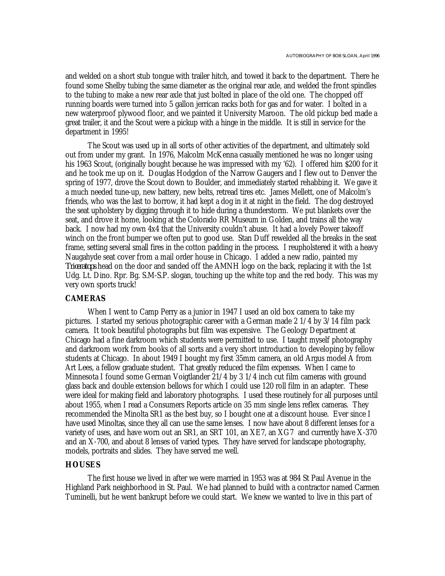and welded on a short stub tongue with trailer hitch, and towed it back to the department. There he found some Shelby tubing the same diameter as the original rear axle, and welded the front spindles to the tubing to make a new rear axle that just bolted in place of the old one. The chopped off running boards were turned into 5 gallon jerrican racks both for gas and for water. I bolted in a new waterproof plywood floor, and we painted it University Maroon. The old pickup bed made a great trailer, it and the Scout were a pickup with a hinge in the middle. It is still in service for the department in 1995!

The Scout was used up in all sorts of other activities of the department, and ultimately sold out from under my grant. In 1976, Malcolm McKenna casually mentioned he was no longer using his 1963 Scout, (originally bought because he was impressed with my '62). I offered him \$200 for it and he took me up on it. Douglas Hodgdon of the Narrow Gaugers and I flew out to Denver the spring of 1977, drove the Scout down to Boulder, and immediately started rehabbing it. We gave it a much needed tune-up, new battery, new belts, retread tires etc. James Mellett, one of Malcolm's friends, who was the last to borrow, it had kept a dog in it at night in the field. The dog destroyed the seat upholstery by digging through it to hide during a thunderstorm. We put blankets over the seat, and drove it home, looking at the Colorado RR Museum in Golden, and trains all the way back. I now had my own 4x4 that the University couldn't abuse. It had a lovely Power takeoff winch on the front bumper we often put to good use. Stan Duff rewelded all the breaks in the seat frame, setting several small fires in the cotton padding in the process. I reupholstered it with a heavy Naugahyde seat cover from a mail order house in Chicago. I added a new radio, painted my *Triceratops* head on the door and sanded off the AMNH logo on the back, replacing it with the 1st Udg. Lt. Dino. Rpr. Bg. S.M-S.P. slogan, touching up the white top and the red body. This was my very own sports truck!

## **CAMERAS**

When I went to Camp Perry as a junior in 1947 I used an old box camera to take my pictures. I started my serious photographic career with a German made 2 1/4 by 3/14 film pack camera. It took beautiful photographs but film was expensive. The Geology Department at Chicago had a fine darkroom which students were permitted to use. I taught myself photography and darkroom work from books of all sorts and a very short introduction to developing by fellow students at Chicago. In about 1949 I bought my first 35mm camera, an old Argus model A from Art Lees, a fellow graduate student. That greatly reduced the film expenses. When I came to Minnesota I found some German Voigtlander 21/4 by 3 1/4 inch cut film cameras with ground glass back and double extension bellows for which I could use 120 roll film in an adapter. These were ideal for making field and laboratory photographs. I used these routinely for all purposes until about 1955, when I read a Consumers Reports article on 35 mm single lens reflex cameras. They recommended the Minolta SR1 as the best buy, so I bought one at a discount house. Ever since I have used Minoltas, since they all can use the same lenses. I now have about 8 different lenses for a variety of uses, and have worn out an SR1, an SRT 101, an XE7, an XG7 and currently have X-370 and an X-700, and about 8 lenses of varied types. They have served for landscape photography, models, portraits and slides. They have served me well.

## **HOUSES**

The first house we lived in after we were married in 1953 was at 984 St Paul Avenue in the Highland Park neighborhood in St. Paul. We had planned to build with a contractor named Carmen Tuminelli, but he went bankrupt before we could start. We knew we wanted to live in this part of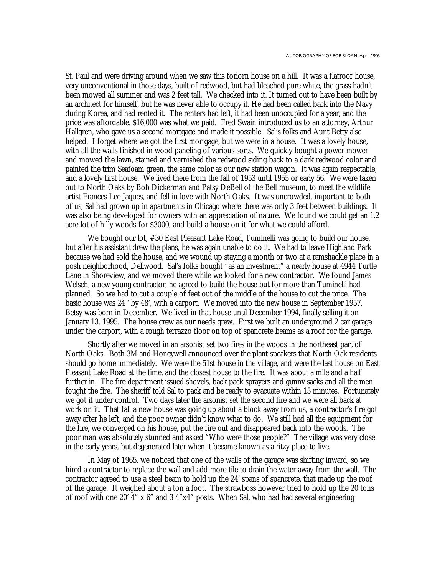St. Paul and were driving around when we saw this forlorn house on a hill. It was a flatroof house, very unconventional in those days, built of redwood, but had bleached pure white, the grass hadn't been mowed all summer and was 2 feet tall. We checked into it. It turned out to have been built by an architect for himself, but he was never able to occupy it. He had been called back into the Navy during Korea, and had rented it. The renters had left, it had been unoccupied for a year, and the price was affordable. \$16,000 was what we paid. Fred Swain introduced us to an attorney, Arthur Hallgren, who gave us a second mortgage and made it possible. Sal's folks and Aunt Betty also helped. I forget where we got the first mortgage, but we were in a house. It was a lovely house, with all the walls finished in wood paneling of various sorts. We quickly bought a power mower and mowed the lawn, stained and varnished the redwood siding back to a dark redwood color and painted the trim Seafoam green, the same color as our new station wagon. It was again respectable, and a lovely first house. We lived there from the fall of 1953 until 1955 or early 56. We were taken out to North Oaks by Bob Dickerman and Patsy DeBell of the Bell museum, to meet the wildlife artist Frances Lee Jaques, and fell in love with North Oaks. It was uncrowded, important to both of us, Sal had grown up in apartments in Chicago where there was only 3 feet between buildings. It was also being developed for owners with an appreciation of nature. We found we could get an 1.2 acre lot of hilly woods for \$3000, and build a house on it for what we could afford.

We bought our lot, #30 East Pleasant Lake Road, Tuminelli was going to build our house, but after his assistant drew the plans, he was again unable to do it. We had to leave Highland Park because we had sold the house, and we wound up staying a month or two at a ramshackle place in a posh neighborhood, Dellwood. Sal's folks bought "as an investment" a nearly house at 4944 Turtle Lane in Shoreview, and we moved there while we looked for a new contractor. We found James Welsch, a new young contractor, he agreed to build the house but for more than Tuminelli had planned. So we had to cut a couple of feet out of the middle of the house to cut the price. The basic house was 24 ' by 48', with a carport. We moved into the new house in September 1957, Betsy was born in December. We lived in that house until December 1994, finally selling it on January 13. 1995. The house grew as our needs grew. First we built an underground 2 car garage under the carport, with a rough terrazzo floor on top of spancrete beams as a roof for the garage.

Shortly after we moved in an arsonist set two fires in the woods in the northeast part of North Oaks. Both 3M and Honeywell announced over the plant speakers that North Oak residents should go home immediately. We were the 51st house in the village, and were the last house on East Pleasant Lake Road at the time, and the closest house to the fire. It was about a mile and a half further in. The fire department issued shovels, back pack sprayers and gunny sacks and all the men fought the fire. The sheriff told Sal to pack and be ready to evacuate within 15 minutes. Fortunately we got it under control. Two days later the arsonist set the second fire and we were all back at work on it. That fall a new house was going up about a block away from us, a contractor's fire got away after he left, and the poor owner didn't know what to do. We still had all the equipment for the fire, we converged on his house, put the fire out and disappeared back into the woods. The poor man was absolutely stunned and asked "Who were those people?" The village was very close in the early years, but degenerated later when it became known as a ritzy place to live.

In May of 1965, we noticed that one of the walls of the garage was shifting inward, so we hired a contractor to replace the wall and add more tile to drain the water away from the wall. The contractor agreed to use a steel beam to hold up the 24' spans of spancrete, that made up the roof of the garage. It weighed about a ton a foot. The strawboss however tried to hold up the 20 tons of roof with one 20' 4" x 6" and 3 4"x4" posts. When Sal, who had had several engineering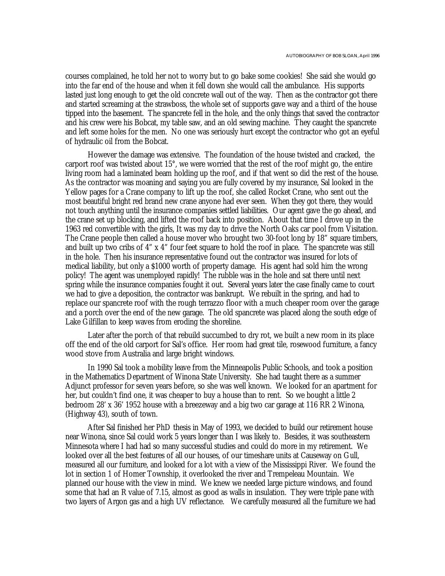courses complained, he told her not to worry but to go bake some cookies! She said she would go into the far end of the house and when it fell down she would call the ambulance. His supports lasted just long enough to get the old concrete wall out of the way. Then as the contractor got there and started screaming at the strawboss, the whole set of supports gave way and a third of the house tipped into the basement. The spancrete fell in the hole, and the only things that saved the contractor and his crew were his Bobcat, my table saw, and an old sewing machine. They caught the spancrete and left some holes for the men. No one was seriously hurt except the contractor who got an eyeful of hydraulic oil from the Bobcat.

However the damage was extensive. The foundation of the house twisted and cracked, the carport roof was twisted about 15°, we were worried that the rest of the roof might go, the entire living room had a laminated beam holding up the roof, and if that went so did the rest of the house. As the contractor was moaning and saying you are fully covered by my insurance, Sal looked in the Yellow pages for a Crane company to lift up the roof, she called Rocket Crane, who sent out the most beautiful bright red brand new crane anyone had ever seen. When they got there, they would not touch anything until the insurance companies settled liabilities. Our agent gave the go ahead, and the crane set up blocking, and lifted the roof back into position. About that time I drove up in the 1963 red convertible with the girls, It was my day to drive the North Oaks car pool from Visitation. The Crane people then called a house mover who brought two 30-foot long by 18" square timbers, and built up two cribs of 4" x 4" four feet square to hold the roof in place. The spancrete was still in the hole. Then his insurance representative found out the contractor was insured for lots of medical liability, but only a \$1000 worth of property damage. His agent had sold him the wrong policy! The agent was unemployed rapidly! The rubble was in the hole and sat there until next spring while the insurance companies fought it out. Several years later the case finally came to court we had to give a deposition, the contractor was bankrupt. We rebuilt in the spring, and had to replace our spancrete roof with the rough terrazzo floor with a much cheaper room over the garage and a porch over the end of the new garage. The old spancrete was placed along the south edge of Lake Gilfillan to keep waves from eroding the shoreline.

Later after the porch of that rebuild succumbed to dry rot, we built a new room in its place off the end of the old carport for Sal's office. Her room had great tile, rosewood furniture, a fancy wood stove from Australia and large bright windows.

In 1990 Sal took a mobility leave from the Minneapolis Public Schools, and took a position in the Mathematics Department of Winona State University. She had taught there as a summer Adjunct professor for seven years before, so she was well known. We looked for an apartment for her, but couldn't find one, it was cheaper to buy a house than to rent. So we bought a little 2 bedroom 28' x 36' 1952 house with a breezeway and a big two car garage at 116 RR 2 Winona, (Highway 43), south of town.

After Sal finished her PhD thesis in May of 1993, we decided to build our retirement house near Winona, since Sal could work 5 years longer than I was likely to. Besides, it was southeastern Minnesota where I had had so many successful studies and could do more in my retirement. We looked over all the best features of all our houses, of our timeshare units at Causeway on Gull, measured all our furniture, and looked for a lot with a view of the Mississippi River. We found the lot in section 1 of Homer Township, it overlooked the river and Trempeleau Mountain. We planned our house with the view in mind. We knew we needed large picture windows, and found some that had an R value of 7.15, almost as good as walls in insulation. They were triple pane with two layers of Argon gas and a high UV reflectance. We carefully measured all the furniture we had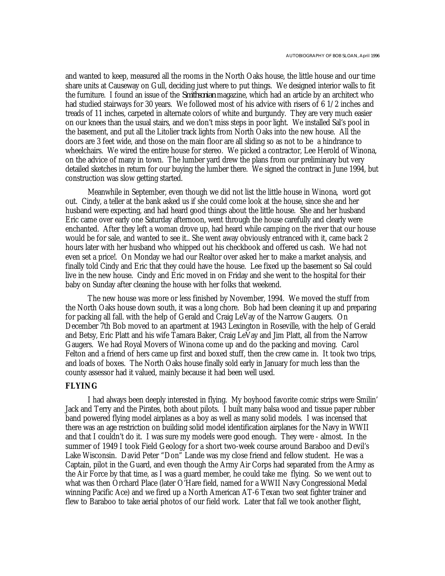and wanted to keep, measured all the rooms in the North Oaks house, the little house and our time share units at Causeway on Gull, deciding just where to put things. We designed interior walls to fit the furniture. I found an issue of the *Smithsonian* magazine, which had an article by an architect who had studied stairways for 30 years. We followed most of his advice with risers of 6 1/2 inches and treads of 11 inches, carpeted in alternate colors of white and burgundy. They are very much easier on our knees than the usual stairs, and we don't miss steps in poor light. We installed Sal's pool in the basement, and put all the Litolier track lights from North Oaks into the new house. All the doors are 3 feet wide, and those on the main floor are all sliding so as not to be a hindrance to wheelchairs. We wired the entire house for stereo. We picked a contractor, Lee Herold of Winona, on the advice of many in town. The lumber yard drew the plans from our preliminary but very detailed sketches in return for our buying the lumber there. We signed the contract in June 1994, but construction was slow getting started.

Meanwhile in September, even though we did not list the little house in Winona, word got out. Cindy, a teller at the bank asked us if she could come look at the house, since she and her husband were expecting, and had heard good things about the little house. She and her husband Eric came over early one Saturday afternoon, went through the house carefully and clearly were enchanted. After they left a woman drove up, had heard while camping on the river that our house would be for sale, and wanted to see it.. She went away obviously entranced with it, came back 2 hours later with her husband who whipped out his checkbook and offered us cash. We had not even set a price!. On Monday we had our Realtor over asked her to make a market analysis, and finally told Cindy and Eric that they could have the house. Lee fixed up the basement so Sal could live in the new house. Cindy and Eric moved in on Friday and she went to the hospital for their baby on Sunday after cleaning the house with her folks that weekend.

The new house was more or less finished by November, 1994. We moved the stuff from the North Oaks house down south, it was a long chore. Bob had been cleaning it up and preparing for packing all fall. with the help of Gerald and Craig LeVay of the Narrow Gaugers. On December 7th Bob moved to an apartment at 1943 Lexington in Roseville, with the help of Gerald and Betsy, Eric Platt and his wife Tamara Baker, Craig LeVay and Jim Platt, all from the Narrow Gaugers. We had Royal Movers of Winona come up and do the packing and moving. Carol Felton and a friend of hers came up first and boxed stuff, then the crew came in. It took two trips, and loads of boxes. The North Oaks house finally sold early in January for much less than the county assessor had it valued, mainly because it had been well used.

#### **FLYING**

I had always been deeply interested in flying. My boyhood favorite comic strips were Smilin' Jack and Terry and the Pirates, both about pilots. I built many balsa wood and tissue paper rubber band powered flying model airplanes as a boy as well as many solid models. I was incensed that there was an age restriction on building solid model identification airplanes for the Navy in WWII and that I couldn't do it. I was sure my models were good enough. They were - almost. In the summer of 1949 I took Field Geology for a short two-week course around Baraboo and Devil's Lake Wisconsin. David Peter "Don" Lande was my close friend and fellow student. He was a Captain, pilot in the Guard, and even though the Army Air Corps had separated from the Army as the Air Force by that time, as I was a guard member, he could take me flying. So we went out to what was then Orchard Place (later O'Hare field, named for a WWII Navy Congressional Medal winning Pacific Ace) and we fired up a North American AT-6 Texan two seat fighter trainer and flew to Baraboo to take aerial photos of our field work. Later that fall we took another flight,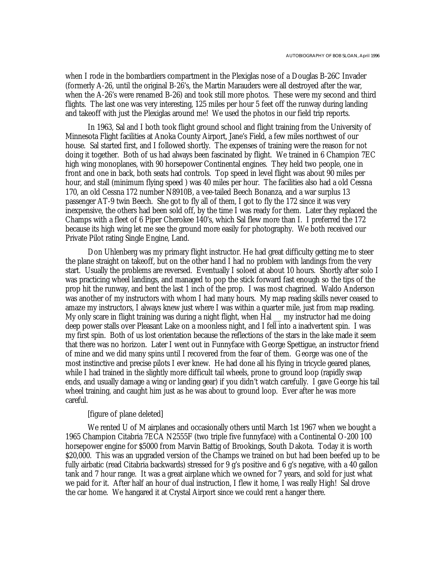when I rode in the bombardiers compartment in the Plexiglas nose of a Douglas B-26C Invader (formerly A-26, until the original B-26's, the Martin Marauders were all destroyed after the war, when the A-26's were renamed B-26) and took still more photos. These were my second and third flights. The last one was very interesting, 125 miles per hour 5 feet off the runway during landing and takeoff with just the Plexiglas around me! We used the photos in our field trip reports.

In 1963, Sal and I both took flight ground school and flight training from the University of Minnesota Flight facilities at Anoka County Airport, Jane's Field, a few miles northwest of our house. Sal started first, and I followed shortly. The expenses of training were the reason for not doing it together. Both of us had always been fascinated by flight. We trained in 6 Champion 7EC high wing monoplanes, with 90 horsepower Continental engines. They held two people, one in front and one in back, both seats had controls. Top speed in level flight was about 90 miles per hour, and stall (minimum flying speed ) was 40 miles per hour. The facilities also had a old Cessna 170, an old Cessna 172 number N8910B, a vee-tailed Beech Bonanza, and a war surplus 13 passenger AT-9 twin Beech. She got to fly all of them, I got to fly the 172 since it was very inexpensive, the others had been sold off, by the time I was ready for them. Later they replaced the Champs with a fleet of 6 Piper Cherokee 140's, which Sal flew more than I. I preferred the 172 because its high wing let me see the ground more easily for photography. We both received our Private Pilot rating Single Engine, Land.

Don Uhlenberg was my primary flight instructor. He had great difficulty getting me to steer the plane straight on takeoff, but on the other hand I had no problem with landings from the very start. Usually the problems are reversed. Eventually I soloed at about 10 hours. Shortly after solo I was practicing wheel landings, and managed to pop the stick forward fast enough so the tips of the prop hit the runway, and bent the last 1 inch of the prop. I was most chagrined. Waldo Anderson was another of my instructors with whom I had many hours. My map reading skills never ceased to amaze my instructors, I always knew just where I was within a quarter mile, just from map reading. My only scare in flight training was during a night flight, when Hal \_\_ my instructor had me doing deep power stalls over Pleasant Lake on a moonless night, and I fell into a inadvertent spin. I was my first spin. Both of us lost orientation because the reflections of the stars in the lake made it seem that there was no horizon. Later I went out in Funnyface with George Spettigue, an instructor friend of mine and we did many spins until I recovered from the fear of them. George was one of the most instinctive and precise pilots I ever knew. He had done all his flying in tricycle geared planes, while I had trained in the slightly more difficult tail wheels, prone to ground loop (rapidly swap ends, and usually damage a wing or landing gear) if you didn't watch carefully. I gave George his tail wheel training, and caught him just as he was about to ground loop. Ever after he was more careful.

#### [figure of plane deleted]

We rented U of M airplanes and occasionally others until March 1st 1967 when we bought a 1965 Champion Citabria 7ECA N2555F (two triple five funnyface) with a Continental O-200 100 horsepower engine for \$5000 from Marvin Battig of Brookings, South Dakota. Today it is worth \$20,000. This was an upgraded version of the Champs we trained on but had been beefed up to be fully airbatic (read Citabria backwards) stressed for 9 g's positive and 6 g's negative, with a 40 gallon tank and 7 hour range. It was a great airplane which we owned for 7 years, and sold for just what we paid for it. After half an hour of dual instruction, I flew it home, I was really High! Sal drove the car home. We hangared it at Crystal Airport since we could rent a hanger there.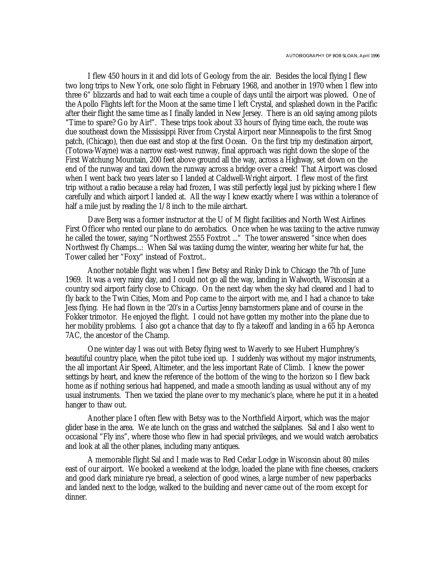I flew 450 hours in it and did lots of Geology from the air. Besides the local flying I flew two long trips to New York, one solo flight in February 1968, and another in 1970 when I flew into three 6" blizzards and had to wait each time a couple of days until the airport was plowed. One of the Apollo Flights left for the Moon at the same time I left Crystal, and splashed down in the Pacific after their flight the same time as I finally landed in New Jersey. There is an old saying among pilots "Time to spare? Go by Air!". These trips took about 33 hours of flying time each, the route was due southeast down the Mississippi River from Crystal Airport near Minneapolis to the first Smog patch, (Chicago), then due east and stop at the first Ocean. On the first trip my destination airport, (Totowa-Wayne) was a narrow east-west runway, final approach was right down the slope of the First Watchung Mountain, 200 feet above ground all the way, across a Highway, set down on the end of the runway and taxi down the runway across a bridge over a creek! That Airport was closed when I went back two years later so I landed at Caldwell-Wright airport. I flew most of the first trip without a radio because a relay had frozen, I was still perfectly legal just by picking where I flew carefully and which airport I landed at. All the way I knew exactly where I was within a tolerance of half a mile just by reading the  $1/8$  inch to the mile airchart.

Dave Berg was a former instructor at the U of M flight facilities and North West Airlines First Officer who rented our plane to do aerobatics. Once when he was taxiing to the active runway he called the tower, saying "Northwest 2555 Foxtrot ..." The tower answered "since when does Northwest fly Champs...: When Sal was taxiing durng the winter, wearing her white fur hat, the Tower called her "Foxy" instead of Foxtrot..

Another notable flight was when I flew Betsy and Rinky Dink to Chicago the 7th of June 1969. It was a very rainy day, and I could not go all the way, landing in Walworth, Wisconsin at a country sod airport fairly close to Chicago. On the next day when the sky had cleared and I had to fly back to the Twin Cities, Mom and Pop came to the airport with me, and I had a chance to take Jess flying. He had flown in the '20's in a Curtiss Jenny barnstormers plane and of course in the Fokker trimotor. He enjoyed the flight. I could not have gotten my mother into the plane due to her mobility problems. I also got a chance that day to fly a takeoff and landing in a 65 hp Aeronca 7AC, the ancestor of the Champ.

One winter day I was out with Betsy flying west to Waverly to see Hubert Humphrey's beautiful country place, when the pitot tube iced up. I suddenly was without my major instruments, the all important Air Speed, Altimeter, and the less important Rate of Climb. I knew the power settings by heart, and knew the reference of the bottom of the wing to the horizon so I flew back home as if nothing serious had happened, and made a smooth landing as usual without any of my usual instruments. Then we taxied the plane over to my mechanic's place, where he put it in a heated hanger to thaw out.

Another place I often flew with Betsy was to the Northfield Airport, which was the major glider base in the area. We ate lunch on the grass and watched the sailplanes. Sal and I also went to occasional "Fly ins", where those who flew in had special privileges, and we would watch aerobatics and look at all the other planes, including many antiques.

A memorable flight Sal and I made was to Red Cedar Lodge in Wisconsin about 80 miles east of our airport. We booked a weekend at the lodge, loaded the plane with fine cheeses, crackers and good dark miniature rye bread, a selection of good wines, a large number of new paperbacks and landed next to the lodge, walked to the building and never came out of the room except for dinner.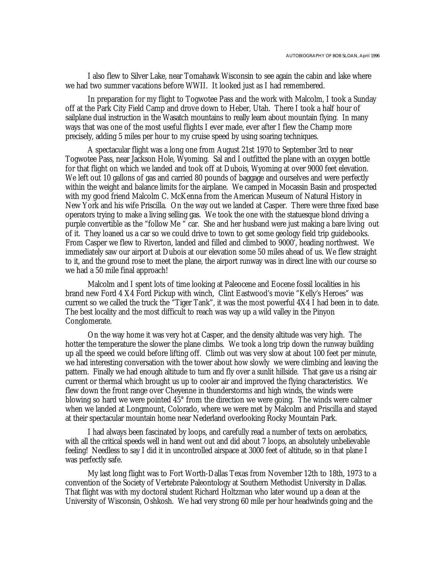I also flew to Silver Lake, near Tomahawk Wisconsin to see again the cabin and lake where we had two summer vacations before WWII. It looked just as I had remembered.

In preparation for my flight to Togwotee Pass and the work with Malcolm, I took a Sunday off at the Park City Field Camp and drove down to Heber, Utah. There I took a half hour of sailplane dual instruction in the Wasatch mountains to really learn about mountain flying. In many ways that was one of the most useful flights I ever made, ever after I flew the Champ more precisely, adding 5 miles per hour to my cruise speed by using soaring techniques.

A spectacular flight was a long one from August 21st 1970 to September 3rd to near Togwotee Pass, near Jackson Hole, Wyoming. Sal and I outfitted the plane with an oxygen bottle for that flight on which we landed and took off at Dubois, Wyoming at over 9000 feet elevation. We left out 10 gallons of gas and carried 80 pounds of baggage and ourselves and were perfectly within the weight and balance limits for the airplane. We camped in Mocassin Basin and prospected with my good friend Malcolm C. McKenna from the American Museum of Natural History in New York and his wife Priscilla. On the way out we landed at Casper. There were three fixed base operators trying to make a living selling gas. We took the one with the statuesque blond driving a purple convertible as the "follow Me " car. She and her husband were just making a bare living out of it. They loaned us a car so we could drive to town to get some geology field trip guidebooks. From Casper we flew to Riverton, landed and filled and climbed to 9000', heading northwest. We immediately saw our airport at Dubois at our elevation some 50 miles ahead of us. We flew straight to it, and the ground rose to meet the plane, the airport runway was in direct line with our course so we had a 50 mile final approach!

Malcolm and I spent lots of time looking at Paleocene and Eocene fossil localities in his brand new Ford 4 X4 Ford Pickup with winch, Clint Eastwood's movie "Kelly's Heroes" was current so we called the truck the "Tiger Tank", it was the most powerful 4X4 I had been in to date. The best locality and the most difficult to reach was way up a wild valley in the Pinyon Conglomerate.

On the way home it was very hot at Casper, and the density altitude was very high. The hotter the temperature the slower the plane climbs. We took a long trip down the runway building up all the speed we could before lifting off. Climb out was very slow at about 100 feet per minute, we had interesting conversation with the tower about how slowly we were climbing and leaving the pattern. Finally we had enough altitude to turn and fly over a sunlit hillside. That gave us a rising air current or thermal which brought us up to cooler air and improved the flying characteristics. We flew down the front range over Cheyenne in thunderstorms and high winds, the winds were blowing so hard we were pointed 45° from the direction we were going. The winds were calmer when we landed at Longmount, Colorado, where we were met by Malcolm and Priscilla and stayed at their spectacular mountain home near Nederland overlooking Rocky Mountain Park.

I had always been fascinated by loops, and carefully read a number of texts on aerobatics, with all the critical speeds well in hand went out and did about 7 loops, an absolutely unbelievable feeling! Needless to say I did it in uncontrolled airspace at 3000 feet of altitude, so in that plane I was perfectly safe.

My last long flight was to Fort Worth-Dallas Texas from November 12th to 18th, 1973 to a convention of the Society of Vertebrate Paleontology at Southern Methodist University in Dallas. That flight was with my doctoral student Richard Holtzman who later wound up a dean at the University of Wisconsin, Oshkosh. We had very strong 60 mile per hour headwinds going and the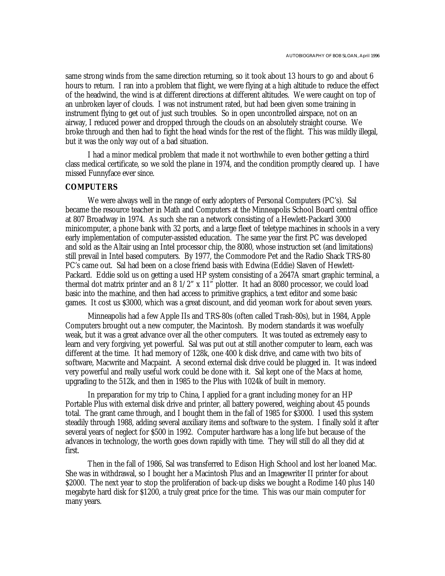same strong winds from the same direction returning, so it took about 13 hours to go and about 6 hours to return. I ran into a problem that flight, we were flying at a high altitude to reduce the effect of the headwind, the wind is at different directions at different altitudes. We were caught on top of an unbroken layer of clouds. I was not instrument rated, but had been given some training in instrument flying to get out of just such troubles. So in open uncontrolled airspace, not on an airway, I reduced power and dropped through the clouds on an absolutely straight course. We broke through and then had to fight the head winds for the rest of the flight. This was mildly illegal, but it was the only way out of a bad situation.

I had a minor medical problem that made it not worthwhile to even bother getting a third class medical certificate, so we sold the plane in 1974, and the condition promptly cleared up. I have missed Funnyface ever since.

#### **COMPUTERS**

We were always well in the range of early adopters of Personal Computers (PC's). Sal became the resource teacher in Math and Computers at the Minneapolis School Board central office at 807 Broadway in 1974. As such she ran a network consisting of a Hewlett-Packard 3000 minicomputer, a phone bank with 32 ports, and a large fleet of teletype machines in schools in a very early implementation of computer-assisted education. The same year the first PC was developed and sold as the Altair using an Intel processor chip, the 8080, whose instruction set (and limitations) still prevail in Intel based computers. By 1977, the Commodore Pet and the Radio Shack TRS-80 PC's came out. Sal had been on a close friend basis with Edwina (Eddie) Slaven of Hewlett-Packard. Eddie sold us on getting a used HP system consisting of a 2647A smart graphic terminal, a thermal dot matrix printer and an  $8\frac{1}{2}$ " x  $11$ " plotter. It had an 8080 processor, we could load basic into the machine, and then had access to primitive graphics, a text editor and some basic games. It cost us \$3000, which was a great discount, and did yeoman work for about seven years.

Minneapolis had a few Apple IIs and TRS-80s (often called Trash-80s), but in 1984, Apple Computers brought out a new computer, the Macintosh. By modern standards it was woefully weak, but it was a great advance over all the other computers. It was touted as extremely easy to learn and very forgiving, yet powerful. Sal was put out at still another computer to learn, each was different at the time. It had memory of 128k, one 400 k disk drive, and came with two bits of software, Macwrite and Macpaint. A second external disk drive could be plugged in. It was indeed very powerful and really useful work could be done with it. Sal kept one of the Macs at home, upgrading to the 512k, and then in 1985 to the Plus with 1024k of built in memory.

In preparation for my trip to China, I applied for a grant including money for an HP Portable Plus with external disk drive and printer, all battery powered, weighing about 45 pounds total. The grant came through, and I bought them in the fall of 1985 for \$3000. I used this system steadily through 1988, adding several auxiliary items and software to the system. I finally sold it after several years of neglect for \$500 in 1992. Computer hardware has a long life but because of the advances in technology, the worth goes down rapidly with time. They will still do all they did at first.

Then in the fall of 1986, Sal was transferred to Edison High School and lost her loaned Mac. She was in withdrawal, so I bought her a Macintosh Plus and an Imagewriter II printer for about \$2000. The next year to stop the proliferation of back-up disks we bought a Rodime 140 plus 140 megabyte hard disk for \$1200, a truly great price for the time. This was our main computer for many years.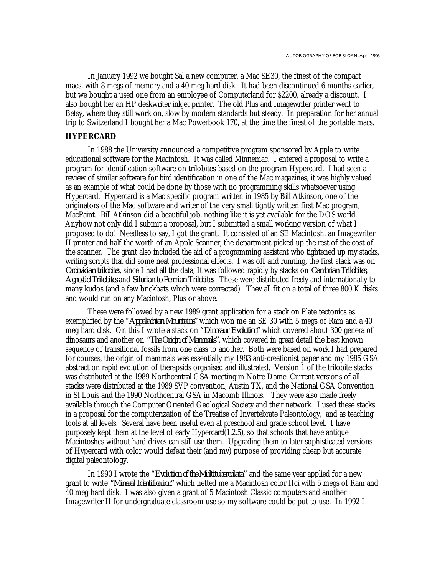In January 1992 we bought Sal a new computer, a Mac SE30, the finest of the compact macs, with 8 megs of memory and a 40 meg hard disk. It had been discontinued 6 months earlier, but we bought a used one from an employee of Computerland for \$2200, already a discount. I also bought her an HP deskwriter inkjet printer. The old Plus and Imagewriter printer went to Betsy, where they still work on, slow by modern standards but steady. In preparation for her annual trip to Switzerland I bought her a Mac Powerbook 170, at the time the finest of the portable macs.

## **HYPERCARD**

In 1988 the University announced a competitive program sponsored by Apple to write educational software for the Macintosh. It was called Minnemac. I entered a proposal to write a program for identification software on trilobites based on the program Hypercard. I had seen a review of similar software for bird identification in one of the Mac magazines, it was highly valued as an example of what could be done by those with no programming skills whatsoever using Hypercard. Hypercard is a Mac specific program written in 1985 by Bill Atkinson, one of the originators of the Mac software and writer of the very small tightly written first Mac program, MacPaint. Bill Atkinson did a beautiful job, nothing like it is yet available for the DOS world. Anyhow not only did I submit a proposal, but I submitted a small working version of what I proposed to do! Needless to say, I got the grant. It consisted of an SE Macintosh, an Imagewriter II printer and half the worth of an Apple Scanner, the department picked up the rest of the cost of the scanner. The grant also included the aid of a programming assistant who tightened up my stacks, writing scripts that did some neat professional effects. I was off and running, the first stack was on *Ordovician trilobite*s, since I had all the data, It was followed rapidly by stacks on *Cambrian Trilobites, Agnostid Trilobites* and *Silurian to Permian Trilobites*. These were distributed freely and internationally to many kudos (and a few brickbats which were corrected). They all fit on a total of three 800 K disks and would run on any Macintosh, Plus or above.

These were followed by a new 1989 grant application for a stack on Plate tectonics as exemplified by the "*Appalachian Mountains"* which won me an SE 30 with 5 megs of Ram and a 40 meg hard disk. On this I wrote a stack on "*Dinosaur Evolution"* which covered about 300 genera of dinosaurs and another on *"The Origin of Mammals"*, which covered in great detail the best known sequence of transitional fossils from one class to another. Both were based on work I had prepared for courses, the origin of mammals was essentially my 1983 anti-creationist paper and my 1985 GSA abstract on rapid evolution of therapsids organised and illustrated. Version 1 of the trilobite stacks was distributed at the 1989 Northcentral GSA meeting in Notre Dame. Current versions of all stacks were distributed at the 1989 SVP convention, Austin TX, and the National GSA Convention in St Louis and the 1990 Northcentral GSA in Macomb Illinois. They were also made freely available through the Computer Oriented Geological Society and their network. I used these stacks in a proposal for the computerization of the Treatise of Invertebrate Paleontology, and as teaching tools at all levels. Several have been useful even at preschool and grade school level. I have purposely kept them at the level of early Hypercard(1.2.5), so that schools that have antique Macintoshes without hard drives can still use them. Upgrading them to later sophisticated versions of Hypercard with color would defeat their (and my) purpose of providing cheap but accurate digital paleontology.

In 1990 I wrote the "*Evolution of the Multituberculata"* and the same year applied for a new grant to write *"Mineral Identification"* which netted me a Macintosh color IIci with 5 megs of Ram and 40 meg hard disk. I was also given a grant of 5 Macintosh Classic computers and another Imagewriter II for undergraduate classroom use so my software could be put to use. In 1992 I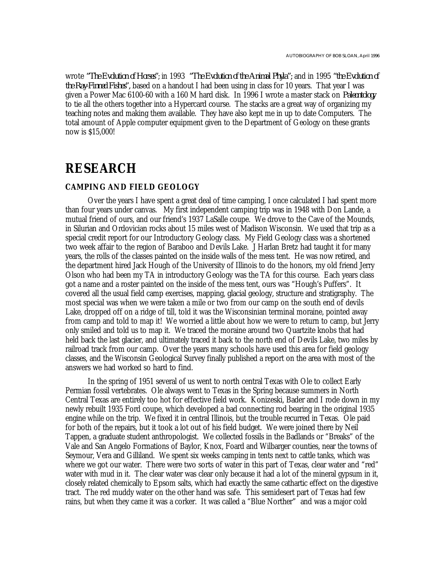wrote *"The Evolution of Horses"*; in 1993 *"The Evolution of the Animal Phyla";* and in 1995 *"the Evolution of the Ray-Finned Fishes",* based on a handout I had been using in class for 10 years. That year I was given a Power Mac 6100-60 with a 160 M hard disk. In 1996 I wrote a master stack on *Paleontology* to tie all the others together into a Hypercard course. The stacks are a great way of organizing my teaching notes and making them available. They have also kept me in up to date Computers. The total amount of Apple computer equipment given to the Department of Geology on these grants now is \$15,000!

# **RESEARCH**

#### **CAMPING AND FIELD GEOLOGY**

Over the years I have spent a great deal of time camping, I once calculated I had spent more than four years under canvas. My first independent camping trip was in 1948 with Don Lande, a mutual friend of ours, and our friend's 1937 LaSalle coupe. We drove to the Cave of the Mounds, in Silurian and Ordovician rocks about 15 miles west of Madison Wisconsin. We used that trip as a special credit report for our Introductory Geology class. My Field Geology class was a shortened two week affair to the region of Baraboo and Devils Lake. J Harlan Bretz had taught it for many years, the rolls of the classes painted on the inside walls of the mess tent. He was now retired, and the department hired Jack Hough of the University of Illinois to do the honors, my old friend Jerry Olson who had been my TA in introductory Geology was the TA for this course. Each years class got a name and a roster painted on the inside of the mess tent, ours was "Hough's Puffers". It covered all the usual field camp exercises, mapping, glacial geology, structure and stratigraphy. The most special was when we were taken a mile or two from our camp on the south end of devils Lake, dropped off on a ridge of till, told it was the Wisconsinian terminal moraine, pointed away from camp and told to map it! We worried a little about how we were to return to camp, but Jerry only smiled and told us to map it. We traced the moraine around two Quartzite knobs that had held back the last glacier, and ultimately traced it back to the north end of Devils Lake, two miles by railroad track from our camp. Over the years many schools have used this area for field geology classes, and the Wisconsin Geological Survey finally published a report on the area with most of the answers we had worked so hard to find.

In the spring of 1951 several of us went to north central Texas with Ole to collect Early Permian fossil vertebrates. Ole always went to Texas in the Spring because summers in North Central Texas are entirely too hot for effective field work. Konizeski, Bader and I rode down in my newly rebuilt 1935 Ford coupe, which developed a bad connecting rod bearing in the original 1935 engine while on the trip. We fixed it in central Illinois, but the trouble recurred in Texas. Ole paid for both of the repairs, but it took a lot out of his field budget. We were joined there by Neil Tappen, a graduate student anthropologist. We collected fossils in the Badlands or "Breaks" of the Vale and San Angelo Formations of Baylor, Knox, Foard and Wilbarger counties, near the towns of Seymour, Vera and Gilliland. We spent six weeks camping in tents next to cattle tanks, which was where we got our water. There were two sorts of water in this part of Texas, clear water and "red" water with mud in it. The clear water was clear only because it had a lot of the mineral gypsum in it, closely related chemically to Epsom salts, which had exactly the same cathartic effect on the digestive tract. The red muddy water on the other hand was safe. This semidesert part of Texas had few rains, but when they came it was a corker. It was called a "Blue Norther" and was a major cold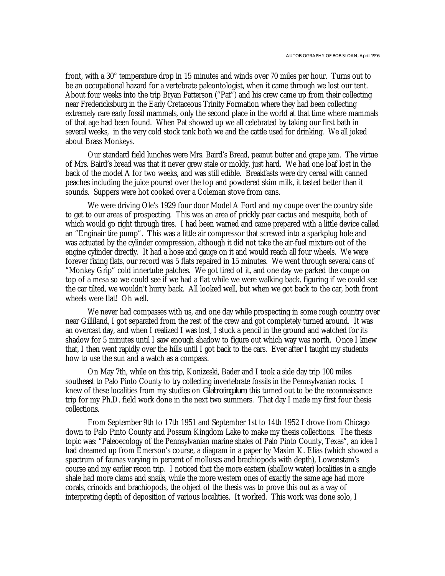front, with a 30° temperature drop in 15 minutes and winds over 70 miles per hour. Turns out to be an occupational hazard for a vertebrate paleontologist, when it came through we lost our tent. About four weeks into the trip Bryan Patterson ("Pat") and his crew came up from their collecting near Fredericksburg in the Early Cretaceous Trinity Formation where they had been collecting extremely rare early fossil mammals, only the second place in the world at that time where mammals of that age had been found. When Pat showed up we all celebrated by taking our first bath in several weeks, in the very cold stock tank both we and the cattle used for drinking. We all joked about Brass Monkeys.

Our standard field lunches were Mrs. Baird's Bread, peanut butter and grape jam. The virtue of Mrs. Baird's bread was that it never grew stale or moldy, just hard. We had one loaf lost in the back of the model A for two weeks, and was still edible. Breakfasts were dry cereal with canned peaches including the juice poured over the top and powdered skim milk, it tasted better than it sounds. Suppers were hot cooked over a Coleman stove from cans.

We were driving Ole's 1929 four door Model A Ford and my coupe over the country side to get to our areas of prospecting. This was an area of prickly pear cactus and mesquite, both of which would go right through tires. I had been warned and came prepared with a little device called an "Enginair tire pump". This was a little air compressor that screwed into a sparkplug hole and was actuated by the cylinder compression, although it did not take the air-fuel mixture out of the engine cylinder directly. It had a hose and gauge on it and would reach all four wheels. We were forever fixing flats, our record was 5 flats repaired in 15 minutes. We went through several cans of "Monkey Grip" cold innertube patches. We got tired of it, and one day we parked the coupe on top of a mesa so we could see if we had a flat while we were walking back. figuring if we could see the car tilted, we wouldn't hurry back. All looked well, but when we got back to the car, both front wheels were flat! Oh well.

We never had compasses with us, and one day while prospecting in some rough country over near Gilliland, I got separated from the rest of the crew and got completely turned around. It was an overcast day, and when I realized I was lost, I stuck a pencil in the ground and watched for its shadow for 5 minutes until I saw enough shadow to figure out which way was north. Once I knew that, I then went rapidly over the hills until I got back to the cars. Ever after I taught my students how to use the sun and a watch as a compass.

On May 7th, while on this trip, Konizeski, Bader and I took a side day trip 100 miles southeast to Palo Pinto County to try collecting invertebrate fossils in the Pennsylvanian rocks. I knew of these localities from my studies on *Glabrocingulum*, this turned out to be the reconnaissance trip for my Ph.D. field work done in the next two summers. That day I made my first four thesis collections.

From September 9th to 17th 1951 and September 1st to 14th 1952 I drove from Chicago down to Palo Pinto County and Possum Kingdom Lake to make my thesis collections. The thesis topic was: "Paleoecology of the Pennsylvanian marine shales of Palo Pinto County, Texas", an idea I had dreamed up from Emerson's course, a diagram in a paper by Maxim K. Elias (which showed a spectrum of faunas varying in percent of molluscs and brachiopods with depth), Lowenstam's course and my earlier recon trip. I noticed that the more eastern (shallow water) localities in a single shale had more clams and snails, while the more western ones of exactly the same age had more corals, crinoids and brachiopods, the object of the thesis was to prove this out as a way of interpreting depth of deposition of various localities. It worked. This work was done solo, I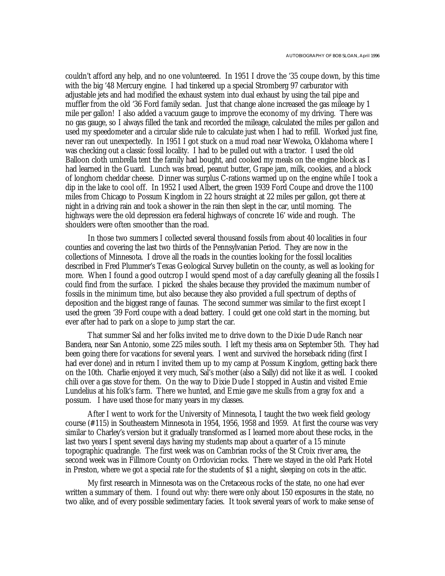couldn't afford any help, and no one volunteered. In 1951 I drove the '35 coupe down, by this time with the big '48 Mercury engine. I had tinkered up a special Stromberg 97 carburator with adjustable jets and had modified the exhaust system into dual exhaust by using the tail pipe and muffler from the old '36 Ford family sedan. Just that change alone increased the gas mileage by 1 mile per gallon! I also added a vacuum gauge to improve the economy of my driving. There was no gas gauge, so I always filled the tank and recorded the mileage, calculated the miles per gallon and used my speedometer and a circular slide rule to calculate just when I had to refill. Worked just fine, never ran out unexpectedly. In 1951 I got stuck on a mud road near Wewoka, Oklahoma where I was checking out a classic fossil locality. I had to be pulled out with a tractor. I used the old Balloon cloth umbrella tent the family had bought, and cooked my meals on the engine block as I had learned in the Guard. Lunch was bread, peanut butter, Grape jam, milk, cookies, and a block of longhorn cheddar cheese. Dinner was surplus C-rations warmed up on the engine while I took a dip in the lake to cool off. In 1952 I used Albert, the green 1939 Ford Coupe and drove the 1100 miles from Chicago to Possum Kingdom in 22 hours straight at 22 miles per gallon, got there at night in a driving rain and took a shower in the rain then slept in the car, until morning. The highways were the old depression era federal highways of concrete 16' wide and rough. The shoulders were often smoother than the road.

In those two summers I collected several thousand fossils from about 40 localities in four counties and covering the last two thirds of the Pennsylvanian Period. They are now in the collections of Minnesota. I drove all the roads in the counties looking for the fossil localities described in Fred Plummer's Texas Geological Survey bulletin on the county, as well as looking for more. When I found a good outcrop I would spend most of a day carefully gleaning all the fossils I could find from the surface. I picked the shales because they provided the maximum number of fossils in the minimum time, but also because they also provided a full spectrum of depths of deposition and the biggest range of faunas. The second summer was similar to the first except I used the green '39 Ford coupe with a dead battery. I could get one cold start in the morning, but ever after had to park on a slope to jump start the car.

That summer Sal and her folks invited me to drive down to the Dixie Dude Ranch near Bandera, near San Antonio, some 225 miles south. I left my thesis area on September 5th. They had been going there for vacations for several years. I went and survived the horseback riding (first I had ever done) and in return I invited them up to my camp at Possum Kingdom, getting back there on the 10th. Charlie enjoyed it very much, Sal's mother (also a Sally) did not like it as well. I cooked chili over a gas stove for them. On the way to Dixie Dude I stopped in Austin and visited Ernie Lundelius at his folk's farm. There we hunted, and Ernie gave me skulls from a gray fox and a possum. I have used those for many years in my classes.

After I went to work for the University of Minnesota, I taught the two week field geology course (#115) in Southeastern Minnesota in 1954, 1956, 1958 and 1959. At first the course was very similar to Charley's version but it gradually transformed as I learned more about these rocks, in the last two years I spent several days having my students map about a quarter of a 15 minute topographic quadrangle. The first week was on Cambrian rocks of the St Croix river area, the second week was in Fillmore County on Ordovician rocks. There we stayed in the old Park Hotel in Preston, where we got a special rate for the students of \$1 a night, sleeping on cots in the attic.

My first research in Minnesota was on the Cretaceous rocks of the state, no one had ever written a summary of them. I found out why: there were only about 150 exposures in the state, no two alike, and of every possible sedimentary facies. It took several years of work to make sense of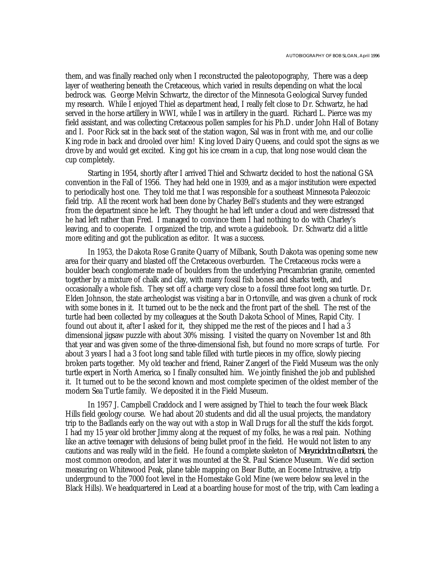them, and was finally reached only when I reconstructed the paleotopography, There was a deep layer of weathering beneath the Cretaceous, which varied in results depending on what the local bedrock was. George Melvin Schwartz, the director of the Minnesota Geological Survey funded my research. While I enjoyed Thiel as department head, I really felt close to Dr. Schwartz, he had served in the horse artillery in WWI, while I was in artillery in the guard. Richard L. Pierce was my field assistant, and was collecting Cretaceous pollen samples for his Ph.D. under John Hall of Botany and I. Poor Rick sat in the back seat of the station wagon, Sal was in front with me, and our collie King rode in back and drooled over him! King loved Dairy Queens, and could spot the signs as we drove by and would get excited. King got his ice cream in a cup, that long nose would clean the cup completely.

Starting in 1954, shortly after I arrived Thiel and Schwartz decided to host the national GSA convention in the Fall of 1956. They had held one in 1939, and as a major institution were expected to periodically host one. They told me that I was responsible for a southeast Minnesota Paleozoic field trip. All the recent work had been done by Charley Bell's students and they were estranged from the department since he left. They thought he had left under a cloud and were distressed that he had left rather than Fred. I managed to convince them I had nothing to do with Charley's leaving, and to cooperate. I organized the trip, and wrote a guidebook. Dr. Schwartz did a little more editing and got the publication as editor. It was a success.

In 1953, the Dakota Rose Granite Quarry of Milbank, South Dakota was opening some new area for their quarry and blasted off the Cretaceous overburden. The Cretaceous rocks were a boulder beach conglomerate made of boulders from the underlying Precambrian granite, cemented together by a mixture of chalk and clay, with many fossil fish bones and sharks teeth, and occasionally a whole fish. They set off a charge very close to a fossil three foot long sea turtle. Dr. Elden Johnson, the state archeologist was visiting a bar in Ortonville, and was given a chunk of rock with some bones in it. It turned out to be the neck and the front part of the shell. The rest of the turtle had been collected by my colleagues at the South Dakota School of Mines, Rapid City. I found out about it, after I asked for it, they shipped me the rest of the pieces and I had a 3 dimensional jigsaw puzzle with about 30% missing. I visited the quarry on November 1st and 8th that year and was given some of the three-dimensional fish, but found no more scraps of turtle. For about 3 years I had a 3 foot long sand table filled with turtle pieces in my office, slowly piecing broken parts together. My old teacher and friend, Rainer Zangerl of the Field Museum was the only turtle expert in North America, so I finally consulted him. We jointly finished the job and published it. It turned out to be the second known and most complete specimen of the oldest member of the modern Sea Turtle family. We deposited it in the Field Museum.

In 1957 J. Campbell Craddock and I were assigned by Thiel to teach the four week Black Hills field geology course. We had about 20 students and did all the usual projects, the mandatory trip to the Badlands early on the way out with a stop in Wall Drugs for all the stuff the kids forgot. I had my 15 year old brother Jimmy along at the request of my folks, he was a real pain. Nothing like an active teenager with delusions of being bullet proof in the field. He would not listen to any cautions and was really wild in the field. He found a complete skeleton of *Merycoidodon culbertsoni*, the most common oreodon, and later it was mounted at the St. Paul Science Museum. We did section measuring on Whitewood Peak, plane table mapping on Bear Butte, an Eocene Intrusive, a trip underground to the 7000 foot level in the Homestake Gold Mine (we were below sea level in the Black Hills). We headquartered in Lead at a boarding house for most of the trip, with Cam leading a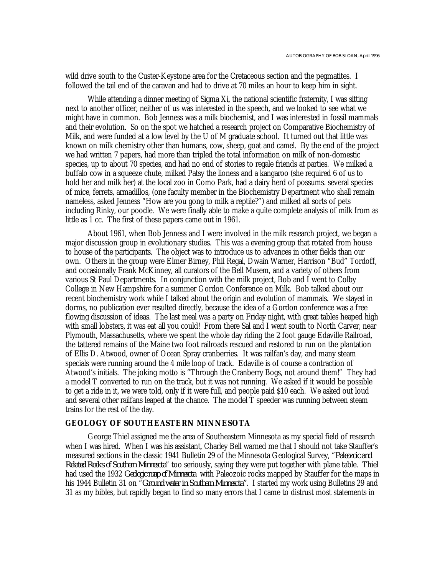wild drive south to the Custer-Keystone area for the Cretaceous section and the pegmatites. I followed the tail end of the caravan and had to drive at 70 miles an hour to keep him in sight.

While attending a dinner meeting of Sigma Xi, the national scientific fraternity, I was sitting next to another officer, neither of us was interested in the speech, and we looked to see what we might have in common. Bob Jenness was a milk biochemist, and I was interested in fossil mammals and their evolution. So on the spot we hatched a research project on Comparative Biochemistry of Milk, and were funded at a low level by the U of M graduate school. It turned out that little was known on milk chemistry other than humans, cow, sheep, goat and camel. By the end of the project we had written 7 papers, had more than tripled the total information on milk of non-domestic species, up to about 70 species, and had no end of stories to regale friends at parties. We milked a buffalo cow in a squeeze chute, milked Patsy the lioness and a kangaroo (she required 6 of us to hold her and milk her) at the local zoo in Como Park, had a dairy herd of possums. several species of mice, ferrets, armadillos, (one faculty member in the Biochemistry Department who shall remain nameless, asked Jenness "How are you gong to milk a reptile?") and milked all sorts of pets including Rinky, our poodle. We were finally able to make a quite complete analysis of milk from as little as 1 cc. The first of these papers came out in 1961.

About 1961, when Bob Jenness and I were involved in the milk research project, we began a major discussion group in evolutionary studies. This was a evening group that rotated from house to house of the participants. The object was to introduce us to advances in other fields than our own. Others in the group were Elmer Birney, Phil Regal, Dwain Warner, Harrison "Bud" Tordoff, and occasionally Frank McKinney, all curators of the Bell Musem, and a variety of others from various St Paul Departments. In conjunction with the milk project, Bob and I went to Colby College in New Hampshire for a summer Gordon Conference on Milk. Bob talked about our recent biochemistry work while I talked about the origin and evolution of mammals. We stayed in dorms, no publication ever resulted directly, because the idea of a Gordon conference was a free flowing discussion of ideas. The last meal was a party on Friday night, with great tables heaped high with small lobsters, it was eat all you could! From there Sal and I went south to North Carver, near Plymouth, Massachusetts, where we spent the whole day riding the 2 foot gauge Edaville Railroad, the tattered remains of the Maine two foot railroads rescued and restored to run on the plantation of Ellis D. Atwood, owner of Ocean Spray cranberries. It was railfan's day, and many steam specials were running around the 4 mile loop of track. Edaville is of course a contraction of Atwood's initials. The joking motto is "Through the Cranberry Bogs, not around them!" They had a model T converted to run on the track, but it was not running. We asked if it would be possible to get a ride in it, we were told, only if it were full, and people paid \$10 each. We asked out loud and several other railfans leaped at the chance. The model T speeder was running between steam trains for the rest of the day.

## **GEOLOGY OF SOUTHEASTERN MINNESOTA**

George Thiel assigned me the area of Southeastern Minnesota as my special field of research when I was hired. When I was his assistant, Charley Bell warned me that I should not take Stauffer's measured sections in the classic 1941 Bulletin 29 of the Minnesota Geological Survey, "*Paleozoic and Related Rocks of Southern Minnesota*" too seriously, saying they were put together with plane table. Thiel had used the 1932 *Geologic map of Minnesota* with Paleozoic rocks mapped by Stauffer for the maps in his 1944 Bulletin 31 on "*Ground water in Southern Minnesota"*. I started my work using Bulletins 29 and 31 as my bibles, but rapidly began to find so many errors that I came to distrust most statements in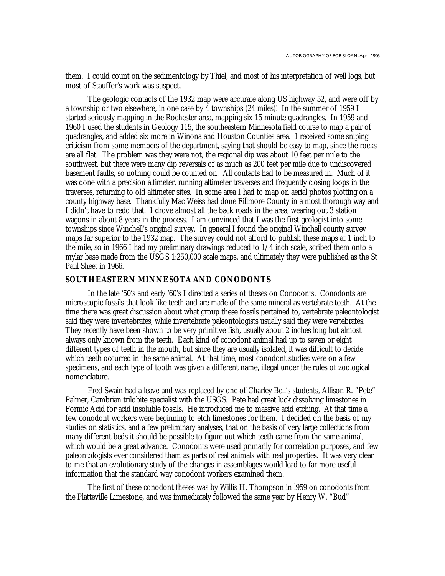them. I could count on the sedimentology by Thiel, and most of his interpretation of well logs, but most of Stauffer's work was suspect.

The geologic contacts of the 1932 map were accurate along US highway 52, and were off by a township or two elsewhere, in one case by 4 townships (24 miles)! In the summer of 1959 I started seriously mapping in the Rochester area, mapping six 15 minute quadrangles. In 1959 and 1960 I used the students in Geology 115, the southeastern Minnesota field course to map a pair of quadrangles, and added six more in Winona and Houston Counties area. I received some sniping criticism from some members of the department, saying that should be easy to map, since the rocks are all flat. The problem was they were not, the regional dip was about 10 feet per mile to the southwest, but there were many dip reversals of as much as 200 feet per mile due to undiscovered basement faults, so nothing could be counted on. All contacts had to be measured in. Much of it was done with a precision altimeter, running altimeter traverses and frequently closing loops in the traverses, returning to old altimeter sites. In some area I had to map on aerial photos plotting on a county highway base. Thankfully Mac Weiss had done Fillmore County in a most thorough way and I didn't have to redo that. I drove almost all the back roads in the area, wearing out 3 station wagons in about 8 years in the process. I am convinced that I was the first geologist into some townships since Winchell's original survey. In general I found the original Winchell county survey maps far superior to the 1932 map. The survey could not afford to publish these maps at 1 inch to the mile, so in 1966 I had my preliminary drawings reduced to 1/4 inch scale, scribed them onto a mylar base made from the USGS 1:250,000 scale maps, and ultimately they were published as the St Paul Sheet in 1966.

## **SOUTHEASTERN MINNESOTA AND CONODONTS**

In the late '50's and early '60's I directed a series of theses on Conodonts. Conodonts are microscopic fossils that look like teeth and are made of the same mineral as vertebrate teeth. At the time there was great discussion about what group these fossils pertained to, vertebrate paleontologist said they were invertebrates, while invertebrate paleontologists usually said they were vertebrates. They recently have been shown to be very primitive fish, usually about 2 inches long but almost always only known from the teeth. Each kind of conodont animal had up to seven or eight different types of teeth in the mouth, but since they are usually isolated, it was difficult to decide which teeth occurred in the same animal. At that time, most conodont studies were on a few specimens, and each type of tooth was given a different name, illegal under the rules of zoological nomenclature.

Fred Swain had a leave and was replaced by one of Charley Bell's students, Allison R. "Pete" Palmer, Cambrian trilobite specialist with the USGS. Pete had great luck dissolving limestones in Formic Acid for acid insoluble fossils. He introduced me to massive acid etching. At that time a few conodont workers were beginning to etch limestones for them. I decided on the basis of my studies on statistics, and a few preliminary analyses, that on the basis of very large collections from many different beds it should be possible to figure out which teeth came from the same animal, which would be a great advance. Conodonts were used primarily for correlation purposes, and few paleontologists ever considered tham as parts of real animals with real properties. It was very clear to me that an evolutionary study of the changes in assemblages would lead to far more useful information that the standard way conodont workers examined them.

The first of these conodont theses was by Willis H. Thompson in l959 on conodonts from the Platteville Limestone, and was immediately followed the same year by Henry W. "Bud"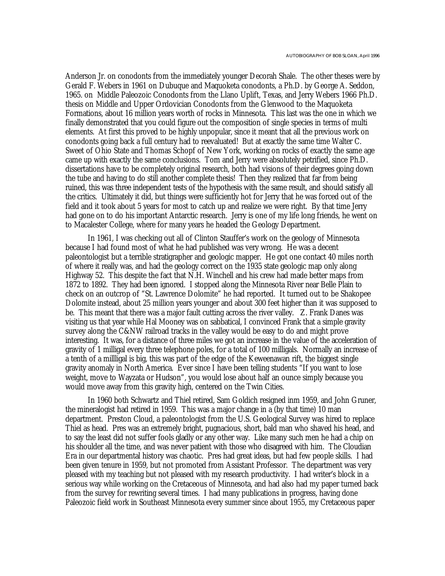Anderson Jr. on conodonts from the immediately younger Decorah Shale. The other theses were by Gerald F. Webers in 1961 on Dubuque and Maquoketa conodonts, a Ph.D. by George A. Seddon, 1965. on Middle Paleozoic Conodonts from the Llano Uplift, Texas, and Jerry Webers 1966 Ph.D. thesis on Middle and Upper Ordovician Conodonts from the Glenwood to the Maquoketa Formations, about 16 million years worth of rocks in Minnesota. This last was the one in which we finally demonstrated that you could figure out the composition of single species in terms of multi elements. At first this proved to be highly unpopular, since it meant that all the previous work on conodonts going back a full century had to reevaluated! But at exactly the same time Walter C. Sweet of Ohio State and Thomas Schopf of New York, working on rocks of exactly the same age came up with exactly the same conclusions. Tom and Jerry were absolutely petrified, since Ph.D. dissertations have to be completely original research, both had visions of their degrees going down the tube and having to do still another complete thesis! Then they realized that far from being ruined, this was three independent tests of the hypothesis with the same result, and should satisfy all the critics. Ultimately it did, but things were sufficiently hot for Jerry that he was forced out of the field and it took about 5 years for most to catch up and realize we were right. By that time Jerry had gone on to do his important Antarctic research. Jerry is one of my life long friends, he went on to Macalester College, where for many years he headed the Geology Department.

In 1961, I was checking out all of Clinton Stauffer's work on the geology of Minnesota because I had found most of what he had published was very wrong. He was a decent paleontologist but a terrible stratigrapher and geologic mapper. He got one contact 40 miles north of where it really was, and had the geology correct on the 1935 state geologic map only along Highway 52. This despite the fact that N.H. Winchell and his crew had made better maps from 1872 to 1892. They had been ignored. I stopped along the Minnesota River near Belle Plain to check on an outcrop of "St. Lawrence Dolomite" he had reported. It turned out to be Shakopee Dolomite instead, about 25 million years younger and about 300 feet higher than it was supposed to be. This meant that there was a major fault cutting across the river valley. Z. Frank Danes was visiting us that year while Hal Mooney was on sabbatical, I convinced Frank that a simple gravity survey along the C&NW railroad tracks in the valley would be easy to do and might prove interesting. It was, for a distance of three miles we got an increase in the value of the acceleration of gravity of 1 milligal every three telephone poles, for a total of 100 milligals. Normally an increase of a tenth of a millligal is big, this was part of the edge of the Keweenawan rift, the biggest single gravity anomaly in North America. Ever since I have been telling students "If you want to lose weight, move to Wayzata or Hudson", you would lose about half an ounce simply because you would move away from this gravity high, centered on the Twin Cities.

In 1960 both Schwartz and Thiel retired, Sam Goldich resigned inm 1959, and John Gruner, the mineralogist had retired in 1959. This was a major change in a (by that time) 10 man department. Preston Cloud, a paleontologist from the U.S. Geological Survey was hired to replace Thiel as head. Pres was an extremely bright, pugnacious, short, bald man who shaved his head, and to say the least did not suffer fools gladly or any other way. Like many such men he had a chip on his shoulder all the time, and was never patient with those who disagreed with him. The Cloudian Era in our departmental history was chaotic. Pres had great ideas, but had few people skills. I had been given tenure in 1959, but not promoted from Assistant Professor. The department was very pleased with my teaching but not pleased with my research productivity. I had writer's block in a serious way while working on the Cretaceous of Minnesota, and had also had my paper turned back from the survey for rewriting several times. I had many publications in progress, having done Paleozoic field work in Southeast Minnesota every summer since about 1955, my Cretaceous paper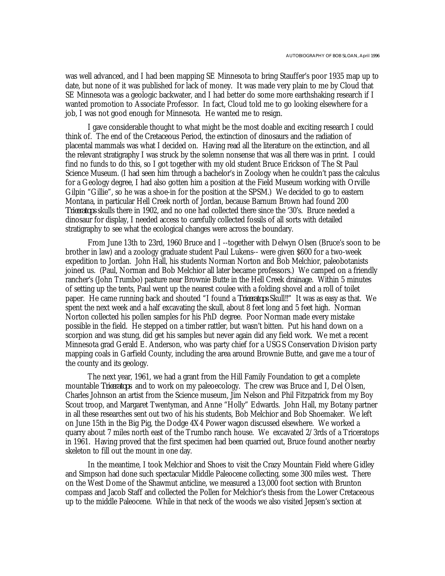was well advanced, and I had been mapping SE Minnesota to bring Stauffer's poor 1935 map up to date, but none of it was published for lack of money. It was made very plain to me by Cloud that SE Minnesota was a geologic backwater, and I had better do some more earthshaking research if I wanted promotion to Associate Professor. In fact, Cloud told me to go looking elsewhere for a job, I was not good enough for Minnesota. He wanted me to resign.

I gave considerable thought to what might be the most doable and exciting research I could think of. The end of the Cretaceous Period, the extinction of dinosaurs and the radiation of placental mammals was what I decided on. Having read all the literature on the extinction, and all the relevant stratigraphy I was struck by the solemn nonsense that was all there was in print. I could find no funds to do this, so I got together with my old student Bruce Erickson of The St Paul Science Museum. (I had seen him through a bachelor's in Zoology when he couldn't pass the calculus for a Geology degree, I had also gotten him a position at the Field Museum working with Orville Gilpin "Gillie", so he was a shoe-in for the position at the SPSM.) We decided to go to eastern Montana, in particular Hell Creek north of Jordan, because Barnum Brown had found 200 *Triceratops* skulls there in 1902, and no one had collected there since the '30's. Bruce needed a dinosaur for display, I needed access to carefully collected fossils of all sorts with detailed stratigraphy to see what the ecological changes were across the boundary.

From June 13th to 23rd, 1960 Bruce and I --together with Delwyn Olsen (Bruce's soon to be brother in law) and a zoology graduate student Paul Lukens-- were given \$600 for a two-week expedition to Jordan. John Hall, his students Norman Norton and Bob Melchior, paleobotanists joined us. (Paul, Norman and Bob Melchior all later became professors.) We camped on a friendly rancher's (John Trumbo) pasture near Brownie Butte in the Hell Creek drainage. Within 5 minutes of setting up the tents, Paul went up the nearest coulee with a folding shovel and a roll of toilet paper. He came running back and shouted "I found a *Triceratops* Skull!!" It was as easy as that. We spent the next week and a half excavating the skull, about 8 feet long and 5 feet high. Norman Norton collected his pollen samples for his PhD degree. Poor Norman made every mistake possible in the field. He stepped on a timber rattler, but wasn't bitten. Put his hand down on a scorpion and was stung, did get his samples but never again did any field work. We met a recent Minnesota grad Gerald E. Anderson, who was party chief for a USGS Conservation Division party mapping coals in Garfield County, including the area around Brownie Butte, and gave me a tour of the county and its geology.

The next year, 1961, we had a grant from the Hill Family Foundation to get a complete mountable *Triceratops* and to work on my paleoecology. The crew was Bruce and I, Del Olsen, Charles Johnson an artist from the Science museum, Jim Nelson and Phil Fitzpatrick from my Boy Scout troop, and Margaret Twentyman, and Anne "Holly" Edwards. John Hall, my Botany partner in all these researches sent out two of his his students, Bob Melchior and Bob Shoemaker. We left on June 15th in the Big Pig, the Dodge 4X4 Power wagon discussed elsewhere. We worked a quarry about 7 miles north east of the Trumbo ranch house. We excavated 2/3rds of a Triceratops in 1961. Having proved that the first specimen had been quarried out, Bruce found another nearby skeleton to fill out the mount in one day.

In the meantime, I took Melchior and Shoes to visit the Crazy Mountain Field where Gidley and Simpson had done such spectacular Middle Paleocene collecting, some 300 miles west. There on the West Dome of the Shawmut anticline, we measured a 13,000 foot section with Brunton compass and Jacob Staff and collected the Pollen for Melchior's thesis from the Lower Cretaceous up to the middle Paleocene. While in that neck of the woods we also visited Jepsen's section at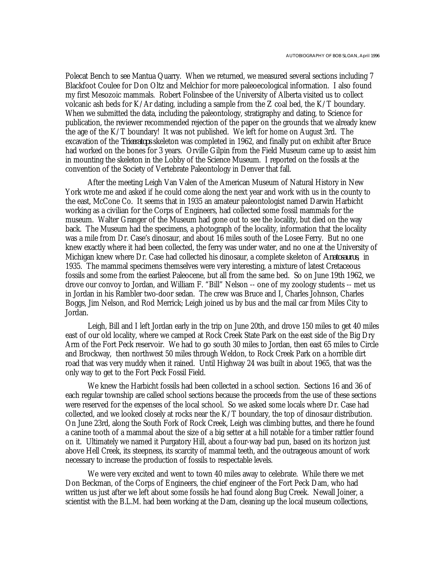Polecat Bench to see Mantua Quarry. When we returned, we measured several sections including 7 Blackfoot Coulee for Don Oltz and Melchior for more paleoecological information. I also found my first Mesozoic mammals. Robert Folinsbee of the University of Alberta visited us to collect volcanic ash beds for K/Ar dating, including a sample from the Z coal bed, the K/T boundary. When we submitted the data, including the paleontology, stratigraphy and dating, to Science for publication, the reviewer recommended rejection of the paper on the grounds that we already knew the age of the K/T boundary! It was not published. We left for home on August 3rd. The excavation of the *Triceratops* skeleton was completed in 1962, and finally put on exhibit after Bruce had worked on the bones for 3 years. Orville Gilpin from the Field Museum came up to assist him in mounting the skeleton in the Lobby of the Science Museum. I reported on the fossils at the convention of the Society of Vertebrate Paleontology in Denver that fall.

After the meeting Leigh Van Valen of the American Museum of Natural History in New York wrote me and asked if he could come along the next year and work with us in the county to the east, McCone Co. It seems that in 1935 an amateur paleontologist named Darwin Harbicht working as a civilian for the Corps of Engineers, had collected some fossil mammals for the museum. Walter Granger of the Museum had gone out to see the locality, but died on the way back. The Museum had the specimens, a photograph of the locality, information that the locality was a mile from Dr. Case's dinosaur, and about 16 miles south of the Losee Ferry. But no one knew exactly where it had been collected, the ferry was under water, and no one at the University of Michigan knew where Dr. Case had collected his dinosaur, a complete skeleton of *Anatosaurus*, in 1935. The mammal specimens themselves were very interesting, a mixture of latest Cretaceous fossils and some from the earliest Paleocene, but all from the same bed. So on June 19th 1962, we drove our convoy to Jordan, and William F. "Bill" Nelson -- one of my zoology students -- met us in Jordan in his Rambler two-door sedan. The crew was Bruce and I, Charles Johnson, Charles Boggs, Jim Nelson, and Rod Merrick; Leigh joined us by bus and the mail car from Miles City to Jordan.

Leigh, Bill and I left Jordan early in the trip on June 20th, and drove 150 miles to get 40 miles east of our old locality, where we camped at Rock Creek State Park on the east side of the Big Dry Arm of the Fort Peck reservoir. We had to go south 30 miles to Jordan, then east 65 miles to Circle and Brockway, then northwest 50 miles through Weldon, to Rock Creek Park on a horrible dirt road that was very muddy when it rained. Until Highway 24 was built in about 1965, that was the only way to get to the Fort Peck Fossil Field.

We knew the Harbicht fossils had been collected in a school section. Sections 16 and 36 of each regular township are called school sections because the proceeds from the use of these sections were reserved for the expenses of the local school. So we asked some locals where Dr. Case had collected, and we looked closely at rocks near the K/T boundary, the top of dinosaur distribution. On June 23rd, along the South Fork of Rock Creek, Leigh was climbing buttes, and there he found a canine tooth of a mammal about the size of a big setter at a hill notable for a timber rattler found on it. Ultimately we named it Purgatory Hill, about a four-way bad pun, based on its horizon just above Hell Creek, its steepness, its scarcity of mammal teeth, and the outrageous amount of work necessary to increase the production of fossils to respectable levels.

We were very excited and went to town 40 miles away to celebrate. While there we met Don Beckman, of the Corps of Engineers, the chief engineer of the Fort Peck Dam, who had written us just after we left about some fossils he had found along Bug Creek. Newall Joiner, a scientist with the B.L.M. had been working at the Dam, cleaning up the local museum collections,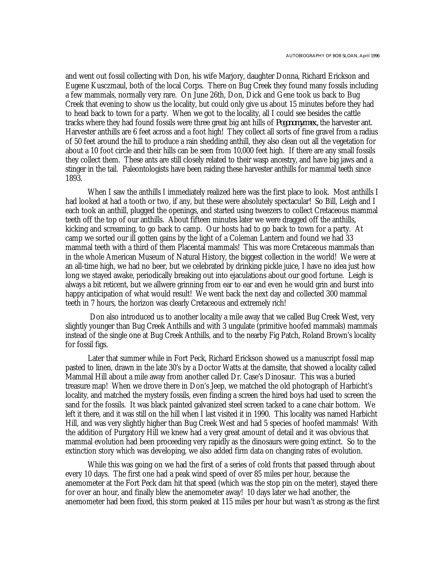and went out fossil collecting with Don, his wife Marjory, daughter Donna, Richard Erickson and Eugene Kusczmaul, both of the local Corps. There on Bug Creek they found many fossils including a few mammals, normally very rare. On June 26th, Don, Dick and Gene took us back to Bug Creek that evening to show us the locality, but could only give us about 15 minutes before they had to head back to town for a party. When we got to the locality, all I could see besides the cattle tracks where they had found fossils were three great big ant hills of *Pogonomyrmex,* the harvester ant. Harvester anthills are 6 feet across and a foot high! They collect all sorts of fine gravel from a radius of 50 feet around the hill to produce a rain shedding anthill, they also clean out all the vegetation for about a 10 foot circle and their hills can be seen from 10,000 feet high. If there are any small fossils they collect them. These ants are still closely related to their wasp ancestry, and have big jaws and a stinger in the tail. Paleontologists have been raiding these harvester anthills for mammal teeth since 1893.

When I saw the anthills I immediately realized here was the first place to look. Most anthills I had looked at had a tooth or two, if any, but these were absolutely spectacular! So Bill, Leigh and I each took an anthill, plugged the openings, and started using tweezers to collect Cretaceous mammal teeth off the top of our anthills. About fifteen minutes later we were dragged off the anthills, kicking and screaming, to go back to camp. Our hosts had to go back to town for a party. At camp we sorted our ill gotten gains by the light of a Coleman Lantern and found we had 33 mammal teeth with a third of them Placental mammals! This was more Cretaceous mammals than in the whole American Museum of Natural History, the biggest collection in the world! We were at an all-time high, we had no beer, but we celebrated by drinking pickle juice, I have no idea just how long we stayed awake, periodically breaking out into ejaculations about our good fortune. Leigh is always a bit reticent, but we allwere grinning from ear to ear and even he would grin and burst into happy anticipation of what would result! We went back the next day and collected 300 mammal teeth in 7 hours, the horizon was clearly Cretaceous and extremely rich!

 Don also introduced us to another locality a mile away that we called Bug Creek West, very slightly younger than Bug Creek Anthills and with 3 ungulate (primitive hoofed mammals) mammals instead of the single one at Bug Creek Anthills, and to the nearby Fig Patch, Roland Brown's locality for fossil figs.

Later that summer while in Fort Peck, Richard Erickson showed us a manuscript fossil map pasted to linen, drawn in the late 30's by a Doctor Watts at the damsite, that showed a locality called Mammal Hill about a mile away from another called Dr. Case's Dinosaur. This was a buried treasure map! When we drove there in Don's Jeep, we matched the old photograph of Harbicht's locality, and matched the mystery fossils, even finding a screen the hired boys had used to screen the sand for the fossils. It was black painted galvanized steel screen tacked to a cane chair bottom. We left it there, and it was still on the hill when I last visited it in 1990. This locality was named Harbicht Hill, and was very slightly higher than Bug Creek West and had 5 species of hoofed mammals! With the addition of Purgatory Hill we knew had a very great amount of detail and it was obvious that mammal evolution had been proceeding very rapidly as the dinosaurs were going extinct. So to the extinction story which was developing, we also added firm data on changing rates of evolution.

While this was going on we had the first of a series of cold fronts that passed through about every 10 days. The first one had a peak wind speed of over 85 miles per hour, because the anemometer at the Fort Peck dam hit that speed (which was the stop pin on the meter), stayed there for over an hour, and finally blew the anemometer away! 10 days later we had another, the anemometer had been fixed, this storm peaked at 115 miles per hour but wasn't as strong as the first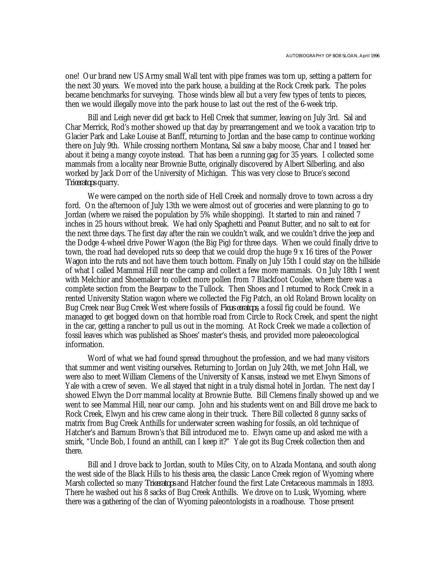one! Our brand new US Army small Wall tent with pipe frames was torn up, setting a pattern for the next 30 years. We moved into the park house, a building at the Rock Creek park. The poles became benchmarks for surveying. Those winds blew all but a very few types of tents to pieces, then we would illegally move into the park house to last out the rest of the 6-week trip.

Bill and Leigh never did get back to Hell Creek that summer, leaving on July 3rd. Sal and Char Merrick, Rod's mother showed up that day by prearrangement and we took a vacation trip to Glacier Park and Lake Louise at Banff, returning to Jordan and the base camp to continue working there on July 9th. While crossing northern Montana, Sal saw a baby moose, Char and I teased her about it being a mangy coyote instead. That has been a running gag for 35 years. I collected some mammals from a locality near Brownie Butte, originally discovered by Albert Silberling, and also worked by Jack Dorr of the University of Michigan. This was very close to Bruce's second *Triceratops* quarry.

We were camped on the north side of Hell Creek and normally drove to town across a dry ford. On the afternoon of July 13th we were almost out of groceries and were planning to go to Jordan (where we raised the population by 5% while shopping). It started to rain and rained 7 inches in 25 hours without break. We had only Spaghetti and Peanut Butter, and no salt to eat for the next three days. The first day after the rain we couldn't walk, and we couldn't drive the jeep and the Dodge 4-wheel drive Power Wagon (the Big Pig) for three days. When we could finally drive to town, the road had developed ruts so deep that we could drop the huge 9 x 16 tires of the Power Wagon into the ruts and not have them touch bottom. Finally on July 15th I could stay on the hillside of what I called Mammal Hill near the camp and collect a few more mammals. On July 18th I went with Melchior and Shoemaker to collect more pollen from 7 Blackfoot Coulee, where there was a complete section from the Bearpaw to the Tullock. Then Shoes and I returned to Rock Creek in a rented University Station wagon where we collected the Fig Patch, an old Roland Brown locality on Bug Creek near Bug Creek West where fossils of *Ficus ceratops*, a fossil fig could be found. We managed to get bogged down on that horrible road from Circle to Rock Creek, and spent the night in the car, getting a rancher to pull us out in the morning. At Rock Creek we made a collection of fossil leaves which was published as Shoes' master's thesis, and provided more paleoecological information.

Word of what we had found spread throughout the profession, and we had many visitors that summer and went visiting ourselves. Returning to Jordan on July 24th, we met John Hall, we were also to meet William Clemens of the University of Kansas, instead we met Elwyn Simons of Yale with a crew of seven. We all stayed that night in a truly dismal hotel in Jordan. The next day I showed Elwyn the Dorr mammal locality at Brownie Butte. Bill Clemens finally showed up and we went to see Mammal Hill, near our camp. John and his students went on and Bill drove me back to Rock Creek, Elwyn and his crew came along in their truck. There Bill collected 8 gunny sacks of matrix from Bug Creek Anthills for underwater screen washing for fossils, an old technique of Hatcher's and Barnum Brown's that Bill introduced me to. Elwyn came up and asked me with a smirk, "Uncle Bob, I found an anthill, can I keep it?" Yale got its Bug Creek collection then and there.

Bill and I drove back to Jordan, south to Miles City, on to Alzada Montana, and south along the west side of the Black Hills to his thesis area, the classic Lance Creek region of Wyoming where Marsh collected so many *Triceratops* and Hatcher found the first Late Cretaceous mammals in 1893. There he washed out his 8 sacks of Bug Creek Anthills. We drove on to Lusk, Wyoming, where there was a gathering of the clan of Wyoming paleontologists in a roadhouse. Those present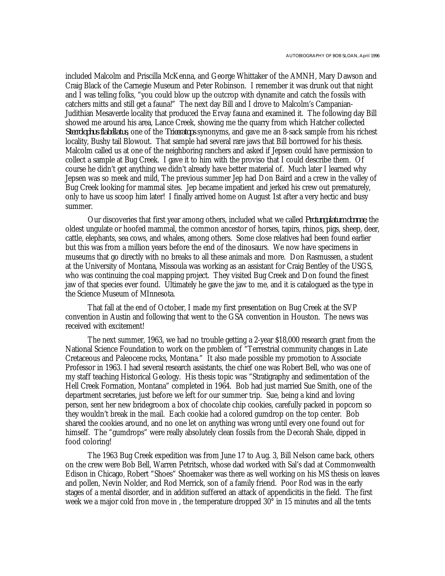included Malcolm and Priscilla McKenna, and George Whittaker of the AMNH, Mary Dawson and Craig Black of the Carnegie Museum and Peter Robinson. I remember it was drunk out that night and I was telling folks, "you could blow up the outcrop with dynamite and catch the fossils with catchers mitts and still get a fauna!" The next day Bill and I drove to Malcolm's Campanian-Judithian Mesaverde locality that produced the Ervay fauna and examined it. The following day Bill showed me around his area, Lance Creek, showing me the quarry from which Hatcher collected *Sterrolophus flabellatus*, one of the *Triceratops* synonyms, and gave me an 8-sack sample from his richest locality, Bushy tail Blowout. That sample had several rare jaws that Bill borrowed for his thesis. Malcolm called us at one of the neighboring ranchers and asked if Jepsen could have permission to collect a sample at Bug Creek. I gave it to him with the proviso that I could describe them. Of course he didn't get anything we didn't already have better material of. Much later I learned why Jepsen was so meek and mild, The previous summer Jep had Don Baird and a crew in the valley of Bug Creek looking for mammal sites. Jep became impatient and jerked his crew out prematurely, only to have us scoop him later! I finally arrived home on August 1st after a very hectic and busy summer.

Our discoveries that first year among others, included what we called *Protungulatum donnae*, the oldest ungulate or hoofed mammal, the common ancestor of horses, tapirs, rhinos, pigs, sheep, deer, cattle, elephants, sea cows, and whales, among others. Some close relatives had been found earlier but this was from a million years before the end of the dinosaurs. We now have specimens in museums that go directly with no breaks to all these animals and more. Don Rasmussen, a student at the University of Montana, Missoula was working as an assistant for Craig Bentley of the USGS, who was continuing the coal mapping project. They visited Bug Creek and Don found the finest jaw of that species ever found. Ultimately he gave the jaw to me, and it is catalogued as the type in the Science Museum of MInnesota.

That fall at the end of October, I made my first presentation on Bug Creek at the SVP convention in Austin and following that went to the GSA convention in Houston. The news was received with excitement!

The next summer, 1963, we had no trouble getting a 2-year \$18,000 research grant from the National Science Foundation to work on the problem of "Terrestrial community changes in Late Cretaceous and Paleocene rocks, Montana." It also made possible my promotion to Associate Professor in 1963. I had several research assistants, the chief one was Robert Bell, who was one of my staff teaching Historical Geology. His thesis topic was "Stratigraphy and sedimentation of the Hell Creek Formation, Montana" completed in 1964. Bob had just married Sue Smith, one of the department secretaries, just before we left for our summer trip. Sue, being a kind and loving person, sent her new bridegroom a box of chocolate chip cookies, carefully packed in popcorn so they wouldn't break in the mail. Each cookie had a colored gumdrop on the top center. Bob shared the cookies around, and no one let on anything was wrong until every one found out for himself. The "gumdrops" were really absolutely clean fossils from the Decorah Shale, dipped in food coloring!

The 1963 Bug Creek expedition was from June 17 to Aug. 3, Bill Nelson came back, others on the crew were Bob Bell, Warren Petritsch, whose dad worked with Sal's dad at Commonwealth Edison in Chicago, Robert "Shoes" Shoemaker was there as well working on his MS thesis on leaves and pollen, Nevin Nolder, and Rod Merrick, son of a family friend. Poor Rod was in the early stages of a mental disorder, and in addition suffered an attack of appendicitis in the field. The first week we a major cold fron move in, the temperature dropped  $30^{\circ}$  in 15 minutes and all the tents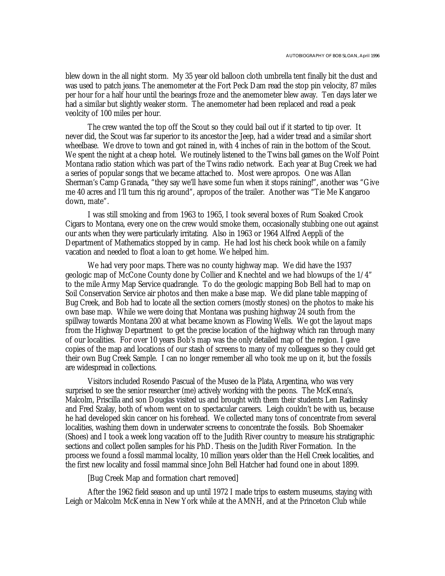blew down in the all night storm. My 35 year old balloon cloth umbrella tent finally bit the dust and was used to patch jeans. The anemometer at the Fort Peck Dam read the stop pin velocity, 87 miles per hour for a half hour until the bearings froze and the anemometer blew away. Ten days later we had a similar but slightly weaker storm. The anemometer had been replaced and read a peak veolcity of 100 miles per hour.

The crew wanted the top off the Scout so they could bail out if it started to tip over. It never did, the Scout was far superior to its ancestor the Jeep, had a wider tread and a similar short wheelbase. We drove to town and got rained in, with 4 inches of rain in the bottom of the Scout. We spent the night at a cheap hotel. We routinely listened to the Twins ball games on the Wolf Point Montana radio station which was part of the Twins radio network. Each year at Bug Creek we had a series of popular songs that we became attached to. Most were apropos. One was Allan Sherman's Camp Granada, "they say we'll have some fun when it stops raining!", another was "Give me 40 acres and I'll turn this rig around", apropos of the trailer. Another was "Tie Me Kangaroo down, mate".

I was still smoking and from 1963 to 1965, I took several boxes of Rum Soaked Crook Cigars to Montana, every one on the crew would smoke them, occasionally stubbing one out against our ants when they were particularly irritating. Also in 1963 or 1964 Alfred Aeppli of the Department of Mathematics stopped by in camp. He had lost his check book while on a family vacation and needed to float a loan to get home. We helped him.

We had very poor maps. There was no county highway map. We did have the 1937 geologic map of McCone County done by Collier and Knechtel and we had blowups of the 1/4" to the mile Army Map Service quadrangle. To do the geologic mapping Bob Bell had to map on Soil Conservation Service air photos and then make a base map. We did plane table mapping of Bug Creek, and Bob had to locate all the section corners (mostly stones) on the photos to make his own base map. While we were doing that Montana was pushing highway 24 south from the spillway towards Montana 200 at what became known as Flowing Wells. We got the layout maps from the Highway Department to get the precise location of the highway which ran through many of our localities. For over 10 years Bob's map was the only detailed map of the region. I gave copies of the map and locations of our stash of screens to many of my colleagues so they could get their own Bug Creek Sample. I can no longer remember all who took me up on it, but the fossils are widespread in collections.

Visitors included Rosendo Pascual of the Museo de la Plata, Argentina, who was very surprised to see the senior researcher (me) actively working with the peons. The McKenna's, Malcolm, Priscilla and son Douglas visited us and brought with them their students Len Radinsky and Fred Szalay, both of whom went on to spectacular careers. Leigh couldn't be with us, because he had developed skin cancer on his forehead. We collected many tons of concentrate from several localities, washing them down in underwater screens to concentrate the fossils. Bob Shoemaker (Shoes) and I took a week long vacation off to the Judith River country to measure his stratigraphic sections and collect pollen samples for his PhD. Thesis on the Judith River Formation. In the process we found a fossil mammal locality, 10 million years older than the Hell Creek localities, and the first new locality and fossil mammal since John Bell Hatcher had found one in about 1899.

[Bug Creek Map and formation chart removed]

After the 1962 field season and up until 1972 I made trips to eastern museums, staying with Leigh or Malcolm McKenna in New York while at the AMNH, and at the Princeton Club while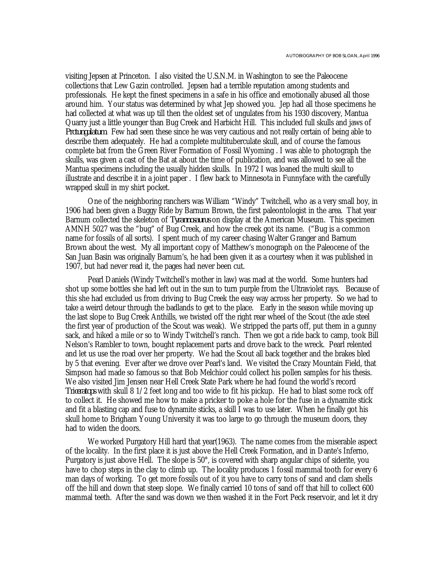visiting Jepsen at Princeton. I also visited the U.S.N.M. in Washington to see the Paleocene collections that Lew Gazin controlled. Jepsen had a terrible reputation among students and professionals. He kept the finest specimens in a safe in his office and emotionally abused all those around him. Your status was determined by what Jep showed you. Jep had all those specimens he had collected at what was up till then the oldest set of ungulates from his 1930 discovery, Mantua Quarry just a little younger than Bug Creek and Harbicht Hill. This included full skulls and jaws of *Protungulatum*. Few had seen these since he was very cautious and not really certain of being able to describe them adequately. He had a complete multituberculate skull, and of course the famous complete bat from the Green River Formation of Fossil Wyoming . I was able to photograph the skulls, was given a cast of the Bat at about the time of publication, and was allowed to see all the Mantua specimens including the usually hidden skulls. In 1972 I was loaned the multi skull to illustrate and describe it in a joint paper . I flew back to Minnesota in Funnyface with the carefully wrapped skull in my shirt pocket.

One of the neighboring ranchers was William "Windy" Twitchell, who as a very small boy, in 1906 had been given a Buggy Ride by Barnum Brown, the first paleontologist in the area. That year Barnum collected the skeleton of *Tyrannosaurus* on display at the American Museum. This specimen AMNH 5027 was the "bug" of Bug Creek, and how the creek got its name. ("Bug is a common name for fossils of all sorts). I spent much of my career chasing Walter Granger and Barnum Brown about the west. My all important copy of Matthew's monograph on the Paleocene of the San Juan Basin was originally Barnum's, he had been given it as a courtesy when it was published in 1907, but had never read it, the pages had never been cut.

Pearl Daniels (Windy Twitchell's mother in law) was mad at the world. Some hunters had shot up some bottles she had left out in the sun to turn purple from the Ultraviolet rays. Because of this she had excluded us from driving to Bug Creek the easy way across her property. So we had to take a weird detour through the badlands to get to the place. Early in the season while moving up the last slope to Bug Creek Anthills, we twisted off the right rear wheel of the Scout (the axle steel the first year of production of the Scout was weak). We stripped the parts off, put them in a gunny sack, and hiked a mile or so to Windy Twitchell's ranch. Then we got a ride back to camp, took Bill Nelson's Rambler to town, bought replacement parts and drove back to the wreck. Pearl relented and let us use the road over her property. We had the Scout all back together and the brakes bled by 5 that evening. Ever after we drove over Pearl's land. We visited the Crazy Mountain Field, that Simpson had made so famous so that Bob Melchior could collect his pollen samples for his thesis. We also visited Jim Jensen near Hell Creek State Park where he had found the world's record *Triceratops* with skull 8 1/2 feet long and too wide to fit his pickup. He had to blast some rock off to collect it. He showed me how to make a pricker to poke a hole for the fuse in a dynamite stick and fit a blasting cap and fuse to dynamite sticks, a skill I was to use later. When he finally got his skull home to Brigham Young University it was too large to go through the museum doors, they had to widen the doors.

We worked Purgatory Hill hard that year (1963). The name comes from the miserable aspect of the locality. In the first place it is just above the Hell Creek Formation, and in Dante's Inferno, Purgatory is just above Hell. The slope is 50°, is covered with sharp angular chips of siderite, you have to chop steps in the clay to climb up. The locality produces 1 fossil mammal tooth for every 6 man days of working. To get more fossils out of it you have to carry tons of sand and clam shells off the hill and down that steep slope. We finally carried 10 tons of sand off that hill to collect 600 mammal teeth. After the sand was down we then washed it in the Fort Peck reservoir, and let it dry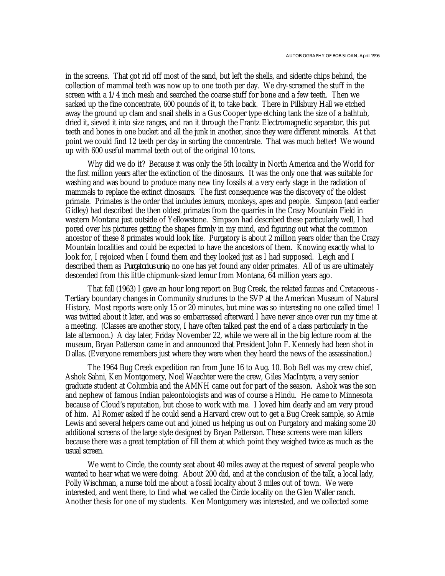in the screens. That got rid off most of the sand, but left the shells, and siderite chips behind, the collection of mammal teeth was now up to one tooth per day. We dry-screened the stuff in the screen with a 1/4 inch mesh and searched the coarse stuff for bone and a few teeth. Then we sacked up the fine concentrate, 600 pounds of it, to take back. There in Pillsbury Hall we etched away the ground up clam and snail shells in a Gus Cooper type etching tank the size of a bathtub, dried it, sieved it into size ranges, and ran it through the Frantz Electromagnetic separator, this put teeth and bones in one bucket and all the junk in another, since they were different minerals. At that point we could find 12 teeth per day in sorting the concentrate. That was much better! We wound up with 600 useful mammal teeth out of the original 10 tons.

Why did we do it? Because it was only the 5th locality in North America and the World for the first million years after the extinction of the dinosaurs. It was the only one that was suitable for washing and was bound to produce many new tiny fossils at a very early stage in the radiation of mammals to replace the extinct dinosaurs. The first consequence was the discovery of the oldest primate. Primates is the order that includes lemurs, monkeys, apes and people. Simpson (and earlier Gidley) had described the then oldest primates from the quarries in the Crazy Mountain Field in western Montana just outside of Yellowstone. Simpson had described these particularly well, I had pored over his pictures getting the shapes firmly in my mind, and figuring out what the common ancestor of these 8 primates would look like. Purgatory is about 2 million years older than the Crazy Mountain localities and could be expected to have the ancestors of them. Knowing exactly what to look for, I rejoiced when I found them and they looked just as I had supposed. Leigh and I described them as *Purgatorius unio*, no one has yet found any older primates. All of us are ultimately descended from this little chipmunk-sized lemur from Montana, 64 million years ago.

That fall (1963) I gave an hour long report on Bug Creek, the related faunas and Cretaceous - Tertiary boundary changes in Community structures to the SVP at the American Museum of Natural History. Most reports were only 15 or 20 minutes, but mine was so interesting no one called time! I was twitted about it later, and was so embarrassed afterward I have never since over run my time at a meeting. (Classes are another story, I have often talked past the end of a class particularly in the late afternoon.) A day later, Friday November 22, while we were all in the big lecture room at the museum, Bryan Patterson came in and announced that President John F. Kennedy had been shot in Dallas. (Everyone remembers just where they were when they heard the news of the assassination.)

The 1964 Bug Creek expedition ran from June 16 to Aug. 10. Bob Bell was my crew chief, Ashok Sahni, Ken Montgomery, Noel Waechter were the crew, Giles MacIntyre, a very senior graduate student at Columbia and the AMNH came out for part of the season. Ashok was the son and nephew of famous Indian paleontologists and was of course a Hindu. He came to Minnesota because of Cloud's reputation, but chose to work with me. I loved him dearly and am very proud of him. Al Romer asked if he could send a Harvard crew out to get a Bug Creek sample, so Arnie Lewis and several helpers came out and joined us helping us out on Purgatory and making some 20 additional screens of the large style designed by Bryan Patterson. These screens were man killers because there was a great temptation of fill them at which point they weighed twice as much as the usual screen.

We went to Circle, the county seat about 40 miles away at the request of several people who wanted to hear what we were doing. About 200 did, and at the conclusion of the talk, a local lady, Polly Wischman, a nurse told me about a fossil locality about 3 miles out of town. We were interested, and went there, to find what we called the Circle locality on the Glen Waller ranch. Another thesis for one of my students. Ken Montgomery was interested, and we collected some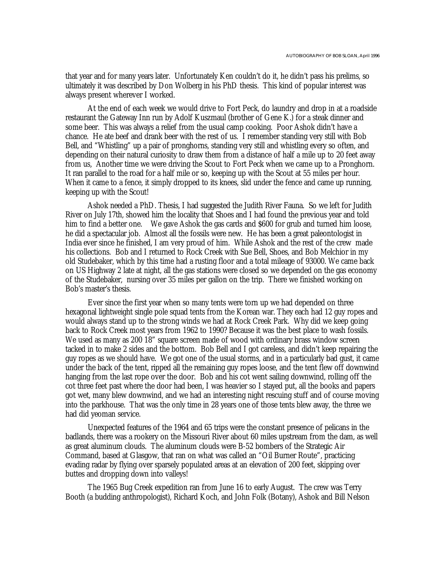that year and for many years later. Unfortunately Ken couldn't do it, he didn't pass his prelims, so ultimately it was described by Don Wolberg in his PhD thesis. This kind of popular interest was always present wherever I worked.

At the end of each week we would drive to Fort Peck, do laundry and drop in at a roadside restaurant the Gateway Inn run by Adolf Kuszmaul (brother of Gene K.) for a steak dinner and some beer. This was always a relief from the usual camp cooking. Poor Ashok didn't have a chance. He ate beef and drank beer with the rest of us. I remember standing very still with Bob Bell, and "Whistling" up a pair of pronghorns, standing very still and whistling every so often, and depending on their natural curiosity to draw them from a distance of half a mile up to 20 feet away from us, Another time we were driving the Scout to Fort Peck when we came up to a Pronghorn. It ran parallel to the road for a half mile or so, keeping up with the Scout at 55 miles per hour. When it came to a fence, it simply dropped to its knees, slid under the fence and came up running, keeping up with the Scout!

Ashok needed a PhD. Thesis, I had suggested the Judith River Fauna. So we left for Judith River on July 17th, showed him the locality that Shoes and I had found the previous year and told him to find a better one. We gave Ashok the gas cards and \$600 for grub and turned him loose, he did a spectacular job. Almost all the fossils were new. He has been a great paleontologist in India ever since he finished, I am very proud of him. While Ashok and the rest of the crew made his collections. Bob and I returned to Rock Creek with Sue Bell, Shoes, and Bob Melchior in my old Studebaker, which by this time had a rusting floor and a total mileage of 93000. We came back on US Highway 2 late at night, all the gas stations were closed so we depended on the gas economy of the Studebaker, nursing over 35 miles per gallon on the trip. There we finished working on Bob's master's thesis.

Ever since the first year when so many tents were torn up we had depended on three hexagonal lightweight single pole squad tents from the Korean war. They each had 12 guy ropes and would always stand up to the strong winds we had at Rock Creek Park. Why did we keep going back to Rock Creek most years from 1962 to 1990? Because it was the best place to wash fossils. We used as many as 200 18" square screen made of wood with ordinary brass window screen tacked in to make 2 sides and the bottom. Bob Bell and I got careless, and didn't keep repairing the guy ropes as we should have. We got one of the usual storms, and in a particularly bad gust, it came under the back of the tent, ripped all the remaining guy ropes loose, and the tent flew off downwind hanging from the last rope over the door. Bob and his cot went sailing downwind, rolling off the cot three feet past where the door had been, I was heavier so I stayed put, all the books and papers got wet, many blew downwind, and we had an interesting night rescuing stuff and of course moving into the parkhouse. That was the only time in 28 years one of those tents blew away, the three we had did yeoman service.

Unexpected features of the 1964 and 65 trips were the constant presence of pelicans in the badlands, there was a rookery on the Missouri River about 60 miles upstream from the dam, as well as great aluminum clouds. The aluminum clouds were B-52 bombers of the Strategic Air Command, based at Glasgow, that ran on what was called an "Oil Burner Route", practicing evading radar by flying over sparsely populated areas at an elevation of 200 feet, skipping over buttes and dropping down into valleys!

The 1965 Bug Creek expedition ran from June 16 to early August. The crew was Terry Booth (a budding anthropologist), Richard Koch, and John Folk (Botany), Ashok and Bill Nelson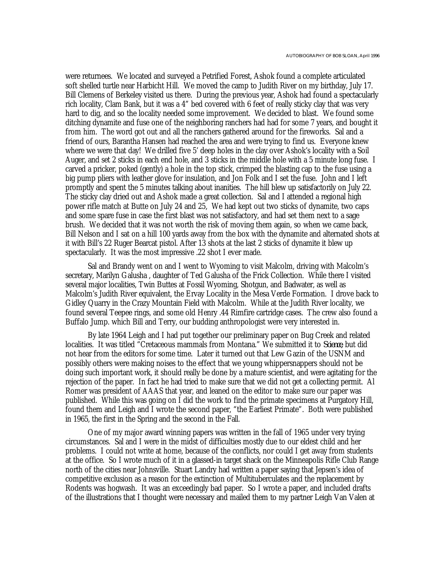were returnees. We located and surveyed a Petrified Forest, Ashok found a complete articulated soft shelled turtle near Harbicht Hill. We moved the camp to Judith River on my birthday, July 17. Bill Clemens of Berkeley visited us there. During the previous year, Ashok had found a spectacularly rich locality, Clam Bank, but it was a 4" bed covered with 6 feet of really sticky clay that was very hard to dig, and so the locality needed some improvement. We decided to blast. We found some ditching dynamite and fuse one of the neighboring ranchers had had for some 7 years, and bought it from him. The word got out and all the ranchers gathered around for the fireworks. Sal and a friend of ours, Barantha Hansen had reached the area and were trying to find us. Everyone knew where we were that day! We drilled five 5' deep holes in the clay over Ashok's locality with a Soil Auger, and set 2 sticks in each end hole, and 3 sticks in the middle hole with a 5 minute long fuse. I carved a pricker, poked (gently) a hole in the top stick, crimped the blasting cap to the fuse using a big pump pliers with leather glove for insulation, and Jon Folk and I set the fuse. John and I left promptly and spent the 5 minutes talking about inanities. The hill blew up satisfactorily on July 22. The sticky clay dried out and Ashok made a great collection. Sal and I attended a regional high power rifle match at Butte on July 24 and 25, We had kept out two sticks of dynamite, two caps and some spare fuse in case the first blast was not satisfactory, and had set them next to a sage brush. We decided that it was not worth the risk of moving them again, so when we came back, Bill Nelson and I sat on a hill 100 yards away from the box with the dynamite and alternated shots at it with Bill's 22 Ruger Bearcat pistol. After 13 shots at the last 2 sticks of dynamite it blew up spectacularly. It was the most impressive .22 shot I ever made.

Sal and Brandy went on and I went to Wyoming to visit Malcolm, driving with Malcolm's secretary, Marilyn Galusha , daughter of Ted Galusha of the Frick Collection. While there I visited several major localities, Twin Buttes at Fossil Wyoming, Shotgun, and Badwater, as well as Malcolm's Judith River equivalent, the Ervay Locality in the Mesa Verde Formation. I drove back to Gidley Quarry in the Crazy Mountain Field with Malcolm. While at the Judith River locality, we found several Teepee rings, and some old Henry .44 Rimfire cartridge cases. The crew also found a Buffalo Jump. which Bill and Terry, our budding anthropologist were very interested in.

By late 1964 Leigh and I had put together our preliminary paper on Bug Creek and related localities. It was titled "Cretaceous mammals from Montana." We submitted it to *Science*, but did not hear from the editors for some time. Later it turned out that Lew Gazin of the USNM and possibly others were making noises to the effect that we young whippersnappers should not be doing such important work, it should really be done by a mature scientist, and were agitating for the rejection of the paper. In fact he had tried to make sure that we did not get a collecting permit. Al Romer was president of AAAS that year, and leaned on the editor to make sure our paper was published. While this was going on I did the work to find the primate specimens at Purgatory Hill, found them and Leigh and I wrote the second paper, "the Earliest Primate". Both were published in 1965, the first in the Spring and the second in the Fall.

One of my major award winning papers was written in the fall of 1965 under very trying circumstances. Sal and I were in the midst of difficulties mostly due to our eldest child and her problems. I could not write at home, because of the conflicts, nor could I get away from students at the office. So I wrote much of it in a glassed-in target shack on the Minneapolis Rifle Club Range north of the cities near Johnsville. Stuart Landry had written a paper saying that Jepsen's idea of competitive exclusion as a reason for the extinction of Multituberculates and the replacement by Rodents was hogwash. It was an exceedingly bad paper. So I wrote a paper, and included drafts of the illustrations that I thought were necessary and mailed them to my partner Leigh Van Valen at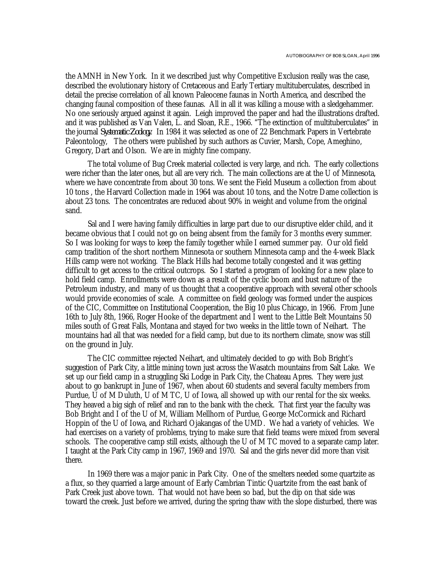the AMNH in New York. In it we described just why Competitive Exclusion really was the case, described the evolutionary history of Cretaceous and Early Tertiary multituberculates, described in detail the precise correlation of all known Paleocene faunas in North America, and described the changing faunal composition of these faunas. All in all it was killing a mouse with a sledgehammer. No one seriously argued against it again. Leigh improved the paper and had the illustrations drafted. and it was published as Van Valen, L. and Sloan, R.E., 1966. "The extinction of multituberculates" in the journal *Systematic Zoology*. In 1984 it was selected as one of 22 Benchmark Papers in Vertebrate Paleontology, The others were published by such authors as Cuvier, Marsh, Cope, Ameghino, Gregory, Dart and Olson. We are in mighty fine company.

The total volume of Bug Creek material collected is very large, and rich. The early collections were richer than the later ones, but all are very rich. The main collections are at the U of Minnesota, where we have concentrate from about 30 tons. We sent the Field Museum a collection from about 10 tons , the Harvard Collection made in 1964 was about 10 tons, and the Notre Dame collection is about 23 tons. The concentrates are reduced about 90% in weight and volume from the original sand.

Sal and I were having family difficulties in large part due to our disruptive elder child, and it became obvious that I could not go on being absent from the family for 3 months every summer. So I was looking for ways to keep the family together while I earned summer pay. Our old field camp tradition of the short northern Minnesota or southern Minnesota camp and the 4-week Black Hills camp were not working. The Black Hills had become totally congested and it was getting difficult to get access to the critical outcrops. So I started a program of looking for a new place to hold field camp. Enrollments were down as a result of the cyclic boom and bust nature of the Petroleum industry, and many of us thought that a cooperative approach with several other schools would provide economies of scale. A committee on field geology was formed under the auspices of the CIC, Committee on Institutional Cooperation, the Big 10 plus Chicago, in 1966. From June 16th to July 8th, 1966, Roger Hooke of the department and I went to the Little Belt Mountains 50 miles south of Great Falls, Montana and stayed for two weeks in the little town of Neihart. The mountains had all that was needed for a field camp, but due to its northern climate, snow was still on the ground in July.

The CIC committee rejected Neihart, and ultimately decided to go with Bob Bright's suggestion of Park City, a little mining town just across the Wasatch mountains from Salt Lake. We set up our field camp in a struggling Ski Lodge in Park City, the Chateau Apres. They were just about to go bankrupt in June of 1967, when about 60 students and several faculty members from Purdue, U of M Duluth, U of M TC, U of Iowa, all showed up with our rental for the six weeks. They heaved a big sigh of relief and ran to the bank with the check. That first year the faculty was Bob Bright and I of the U of M, William Mellhorn of Purdue, George McCormick and Richard Hoppin of the U of Iowa, and Richard Ojakangas of the UMD. We had a variety of vehicles. We had exercises on a variety of problems, trying to make sure that field teams were mixed from several schools. The cooperative camp still exists, although the U of M TC moved to a separate camp later. I taught at the Park City camp in 1967, 1969 and 1970. Sal and the girls never did more than visit there.

In 1969 there was a major panic in Park City. One of the smelters needed some quartzite as a flux, so they quarried a large amount of Early Cambrian Tintic Quartzite from the east bank of Park Creek just above town. That would not have been so bad, but the dip on that side was toward the creek. Just before we arrived, during the spring thaw with the slope disturbed, there was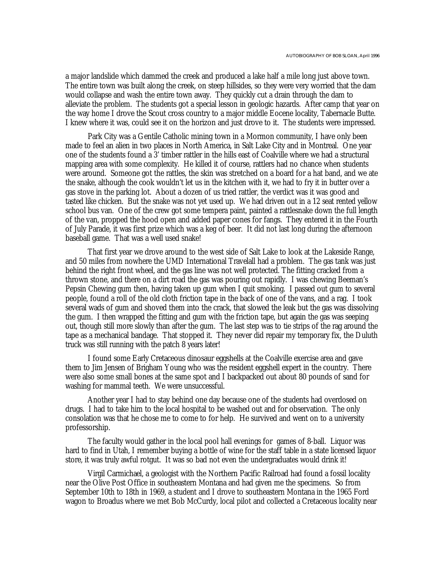a major landslide which dammed the creek and produced a lake half a mile long just above town. The entire town was built along the creek, on steep hillsides, so they were very worried that the dam would collapse and wash the entire town away. They quickly cut a drain through the dam to alleviate the problem. The students got a special lesson in geologic hazards. After camp that year on the way home I drove the Scout cross country to a major middle Eocene locality, Tabernacle Butte. I knew where it was, could see it on the horizon and just drove to it. The students were impressed.

Park City was a Gentile Catholic mining town in a Mormon community, I have only been made to feel an alien in two places in North America, in Salt Lake City and in Montreal. One year one of the students found a 3' timber rattler in the hills east of Coalville where we had a structural mapping area with some complexity. He killed it of course, rattlers had no chance when students were around. Someone got the rattles, the skin was stretched on a board for a hat band, and we ate the snake, although the cook wouldn't let us in the kitchen with it, we had to fry it in butter over a gas stove in the parking lot. About a dozen of us tried rattler, the verdict was it was good and tasted like chicken. But the snake was not yet used up. We had driven out in a 12 seat rented yellow school bus van. One of the crew got some tempera paint, painted a rattlesnake down the full length of the van, propped the hood open and added paper cones for fangs. They entered it in the Fourth of July Parade, it was first prize which was a keg of beer. It did not last long during the afternoon baseball game. That was a well used snake!

That first year we drove around to the west side of Salt Lake to look at the Lakeside Range, and 50 miles from nowhere the UMD International Travelall had a problem. The gas tank was just behind the right front wheel, and the gas line was not well protected. The fitting cracked from a thrown stone, and there on a dirt road the gas was pouring out rapidly. I was chewing Beeman's Pepsin Chewing gum then, having taken up gum when I quit smoking. I passed out gum to several people, found a roll of the old cloth friction tape in the back of one of the vans, and a rag. I took several wads of gum and shoved them into the crack, that slowed the leak but the gas was dissolving the gum. I then wrapped the fitting and gum with the friction tape, but again the gas was seeping out, though still more slowly than after the gum. The last step was to tie strips of the rag around the tape as a mechanical bandage. That stopped it. They never did repair my temporary fix, the Duluth truck was still running with the patch 8 years later!

I found some Early Cretaceous dinosaur eggshells at the Coalville exercise area and gave them to Jim Jensen of Brigham Young who was the resident eggshell expert in the country. There were also some small bones at the same spot and I backpacked out about 80 pounds of sand for washing for mammal teeth. We were unsuccessful.

Another year I had to stay behind one day because one of the students had overdosed on drugs. I had to take him to the local hospital to be washed out and for observation. The only consolation was that he chose me to come to for help. He survived and went on to a university professorship.

The faculty would gather in the local pool hall evenings for games of 8-ball. Liquor was hard to find in Utah, I remember buying a bottle of wine for the staff table in a state licensed liquor store, it was truly awful rotgut. It was so bad not even the undergraduates would drink it!

Virgil Carmichael, a geologist with the Northern Pacific Railroad had found a fossil locality near the Olive Post Office in southeastern Montana and had given me the specimens. So from September 10th to 18th in 1969, a student and I drove to southeastern Montana in the 1965 Ford wagon to Broadus where we met Bob McCurdy, local pilot and collected a Cretaceous locality near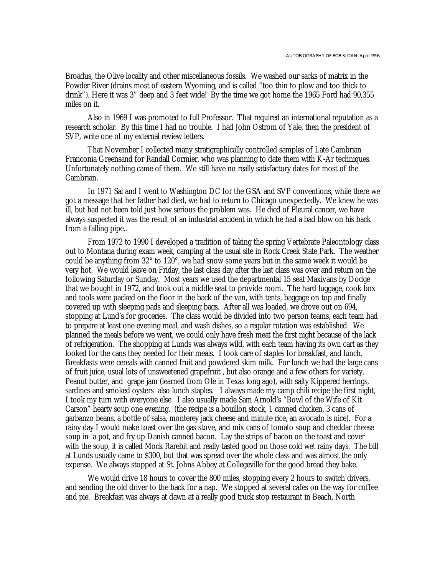Broadus, the Olive locality and other miscellaneous fossils. We washed our sacks of matrix in the Powder River (drains most of eastern Wyoming, and is called "too thin to plow and too thick to drink"). Here it was 3" deep and 3 feet wide! By the time we got home the 1965 Ford had 90,355 miles on it.

Also in 1969 I was promoted to full Professor. That required an international reputation as a research scholar. By this time I had no trouble. I had John Ostrom of Yale, then the president of SVP, write one of my external review letters.

That November I collected many stratigraphically controlled samples of Late Cambrian Franconia Greensand for Randall Cormier, who was planning to date them with K-Ar techniques. Unfortunately nothing came of them. We still have no really satisfactory dates for most of the Cambrian.

In 1971 Sal and I went to Washington DC for the GSA and SVP conventions, while there we got a message that her father had died, we had to return to Chicago unexpectedly. We knew he was ill, but had not been told just how serious the problem was. He died of Pleural cancer, we have always suspected it was the result of an industrial accident in which he had a bad blow on his back from a falling pipe..

From 1972 to 1990 I developed a tradition of taking the spring Vertebrate Paleontology class out to Montana during exam week, camping at the usual site in Rock Creek State Park. The weather could be anything from 32° to 120°, we had snow some years but in the same week it would be very hot. We would leave on Friday, the last class day after the last class was over and return on the following Saturday or Sunday. Most years we used the departmental 15 seat Maxivans by Dodge that we bought in 1972, and took out a middle seat to provide room. The hard luggage, cook box and tools were packed on the floor in the back of the van, with tents, baggage on top and finally covered up with sleeping pads and sleeping bags. After all was loaded, we drove out on 694, stopping at Lund's for groceries. The class would be divided into two person teams, each team had to prepare at least one evening meal, and wash dishes, so a regular rotation was established. We planned the meals before we went, we could only have fresh meat the first night because of the lack of refrigeration. The shopping at Lunds was always wild, with each team having its own cart as they looked for the cans they needed for their meals. I took care of staples for breakfast, and lunch. Breakfasts were cereals with canned fruit and powdered skim milk. For lunch we had the large cans of fruit juice, usual lots of unsweetened grapefruit , but also orange and a few others for variety. Peanut butter, and grape jam (learned from Ole in Texas long ago), with salty Kippered herrings, sardines and smoked oysters also lunch staples. I always made my camp chili recipe the first night, I took my turn with everyone else. I also usually made Sam Arnold's "Bowl of the Wife of Kit Carson" hearty soup one evening. (the recipe is a bouillon stock, 1 canned chicken, 3 cans of garbanzo beans, a bottle of salsa, monterey jack cheese and minute rice, an avocado is nice). For a rainy day I would make toast over the gas stove, and mix cans of tomato soup and cheddar cheese soup in a pot, and fry up Danish canned bacon. Lay the strips of bacon on the toast and cover with the soup, it is called Mock Rarebit and really tasted good on those cold wet rainy days. The bill at Lunds usually came to \$300, but that was spread over the whole class and was almost the only expense. We always stopped at St. Johns Abbey at Collegeville for the good bread they bake.

We would drive 18 hours to cover the 800 miles, stopping every 2 hours to switch drivers, and sending the old driver to the back for a nap. We stopped at several cafes on the way for coffee and pie. Breakfast was always at dawn at a really good truck stop restaurant in Beach, North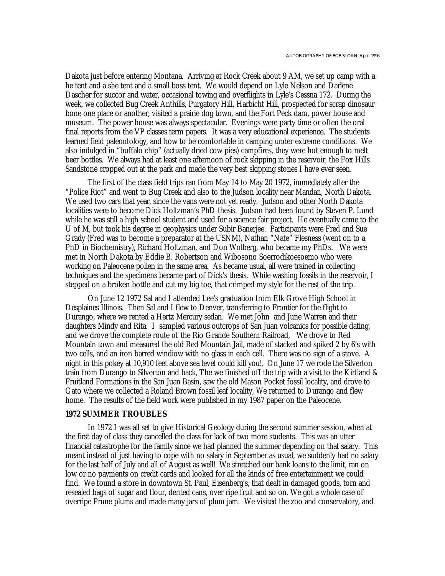Dakota just before entering Montana. Arriving at Rock Creek about 9 AM, we set up camp with a he tent and a she tent and a small boss tent. We would depend on Lyle Nelson and Darlene Dascher for succor and water, occasional towing and overflights in Lyle's Cessna 172. During the week, we collected Bug Creek Anthills, Purgatory Hill, Harbicht Hill, prospected for scrap dinosaur bone one place or another, visited a prairie dog town, and the Fort Peck dam, power house and museum. The power house was always spectacular. Evenings were party time or often the oral final reports from the VP classes term papers. It was a very educational experience. The students learned field paleontology, and how to be comfortable in camping under extreme conditions. We also indulged in "buffalo chip" (actually dried cow pies) campfires, they were hot enough to melt beer bottles. We always had at least one afternoon of rock skipping in the reservoir, the Fox Hills Sandstone cropped out at the park and made the very best skipping stones I have ever seen.

The first of the class field trips ran from May 14 to May 20 1972, immediately after the "Police Riot" and went to Bug Creek and also to the Judson locality near Mandan, North Dakota. We used two cars that year, since the vans were not yet ready. Judson and other North Dakota localities were to become Dick Holtzman's PhD thesis. Judson had been found by Steven P. Lund while he was still a high school student and used for a science fair project. He eventually came to the U of M, but took his degree in geophysics under Subir Banerjee. Participants were Fred and Sue Grady (Fred was to become a preparator at the USNM), Nathan "Nate" Flesness (went on to a PhD in Biochemistry), Richard Holtzman, and Don Wolberg, who became my PhDs. We were met in North Dakota by Eddie B. Robertson and Wibosono Soerrodikoesoemo who were working on Paleocene pollen in the same area. As became usual, all were trained in collecting techniques and the specimens became part of Dick's thesis. While washing fossils in the reservoir, I stepped on a broken bottle and cut my big toe, that crimped my style for the rest of the trip.

On June 12 1972 Sal and I attended Lee's graduation from Elk Grove High School in Desplaines Illinois. Then Sal and I flew to Denver, transferring to Frontier for the flight to Durango, where we rented a Hertz Mercury sedan. We met John and June Warren and their daughters Mindy and Rita. I sampled various outcrops of San Juan volcanics for possible dating, and we drove the complete route of the Rio Grande Southern Railroad, We drove to Red Mountain town and measured the old Red Mountain Jail, made of stacked and spiked 2 by 6's with two cells, and an iron barred windiow with no glass in each cell. There was no sign of a stove. A night in this pokey at 10,910 feet above sea level could kill you!, On June 17 we rode the Silverton train from Durango to Silverton and back, The we finished off the trip with a visit to the Kirtland & Fruitland Formations in the San Juan Basin, saw the old Mason Pocket fossil locality, and drove to Gato where we collected a Roland Brown fossil leaf locality, We returned to Durango and flew home. The results of the field work were published in my 1987 paper on the Paleocene.

### **1972 SUMMER TROUBLES**

In 1972 I was all set to give Historical Geology during the second summer session, when at the first day of class they cancelled the class for lack of two more students. This was an utter financial catastrophe for the family since we had planned the summer depending on that salary. This meant instead of just having to cope with no salary in September as usual, we suddenly had no salary for the last half of July and all of August as well! We stretched our bank loans to the limit, ran on low or no payments on credit cards and looked for all the kinds of free entertainment we could find. We found a store in downtown St. Paul, Eisenberg's, that dealt in damaged goods, torn and resealed bags of sugar and flour, dented cans, over ripe fruit and so on. We got a whole case of overripe Prune plums and made many jars of plum jam. We visited the zoo and conservatory, and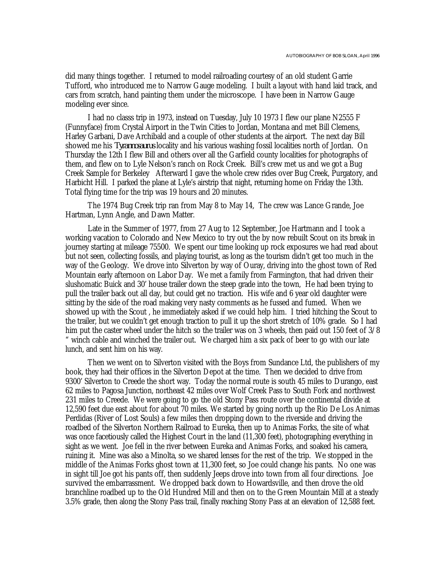did many things together. I returned to model railroading courtesy of an old student Garrie Tufford, who introduced me to Narrow Gauge modeling. I built a layout with hand laid track, and cars from scratch, hand painting them under the microscope. I have been in Narrow Gauge modeling ever since.

I had no classs trip in 1973, instead on Tuesday, July 10 1973 I flew our plane N2555 F (Funnyface) from Crystal Airport in the Twin Cities to Jordan, Montana and met Bill Clemens, Harley Garbani, Dave Archibald and a couple of other students at the airport. The next day Bill showed me his *Tyrannosaurus* locality and his various washing fossil localities north of Jordan. On Thursday the 12th I flew Bill and others over all the Garfield county localities for photographs of them, and flew on to Lyle Nelson's ranch on Rock Creek. Bill's crew met us and we got a Bug Creek Sample for Berkeley Afterward I gave the whole crew rides over Bug Creek, Purgatory, and Harbicht Hill. I parked the plane at Lyle's airstrip that night, returning home on Friday the 13th. Total flying time for the trip was 19 hours and 20 minutes.

The 1974 Bug Creek trip ran from May 8 to May 14, The crew was Lance Grande, Joe Hartman, Lynn Angle, and Dawn Matter.

Late in the Summer of 1977, from 27 Aug to 12 September, Joe Hartmann and I took a working vacation to Colorado and New Mexico to try out the by now rebuilt Scout on its break in journey starting at mileage 75500. We spent our time looking up rock exposures we had read about but not seen, collecting fossils, and playing tourist, as long as the tourism didn't get too much in the way of the Geology. We drove into Silverton by way of Ouray, driving into the ghost town of Red Mountain early afternoon on Labor Day. We met a family from Farmington, that had driven their slushomatic Buick and 30' house trailer down the steep grade into the town, He had been trying to pull the trailer back out all day, but could get no traction. His wife and 6 year old daughter were sitting by the side of the road making very nasty comments as he fussed and fumed. When we showed up with the Scout , he immediately asked if we could help him. I tried hitching the Scout to the trailer, but we couldn't get enough traction to pull it up the short stretch of 10% grade. So I had him put the caster wheel under the hitch so the trailer was on 3 wheels, then paid out 150 feet of  $3/8$ " winch cable and winched the trailer out. We charged him a six pack of beer to go with our late lunch, and sent him on his way.

Then we went on to Silverton visited with the Boys from Sundance Ltd, the publishers of my book, they had their offices in the Silverton Depot at the time. Then we decided to drive from 9300' Silverton to Creede the short way. Today the normal route is south 45 miles to Durango, east 62 miles to Pagosa Junction, northeast 42 miles over Wolf Creek Pass to South Fork and northwest 231 miles to Creede. We were going to go the old Stony Pass route over the continental divide at 12,590 feet due east about for about 70 miles. We started by going north up the Rio De Los Animas Perdidas (River of Lost Souls) a few miles then dropping down to the riverside and driving the roadbed of the Silverton Northern Railroad to Eureka, then up to Animas Forks, the site of what was once facetiously called the Highest Court in the land (11,300 feet), photographing everything in sight as we went. Joe fell in the river between Eureka and Animas Forks, and soaked his camera, ruining it. Mine was also a Minolta, so we shared lenses for the rest of the trip. We stopped in the middle of the Animas Forks ghost town at 11,300 feet, so Joe could change his pants. No one was in sight till Joe got his pants off, then suddenly Jeeps drove into town from all four directions. Joe survived the embarrassment. We dropped back down to Howardsville, and then drove the old branchline roadbed up to the Old Hundred Mill and then on to the Green Mountain Mill at a steady 3.5% grade, then along the Stony Pass trail, finally reaching Stony Pass at an elevation of 12,588 feet.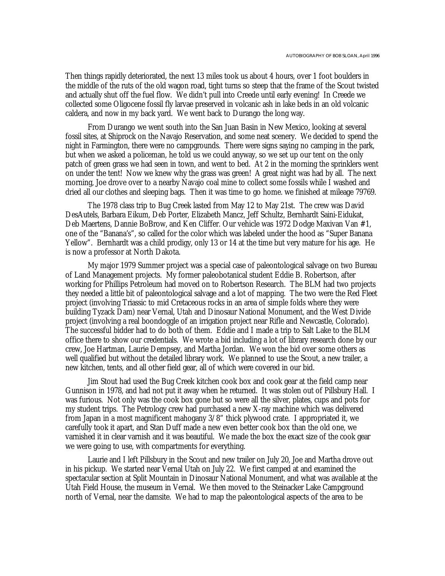Then things rapidly deteriorated, the next 13 miles took us about 4 hours, over 1 foot boulders in the middle of the ruts of the old wagon road, tight turns so steep that the frame of the Scout twisted and actually shut off the fuel flow. We didn't pull into Creede until early evening! In Creede we collected some Oligocene fossil fly larvae preserved in volcanic ash in lake beds in an old volcanic caldera, and now in my back yard. We went back to Durango the long way.

From Durango we went south into the San Juan Basin in New Mexico, looking at several fossil sites, at Shiprock on the Navajo Reservation, and some neat scenery. We decided to spend the night in Farmington, there were no campgrounds. There were signs saying no camping in the park, but when we asked a policeman, he told us we could anyway, so we set up our tent on the only patch of green grass we had seen in town, and went to bed. At 2 in the morning the sprinklers went on under the tent! Now we knew why the grass was green! A great night was had by all. The next morning, Joe drove over to a nearby Navajo coal mine to collect some fossils while I washed and dried all our clothes and sleeping bags. Then it was time to go home. we finished at mileage 79769.

The 1978 class trip to Bug Creek lasted from May 12 to May 21st. The crew was David DesAutels, Barbara Eikum, Deb Porter, Elizabeth Mancz, Jeff Schultz, Bernhardt Saini-Eidukat, Deb Maertens, Dannie BoBrow, and Ken Cliffer. Our vehicle was 1972 Dodge Maxivan Van #1, one of the "Banana's", so called for the color which was labeled under the hood as "Super Banana Yellow". Bernhardt was a child prodigy, only 13 or 14 at the time but very mature for his age. He is now a professor at North Dakota.

My major 1979 Summer project was a special case of paleontological salvage on two Bureau of Land Management projects. My former paleobotanical student Eddie B. Robertson, after working for Phillips Petroleum had moved on to Robertson Research. The BLM had two projects they needed a little bit of paleontological salvage and a lot of mapping. The two were the Red Fleet project (involving Triassic to mid Cretaceous rocks in an area of simple folds where they were building Tyzack Dam) near Vernal, Utah and Dinosaur National Monument, and the West Divide project (involving a real boondoggle of an irrigation project near Rifle and Newcastle, Colorado). The successful bidder had to do both of them. Eddie and I made a trip to Salt Lake to the BLM office there to show our credentials. We wrote a bid including a lot of library research done by our crew, Joe Hartman, Laurie Dempsey, and Martha Jordan. We won the bid over some others as well qualified but without the detailed library work. We planned to use the Scout, a new trailer, a new kitchen, tents, and all other field gear, all of which were covered in our bid.

Jim Stout had used the Bug Creek kitchen cook box and cook gear at the field camp near Gunnison in 1978, and had not put it away when he returned. It was stolen out of Pillsbury Hall. I was furious. Not only was the cook box gone but so were all the silver, plates, cups and pots for my student trips. The Petrology crew had purchased a new X-ray machine which was delivered from Japan in a most magnificent mahogany 3/8" thick plywood crate. I appropriated it, we carefully took it apart, and Stan Duff made a new even better cook box than the old one, we varnished it in clear varnish and it was beautiful. We made the box the exact size of the cook gear we were going to use, with compartments for everything.

Laurie and I left Pillsbury in the Scout and new trailer on July 20, Joe and Martha drove out in his pickup. We started near Vernal Utah on July 22. We first camped at and examined the spectacular section at Split Mountain in Dinosaur National Monument, and what was available at the Utah Field House, the museum in Vernal. We then moved to the Steinacker Lake Campground north of Vernal, near the damsite. We had to map the paleontological aspects of the area to be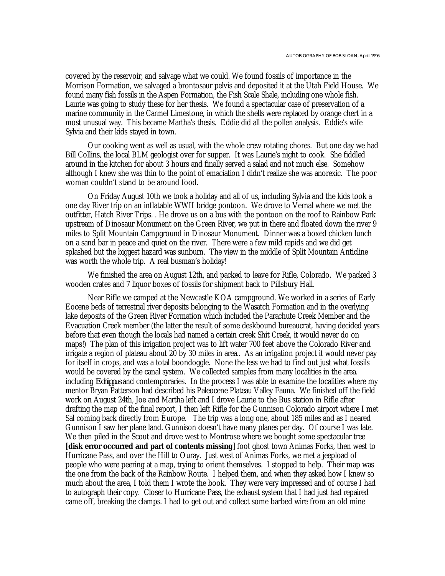covered by the reservoir, and salvage what we could. We found fossils of importance in the Morrison Formation, we salvaged a brontosaur pelvis and deposited it at the Utah Field House. We found many fish fossils in the Aspen Formation, the Fish Scale Shale, including one whole fish. Laurie was going to study these for her thesis. We found a spectacular case of preservation of a marine community in the Carmel Limestone, in which the shells were replaced by orange chert in a most unusual way. This became Martha's thesis. Eddie did all the pollen analysis. Eddie's wife Sylvia and their kids stayed in town.

Our cooking went as well as usual, with the whole crew rotating chores. But one day we had Bill Collins, the local BLM geologist over for supper. It was Laurie's night to cook. She fiddled around in the kitchen for about 3 hours and finally served a salad and not much else. Somehow although I knew she was thin to the point of emaciation I didn't realize she was anorexic. The poor woman couldn't stand to be around food.

On Friday August 10th we took a holiday and all of us, including Sylvia and the kids took a one day River trip on an inflatable WWII bridge pontoon. We drove to Vernal where we met the outfitter, Hatch River Trips. . He drove us on a bus with the pontoon on the roof to Rainbow Park upstream of Dinosaur Monument on the Green River, we put in there and floated down the river 9 miles to Split Mountain Campground in Dinosaur Monument. Dinner was a boxed chicken lunch on a sand bar in peace and quiet on the river. There were a few mild rapids and we did get splashed but the biggest hazard was sunburn. The view in the middle of Split Mountain Anticline was worth the whole trip. A real busman's holiday!

We finished the area on August 12th, and packed to leave for Rifle, Colorado. We packed 3 wooden crates and 7 liquor boxes of fossils for shipment back to Pillsbury Hall.

Near Rifle we camped at the Newcastle KOA campground. We worked in a series of Early Eocene beds of terrestrial river deposits belonging to the Wasatch Formation and in the overlying lake deposits of the Green River Formation which included the Parachute Creek Member and the Evacuation Creek member (the latter the result of some deskbound bureaucrat, having decided years before that even though the locals had named a certain creek Shit Creek, it would never do on maps!) The plan of this irrigation project was to lift water 700 feet above the Colorado River and irrigate a region of plateau about 20 by 30 miles in area.. As an irrigation project it would never pay for itself in crops, and was a total boondoggle. None the less we had to find out just what fossils would be covered by the canal system. We collected samples from many localities in the area. including *Eohippus* and contemporaries. In the process I was able to examine the localities where my mentor Bryan Patterson had described his Paleocene Plateau Valley Fauna. We finished off the field work on August 24th, Joe and Martha left and I drove Laurie to the Bus station in Rifle after drafting the map of the final report, I then left Rifle for the Gunnison Colorado airport where I met Sal coming back directly from Europe. The trip was a long one, about 185 miles and as I neared Gunnison I saw her plane land. Gunnison doesn't have many planes per day. Of course I was late. We then piled in the Scout and drove west to Montrose where we bought some spectacular tree **[disk error occurred and part of contents missing**] foot ghost town Animas Forks, then west to Hurricane Pass, and over the Hill to Ouray. Just west of Animas Forks, we met a jeepload of people who were peering at a map, trying to orient themselves. I stopped to help. Their map was the one from the back of the Rainbow Route. I helped them, and when they asked how I knew so much about the area, I told them I wrote the book. They were very impressed and of course I had to autograph their copy. Closer to Hurricane Pass, the exhaust system that I had just had repaired came off, breaking the clamps. I had to get out and collect some barbed wire from an old mine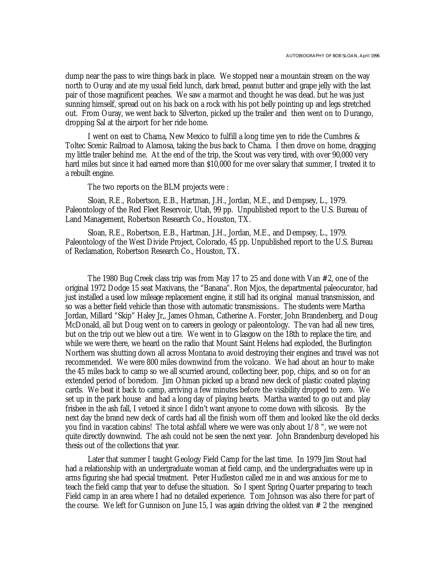dump near the pass to wire things back in place. We stopped near a mountain stream on the way north to Ouray and ate my usual field lunch, dark bread, peanut butter and grape jelly with the last pair of those magnificent peaches. We saw a marmot and thought he was dead. but he was just sunning himself, spread out on his back on a rock with his pot belly pointing up and legs stretched out. From Ouray, we went back to Silverton, picked up the trailer and then went on to Durango, dropping Sal at the airport for her ride home.

I went on east to Chama, New Mexico to fulfill a long time yen to ride the Cumbres & Toltec Scenic Railroad to Alamosa, taking the bus back to Chama. I then drove on home, dragging my little trailer behind me. At the end of the trip, the Scout was very tired, with over 90,000 very hard miles but since it had earned more than \$10,000 for me over salary that summer, I treated it to a rebuilt engine.

The two reports on the BLM projects were :

Sloan, R.E., Robertson, E.B., Hartman, J.H., Jordan, M.E., and Dempsey, L., 1979. Paleontology of the Red Fleet Reservoir, Utah, 99 pp. Unpublished report to the U.S. Bureau of Land Management, Robertson Research Co., Houston, TX.

Sloan, R.E., Robertson, E.B., Hartman, J.H., Jordan, M.E., and Dempsey, L., 1979. Paleontology of the West Divide Project, Colorado, 45 pp. Unpublished report to the U.S. Bureau of Reclamation, Robertson Research Co., Houston, TX.

The 1980 Bug Creek class trip was from May 17 to 25 and done with Van #2, one of the original 1972 Dodge 15 seat Maxivans, the "Banana". Ron Mjos, the departmental paleocurator, had just installed a used low mileage replacement engine, it still had its original manual transmission, and so was a better field vehicle than those with automatic transmissions.. The students were Martha Jordan, Millard "Skip" Haley Jr,, James Ohman, Catherine A. Forster, John Brandenberg, and Doug McDonald, all but Doug went on to careers in geology or paleontology. The van had all new tires, but on the trip out we blew out a tire. We went in to Glasgow on the 18th to replace the tire, and while we were there, we heard on the radio that Mount Saint Helens had exploded, the Burlington Northern was shutting down all across Montana to avoid destroying their engines and travel was not recommended. We were 800 miles downwind from the volcano. We had about an hour to make the 45 miles back to camp so we all scurried around, collecting beer, pop, chips, and so on for an extended period of boredom. Jim Ohman picked up a brand new deck of plastic coated playing cards. We beat it back to camp, arriving a few minutes before the visibility dropped to zero. We set up in the park house and had a long day of playing hearts. Martha wanted to go out and play frisbee in the ash fall, I vetoed it since I didn't want anyone to come down with silicosis. By the next day the brand new deck of cards had all the finish worn off them and looked like the old decks you find in vacation cabins! The total ashfall where we were was only about 1/8 ", we were not quite directly downwind. The ash could not be seen the next year. John Brandenburg developed his thesis out of the collections that year.

Later that summer I taught Geology Field Camp for the last time. In 1979 Jim Stout had had a relationship with an undergraduate woman at field camp, and the undergraduates were up in arms figuring she had special treatment. Peter Hudleston called me in and was anxious for me to teach the field camp that year to defuse the situation. So I spent Spring Quarter preparing to teach Field camp in an area where I had no detailed experience. Tom Johnson was also there for part of the course. We left for Gunnison on June 15, I was again driving the oldest van  $# 2$  the reengined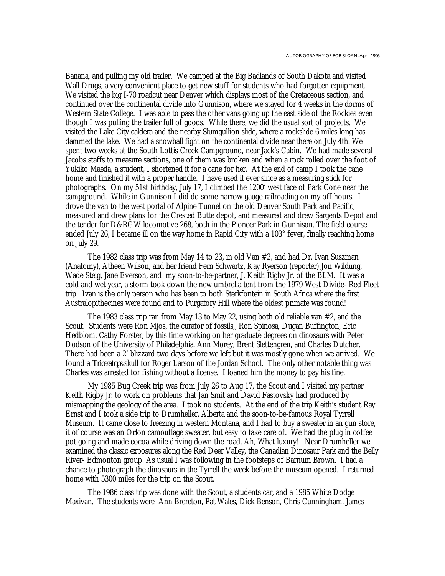Banana, and pulling my old trailer. We camped at the Big Badlands of South Dakota and visited Wall Drugs, a very convenient place to get new stuff for students who had forgotten equipment. We visited the big I-70 roadcut near Denver which displays most of the Cretaceous section, and continued over the continental divide into Gunnison, where we stayed for 4 weeks in the dorms of Western State College. I was able to pass the other vans going up the east side of the Rockies even though I was pulling the trailer full of goods. While there, we did the usual sort of projects. We visited the Lake City caldera and the nearby Slumgullion slide, where a rockslide 6 miles long has dammed the lake. We had a snowball fight on the continental divide near there on July 4th. We spent two weeks at the South Lottis Creek Campground, near Jack's Cabin. We had made several Jacobs staffs to measure sections, one of them was broken and when a rock rolled over the foot of Yukiko Maeda, a student, I shortened it for a cane for her. At the end of camp I took the cane home and finished it with a proper handle. I have used it ever since as a measuring stick for photographs. On my 51st birthday, July 17, I climbed the 1200' west face of Park Cone near the campground. While in Gunnison I did do some narrow gauge railroading on my off hours. I drove the van to the west portal of Alpine Tunnel on the old Denver South Park and Pacific, measured and drew plans for the Crested Butte depot, and measured and drew Sargents Depot and the tender for D&RGW locomotive 268, both in the Pioneer Park in Gunnison. The field course ended July 26, I became ill on the way home in Rapid City with a 103° fever, finally reaching home on July 29.

The 1982 class trip was from May 14 to 23, in old Van #2, and had Dr. Ivan Suszman (Anatomy), Atheen Wilson, and her friend Fern Schwartz, Kay Ryerson (reporter) Jon Wildung, Wade Steig, Jane Everson, and my soon-to-be-partner, J. Keith Rigby Jr. of the BLM. It was a cold and wet year, a storm took down the new umbrella tent from the 1979 West Divide- Red Fleet trip. Ivan is the only person who has been to both Sterkfontein in South Africa where the first Australopithecines were found and to Purgatory Hill where the oldest primate was found!

The 1983 class trip ran from May 13 to May 22, using both old reliable van #2, and the Scout. Students were Ron Mjos, the curator of fossils,, Ron Spinosa, Dugan Buffington, Eric Hedblom. Cathy Forster, by this time working on her graduate degrees on dinosaurs with Peter Dodson of the University of Philadelphia, Ann Morey, Brent Slettengren, and Charles Dutcher. There had been a 2' blizzard two days before we left but it was mostly gone when we arrived. We found a *Triceratops* skull for Roger Larson of the Jordan School. The only other notable thing was Charles was arrested for fishing without a license. I loaned him the money to pay his fine.

My 1985 Bug Creek trip was from July 26 to Aug 17, the Scout and I visited my partner Keith Rigby Jr. to work on problems that Jan Smit and David Fastovsky had produced by mismapping the geology of the area. I took no students. At the end of the trip Keith's student Ray Ernst and I took a side trip to Drumheller, Alberta and the soon-to-be-famous Royal Tyrrell Museum. It came close to freezing in western Montana, and I had to buy a sweater in an gun store, it of course was an Orlon camouflage sweater, but easy to take care of. We had the plug in coffee pot going and made cocoa while driving down the road. Ah, What luxury! Near Drumheller we examined the classic exposures along the Red Deer Valley, the Canadian Dinosaur Park and the Belly River- Edmonton group As usual I was following in the footsteps of Barnum Brown. I had a chance to photograph the dinosaurs in the Tyrrell the week before the museum opened. I returned home with 5300 miles for the trip on the Scout.

The 1986 class trip was done with the Scout, a students car, and a 1985 White Dodge Maxivan. The students were Ann Brereton, Pat Wales, Dick Benson, Chris Cunningham, James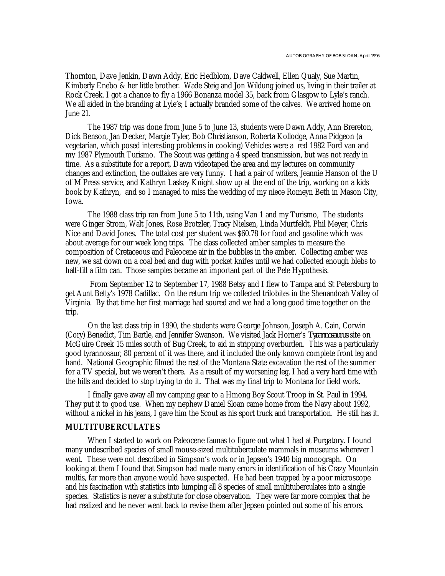Thornton, Dave Jenkin, Dawn Addy, Eric Hedblom, Dave Caldwell, Ellen Qualy, Sue Martin, Kimberly Enebo & her little brother. Wade Steig and Jon Wildung joined us, living in their trailer at Rock Creek. I got a chance to fly a 1966 Bonanza model 35, back from Glasgow to Lyle's ranch. We all aided in the branding at Lyle's; I actually branded some of the calves. We arrived home on June 21.

The 1987 trip was done from June 5 to June 13, students were Dawn Addy, Ann Brereton, Dick Benson, Jan Decker, Margie Tyler, Bob Christianson, Roberta Kollodge, Anna Pidgeon (a vegetarian, which posed interesting problems in cooking) Vehicles were a red 1982 Ford van and my 1987 Plymouth Turismo. The Scout was getting a 4 speed transmission, but was not ready in time. As a substitute for a report, Dawn videotaped the area and my lectures on community changes and extinction, the outtakes are very funny. I had a pair of writers, Jeannie Hanson of the U of M Press service, and Kathryn Laskey Knight show up at the end of the trip, working on a kids book by Kathryn, and so I managed to miss the wedding of my niece Romeyn Beth in Mason City, Iowa.

The 1988 class trip ran from June 5 to 11th, using Van 1 and my Turismo, The students were Ginger Strom, Walt Jones, Rose Brotzler, Tracy Nielsen, Linda Murtfeldt, Phil Meyer, Chris Nice and David Jones. The total cost per student was \$60.78 for food and gasoline which was about average for our week long trips. The class collected amber samples to measure the composition of Cretaceous and Paleocene air in the bubbles in the amber. Collecting amber was new, we sat down on a coal bed and dug with pocket knifes until we had collected enough blebs to half-fill a film can. Those samples became an important part of the Pele Hypothesis.

 From September 12 to September 17, 1988 Betsy and I flew to Tampa and St Petersburg to get Aunt Betty's 1978 Cadillac. On the return trip we collected trilobites in the Shenandoah Valley of Virginia. By that time her first marriage had soured and we had a long good time together on the trip.

On the last class trip in 1990, the students were George Johnson, Joseph A. Cain, Corwin (Cory) Benedict, Tim Bartle, and Jennifer Swanson. We visited Jack Horner's *Tyrannosaurus* site on McGuire Creek 15 miles south of Bug Creek, to aid in stripping overburden. This was a particularly good tyrannosaur, 80 percent of it was there, and it included the only known complete front leg and hand. National Geographic filmed the rest of the Montana State excavation the rest of the summer for a TV special, but we weren't there. As a result of my worsening leg, I had a very hard time with the hills and decided to stop trying to do it. That was my final trip to Montana for field work.

I finally gave away all my camping gear to a Hmong Boy Scout Troop in St. Paul in 1994. They put it to good use. When my nephew Daniel Sloan came home from the Navy about 1992, without a nickel in his jeans, I gave him the Scout as his sport truck and transportation. He still has it.

## **MULTITUBERCULATES**

When I started to work on Paleocene faunas to figure out what I had at Purgatory. I found many undescribed species of small mouse-sized multituberculate mammals in museums wherever I went. These were not described in Simpson's work or in Jepsen's 1940 big monograph. On looking at them I found that Simpson had made many errors in identification of his Crazy Mountain multis, far more than anyone would have suspected. He had been trapped by a poor microscope and his fascination with statistics into lumping all 8 species of small multituberculates into a single species. Statistics is never a substitute for close observation. They were far more complex that he had realized and he never went back to revise them after Jepsen pointed out some of his errors.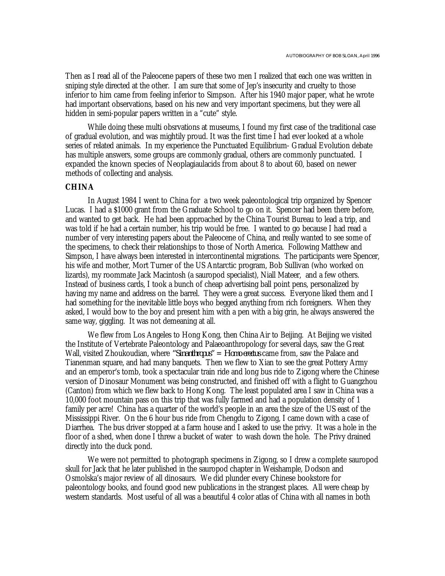Then as I read all of the Paleocene papers of these two men I realized that each one was written in sniping style directed at the other. I am sure that some of Jep's insecurity and cruelty to those inferior to him came from feeling inferior to Simpson. After his 1940 major paper, what he wrote had important observations, based on his new and very important specimens, but they were all hidden in semi-popular papers written in a "cute" style.

While doing these multi obsrvations at museums, I found my first case of the traditional case of gradual evolution, and was mightily proud. It was the first time I had ever looked at a whole series of related animals. In my experience the Punctuated Equilibrium- Gradual Evolution debate has multiple answers, some groups are commonly gradual, others are commonly punctuated. I expanded the known species of Neoplagiaulacids from about 8 to about 60, based on newer methods of collecting and analysis.

#### **CHINA**

In August 1984 I went to China for a two week paleontological trip organized by Spencer Lucas. I had a \$1000 grant from the Graduate School to go on it. Spencer had been there before, and wanted to get back. He had been approached by the China Tourist Bureau to lead a trip, and was told if he had a certain number, his trip would be free. I wanted to go because I had read a number of very interesting papers about the Paleocene of China, and really wanted to see some of the specimens, to check their relationships to those of North America. Following Matthew and Simpson, I have always been interested in intercontinental migrations. The participants were Spencer, his wife and mother, Mort Turner of the US Antarctic program, Bob Sullivan (who worked on lizards), my roommate Jack Macintosh (a sauropod specialist), Niall Mateer, and a few others. Instead of business cards, I took a bunch of cheap advertising ball point pens, personalized by having my name and address on the barrel. They were a great success. Everyone liked them and I had something for the inevitable little boys who begged anything from rich foreigners. When they asked, I would bow to the boy and present him with a pen with a big grin, he always answered the same way, giggling. It was not demeaning at all.

We flew from Los Angeles to Hong Kong, then China Air to Beijing. At Beijing we visited the Institute of Vertebrate Paleontology and Palaeoanthropology for several days, saw the Great Wall, visited Zhoukoudian, where *"Sinanthropus"* = *Homo erectus* came from, saw the Palace and Tianenman square, and had many banquets. Then we flew to Xian to see the great Pottery Army and an emperor's tomb, took a spectacular train ride and long bus ride to Zigong where the Chinese version of Dinosaur Monument was being constructed, and finished off with a flight to Guangzhou (Canton) from which we flew back to Hong Kong. The least populated area I saw in China was a 10,000 foot mountain pass on this trip that was fully farmed and had a population density of 1 family per acre! China has a quarter of the world's people in an area the size of the US east of the Mississippi River. On the 6 hour bus ride from Chengdu to Zigong, I came down with a case of Diarrhea. The bus driver stopped at a farm house and I asked to use the privy. It was a hole in the floor of a shed, when done I threw a bucket of water to wash down the hole. The Privy drained directly into the duck pond.

We were not permitted to photograph specimens in Zigong, so I drew a complete sauropod skull for Jack that he later published in the sauropod chapter in Weishample, Dodson and Osmolska's major review of all dinosaurs. We did plunder every Chinese bookstore for paleontology books, and found good new publications in the strangest places. All were cheap by western standards. Most useful of all was a beautiful 4 color atlas of China with all names in both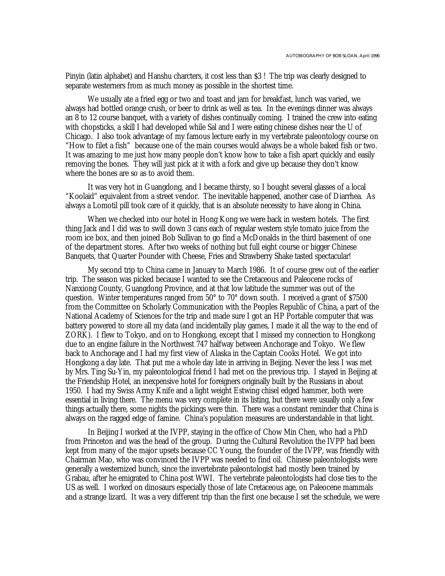Pinyin (latin alphabet) and Hanshu charcters, it cost less than \$3 ! The trip was clearly designed to separate westerners from as much money as possible in the shortest time.

We usually ate a fried egg or two and toast and jam for breakfast, lunch was varied, we always had bottled orange crush, or beer to drink as well as tea. In the evenings dinner was always an 8 to 12 course banquet, with a variety of dishes continually coming. I trained the crew into eating with chopsticks, a skill I had developed while Sal and I were eating chinese dishes near the U of Chicago. I also took advantage of my famous lecture early in my vertebrate paleontology course on "How to filet a fish" because one of the main courses would always be a whole baked fish or two. It was amazing to me just how many people don't know how to take a fish apart quickly and easily removing the bones. They will just pick at it with a fork and give up because they don't know where the bones are so as to avoid them.

It was very hot in Guangdong, and I became thirsty, so I bought several glasses of a local "Koolaid" equivalent from a street vendor. The inevitable happened, another case of Diarrhea. As always a Lomotil pill took care of it quickly, that is an absolute necessity to have along in China.

When we checked into our hotel in Hong Kong we were back in western hotels. The first thing Jack and I did was to swill down 3 cans each of regular western style tomato juice from the room ice box, and then joined Bob Sullivan to go find a McDonalds in the third basement of one of the department stores. After two weeks of nothing but full eight course or bigger Chinese Banquets, that Quarter Pounder with Cheese, Fries and Strawberry Shake tasted spectacular!

My second trip to China came in January to March 1986. It of course grew out of the earlier trip. The season was picked because I wanted to see the Cretaceous and Paleocene rocks of Nanxiong County, Guangdong Province, and at that low latitude the summer was out of the question. Winter temperatures ranged from 50° to 70° down south. I received a grant of \$7500 from the Committee on Scholarly Communication with the Peoples Republic of China, a part of the National Academy of Sciences for the trip and made sure I got an HP Portable computer that was battery powered to store all my data (and incidentally play games, I made it all the way to the end of ZORK). I flew to Tokyo, and on to Hongkong, except that I missed my connection to Hongkong due to an engine failure in the Northwest 747 halfway between Anchorage and Tokyo. We flew back to Anchorage and I had my first view of Alaska in the Captain Cooks Hotel. We got into Hongkong a day late. That put me a whole day late in arriving in Beijing. Never the less I was met by Mrs. Ting Su-Yin, my paleontological friend I had met on the previous trip. I stayed in Beijing at the Friendship Hotel, an inexpensive hotel for foreigners originally built by the Russians in about 1950. I had my Swiss Army Knife and a light weight Estwing chisel edged hammer, both were essential in living there. The menu was very complete in its listing, but there were usually only a few things actually there, some nights the pickings were thin. There was a constant reminder that China is always on the ragged edge of famine. China's population measures are understandable in that light.

In Beijing I worked at the IVPP, staying in the office of Chow Min Chen, who had a PhD from Princeton and was the head of the group. During the Cultural Revolution the IVPP had been kept from many of the major upsets because CC Young, the founder of the IVPP, was friendly with Chairman Mao, who was convinced the IVPP was needed to find oil. Chinese paleontologists were generally a westernized bunch, since the invertebrate paleontologist had mostly been trained by Grabau, after he emigrated to China post WWI. The vertebrate paleontologists had close ties to the US as well. I worked on dinosaurs especially those of late Cretaceous age, on Paleocene mammals and a strange lizard. It was a very different trip than the first one because I set the schedule, we were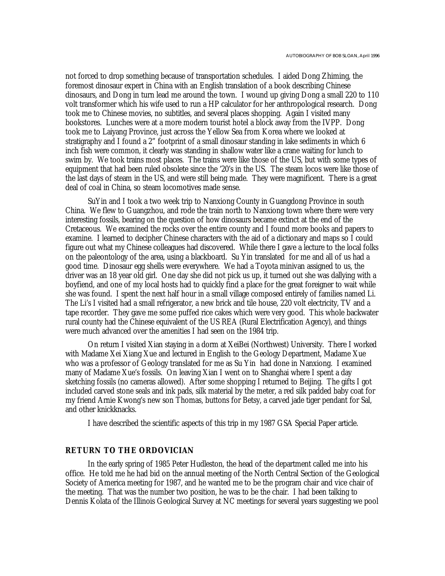not forced to drop something because of transportation schedules. I aided Dong Zhiming, the foremost dinosaur expert in China with an English translation of a book describing Chinese dinosaurs, and Dong in turn lead me around the town. I wound up giving Dong a small 220 to 110 volt transformer which his wife used to run a HP calculator for her anthropological research. Dong took me to Chinese movies, no subtitles, and several places shopping. Again I visited many bookstores. Lunches were at a more modern tourist hotel a block away from the IVPP. Dong took me to Laiyang Province, just across the Yellow Sea from Korea where we looked at stratigraphy and I found a 2" footprint of a small dinosaur standing in lake sediments in which 6 inch fish were common, it clearly was standing in shallow water like a crane waiting for lunch to swim by. We took trains most places. The trains were like those of the US, but with some types of equipment that had been ruled obsolete since the '20's in the US. The steam locos were like those of the last days of steam in the US, and were still being made. They were magnificent. There is a great deal of coal in China, so steam locomotives made sense.

SuYin and I took a two week trip to Nanxiong County in Guangdong Province in south China. We flew to Guangzhou, and rode the train north to Nanxiong town where there were very interesting fossils, bearing on the question of how dinosaurs became extinct at the end of the Cretaceous. We examined the rocks over the entire county and I found more books and papers to examine. I learned to decipher Chinese characters with the aid of a dictionary and maps so I could figure out what my Chinese colleagues had discovered. While there I gave a lecture to the local folks on the paleontology of the area, using a blackboard. Su Yin translated for me and all of us had a good time. Dinosaur egg shells were everywhere. We had a Toyota minivan assigned to us, the driver was an 18 year old girl. One day she did not pick us up, it turned out she was dallying with a boyfiend, and one of my local hosts had to quickly find a place for the great foreigner to wait while she was found. I spent the next half hour in a small village composed entirely of families named Li. The Li's I visited had a small refrigerator, a new brick and tile house, 220 volt electricity, TV and a tape recorder. They gave me some puffed rice cakes which were very good. This whole backwater rural county had the Chinese equivalent of the US REA (Rural Electrification Agency), and things were much advanced over the amenities I had seen on the 1984 trip.

On return I visited Xian staying in a dorm at XeiBei (Northwest) University. There I worked with Madame Xei Xiang Xue and lectured in English to the Geology Department, Madame Xue who was a professor of Geology translated for me as Su Yin had done in Nanxiong. I examined many of Madame Xue's fossils. On leaving Xian I went on to Shanghai where I spent a day sketching fossils (no cameras allowed). After some shopping I returned to Beijing. The gifts I got included carved stone seals and ink pads, silk material by the meter, a red silk padded baby coat for my friend Arnie Kwong's new son Thomas, buttons for Betsy, a carved jade tiger pendant for Sal, and other knickknacks.

I have described the scientific aspects of this trip in my 1987 GSA Special Paper article.

#### **RETURN TO THE ORDOVICIAN**

In the early spring of 1985 Peter Hudleston, the head of the department called me into his office. He told me he had bid on the annual meeting of the North Central Section of the Geological Society of America meeting for 1987, and he wanted me to be the program chair and vice chair of the meeting. That was the number two position, he was to be the chair. I had been talking to Dennis Kolata of the Illinois Geological Survey at NC meetings for several years suggesting we pool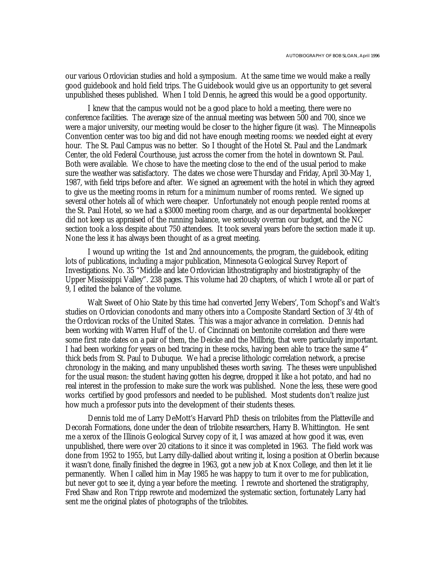our various Ordovician studies and hold a symposium. At the same time we would make a really good guidebook and hold field trips. The Guidebook would give us an opportunity to get several unpublished theses published. When I told Dennis, he agreed this would be a good opportunity.

I knew that the campus would not be a good place to hold a meeting, there were no conference facilities. The average size of the annual meeting was between 500 and 700, since we were a major university, our meeting would be closer to the higher figure (it was). The Minneapolis Convention center was too big and did not have enough meeting rooms: we needed eight at every hour. The St. Paul Campus was no better. So I thought of the Hotel St. Paul and the Landmark Center, the old Federal Courthouse, just across the corner from the hotel in downtown St. Paul. Both were available. We chose to have the meeting close to the end of the usual period to make sure the weather was satisfactory. The dates we chose were Thursday and Friday, April 30-May 1, 1987, with field trips before and after. We signed an agreement with the hotel in which they agreed to give us the meeting rooms in return for a minimum number of rooms rented. We signed up several other hotels all of which were cheaper. Unfortunately not enough people rented rooms at the St. Paul Hotel, so we had a \$3000 meeting room charge, and as our departmental bookkeeper did not keep us appraised of the running balance, we seriously overran our budget, and the NC section took a loss despite about 750 attendees. It took several years before the section made it up. None the less it has always been thought of as a great meeting.

I wound up writing the 1st and 2nd announcements, the program, the guidebook, editing lots of publications, including a major publication, Minnesota Geological Survey Report of Investigations. No. 35 "Middle and late Ordovician lithostratigraphy and biostratigraphy of the Upper Mississippi Valley". 238 pages. This volume had 20 chapters, of which I wrote all or part of 9, I edited the balance of the volume.

Walt Sweet of Ohio State by this time had converted Jerry Webers', Tom Schopf's and Walt's studies on Ordovician conodonts and many others into a Composite Standard Section of 3/4th of the Ordovican rocks of the United States. This was a major advance in correlation. Dennis had been working with Warren Huff of the U. of Cincinnati on bentonite correlation and there were some first rate dates on a pair of them, the Deicke and the Millbrig, that were particularly important. I had been working for years on bed tracing in these rocks, having been able to trace the same 4" thick beds from St. Paul to Dubuque. We had a precise lithologic correlation network, a precise chronology in the making, and many unpublished theses worth saving. The theses were unpublished for the usual reason: the student having gotten his degree, dropped it like a hot potato, and had no real interest in the profession to make sure the work was published. None the less, these were good works certified by good professors and needed to be published. Most students don't realize just how much a professor puts into the development of their students theses.

Dennis told me of Larry DeMott's Harvard PhD thesis on trilobites from the Platteville and Decorah Formations, done under the dean of trilobite researchers, Harry B. Whittington. He sent me a xerox of the Illinois Geological Survey copy of it, I was amazed at how good it was, even unpublished, there were over 20 citations to it since it was completed in 1963. The field work was done from 1952 to 1955, but Larry dilly-dallied about writing it, losing a position at Oberlin because it wasn't done, finally finished the degree in 1963, got a new job at Knox College, and then let it lie permanently. When I called him in May 1985 he was happy to turn it over to me for publication, but never got to see it, dying a year before the meeting. I rewrote and shortened the stratigraphy, Fred Shaw and Ron Tripp rewrote and modernized the systematic section, fortunately Larry had sent me the original plates of photographs of the trilobites.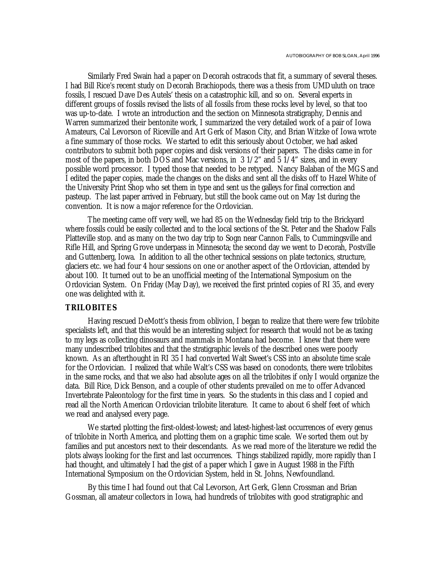Similarly Fred Swain had a paper on Decorah ostracods that fit, a summary of several theses. I had Bill Rice's recent study on Decorah Brachiopods, there was a thesis from UMDuluth on trace fossils, I rescued Dave Des Autels' thesis on a catastrophic kill, and so on. Several experts in different groups of fossils revised the lists of all fossils from these rocks level by level, so that too was up-to-date. I wrote an introduction and the section on Minnesota stratigraphy, Dennis and Warren summarized their bentonite work, I summarized the very detailed work of a pair of Iowa Amateurs, Cal Levorson of Riceville and Art Gerk of Mason City, and Brian Witzke of Iowa wrote a fine summary of those rocks. We started to edit this seriously about October, we had asked contributors to submit both paper copies and disk versions of their papers. The disks came in for most of the papers, in both DOS and Mac versions, in 3 1/2" and 5 1/4" sizes, and in every possible word processor. I typed those that needed to be retyped. Nancy Balaban of the MGS and I edited the paper copies, made the changes on the disks and sent all the disks off to Hazel White of the University Print Shop who set them in type and sent us the galleys for final correction and pasteup. The last paper arrived in February, but still the book came out on May 1st during the convention. It is now a major reference for the Ordovician.

The meeting came off very well, we had 85 on the Wednesday field trip to the Brickyard where fossils could be easily collected and to the local sections of the St. Peter and the Shadow Falls Platteville stop. and as many on the two day trip to Sogn near Cannon Falls, to Cummingsville and Rifle Hill, and Spring Grove underpass in Minnesota; the second day we went to Decorah, Postville and Guttenberg, Iowa. In addition to all the other technical sessions on plate tectonics, structure, glaciers etc. we had four 4 hour sessions on one or another aspect of the Ordovician, attended by about 100. It turned out to be an unofficial meeting of the International Symposium on the Ordovician System. On Friday (May Day), we received the first printed copies of RI 35, and every one was delighted with it.

## **TRILOBITES**

Having rescued DeMott's thesis from oblivion, I began to realize that there were few trilobite specialists left, and that this would be an interesting subject for research that would not be as taxing to my legs as collecting dinosaurs and mammals in Montana had become. I knew that there were many undescribed trilobites and that the stratigraphic levels of the described ones were poorly known. As an afterthought in RI 35 I had converted Walt Sweet's CSS into an absolute time scale for the Ordovician. I realized that while Walt's CSS was based on conodonts, there were trilobites in the same rocks, and that we also had absolute ages on all the trilobites if only I would organize the data. Bill Rice, Dick Benson, and a couple of other students prevailed on me to offer Advanced Invertebrate Paleontology for the first time in years. So the students in this class and I copied and read all the North American Ordovician trilobite literature. It came to about 6 shelf feet of which we read and analysed every page.

We started plotting the first-oldest-lowest; and latest-highest-last occurrences of every genus of trilobite in North America, and plotting them on a graphic time scale. We sorted them out by families and put ancestors next to their descendants. As we read more of the literature we redid the plots always looking for the first and last occurrences. Things stabilized rapidly, more rapidly than I had thought, and ultimately I had the gist of a paper which I gave in August 1988 in the Fifth International Symposium on the Ordovician System, held in St. Johns, Newfoundland.

By this time I had found out that Cal Levorson, Art Gerk, Glenn Crossman and Brian Gossman, all amateur collectors in Iowa, had hundreds of trilobites with good stratigraphic and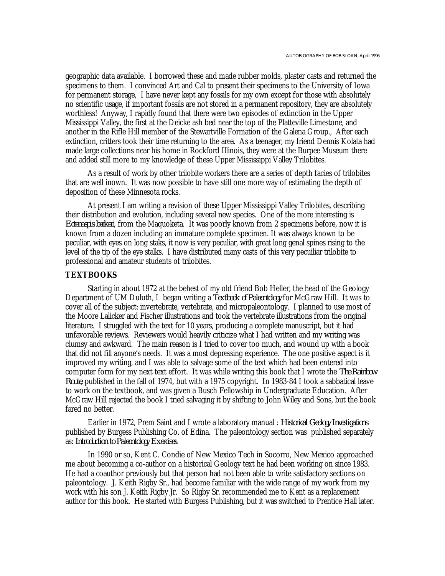geographic data available. I borrowed these and made rubber molds, plaster casts and returned the specimens to them. I convinced Art and Cal to present their specimens to the University of Iowa for permanent storage, I have never kept any fossils for my own except for those with absolutely no scientific usage, if important fossils are not stored in a permanent repository, they are absolutely worthless! Anyway, I rapidly found that there were two episodes of extinction in the Upper Mississippi Valley, the first at the Deicke ash bed near the top of the Platteville Limestone, and another in the Rifle Hill member of the Stewartville Formation of the Galena Group., After each extinction, critters took their time returning to the area. As a teenager, my friend Dennis Kolata had made large collections near his home in Rockford Illinois, they were at the Burpee Museum there and added still more to my knowledge of these Upper Mississippi Valley Trilobites.

As a result of work by other trilobite workers there are a series of depth facies of trilobites that are well inown. It was now possible to have still one more way of estimating the depth of deposition of these Minnesota rocks.

At present I am writing a revision of these Upper Mississippi Valley Trilobites, describing their distribution and evolution, including several new species. One of the more interesting is *Ectenaspis beckeri*, from the Maquoketa. It was poorly known from 2 specimens before, now it is known from a dozen including an immature complete specimen. It was always known to be peculiar, with eyes on long staks, it now is very peculiar, with great long genal spines rising to the level of the tip of the eye stalks. I have distributed many casts of this very pecuiliar trilobite to professional and amateur students of trilobites.

#### **TEXTBOOKS**

Starting in about 1972 at the behest of my old friend Bob Heller, the head of the Geology Department of UM Duluth, I began writing a *Textbook of Paleontology* for McGraw Hill. It was to cover all of the subject: invertebrate, vertebrate, and micropaleontology. I planned to use most of the Moore Lalicker and Fischer illustrations and took the vertebrate illustrations from the original literature. I struggled with the text for 10 years, producing a complete manuscript, but it had unfavorable reviews. Reviewers would heavily criticize what I had written and my writing was clumsy and awkward. The main reason is I tried to cover too much, and wound up with a book that did not fill anyone's needs. It was a most depressing experience. The one positive aspect is it improved my writing, and I was able to salvage some of the text which had been entered into computer form for my next text effort. It was while writing this book that I wrote the *The Rainbow Route*, published in the fall of 1974, but with a 1975 copyright. In 1983-84 I took a sabbatical leave to work on the textbook, and was given a Busch Fellowship in Undergraduate Education. After McGraw Hill rejected the book I tried salvaging it by shifting to John Wiley and Sons, but the book fared no better.

Earlier in 1972, Prem Saint and I wrote a laboratory manual : *Historical Geology Investigations* published by Burgess Publishing Co. of Edina. The paleontology section was published separately as: *Introduction to Paleontology Exercises*.

In 1990 or so, Kent C. Condie of New Mexico Tech in Socorro, New Mexico approached me about becoming a co-author on a historical Geology text he had been working on since 1983. He had a coauthor previously but that person had not been able to write satisfactory sections on paleontology. J. Keith Rigby Sr., had become familiar with the wide range of my work from my work with his son J. Keith Rigby Jr. So Rigby Sr. recommended me to Kent as a replacement author for this book. He started with Burgess Publishing, but it was switched to Prentice Hall later.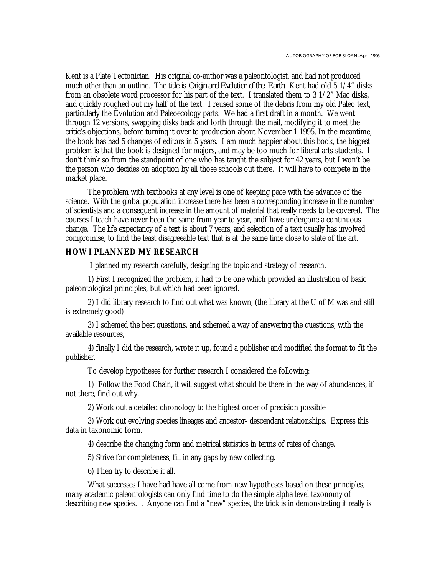Kent is a Plate Tectonician. His original co-author was a paleontologist, and had not produced much other than an outline. The title is *Origin and Evolution of the Earth*. Kent had old 5 1/4" disks from an obsolete word processor for his part of the text. I translated them to 3 1/2" Mac disks, and quickly roughed out my half of the text. I reused some of the debris from my old Paleo text, particularly the Evolution and Paleoecology parts. We had a first draft in a month. We went through 12 versions, swapping disks back and forth through the mail, modifying it to meet the critic's objections, before turning it over to production about November 1 1995. In the meantime, the book has had 5 changes of editors in 5 years. I am much happier about this book, the biggest problem is that the book is designed for majors, and may be too much for liberal arts students. I don't think so from the standpoint of one who has taught the subject for 42 years, but I won't be the person who decides on adoption by all those schools out there. It will have to compete in the market place.

The problem with textbooks at any level is one of keeping pace with the advance of the science. With the global population increase there has been a corresponding increase in the number of scientists and a consequent increase in the amount of material that really needs to be covered. The courses I teach have never been the same from year to year, andf have undergone a continuous change. The life expectancy of a text is about 7 years, and selection of a text usually has involved compromise, to find the least disagreeable text that is at the same time close to state of the art.

# **HOW I PLANNED MY RESEARCH**

I planned my research carefully, designing the topic and strategy of research.

1) First I recognized the problem, it had to be one which provided an illustration of basic paleontological priinciples, but which had been ignored.

2) I did library research to find out what was known, (the library at the U of M was and still is extremely good)

3) I schemed the best questions, and schemed a way of answering the questions, with the available resources,

4) finally I did the research, wrote it up, found a publisher and modified the format to fit the publisher.

To develop hypotheses for further research I considered the following:

1) Follow the Food Chain, it will suggest what should be there in the way of abundances, if not there, find out why.

2) Work out a detailed chronology to the highest order of precision possible

3) Work out evolving species lineages and ancestor- descendant relationships. Express this data in taxonomic form.

4) describe the changing form and metrical statistics in terms of rates of change.

5) Strive for completeness, fill in any gaps by new collecting.

6) Then try to describe it all.

What successes I have had have all come from new hypotheses based on these principles, many academic paleontologists can only find time to do the simple alpha level taxonomy of describing new species. . Anyone can find a "new" species, the trick is in demonstrating it really is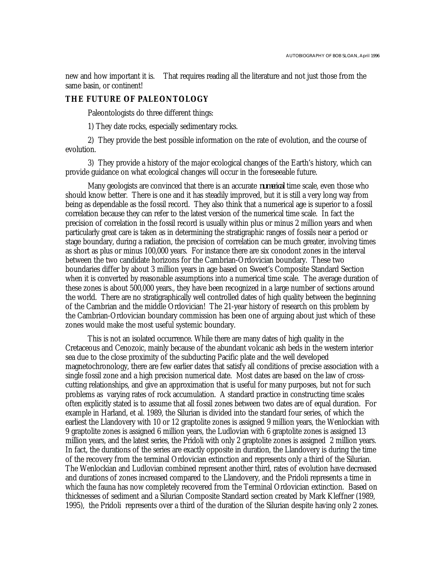new and how important it is. That requires reading all the literature and not just those from the same basin, or continent!

## **THE FUTURE OF PALEONTOLOGY**

Paleontologists do three different things:

1) They date rocks, especially sedimentary rocks.

2) They provide the best possible information on the rate of evolution, and the course of evolution.

3) They provide a history of the major ecological changes of the Earth's history, which can provide guidance on what ecological changes will occur in the foreseeable future.

Many geologists are convinced that there is an accurate *numerical* time scale, even those who should know better. There is one and it has steadily improved, but it is still a very long way from being as dependable as the fossil record. They also think that a numerical age is superior to a fossil correlation because they can refer to the latest version of the numerical time scale. In fact the precision of correlation in the fossil record is usually within plus or minus 2 million years and when particularly great care is taken as in determining the stratigraphic ranges of fossils near a period or stage boundary, during a radiation, the precision of correlation can be much greater, involving times as short as plus or minus 100,000 years. For instance there are six conodont zones in the interval between the two candidate horizons for the Cambrian-Ordovician boundary. These two boundaries differ by about 3 million years in age based on Sweet's Composite Standard Section when it is converted by reasonable assumptions into a numerical time scale. The average duration of these zones is about 500,000 years., they have been recognized in a large number of sections around the world. There are no stratigraphically well controlled dates of high quality between the beginning of the Cambrian and the middle Ordovician! The 21-year history of research on this problem by the Cambrian-Ordovician boundary commission has been one of arguing about just which of these zones would make the most useful systemic boundary.

This is not an isolated occurrence. While there are many dates of high quality in the Cretaceous and Cenozoic, mainly because of the abundant volcanic ash beds in the western interior sea due to the close proximity of the subducting Pacific plate and the well developed magnetochronology, there are few earlier dates that satisfy all conditions of precise association with a single fossil zone and a high precision numerical date. Most dates are based on the law of crosscutting relationships, and give an approximation that is useful for many purposes, but not for such problems as varying rates of rock accumulation. A standard practice in constructing time scales often explicitly stated is to assume that all fossil zones between two dates are of equal duration. For example in Harland, et al. 1989, the Silurian is divided into the standard four series, of which the earliest the Llandovery with 10 or 12 graptolite zones is assigned 9 million years, the Wenlockian with 9 graptolite zones is assigned 6 million years, the Ludlovian with 6 graptolite zones is assigned 13 million years, and the latest series, the Pridoli with only 2 graptolite zones is assigned 2 million years. In fact, the durations of the series are exactly opposite in duration, the Llandovery is during the time of the recovery from the terminal Ordovician extinction and represents only a third of the Silurian. The Wenlockian and Ludlovian combined represent another third, rates of evolution have decreased and durations of zones increased compared to the Llandovery, and the Pridoli represents a time in which the fauna has now completely recovered from the Terminal Ordovician extinction. Based on thicknesses of sediment and a Silurian Composite Standard section created by Mark Kleffner (1989, 1995), the Pridoli represents over a third of the duration of the Silurian despite having only 2 zones.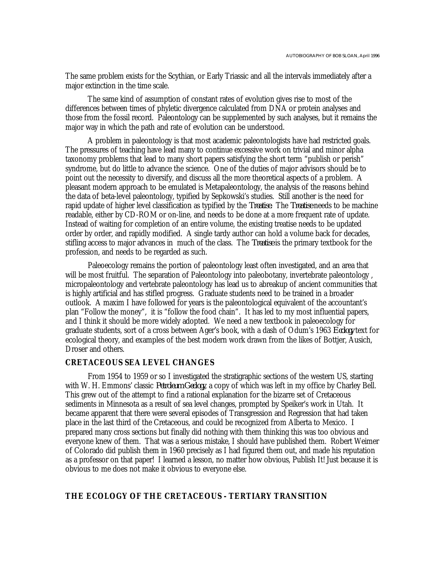The same problem exists for the Scythian, or Early Triassic and all the intervals immediately after a major extinction in the time scale.

The same kind of assumption of constant rates of evolution gives rise to most of the differences between times of phyletic divergence calculated from DNA or protein analyses and those from the fossil record. Paleontology can be supplemented by such analyses, but it remains the major way in which the path and rate of evolution can be understood.

A problem in paleontology is that most academic paleontologists have had restricted goals. The pressures of teaching have lead many to continue excessive work on trivial and minor alpha taxonomy problems that lead to many short papers satisfying the short term "publish or perish" syndrome, but do little to advance the science. One of the duties of major advisors should be to point out the necessity to diversify, and discuss all the more theoretical aspects of a problem. A pleasant modern approach to be emulated is Metapaleontology, the analysis of the reasons behind the data of beta-level paleontology, typified by Sepkowski's studies. Still another is the need for rapid update of higher level classification as typified by the *Treatise.* The *Treatise* needs to be machine readable, either by CD-ROM or on-line, and needs to be done at a more frequent rate of update. Instead of waiting for completion of an entire volume, the existing treatise needs to be updated order by order, and rapidly modified. A single tardy author can hold a volume back for decades, stifling access to major advances in much of the class. The *Treatise* is the primary textbook for the profession, and needs to be regarded as such.

Paleoecology remains the portion of paleontology least often investigated, and an area that will be most fruitful. The separation of Paleontology into paleobotany, invertebrate paleontology , micropaleontology and vertebrate paleontology has lead us to abreakup of ancient communities that is highly artificial and has stifled progress. Graduate students need to be trained in a broader outlook. A maxim I have followed for years is the paleontological equivalent of the accountant's plan "Follow the money", it is "follow the food chain". It has led to my most influential papers, and I think it should be more widely adopted. We need a new textbook in paleoecology for graduate students, sort of a cross between Ager's book, with a dash of Odum's 1963 *Ecology* text for ecological theory, and examples of the best modern work drawn from the likes of Bottjer, Ausich, Droser and others.

## **CRETACEOUS SEA LEVEL CHANGES**

From 1954 to 1959 or so I investigated the stratigraphic sections of the western US, starting with W. H. Emmons' classic *Petroleum Geology*, a copy of which was left in my office by Charley Bell. This grew out of the attempt to find a rational explanation for the bizarre set of Cretaceous sediments in Minnesota as a result of sea level changes, prompted by Speiker's work in Utah. It became apparent that there were several episodes of Transgression and Regression that had taken place in the last third of the Cretaceous, and could be recognized from Alberta to Mexico. I prepared many cross sections but finally did nothing with them thinking this was too obvious and everyone knew of them. That was a serious mistake, I should have published them. Robert Weimer of Colorado did publish them in 1960 precisely as I had figured them out, and made his reputation as a professor on that paper! I learned a lesson, no matter how obvious, Publish It! Just because it is obvious to me does not make it obvious to everyone else.

# **THE ECOLOGY OF THE CRETACEOUS - TERTIARY TRANSITION**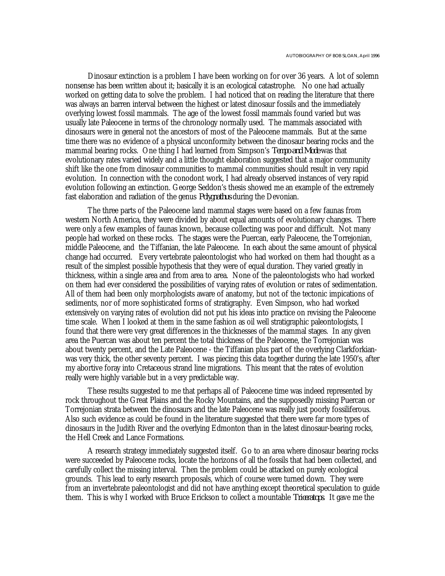Dinosaur extinction is a problem I have been working on for over 36 years. A lot of solemn nonsense has been written about it; basically it is an ecological catastrophe. No one had actually worked on getting data to solve the problem. I had noticed that on reading the literature that there was always an barren interval between the highest or latest dinosaur fossils and the immediately overlying lowest fossil mammals. The age of the lowest fossil mammals found varied but was usually late Paleocene in terms of the chronology normally used. The mammals associated with dinosaurs were in general not the ancestors of most of the Paleocene mammals. But at the same time there was no evidence of a physical unconformity between the dinosaur bearing rocks and the mammal bearing rocks. One thing I had learned from Simpson's *Tempo and Mode* was that evolutionary rates varied widely and a little thought elaboration suggested that a major community shift like the one from dinosaur communities to mammal communities should result in very rapid evolution. In connection with the conodont work, I had already observed instances of very rapid evolution following an extinction. George Seddon's thesis showed me an example of the extremely fast elaboration and radiation of the genus *Polygnathus* during the Devonian.

The three parts of the Paleocene land mammal stages were based on a few faunas from western North America, they were divided by about equal amounts of evolutionary changes. There were only a few examples of faunas known, because collecting was poor and difficult. Not many people had worked on these rocks. The stages were the Puercan, early Paleocene, the Torrejonian, middle Paleocene, and the Tiffanian, the late Paleocene. In each about the same amount of physical change had occurred. Every vertebrate paleontologist who had worked on them had thought as a result of the simplest possible hypothesis that they were of equal duration. They varied greatly in thickness, within a single area and from area to area. None of the paleontologists who had worked on them had ever considered the possibilities of varying rates of evolution or rates of sedimentation. All of them had been only morphologists aware of anatomy, but not of the tectonic impications of sediments, nor of more sophisticated forms of stratigraphy. Even Simpson, who had worked extensively on varying rates of evolution did not put his ideas into practice on revising the Paleocene time scale. When I looked at them in the same fashion as oil well stratigraphic paleontologists, I found that there were very great differences in the thicknesses of the mammal stages. In any given area the Puercan was about ten percent the total thickness of the Paleocene, the Torrejonian was about twenty percent, and the Late Paleocene - the Tiffanian plus part of the overlying Clarkforkianwas very thick, the other seventy percent. I was piecing this data together during the late 1950's, after my abortive foray into Cretaceous strand line migrations. This meant that the rates of evolution really were highly variable but in a very predictable way.

These results suggested to me that perhaps all of Paleocene time was indeed represented by rock throughout the Great Plains and the Rocky Mountains, and the supposedly missing Puercan or Torrejonian strata between the dinosaurs and the late Paleocene was really just poorly fossiliferous. Also such evidence as could be found in the literature suggested that there were far more types of dinosaurs in the Judith River and the overlying Edmonton than in the latest dinosaur-bearing rocks, the Hell Creek and Lance Formations.

A research strategy immediately suggested itself. Go to an area where dinosaur bearing rocks were succeeded by Paleocene rocks, locate the horizons of all the fossils that had been collected, and carefully collect the missing interval. Then the problem could be attacked on purely ecological grounds. This lead to early research proposals, which of course were turned down. They were from an invertebrate paleontologist and did not have anything except theoretical speculation to guide them. This is why I worked with Bruce Erickson to collect a mountable *Triceratops*. It gave me the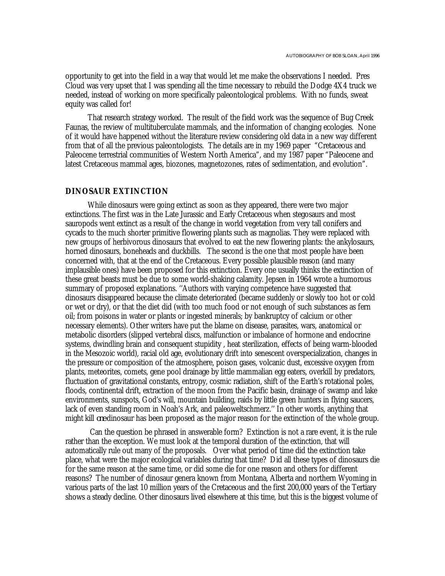opportunity to get into the field in a way that would let me make the observations I needed. Pres Cloud was very upset that I was spending all the time necessary to rebuild the Dodge 4X4 truck we needed, instead of working on more specifically paleontological problems. With no funds, sweat equity was called for!

That research strategy worked. The result of the field work was the sequence of Bug Creek Faunas, the review of multituberculate mammals, and the information of changing ecologies. None of it would have happened without the literature review considering old data in a new way different from that of all the previous paleontologists. The details are in my 1969 paper "Cretaceous and Paleocene terrestrial communities of Western North America", and my 1987 paper "Paleocene and latest Cretaceous mammal ages, biozones, magnetozones, rates of sedimentation, and evolution".

# **DINOSAUR EXTINCTION**

While dinosaurs were going extinct as soon as they appeared, there were two major extinctions. The first was in the Late Jurassic and Early Cretaceous when stegosaurs and most sauropods went extinct as a result of the change in world vegetation from very tall conifers and cycads to the much shorter primitive flowering plants such as magnolias. They were replaced with new groups of herbivorous dinosaurs that evolved to eat the new flowering plants: the ankylosaurs, horned dinosaurs, boneheads and duckbills. The second is the one that most people have been concerned with, that at the end of the Cretaceous. Every possible plausible reason (and many implausible ones) have been proposed for this extinction. Every one usually thinks the extinction of these great beasts must be due to some world-shaking calamity. Jepsen in 1964 wrote a humorous summary of proposed explanations. ''Authors with varying competence have suggested that dinosaurs disappeared because the climate deteriorated (became suddenly or slowly too hot or cold or wet or dry), or that the diet did (with too much food or not enough of such substances as fern oil; from poisons in water or plants or ingested minerals; by bankruptcy of calcium or other necessary elements). Other writers have put the blame on disease, parasites, wars, anatomical or metabolic disorders (slipped vertebral discs, malfunction or imbalance of hormone and endocrine systems, dwindling brain and consequent stupidity , heat sterilization, effects of being warm-blooded in the Mesozoic world), racial old age, evolutionary drift into senescent overspecialization, changes in the pressure or composition of the atmosphere, poison gases, volcanic dust, excessive oxygen from plants, meteorites, comets, gene pool drainage by little mammalian egg eaters, overkill by predators, fluctuation of gravitational constants, entropy, cosmic radiation, shift of the Earth's rotational poles, floods, continental drift, extraction of the moon from the Pacific basin, drainage of swamp and lake environments, sunspots, God's will, mountain building, raids by little green hunters in flying saucers, lack of even standing room in Noah's Ark, and paleoweltschmerz.'' In other words, anything that might kill *one* dinosaur has been proposed as the major reason for the extinction of the whole group.

 Can the question be phrased in answerable form? Extinction is not a rare event, it is the rule rather than the exception. We must look at the temporal duration of the extinction, that will automatically rule out many of the proposals. Over what period of time did the extinction take place, what were the major ecological variables during that time? Did all these types of dinosaurs die for the same reason at the same time, or did some die for one reason and others for different reasons? The number of dinosaur genera known from Montana, Alberta and northern Wyoming in various parts of the last 10 million years of the Cretaceous and the first 200,000 years of the Tertiary shows a steady decline. Other dinosaurs lived elsewhere at this time, but this is the biggest volume of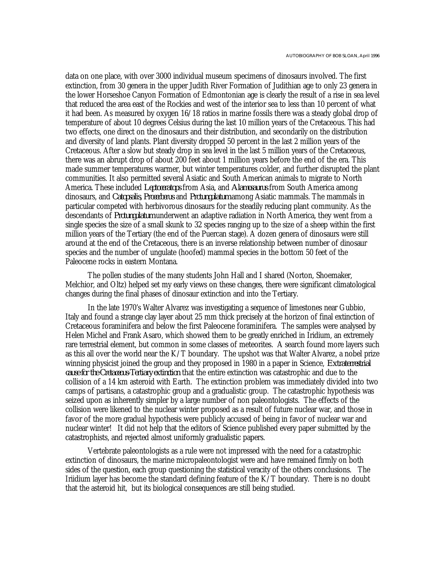data on one place, with over 3000 individual museum specimens of dinosaurs involved. The first extinction, from 30 genera in the upper Judith River Formation of Judithian age to only 23 genera in the lower Horseshoe Canyon Formation of Edmontonian age is clearly the result of a rise in sea level that reduced the area east of the Rockies and west of the interior sea to less than 10 percent of what it had been. As measured by oxygen 16/18 ratios in marine fossils there was a steady global drop of temperature of about 10 degrees Celsius during the last 10 million years of the Cretaceous. This had two effects, one direct on the dinosaurs and their distribution, and secondarily on the distribution and diversity of land plants. Plant diversity dropped 50 percent in the last 2 million years of the Cretaceous. After a slow but steady drop in sea level in the last 5 million years of the Cretaceous, there was an abrupt drop of about 200 feet about 1 million years before the end of the era. This made summer temperatures warmer, but winter temperatures colder, and further disrupted the plant communities. It also permitted several Asiatic and South American animals to migrate to North America. These included *Leptoceratops* from Asia, and *Alamosaurus* from South America among dinosaurs, and *Catopsalis, Procerberus* and *Protungulatum* among Asiatic mammals. The mammals in particular competed with herbivorous dinosaurs for the steadily reducing plant community. As the descendants of *Protungulatum* underwent an adaptive radiation in North America, they went from a single species the size of a small skunk to 32 species ranging up to the size of a sheep within the first million years of the Tertiary (the end of the Puercan stage). A dozen genera of dinosaurs were still around at the end of the Cretaceous, there is an inverse relationship between number of dinosaur species and the number of ungulate (hoofed) mammal species in the bottom 50 feet of the Paleocene rocks in eastern Montana.

The pollen studies of the many students John Hall and I shared (Norton, Shoemaker, Melchior, and Oltz) helped set my early views on these changes, there were significant climatological changes during the final phases of dinosaur extinction and into the Tertiary.

In the late 1970's Walter Alvarez was investigating a sequence of limestones near Gubbio, Italy and found a strange clay layer about 25 mm thick precisely at the horizon of final extinction of Cretaceous foraminifera and below the first Paleocene foraminifera. The samples were analysed by Helen Michel and Frank Asaro, which showed them to be greatly enriched in Iridium, an extremely rare terrestrial element, but common in some classes of meteorites. A search found more layers such as this all over the world near the K/T boundary. The upshot was that Walter Alvarez, a nobel prize winning physicist joined the group and they proposed in 1980 in a paper in Science, *Extraterrestrial cause for the Cretaceous-Tertiary extinction* that the entire extinction was catastrophic and due to the collision of a 14 km asteroid with Earth. The extinction problem was immediately divided into two camps of partisans, a catastrophic group and a gradualistic group. The catastrophic hypothesis was seized upon as inherently simpler by a large number of non paleontologists. The effects of the collision were likened to the nuclear winter proposed as a result of future nuclear war, and those in favor of the more gradual hypothesis were publicly accused of being in favor of nuclear war and nuclear winter! It did not help that the editors of Science published every paper submitted by the catastrophists, and rejected almost uniformly gradualistic papers.

Vertebrate paleontologists as a rule were not impressed with the need for a catastrophic extinction of dinosaurs, the marine micropaleontologist were and have remained firmly on both sides of the question, each group questioning the statistical veracity of the others conclusions. The Iriidium layer has become the standard defining feature of the K/T boundary. There is no doubt that the asteroid hit, but its biological consequences are still being studied.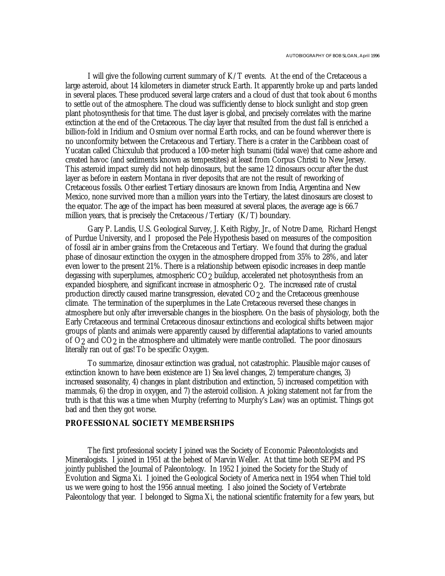I will give the following current summary of K/T events. At the end of the Cretaceous a large asteroid, about 14 kilometers in diameter struck Earth. It apparently broke up and parts landed in several places. These produced several large craters and a cloud of dust that took about 6 months to settle out of the atmosphere. The cloud was sufficiently dense to block sunlight and stop green plant photosynthesis for that time. The dust layer is global, and precisely correlates with the marine extinction at the end of the Cretaceous. The clay layer that resulted from the dust fall is enriched a billion-fold in Iridium and Osmium over normal Earth rocks, and can be found wherever there is no unconformity between the Cretaceous and Tertiary. There is a crater in the Caribbean coast of Yucatan called Chicxulub that produced a 100-meter high tsunami (tidal wave) that came ashore and created havoc (and sediments known as tempestites) at least from Corpus Christi to New Jersey. This asteroid impact surely did not help dinosaurs, but the same 12 dinosaurs occur after the dust layer as before in eastern Montana in river deposits that are not the result of reworking of Cretaceous fossils. Other earliest Tertiary dinosaurs are known from India, Argentina and New Mexico, none survived more than a million years into the Tertiary, the latest dinosaurs are closest to the equator. The age of the impact has been measured at several places, the average age is 66.7 million years, that is precisely the Cretaceous /Tertiary (K/T) boundary.

Gary P. Landis, U.S. Geological Survey, J. Keith Rigby, Jr., of Notre Dame, Richard Hengst of Purdue University, and I proposed the Pele Hypothesis based on measures of the composition of fossil air in amber grains from the Cretaceous and Tertiary. We found that during the gradual phase of dinosaur extinction the oxygen in the atmosphere dropped from 35% to 28%, and later even lower to the present 21%. There is a relationship between episodic increases in deep mantle degassing with superplumes, atmospheric CO<sub>2</sub> buildup, accelerated net photosynthesis from an expanded biosphere, and significant increase in atmospheric O<sub>2</sub>. The increased rate of crustal production directly caused marine transgression, elevated CO2 and the Cretaceous greenhouse climate. The termination of the superplumes in the Late Cretaceous reversed these changes in atmosphere but only after irreversable changes in the biosphere. On the basis of physiology, both the Early Cretaceous and terminal Cretaceous dinosaur extinctions and ecological shifts between major groups of plants and animals were apparently caused by differential adaptations to varied amounts of O2 and CO2 in the atmosphere and ultimately were mantle controlled. The poor dinosaurs literally ran out of gas! To be specific Oxygen.

To summarize, dinosaur extinction was gradual, not catastrophic. Plausible major causes of extinction known to have been existence are 1) Sea level changes, 2) temperature changes, 3) increased seasonality, 4) changes in plant distribution and extinction, 5) increased competition with mammals, 6) the drop in oxygen, and 7) the asteroid collision. A joking statement not far from the truth is that this was a time when Murphy (referring to Murphy's Law) was an optimist. Things got bad and then they got worse.

### **PROFESSIONAL SOCIETY MEMBERSHIPS**

The first professional society I joined was the Society of Economic Paleontologists and Mineralogists. I joined in 1951 at the behest of Marvin Weller. At that time both SEPM and PS jointly published the Journal of Paleontology. In 1952 I joined the Society for the Study of Evolution and Sigma Xi. I joined the Geological Society of America next in 1954 when Thiel told us we were going to host the 1956 annual meeting. I also joined the Society of Vertebrate Paleontology that year. I belonged to Sigma Xi, the national scientific fraternity for a few years, but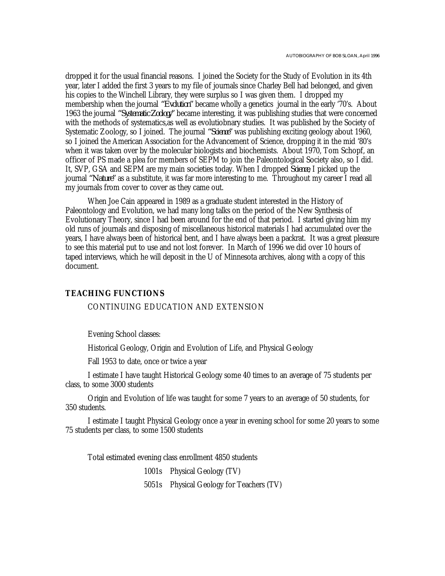dropped it for the usual financial reasons. I joined the Society for the Study of Evolution in its 4th year, later I added the first 3 years to my file of journals since Charley Bell had belonged, and given his copies to the Winchell Library, they were surplus so I was given them. I dropped my membership when the journal *"Evolution"* became wholly a genetics journal in the early '70's. About 1963 the journal *"Systematic Zoology"* became interesting, it was publishing studies that were concerned with the methods of systematics,as well as evolutiobnary studies. It was published by the Society of Systematic Zoology, so I joined. The journal *"Science"* was publishing exciting geology about 1960, so I joined the American Association for the Advancement of Science, dropping it in the mid '80's when it was taken over by the molecular biologists and biochemists. About 1970, Tom Schopf, an officer of PS made a plea for members of SEPM to join the Paleontological Society also, so I did. It, SVP, GSA and SEPM are my main societies today. When I dropped *Science*, I picked up the journal *"Nature"* as a substitute, it was far more interesting to me. Throughout my career I read all my journals from cover to cover as they came out.

When Joe Cain appeared in 1989 as a graduate student interested in the History of Paleontology and Evolution, we had many long talks on the period of the New Synthesis of Evolutionary Theory, since I had been around for the end of that period. I started giving him my old runs of journals and disposing of miscellaneous historical materials I had accumulated over the years, I have always been of historical bent, and I have always been a packrat. It was a great pleasure to see this material put to use and not lost forever. In March of 1996 we did over 10 hours of taped interviews, which he will deposit in the U of Minnesota archives, along with a copy of this document.

### **TEACHING FUNCTIONS**

#### CONTINUING EDUCATION AND EXTENSION

Evening School classes:

Historical Geology, Origin and Evolution of Life, and Physical Geology

Fall 1953 to date, once or twice a year

I estimate I have taught Historical Geology some 40 times to an average of 75 students per class, to some 3000 students

Origin and Evolution of life was taught for some 7 years to an average of 50 students, for 350 students.

I estimate I taught Physical Geology once a year in evening school for some 20 years to some 75 students per class, to some 1500 students

Total estimated evening class enrollment 4850 students

1001s Physical Geology (TV)

5051s Physical Geology for Teachers (TV)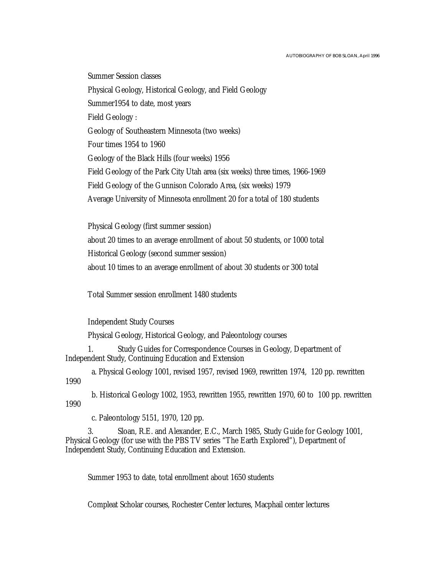Summer Session classes Physical Geology, Historical Geology, and Field Geology Summer1954 to date, most years Field Geology : Geology of Southeastern Minnesota (two weeks) Four times 1954 to 1960 Geology of the Black Hills (four weeks) 1956 Field Geology of the Park City Utah area (six weeks) three times, 1966-1969 Field Geology of the Gunnison Colorado Area, (six weeks) 1979 Average University of Minnesota enrollment 20 for a total of 180 students

Physical Geology (first summer session) about 20 times to an average enrollment of about 50 students, or 1000 total Historical Geology (second summer session) about 10 times to an average enrollment of about 30 students or 300 total

Total Summer session enrollment 1480 students

Independent Study Courses

Physical Geology, Historical Geology, and Paleontology courses

1. Study Guides for Correspondence Courses in Geology, Department of Independent Study, Continuing Education and Extension

a. Physical Geology 1001, revised 1957, revised 1969, rewritten 1974, 120 pp. rewritten 1990

b. Historical Geology 1002, 1953, rewritten 1955, rewritten 1970, 60 to 100 pp. rewritten 1990

c. Paleontology 5151, 1970, 120 pp.

3. Sloan, R.E. and Alexander, E.C., March 1985, Study Guide for Geology 1001, Physical Geology (for use with the PBS TV series "The Earth Explored"), Department of Independent Study, Continuing Education and Extension.

Summer 1953 to date, total enrollment about 1650 students

Compleat Scholar courses, Rochester Center lectures, Macphail center lectures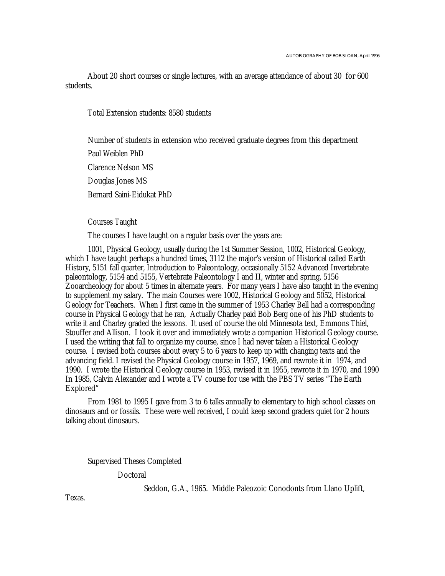About 20 short courses or single lectures, with an average attendance of about 30 for 600 students.

Total Extension students: 8580 students

Number of students in extension who received graduate degrees from this department Paul Weiblen PhD Clarence Nelson MS Douglas Jones MS Bernard Saini-Eidukat PhD

Courses Taught

The courses I have taught on a regular basis over the years are:

1001, Physical Geology, usually during the 1st Summer Session, 1002, Historical Geology, which I have taught perhaps a hundred times, 3112 the major's version of Historical called Earth History, 5151 fall quarter, Introduction to Paleontology, occasionally 5152 Advanced Invertebrate paleontology, 5154 and 5155, Vertebrate Paleontology I and II, winter and spring, 5156 Zooarcheology for about 5 times in alternate years. For many years I have also taught in the evening to supplement my salary. The main Courses were 1002, Historical Geology and 5052, Historical Geology for Teachers. When I first came in the summer of 1953 Charley Bell had a corresponding course in Physical Geology that he ran, Actually Charley paid Bob Berg one of his PhD students to write it and Charley graded the lessons. It used of course the old Minnesota text, Emmons Thiel, Stouffer and Allison. I took it over and immediately wrote a companion Historical Geology course. I used the writing that fall to organize my course, since I had never taken a Historical Geology course. I revised both courses about every 5 to 6 years to keep up with changing texts and the advancing field. I revised the Physical Geology course in 1957, 1969, and rewrote it in 1974, and 1990. I wrote the Historical Geology course in 1953, revised it in 1955, rewrote it in 1970, and 1990 In 1985, Calvin Alexander and I wrote a TV course for use with the PBS TV series "The Earth Explored"

From 1981 to 1995 I gave from 3 to 6 talks annually to elementary to high school classes on dinosaurs and or fossils. These were well received, I could keep second graders quiet for 2 hours talking about dinosaurs.

Supervised Theses Completed

Doctoral

Seddon, G.A., 1965. Middle Paleozoic Conodonts from Llano Uplift,

Texas.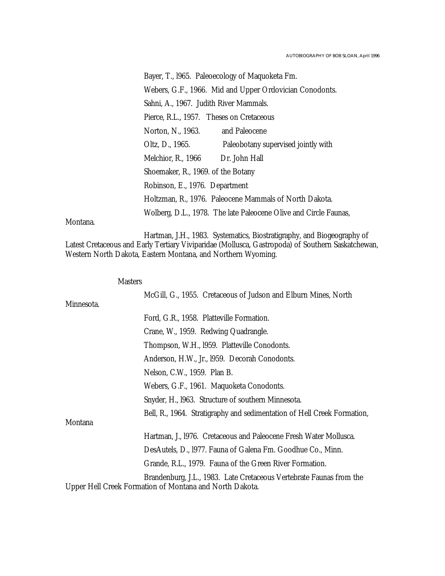Bayer, T., l965. Paleoecology of Maquoketa Fm. Webers, G.F., 1966. Mid and Upper Ordovician Conodonts. Sahni, A., 1967. Judith River Mammals. Pierce, R.L., 1957. Theses on Cretaceous Norton, N., 1963. and Paleocene Oltz, D., 1965. Paleobotany supervised jointly with Melchior, R., 1966 Dr. John Hall Shoemaker, R., 1969. of the Botany Robinson, E., 1976. Department Holtzman, R., 1976. Paleocene Mammals of North Dakota. Wolberg, D.L., 1978. The late Paleocene Olive and Circle Faunas,

Montana.

Masters

Hartman, J.H., 1983. Systematics, Biostratigraphy, and Biogeography of Latest Cretaceous and Early Tertiary Viviparidae (Mollusca, Gastropoda) of Southern Saskatchewan, Western North Dakota, Eastern Montana, and Northern Wyoming.

| <b>NIASTERS</b> |                                                                                                                                |
|-----------------|--------------------------------------------------------------------------------------------------------------------------------|
|                 | McGill, G., 1955. Cretaceous of Judson and Elburn Mines, North                                                                 |
| Minnesota.      |                                                                                                                                |
|                 | Ford, G.R., 1958. Platteville Formation.                                                                                       |
|                 | Crane, W., 1959. Redwing Quadrangle.                                                                                           |
|                 | Thompson, W.H., 1959. Platteville Conodonts.                                                                                   |
|                 | Anderson, H.W., Jr., 1959. Decorah Conodonts.                                                                                  |
|                 | Nelson, C.W., 1959. Plan B.                                                                                                    |
|                 | Webers, G.F., 1961. Maquoketa Conodonts.                                                                                       |
|                 | Snyder, H., 1963. Structure of southern Minnesota.                                                                             |
|                 | Bell, R., 1964. Stratigraphy and sedimentation of Hell Creek Formation,                                                        |
| Montana         |                                                                                                                                |
|                 | Hartman, J., 1976. Cretaceous and Paleocene Fresh Water Mollusca.                                                              |
|                 | DesAutels, D., 1977. Fauna of Galena Fm. Goodhue Co., Minn.                                                                    |
|                 | Grande, R.L., 1979. Fauna of the Green River Formation.                                                                        |
|                 | Brandenburg, J.L., 1983. Late Cretaceous Vertebrate Faunas from the<br>Upper Hell Creek Formation of Montana and North Dakota. |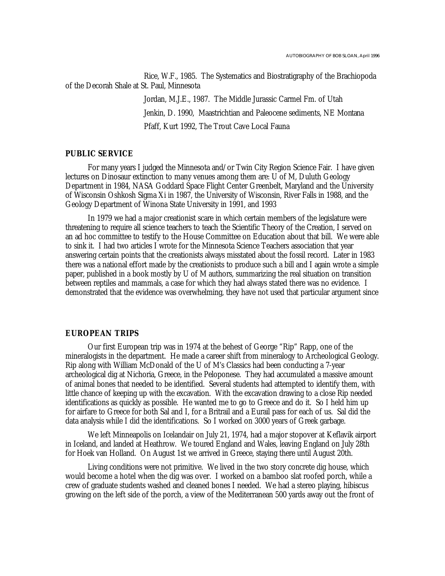Rice, W.F., 1985. The Systematics and Biostratigraphy of the Brachiopoda of the Decorah Shale at St. Paul, Minnesota

> Jordan, M.J.E., 1987. The Middle Jurassic Carmel Fm. of Utah Jenkin, D. 1990, Maastrichtian and Paleocene sediments, NE Montana Pfaff, Kurt 1992, The Trout Cave Local Fauna

## **PUBLIC SERVICE**

For many years I judged the Minnesota and/or Twin City Region Science Fair. I have given lectures on Dinosaur extinction to many venues among them are: U of M, Duluth Geology Department in 1984, NASA Goddard Space Flight Center Greenbelt, Maryland and the University of Wisconsin Oshkosh Sigma Xi in 1987, the University of Wisconsin, River Falls in 1988, and the Geology Department of Winona State University in 1991, and 1993

In 1979 we had a major creationist scare in which certain members of the legislature were threatening to require all science teachers to teach the Scientific Theory of the Creation, I served on an ad hoc committee to testify to the House Committee on Education about that bill. We were able to sink it. I had two articles I wrote for the Minnesota Science Teachers association that year answering certain points that the creationists always misstated about the fossil record. Later in 1983 there was a national effort made by the creationists to produce such a bill and I again wrote a simple paper, published in a book mostly by U of M authors, summarizing the real situation on transition between reptiles and mammals, a case for which they had always stated there was no evidence. I demonstrated that the evidence was overwhelming, they have not used that particular argument since

#### **EUROPEAN TRIPS**

Our first European trip was in 1974 at the behest of George "Rip" Rapp, one of the mineralogists in the department. He made a career shift from mineralogy to Archeological Geology. Rip along with William McDonald of the U of M's Classics had been conducting a 7-year archeological dig at Nichoria, Greece, in the Peloponese. They had accumulated a massive amount of animal bones that needed to be identified. Several students had attempted to identify them, with little chance of keeping up with the excavation. With the excavation drawing to a close Rip needed identifications as quickly as possible. He wanted me to go to Greece and do it. So I held him up for airfare to Greece for both Sal and I, for a Britrail and a Eurail pass for each of us. Sal did the data analysis while I did the identifications. So I worked on 3000 years of Greek garbage.

We left Minneapolis on Icelandair on July 21, 1974, had a major stopover at Keflavik airport in Iceland, and landed at Heathrow. We toured England and Wales, leaving England on July 28th for Hoek van Holland. On August 1st we arrived in Greece, staying there until August 20th.

Living conditions were not primitive. We lived in the two story concrete dig house, which would become a hotel when the dig was over. I worked on a bamboo slat roofed porch, while a crew of graduate students washed and cleaned bones I needed. We had a stereo playing, hibiscus growing on the left side of the porch, a view of the Mediterranean 500 yards away out the front of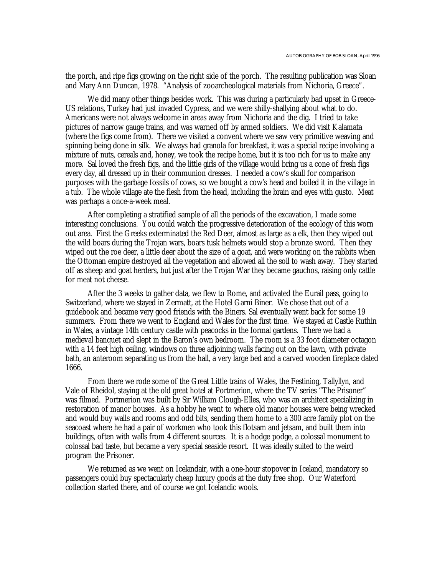the porch, and ripe figs growing on the right side of the porch. The resulting publication was Sloan and Mary Ann Duncan, 1978. "Analysis of zooarcheological materials from Nichoria, Greece".

We did many other things besides work. This was during a particularly bad upset in Greece-US relations, Turkey had just invaded Cypress, and we were shilly-shallying about what to do. Americans were not always welcome in areas away from Nichoria and the dig. I tried to take pictures of narrow gauge trains, and was warned off by armed soldiers. We did visit Kalamata (where the figs come from). There we visited a convent where we saw very primitive weaving and spinning being done in silk. We always had granola for breakfast, it was a special recipe involving a mixture of nuts, cereals and, honey, we took the recipe home, but it is too rich for us to make any more. Sal loved the fresh figs, and the little girls of the village would bring us a cone of fresh figs every day, all dressed up in their communion dresses. I needed a cow's skull for comparison purposes with the garbage fossils of cows, so we bought a cow's head and boiled it in the village in a tub. The whole village ate the flesh from the head, including the brain and eyes with gusto. Meat was perhaps a once-a-week meal.

After completing a stratified sample of all the periods of the excavation, I made some interesting conclusions. You could watch the progressive deterioration of the ecology of this worn out area. First the Greeks exterminated the Red Deer, almost as large as a elk, then they wiped out the wild boars during the Trojan wars, boars tusk helmets would stop a bronze sword. Then they wiped out the roe deer, a little deer about the size of a goat, and were working on the rabbits when the Ottoman empire destroyed all the vegetation and allowed all the soil to wash away. They started off as sheep and goat herders, but just after the Trojan War they became gauchos, raising only cattle for meat not cheese.

After the 3 weeks to gather data, we flew to Rome, and activated the Eurail pass, going to Switzerland, where we stayed in Zermatt, at the Hotel Garni Biner. We chose that out of a guidebook and became very good friends with the Biners. Sal eventually went back for some 19 summers. From there we went to England and Wales for the first time. We stayed at Castle Ruthin in Wales, a vintage 14th century castle with peacocks in the formal gardens. There we had a medieval banquet and slept in the Baron's own bedroom. The room is a 33 foot diameter octagon with a 14 feet high ceiling, windows on three adjoining walls facing out on the lawn, with private bath, an anteroom separating us from the hall, a very large bed and a carved wooden fireplace dated 1666.

From there we rode some of the Great Little trains of Wales, the Festiniog, Tallyllyn, and Vale of Rheidol, staying at the old great hotel at Portmerion, where the TV series "The Prisoner" was filmed. Portmerion was built by Sir William Clough-Elles, who was an architect specializing in restoration of manor houses. As a hobby he went to where old manor houses were being wrecked and would buy walls and rooms and odd bits, sending them home to a 300 acre family plot on the seacoast where he had a pair of workmen who took this flotsam and jetsam, and built them into buildings, often with walls from 4 different sources. It is a hodge podge, a colossal monument to colossal bad taste, but became a very special seaside resort. It was ideally suited to the weird program the Prisoner.

We returned as we went on Icelandair, with a one-hour stopover in Iceland, mandatory so passengers could buy spectacularly cheap luxury goods at the duty free shop. Our Waterford collection started there, and of course we got Icelandic wools.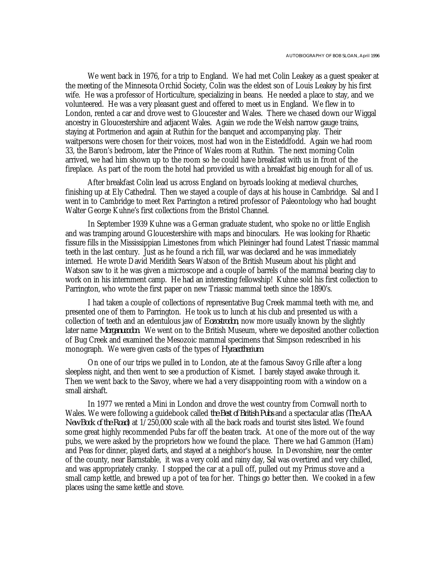We went back in 1976, for a trip to England. We had met Colin Leakey as a guest speaker at the meeting of the Minnesota Orchid Society, Colin was the eldest son of Louis Leakey by his first wife. He was a professor of Horticulture, specializing in beans. He needed a place to stay, and we volunteered. He was a very pleasant guest and offered to meet us in England. We flew in to London, rented a car and drove west to Gloucester and Wales. There we chased down our Wiggal ancestry in Gloucestershire and adjacent Wales. Again we rode the Welsh narrow gauge trains, staying at Portmerion and again at Ruthin for the banquet and accompanying play. Their waitpersons were chosen for their voices, most had won in the Eisteddfodd. Again we had room 33, the Baron's bedroom, later the Prince of Wales room at Ruthin. The next morning Colin arrived, we had him shown up to the room so he could have breakfast with us in front of the fireplace. As part of the room the hotel had provided us with a breakfast big enough for all of us.

After breakfast Colin lead us across England on byroads looking at medieval churches, finishing up at Ely Cathedral. Then we stayed a couple of days at his house in Cambridge. Sal and I went in to Cambridge to meet Rex Parrington a retired professor of Paleontology who had bought Walter George Kuhne's first collections from the Bristol Channel.

In September 1939 Kuhne was a German graduate student, who spoke no or little English and was tramping around Gloucestershire with maps and binoculars. He was looking for Rhaetic fissure fills in the Mississippian Limestones from which Pleininger had found Latest Triassic mammal teeth in the last century. Just as he found a rich fill, war was declared and he was immediately interned. He wrote David Meridith Sears Watson of the British Museum about his plight and Watson saw to it he was given a microscope and a couple of barrels of the mammal bearing clay to work on in his internment camp. He had an interesting fellowship! Kuhne sold his first collection to Parrington, who wrote the first paper on new Triassic mammal teeth since the 1890's.

I had taken a couple of collections of representative Bug Creek mammal teeth with me, and presented one of them to Parrington. He took us to lunch at his club and presented us with a collection of teeth and an edentulous jaw of *Eozostrodon*, now more usually known by the slightly later name *Morganucodon*. We went on to the British Museum, where we deposited another collection of Bug Creek and examined the Mesozoic mammal specimens that Simpson redescribed in his monograph. We were given casts of the types of *Hyracotherium*.

On one of our trips we pulled in to London, ate at the famous Savoy Grille after a long sleepless night, and then went to see a production of Kismet. I barely stayed awake through it. Then we went back to the Savoy, where we had a very disappointing room with a window on a small airshaft.

In 1977 we rented a Mini in London and drove the west country from Cornwall north to Wales. We were following a guidebook called *the Best of British Pubs* and a spectacular atlas (*The AA New Book of the Road*) at 1/250,000 scale with all the back roads and tourist sites listed. We found some great highly recommended Pubs far off the beaten track. At one of the more out of the way pubs, we were asked by the proprietors how we found the place. There we had Gammon (Ham) and Peas for dinner, played darts, and stayed at a neighbor's house. In Devonshire, near the center of the county, near Barnstable, it was a very cold and rainy day, Sal was overtired and very chilled, and was appropriately cranky. I stopped the car at a pull off, pulled out my Primus stove and a small camp kettle, and brewed up a pot of tea for her. Things go better then. We cooked in a few places using the same kettle and stove.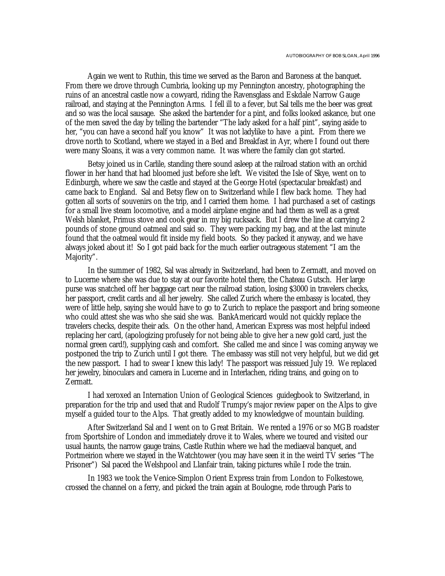Again we went to Ruthin, this time we served as the Baron and Baroness at the banquet. From there we drove through Cumbria, looking up my Pennington ancestry, photographing the ruins of an ancestral castle now a cowyard, riding the Ravensglass and Eskdale Narrow Gauge railroad, and staying at the Pennington Arms. I fell ill to a fever, but Sal tells me the beer was great and so was the local sausage. She asked the bartender for a pint, and folks looked askance, but one of the men saved the day by telling the bartender "The lady asked for a half pint", saying aside to her, "you can have a second half you know" It was not ladylike to have a pint. From there we drove north to Scotland, where we stayed in a Bed and Breakfast in Ayr, where I found out there were many Sloans, it was a very common name. It was where the family clan got started.

Betsy joined us in Carlile, standing there sound asleep at the railroad station with an orchid flower in her hand that had bloomed just before she left. We visited the Isle of Skye, went on to Edinburgh, where we saw the castle and stayed at the George Hotel (spectacular breakfast) and came back to England. Sal and Betsy flew on to Switzerland while I flew back home. They had gotten all sorts of souvenirs on the trip, and I carried them home. I had purchased a set of castings for a small live steam locomotive, and a model airplane engine and had them as well as a great Welsh blanket, Primus stove and cook gear in my big rucksack. But I drew the line at carrying 2 pounds of stone ground oatmeal and said so. They were packing my bag, and at the last minute found that the oatmeal would fit inside my field boots. So they packed it anyway, and we have always joked about it! So I got paid back for the much earlier outrageous statement "I am the Majority".

In the summer of 1982, Sal was already in Switzerland, had been to Zermatt, and moved on to Lucerne where she was due to stay at our favorite hotel there, the Chateau Gutsch. Her large purse was snatched off her baggage cart near the railroad station, losing \$3000 in travelers checks, her passport, credit cards and all her jewelry. She called Zurich where the embassy is located, they were of little help, saying she would have to go to Zurich to replace the passport and bring someone who could attest she was who she said she was. BankAmericard would not quickly replace the travelers checks, despite their ads. On the other hand, American Express was most helpful indeed replacing her card, (apologizing profusely for not being able to give her a new gold card, just the normal green card!), supplying cash and comfort. She called me and since I was coming anyway we postponed the trip to Zurich until I got there. The embassy was still not very helpful, but we did get the new passport. I had to swear I knew this lady! The passport was reissued July 19. We replaced her jewelry, binoculars and camera in Lucerne and in Interlachen, riding trains, and going on to Zermatt.

I had xeroxed an Internation Union of Geological Sciences guidegbook to Switzerland, in preparation for the trip and used that and Rudolf Trumpy's major review paper on the Alps to give myself a guided tour to the Alps. That greatly added to my knowledgwe of mountain building.

After Switzerland Sal and I went on to Great Britain. We rented a 1976 or so MGB roadster from Sportshire of London and immediately drove it to Wales, where we toured and visited our usual haunts, the narrow gauge trains, Castle Ruthin where we had the mediaeval banquet, and Portmeirion where we stayed in the Watchtower (you may have seen it in the weird TV series "The Prisoner") Sal paced the Welshpool and Llanfair train, taking pictures while I rode the train.

In 1983 we took the Venice-Simplon Orient Express train from London to Folkestowe, crossed the channel on a ferry, and picked the train again at Boulogne, rode through Paris to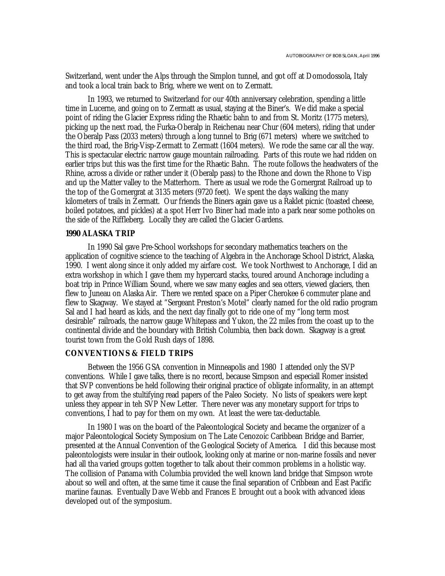Switzerland, went under the Alps through the Simplon tunnel, and got off at Domodossola, Italy and took a local train back to Brig, where we went on to Zermatt.

In 1993, we returned to Switzerland for our 40th anniversary celebration, spending a little time in Lucerne, and going on to Zermatt as usual, staying at the Biner's. We did make a special point of riding the Glacier Express riding the Rhaetic bahn to and from St. Moritz (1775 meters), picking up the next road, the Furka-Oberalp in Reichenau near Chur (604 meters), riding that under the Oberalp Pass (2033 meters) through a long tunnel to Brig (671 meters) where we switched to the third road, the Brig-Visp-Zermatt to Zermatt (1604 meters). We rode the same car all the way. This is spectacular electric narrow gauge mountain railroading. Parts of this route we had ridden on earlier trips but this was the first time for the Rhaetic Bahn. The route follows the headwaters of the Rhine, across a divide or rather under it (Oberalp pass) to the Rhone and down the Rhone to Visp and up the Matter valley to the Matterhorn. There as usual we rode the Gornergrat Railroad up to the top of the Gornergrat at 3135 meters (9720 feet). We spent the days walking the many kilometers of trails in Zermatt. Our friends the Biners again gave us a Raklet picnic (toasted cheese, boiled potatoes, and pickles) at a spot Herr Ivo Biner had made into a park near some potholes on the side of the Riffleberg. Locally they are called the Glacier Gardens.

#### **1990 ALASKA TRIP**

In 1990 Sal gave Pre-School workshops for secondary mathematics teachers on the application of cognitive science to the teaching of Algebra in the Anchorage School District, Alaska, 1990. I went along since it only added my airfare cost. We took Northwest to Anchorage, I did an extra workshop in which I gave them my hypercard stacks, toured around Anchorage including a boat trip in Prince William Sound, where we saw many eagles and sea otters, viewed glaciers, then flew to Juneau on Alaska Air. There we rented space on a Piper Cherokee 6 commuter plane and flew to Skagway. We stayed at "Sergeant Preston's Motel" clearly named for the old radio program Sal and I had heard as kids, and the next day finally got to ride one of my "long term most desirable" railroads, the narrow gauge Whitepass and Yukon, the 22 miles from the coast up to the continental divide and the boundary with British Columbia, then back down. Skagway is a great tourist town from the Gold Rush days of 1898.

#### **CONVENTIONS & FIELD TRIPS**

Between the 1956 GSA convention in Minneapolis and 1980 I attended only the SVP conventions. While I gave talks, there is no record, because Simpson and especiall Romer insisted that SVP conventions be held following their original practice of obligate informality, in an attempt to get away from the stultifying read papers of the Paleo Society. No lists of speakers were kept unless they appear in teh SVP New Letter. There never was any monetary support for trips to conventions, I had to pay for them on my own. At least the were tax-deductable.

In 1980 I was on the board of the Paleontological Society and became the organizer of a major Paleontological Society Symposium on The Late Cenozoic Caribbean Bridge and Barrier, presented at the Annual Convention of the Geological Society of America. I did this because most paleontologists were insular in their outlook, looking only at marine or non-marine fossils and never had all tha varied groups gotten together to talk about their common problems in a holistic way. The collision of Panama with Columbia provided the well known land bridge that Simpson wrote about so well and often, at the same time it cause the final separation of Cribbean and East Pacific mariine faunas. Eventually Dave Webb and Frances E brought out a book with advanced ideas developed out of the symposium.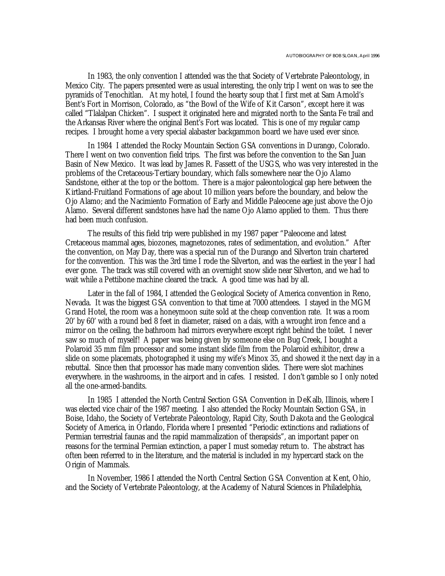In 1983, the only convention I attended was the that Society of Vertebrate Paleontology, in Mexico City. The papers presented were as usual interesting, the only trip I went on was to see the pyramids of Tenochitlan. At my hotel, I found the hearty soup that I first met at Sam Arnold's Bent's Fort in Morrison, Colorado, as "the Bowl of the Wife of Kit Carson", except here it was called "Tlalalpan Chicken". I suspect it originated here and migrated north to the Santa Fe trail and the Arkansas River where the original Bent's Fort was located. This is one of my regular camp recipes. I brought home a very special alabaster backgammon board we have used ever since.

In 1984 I attended the Rocky Mountain Section GSA conventions in Durango, Colorado. There I went on two convention field trips. The first was before the convention to the San Juan Basin of New Mexico. It was lead by James R. Fassett of the USGS, who was very interested in the problems of the Cretaceous-Tertiary boundary, which falls somewhere near the Ojo Alamo Sandstone, either at the top or the bottom. There is a major paleontological gap here between the Kirtland-Fruitland Formations of age about 10 million years before the boundary, and below the Ojo Alamo; and the Nacimiento Formation of Early and Middle Paleocene age just above the Ojo Alamo. Several different sandstones have had the name Ojo Alamo applied to them. Thus there had been much confusion.

The results of this field trip were published in my 1987 paper "Paleocene and latest Cretaceous mammal ages, biozones, magnetozones, rates of sedimentation, and evolution." After the convention, on May Day, there was a special run of the Durango and Silverton train chartered for the convention. This was the 3rd time I rode the Silverton, and was the earliest in the year I had ever gone. The track was still covered with an overnight snow slide near Silverton, and we had to wait while a Pettibone machine cleared the track. A good time was had by all.

Later in the fall of 1984, I attended the Geological Society of America convention in Reno, Nevada. It was the biggest GSA convention to that time at 7000 attendees. I stayed in the MGM Grand Hotel, the room was a honeymoon suite sold at the cheap convention rate. It was a room 20' by 60' with a round bed 8 feet in diameter, raised on a dais, with a wrought iron fence and a mirror on the ceiling, the bathroom had mirrors everywhere except right behind the toilet. I never saw so much of myself! A paper was being given by someone else on Bug Creek, I bought a Polaroid 35 mm film processor and some instant slide film from the Polaroid exhibitor, drew a slide on some placemats, photographed it using my wife's Minox 35, and showed it the next day in a rebuttal. Since then that processor has made many convention slides. There were slot machines everywhere. in the washrooms, in the airport and in cafes. I resisted. I don't gamble so I only noted all the one-armed-bandits.

In 1985 I attended the North Central Section GSA Convention in DeKalb, Illinois, where I was elected vice chair of the 1987 meeting. I also attended the Rocky Mountain Section GSA, in Boise, Idaho, the Society of Vertebrate Paleontology, Rapid City, South Dakota and the Geological Society of America, in Orlando, Florida where I presented "Periodic extinctions and radiations of Permian terrestrial faunas and the rapid mammalization of therapsids", an important paper on reasons for the terminal Permian extinction, a paper I must someday return to. The abstract has often been referred to in the literature, and the material is included in my hypercard stack on the Origin of Mammals.

In November, 1986 I attended the North Central Section GSA Convention at Kent, Ohio, and the Society of Vertebrate Paleontology, at the Academy of Natural Sciences in Philadelphia,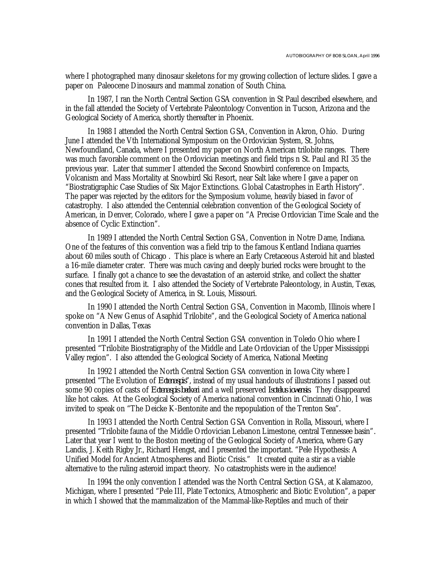where I photographed many dinosaur skeletons for my growing collection of lecture slides. I gave a paper on Paleocene Dinosaurs and mammal zonation of South China.

In 1987, I ran the North Central Section GSA convention in St Paul described elsewhere, and in the fall attended the Society of Vertebrate Paleontology Convention in Tucson, Arizona and the Geological Society of America, shortly thereafter in Phoenix.

In 1988 I attended the North Central Section GSA, Convention in Akron, Ohio. During June I attended the Vth International Symposium on the Ordovician System, St. Johns, Newfoundland, Canada, where I presented my paper on North American trilobite ranges. There was much favorable comment on the Ordovician meetings and field trips n St. Paul and RI 35 the previous year. Later that summer I attended the Second Snowbird conference on Impacts, Volcanism and Mass Mortality at Snowbird Ski Resort, near Salt lake where I gave a paper on "Biostratigraphic Case Studies of Six Major Extinctions. Global Catastrophes in Earth History". The paper was rejected by the editors for the Symposium volume, heavily biased in favor of catastrophy. I also attended the Centennial celebration convention of the Geological Society of American, in Denver, Colorado, where I gave a paper on "A Precise Ordovician Time Scale and the absence of Cyclic Extinction".

In 1989 I attended the North Central Section GSA, Convention in Notre Dame, Indiana. One of the features of this convention was a field trip to the famous Kentland Indiana quarries about 60 miles south of Chicago . This place is where an Early Cretaceous Asteroid hit and blasted a 16-mile diameter crater. There was much caving and deeply buried rocks were brought to the surface. I finally got a chance to see the devastation of an asteroid strike, and collect the shatter cones that resulted from it. I also attended the Society of Vertebrate Paleontology, in Austin, Texas, and the Geological Society of America, in St. Louis, Missouri.

In 1990 I attended the North Central Section GSA, Convention in Macomb, Illinois where I spoke on "A New Genus of Asaphid Trilobite", and the Geological Society of America national convention in Dallas, Texas

In 1991 I attended the North Central Section GSA convention in Toledo Ohio where I presented "Trilobite Biostratigraphy of the Middle and Late Ordovician of the Upper Mississippi Valley region". I also attended the Geological Society of America, National Meeting

In 1992 I attended the North Central Section GSA convention in Iowa City where I presented "The Evolution of *Ectenaspis*", instead of my usual handouts of illustrations I passed out some 90 copies of casts of *Ectenaspis beckeri* and a well preserved *Isotelus iowensis*. They disappeared like hot cakes. At the Geological Society of America national convention in Cincinnati Ohio, I was invited to speak on "The Deicke K-Bentonite and the repopulation of the Trenton Sea".

In 1993 I attended the North Central Section GSA Convention in Rolla, Missouri, where I presented "Trilobite fauna of the Middle Ordovician Lebanon Limestone, central Tennessee basin". Later that year I went to the Boston meeting of the Geological Society of America, where Gary Landis, J. Keith Rigby Jr., Richard Hengst, and I presented the important. "Pele Hypothesis: A Unified Model for Ancient Atmospheres and Biotic Crisis." It created quite a stir as a viable alternative to the ruling asteroid impact theory. No catastrophists were in the audience!

In 1994 the only convention I attended was the North Central Section GSA, at Kalamazoo, Michigan, where I presented "Pele III, Plate Tectonics, Atmospheric and Biotic Evolution", a paper in which I showed that the mammalization of the Mammal-like-Reptiles and much of their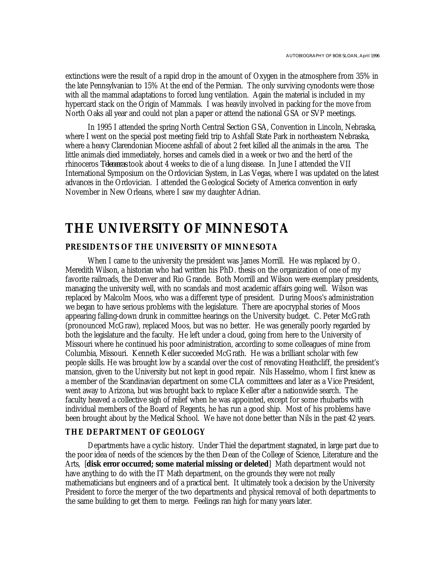extinctions were the result of a rapid drop in the amount of Oxygen in the atmosphere from 35% in the late Pennsylvanian to 15% At the end of the Permian. The only surviving cynodonts were those with all the mammal adaptations to forced lung ventilation. Again the material is included in my hypercard stack on the Origin of Mammals. I was heavily involved in packing for the move from North Oaks all year and could not plan a paper or attend the national GSA or SVP meetings.

In 1995 I attended the spring North Central Section GSA, Convention in Lincoln, Nebraska, where I went on the special post meeting field trip to Ashfall State Park in northeastern Nebraska, where a heavy Clarendonian Miocene ashfall of about 2 feet killed all the animals in the area. The little animals died immediately, horses and camels died in a week or two and the herd of the rhinoceros *Teleoceras* took about 4 weeks to die of a lung disease. In June I attended the VII International Symposium on the Ordovician System, in Las Vegas, where I was updated on the latest advances in the Ordovician. I attended the Geological Society of America convention in early November in New Orleans, where I saw my daughter Adrian.

# **THE UNIVERSITY OF MINNESOTA**

# **PRESIDENTS OF THE UNIVERSITY OF MINNESOTA**

When I came to the university the president was James Morrill. He was replaced by O. Meredith Wilson, a historian who had written his PhD. thesis on the organization of one of my favorite railroads, the Denver and Rio Grande. Both Morrill and Wilson were exemplary presidents, managing the university well, with no scandals and most academic affairs going well. Wilson was replaced by Malcolm Moos, who was a different type of president. During Moos's administration we began to have serious problems with the legislature. There are apocryphal stories of Moos appearing falling-down drunk in committee hearings on the University budget. C. Peter McGrath (pronounced McGraw), replaced Moos, but was no better. He was generally poorly regarded by both the legislature and the faculty. He left under a cloud, going from here to the University of Missouri where he continued his poor administration, according to some colleagues of mine from Columbia, Missouri. Kenneth Keller succeeded McGrath. He was a brilliant scholar with few people skills. He was brought low by a scandal over the cost of renovating Heathcliff, the president's mansion, given to the University but not kept in good repair. Nils Hasselmo, whom I first knew as a member of the Scandinavian department on some CLA committees and later as a Vice President, went away to Arizona, but was brought back to replace Keller after a nationwide search. The faculty heaved a collective sigh of relief when he was appointed, except for some rhubarbs with individual members of the Board of Regents, he has run a good ship. Most of his problems have been brought about by the Medical School. We have not done better than Nils in the past 42 years.

# **THE DEPARTMENT OF GEOLOGY**

Departments have a cyclic history. Under Thiel the department stagnated, in large part due to the poor idea of needs of the sciences by the then Dean of the College of Science, Literature and the Arts, [**disk error occurred; some material missing or deleted**] Math department would not have anything to do with the IT Math department, on the grounds they were not really mathematicians but engineers and of a practical bent. It ultimately took a decision by the University President to force the merger of the two departments and physical removal of both departments to the same building to get them to merge. Feelings ran high for many years later.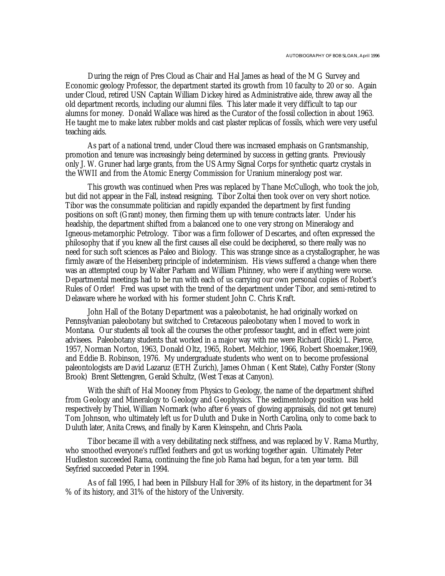During the reign of Pres Cloud as Chair and Hal James as head of the M G Survey and Economic geology Professor, the department started its growth from 10 faculty to 20 or so. Again under Cloud, retired USN Captain William Dickey hired as Administrative aide, threw away all the old department records, including our alumni files. This later made it very difficult to tap our alumns for money. Donald Wallace was hired as the Curator of the fossil collection in about 1963. He taught me to make latex rubber molds and cast plaster replicas of fossils, which were very useful teaching aids.

As part of a national trend, under Cloud there was increased emphasis on Grantsmanship, promotion and tenure was increasingly being determined by success in getting grants. Previously only J. W. Gruner had large grants, from the US Army Signal Corps for synthetic quartz crystals in the WWII and from the Atomic Energy Commission for Uranium mineralogy post war.

This growth was continued when Pres was replaced by Thane McCullogh, who took the job, but did not appear in the Fall, instead resigning. Tibor Zoltai then took over on very short notice. Tibor was the consummate politician and rapidly expanded the department by first funding positions on soft (Grant) money, then firming them up with tenure contracts later. Under his headship, the department shifted from a balanced one to one very strong on Mineralogy and Igneous-metamorphic Petrology. Tibor was a firm follower of Descartes, and often expressed the philosophy that if you knew all the first causes all else could be deciphered, so there really was no need for such soft sciences as Paleo and Biology. This was strange since as a crystallographer, he was firmly aware of the Heisenberg principle of indeterminism. His views suffered a change when there was an attempted coup by Walter Parham and William Phinney, who were if anything were worse. Departmental meetings had to be run with each of us carrying our own personal copies of Robert's Rules of Order! Fred was upset with the trend of the department under Tibor, and semi-retired to Delaware where he worked with his former student John C. Chris Kraft.

John Hall of the Botany Department was a paleobotanist, he had originally worked on Pennsylvanian paleobotany but switched to Cretaceous paleobotany when I moved to work in Montana. Our students all took all the courses the other professor taught, and in effect were joint advisees. Paleobotany students that worked in a major way with me were Richard (Rick) L. Pierce, 1957, Norman Norton, 1963, Donald Oltz, 1965, Robert. Melchior, 1966, Robert Shoemaker,1969, and Eddie B. Robinson, 1976. My undergraduate students who went on to become professional paleontologists are David Lazaruz (ETH Zurich), James Ohman ( Kent State), Cathy Forster (Stony Brook) Brent Slettengren, Gerald Schultz, (West Texas at Canyon).

With the shift of Hal Mooney from Physics to Geology, the name of the department shifted from Geology and Mineralogy to Geology and Geophysics. The sedimentology position was held respectively by Thiel, William Normark (who after 6 years of glowing appraisals, did not get tenure) Tom Johnson, who ultimately left us for Duluth and Duke in North Carolina, only to come back to Duluth later, Anita Crews, and finally by Karen Kleinspehn, and Chris Paola.

Tibor became ill with a very debilitating neck stiffness, and was replaced by V. Rama Murthy, who smoothed everyone's ruffled feathers and got us working together again. Ultimately Peter Hudleston succeeded Rama, continuing the fine job Rama had begun, for a ten year term. Bill Seyfried succeeded Peter in 1994.

As of fall 1995, I had been in Pillsbury Hall for 39% of its history, in the department for 34 % of its history, and 31% of the history of the University.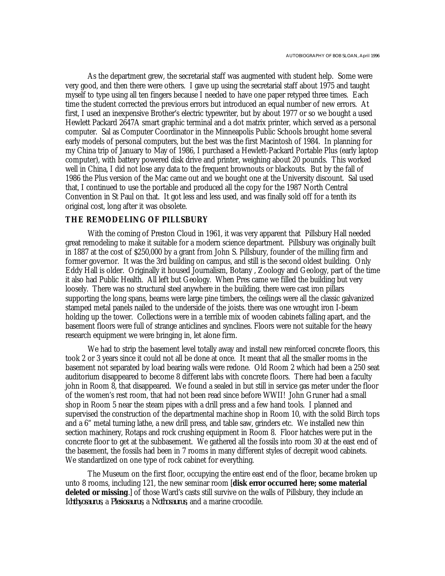As the department grew, the secretarial staff was augmented with student help. Some were very good, and then there were others. I gave up using the secretarial staff about 1975 and taught myself to type using all ten fingers because I needed to have one paper retyped three times. Each time the student corrected the previous errors but introduced an equal number of new errors. At first, I used an inexpensive Brother's electric typewriter, but by about 1977 or so we bought a used Hewlett Packard 2647A smart graphic terminal and a dot matrix printer, which served as a personal computer. Sal as Computer Coordinator in the Minneapolis Public Schools brought home several early models of personal computers, but the best was the first Macintosh of 1984. In planning for my China trip of January to May of 1986, I purchased a Hewlett-Packard Portable Plus (early laptop computer), with battery powered disk drive and printer, weighing about 20 pounds. This worked well in China, I did not lose any data to the frequent brownouts or blackouts. But by the fall of 1986 the Plus version of the Mac came out and we bought one at the University discount. Sal used that, I continued to use the portable and produced all the copy for the 1987 North Central Convention in St Paul on that. It got less and less used, and was finally sold off for a tenth its original cost, long after it was obsolete.

# **THE REMODELING OF PILLSBURY**

With the coming of Preston Cloud in 1961, it was very apparent that Pillsbury Hall needed great remodeling to make it suitable for a modern science department. Pillsbury was originally built in 1887 at the cost of \$250,000 by a grant from John S. Pillsbury, founder of the milling firm and former governor. It was the 3rd building on campus, and still is the second oldest building. Only Eddy Hall is older. Originally it housed Journalism, Botany , Zoology and Geology, part of the time it also had Public Health. All left but Geology. When Pres came we filled the building but very loosely. There was no structural steel anywhere in the building, there were cast iron pillars supporting the long spans, beams were large pine timbers, the ceilings were all the classic galvanized stamped metal panels nailed to the underside of the joists. there was one wrought iron I-beam holding up the tower. Collections were in a terrible mix of wooden cabinets falling apart, and the basement floors were full of strange anticlines and synclines. Floors were not suitable for the heavy research equipment we were bringing in, let alone firm.

We had to strip the basement level totally away and install new reinforced concrete floors, this took 2 or 3 years since it could not all be done at once. It meant that all the smaller rooms in the basement not separated by load bearing walls were redone. Old Room 2 which had been a 250 seat auditorium disappeared to become 8 different labs with concrete floors. There had been a faculty john in Room 8, that disappeared. We found a sealed in but still in service gas meter under the floor of the women's rest room, that had not been read since before WWII! John Gruner had a small shop in Room 5 near the steam pipes with a drill press and a few hand tools. I planned and supervised the construction of the departmental machine shop in Room 10, with the solid Birch tops and a 6" metal turning lathe, a new drill press, and table saw, grinders etc. We installed new thin section machinery, Rotaps and rock crushing equipment in Room 8. Floor hatches were put in the concrete floor to get at the subbasement. We gathered all the fossils into room 30 at the east end of the basement, the fossils had been in 7 rooms in many different styles of decrepit wood cabinets. We standardized on one type of rock cabinet for everything.

The Museum on the first floor, occupying the entire east end of the floor, became broken up unto 8 rooms, including 121, the new seminar room [**disk error occurred here; some material deleted or missing**.] of those Ward's casts still survive on the walls of Pillsbury, they include an *Ichthyosaurus*, a *Plesiosaurus*, a *Nothosaurus*, and a marine crocodile.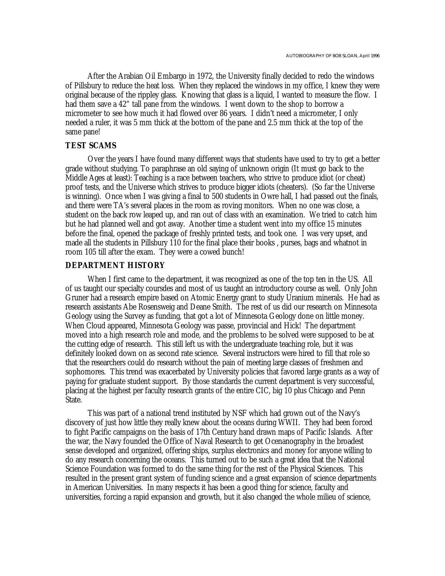After the Arabian Oil Embargo in 1972, the University finally decided to redo the windows of Pillsbury to reduce the heat loss. When they replaced the windows in my office, I knew they were original because of the rippley glass. Knowing that glass is a liquid, I wanted to measure the flow. I had them save a 42" tall pane from the windows. I went down to the shop to borrow a micrometer to see how much it had flowed over 86 years. I didn't need a micrometer, I only needed a ruler, it was 5 mm thick at the bottom of the pane and 2.5 mm thick at the top of the same pane!

# **TEST SCAMS**

Over the years I have found many different ways that students have used to try to get a better grade without studying. To paraphrase an old saying of unknown origin (It must go back to the Middle Ages at least): Teaching is a race between teachers, who strive to produce idiot (or cheat) proof tests, and the Universe which strives to produce bigger idiots (cheaters). (So far the Universe is winning). Once when I was giving a final to 500 students in Owre hall, I had passed out the finals, and there were TA's several places in the room as roving monitors. When no one was close, a student on the back row leaped up, and ran out of class with an examination. We tried to catch him but he had planned well and got away. Another time a student went into my office 15 minutes before the final, opened the package of freshly printed tests, and took one. I was very upset, and made all the students in Pillsbury 110 for the final place their books , purses, bags and whatnot in room 105 till after the exam. They were a cowed bunch!

# **DEPARTMENT HISTORY**

When I first came to the department, it was recognized as one of the top ten in the US. All of us taught our specialty coursdes and most of us taught an introductory course as well. Only John Gruner had a research empire based on Atomic Energy grant to study Uranium minerals. He had as research assistants Abe Rosensweig and Deane Smith. The rest of us did our research on Minnesota Geology using the Survey as funding, that got a lot of Minnesota Geology done on little money. When Cloud appeared, Minnesota Geology was passe, provincial and Hick! The department moved into a high research role and mode, and the problems to be solved were supposed to be at the cutting edge of research. This still left us with the undergraduate teaching role, but it was definitely looked down on as second rate science. Several instructors were hired to fill that role so that the researchers could do research without the pain of meeting large classes of freshmen and sophomores. This trend was exacerbated by University policies that favored large grants as a way of paying for graduate student support. By those standards the current department is very succcessful, placing at the highest per faculty research grants of the entire CIC, big 10 plus Chicago and Penn State.

This was part of a national trend instituted by NSF which had grown out of the Navy's discovery of just how little they really knew about the oceans during WWII. They had been forced to fight Pacific campaigns on the basis of 17th Century hand drawn maps of Pacific Islands. After the war, the Navy founded the Office of Naval Research to get Ocenanography in the broadest sense developed and organized, offering ships, surplus electronics and money for anyone willing to do any research concerning the oceans. This turned out to be such a great idea that the National Science Foundation was formed to do the same thing for the rest of the Physical Sciences. This resulted in the present grant system of funding science and a great expansion of science departments in American Universities. In many respects it has been a good thing for science, faculty and universities, forcing a rapid expansion and growth, but it also changed the whole milieu of science,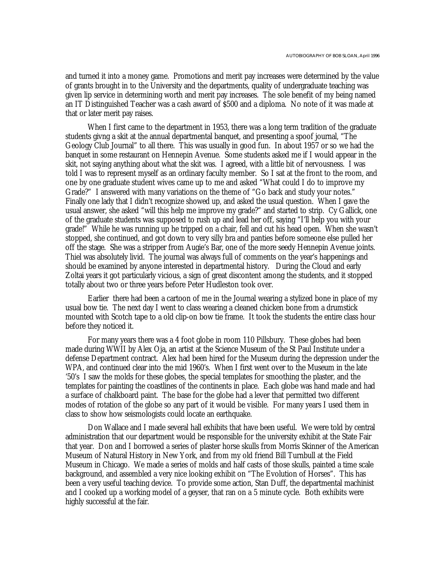and turned it into a money game. Promotions and merit pay increases were determined by the value of grants brought in to the University and the departments, quality of undergraduate teaching was given lip service in determining worth and merit pay increases. The sole benefit of my being named an IT Distinguished Teacher was a cash award of \$500 and a diploma. No note of it was made at that or later merit pay raises.

When I first came to the department in 1953, there was a long term tradition of the graduate students givng a skit at the annual departmental banquet, and presenting a spoof journal, "The Geology Club Journal" to all there. This was usually in good fun. In about 1957 or so we had the banquet in some restaurant on Hennepin Avenue. Some students asked me if I would appear in the skit, not saying anything about what the skit was. I agreed, with a little bit of nervousness. I was told I was to represent myself as an ordinary faculty member. So I sat at the front to the room, and one by one graduate student wives came up to me and asked "What could I do to improve my Grade?" I answered with many variations on the theme of "Go back and study your notes." Finally one lady that I didn't recognize showed up, and asked the usual question. When I gave the usual answer, she asked "will this help me improve my grade?" and started to strip. Cy Gallick, one of the graduate students was supposed to rush up and lead her off, saying "I'll help you with your grade!" While he was running up he tripped on a chair, fell and cut his head open. When she wasn't stopped, she continued, and got down to very silly bra and panties before someone else pulled her off the stage. She was a stripper from Augie's Bar, one of the more seedy Hennepin Avenue joints. Thiel was absolutely livid. The journal was always full of comments on the year's happenings and should be examined by anyone interested in departmental history. During the Cloud and early Zoltai years it got particularly vicious, a sign of great discontent among the students, and it stopped totally about two or three years before Peter Hudleston took over.

Earlier there had been a cartoon of me in the Journal wearing a stylized bone in place of my usual bow tie. The next day I went to class wearing a cleaned chicken bone from a drumstick mounted with Scotch tape to a old clip-on bow tie frame. It took the students the entire class hour before they noticed it.

For many years there was a 4 foot globe in room 110 Pillsbury. These globes had been made during WWII by Alex Oja, an artist at the Science Museum of the St Paul Institute under a defense Department contract. Alex had been hired for the Museum during the depression under the WPA, and continued clear into the mid 1960's. When I first went over to the Museum in the late '50's I saw the molds for these globes, the special templates for smoothing the plaster, and the templates for painting the coastlines of the continents in place. Each globe was hand made and had a surface of chalkboard paint. The base for the globe had a lever that permitted two different modes of rotation of the globe so any part of it would be visible. For many years I used them in class to show how seismologists could locate an earthquake.

Don Wallace and I made several hall exhibits that have been useful. We were told by central administration that our department would be responsible for the university exhibit at the State Fair that year. Don and I borrowed a series of plaster horse skulls from Morris Skinner of the American Museum of Natural History in New York, and from my old friend Bill Turnbull at the Field Museum in Chicago. We made a series of molds and half casts of those skulls, painted a time scale background, and assembled a very nice looking exhibit on "The Evolution of Horses". This has been a very useful teaching device. To provide some action, Stan Duff, the departmental machinist and I cooked up a working model of a geyser, that ran on a 5 minute cycle. Both exhibits were highly successful at the fair.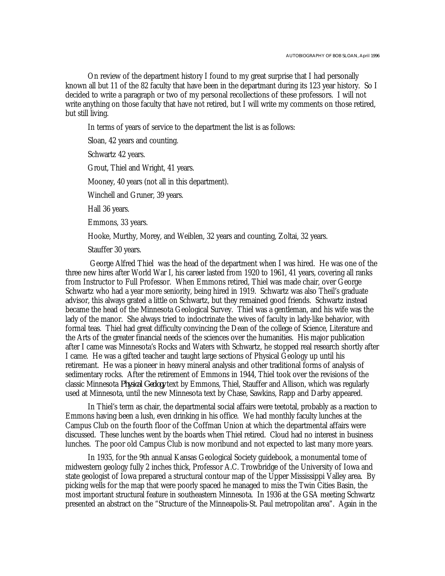On review of the department history I found to my great surprise that I had personally known all but 11 of the 82 faculty that have been in the departmant during its 123 year history. So I decided to write a paragraph or two of my personal recollections of these professors. I will not write anything on those faculty that have not retired, but I will write my comments on those retired, but still living.

In terms of years of service to the department the list is as follows:

Sloan, 42 years and counting.

Schwartz 42 years.

Grout, Thiel and Wright, 41 years.

Mooney, 40 years (not all in this department).

Winchell and Gruner, 39 years.

Hall 36 years.

Emmons, 33 years.

Hooke, Murthy, Morey, and Weiblen, 32 years and counting, Zoltai, 32 years.

Stauffer 30 years.

 George Alfred Thiel was the head of the department when I was hired. He was one of the three new hires after World War I, his career lasted from 1920 to 1961, 41 years, covering all ranks from Instructor to Full Professor. When Emmons retired, Thiel was made chair, over George Schwartz who had a year more seniority, being hired in 1919. Schwartz was also Theil's graduate advisor, this always grated a little on Schwartz, but they remained good friends. Schwartz instead became the head of the Minnesota Geological Survey. Thiel was a gentleman, and his wife was the lady of the manor. She always tried to indoctrinate the wives of faculty in lady-like behavior, with formal teas. Thiel had great difficulty convincing the Dean of the college of Science, Literature and the Arts of the greater financial needs of the sciences over the humanities. His major publication after I came was Minnesota's Rocks and Waters with Schwartz, he stopped real research shortly after I came. He was a gifted teacher and taught large sections of Physical Geology up until his retiremant. He was a pioneer in heavy mineral analysis and other traditional forms of analysis of sedimentary rocks. After the retirement of Emmons in 1944, Thiel took over the revisions of the classic Minnesota *Physical Geology* text by Emmons, Thiel, Stauffer and Allison, which was regularly used at Minnesota, until the new Minnesota text by Chase, Sawkins, Rapp and Darby appeared.

In Thiel's term as chair, the departmental social affairs were teetotal, probably as a reaction to Emmons having been a lush, even drinking in his office. We had monthly faculty lunches at the Campus Club on the fourth floor of the Coffman Union at which the departmental affairs were discussed. These lunches went by the boards when Thiel retired. Cloud had no interest in business lunches. The poor old Campus Club is now moribund and not expected to last many more years.

In 1935, for the 9th annual Kansas Geological Society guidebook, a monumental tome of midwestern geology fully 2 inches thick, Professor A.C. Trowbridge of the University of Iowa and state geologist of Iowa prepared a structural contour map of the Upper Mississippi Valley area. By picking wells for the map that were poorly spaced he managed to miss the Twin Cities Basin, the most important structural feature in southeastern Minnesota. In 1936 at the GSA meeting Schwartz presented an abstract on the "Structure of the Minneapolis-St. Paul metropolitan area". Again in the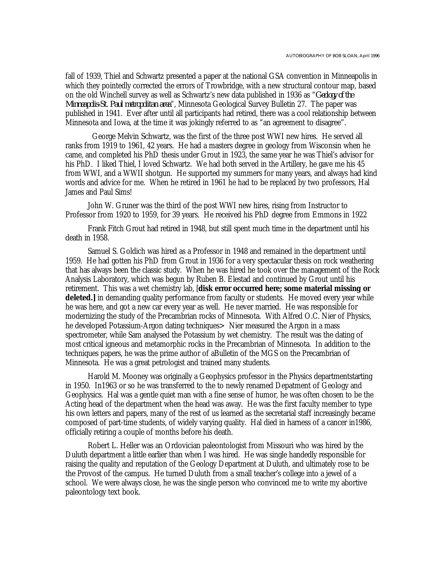fall of 1939, Thiel and Schwartz presented a paper at the national GSA convention in Minneapolis in which they pointedly corrected the errors of Trowbridge, with a new structural contour map, based on the old Winchell survey as well as Schwartz's new data published in 1936 as "*Geology of the Minneapolis-St. Paul metropolitan area*", Minnesota Geological Survey Bulletin 27. The paper was published in 1941. Ever after until all participants had retired, there was a cool relationship between Minnesota and Iowa, at the time it was jokingly referred to as "an agreement to disagree".

 George Melvin Schwartz, was the first of the three post WWI new hires. He served all ranks from 1919 to 1961, 42 years. He had a masters degree in geology from Wisconsin when he came, and completed his PhD thesis under Grout in 1923, the same year he was Thiel's advisor for his PhD. I liked Thiel, I loved Schwartz. We had both served in the Artillery, he gave me his 45 from WWI, and a WWII shotgun. He supported my summers for many years, and always had kind words and advice for me. When he retired in 1961 he had to be replaced by two professors, Hal James and Paul Sims!

John W. Gruner was the third of the post WWI new hires, rising from Instructor to Professor from 1920 to 1959, for 39 years. He received his PhD degree from Emmons in 1922

Frank Fitch Grout had retired in 1948, but still spent much time in the department until his death in 1958.

Samuel S. Goldich was hired as a Professor in 1948 and remained in the department until 1959. He had gotten his PhD from Grout in 1936 for a very spectacular thesis on rock weathering that has always been the classic study. When he was hired he took over the management of the Rock Analysis Laboratory, which was begun by Ruben B. Elestad and continued by Grout until his retirement. This was a wet chemistry lab, [**disk error occurred here; some material missing or deleted.** I in demanding quality performance from faculty or students. He moved every year while he was here, and got a new car every year as well. He never married. He was responsible for modernizing the study of the Precambrian rocks of Minnesota. With Alfred O.C. Nier of Physics, he developed Potassium-Argon dating techniques> Nier measured the Argon in a mass spectrometer, while Sam analysed the Potassium by wet chemistry. The result was the dating of most critical igneous and metamorphic rocks in the Precambrian of Minnesota. In addition to the techniques papers, he was the prime author of aBulletin of the MGS on the Precambrian of Minnesota. He was a great petrologist and trained many students.

Harold M. Mooney was originally a Geophysics professor in the Physics departmentstarting in 1950. In1963 or so he was transferred to the to newly renamed Depatment of Geology and Geophysics. Hal was a gentle quiet man with a fine sense of humor, he was often chosen to be the Acting head of the department when the head was away. He was the first faculty member to type his own letters and papers, many of the rest of us learned as the secretarial staff increasingly became composed of part-time students, of widely varying quality. Hal died in harness of a cancer in1986, officially retiring a couple of months before his death.

Robert L. Heller was an Ordovician paleontologist from Missouri who was hired by the Duluth department a little earlier than when I was hired. He was single handedly responsible for raising the quality and reputation of the Geology Department at Duluth, and ultimately rose to be the Provost of the campus. He turned Duluth from a small teacher's college into a jewel of a school. We were always close, he was the single person who convinced me to write my abortive paleontology text book.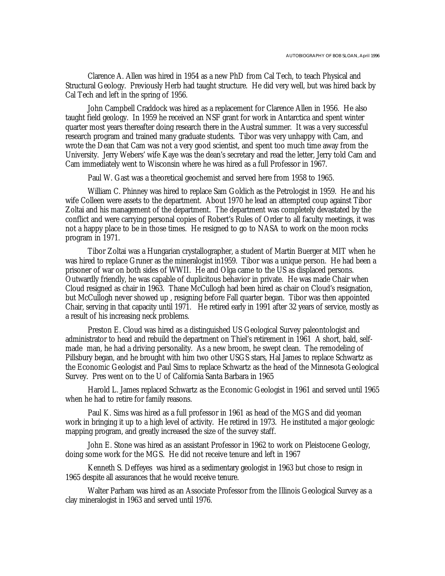Clarence A. Allen was hired in 1954 as a new PhD from Cal Tech, to teach Physical and Structural Geology. Previously Herb had taught structure. He did very well, but was hired back by Cal Tech and left in the spring of 1956.

John Campbell Craddock was hired as a replacement for Clarence Allen in 1956. He also taught field geology. In 1959 he received an NSF grant for work in Antarctica and spent winter quarter most years thereafter doing research there in the Austral summer. It was a very successful research program and trained many graduate students. Tibor was very unhappy with Cam, and wrote the Dean that Cam was not a very good scientist, and spent too much time away from the University. Jerry Webers' wife Kaye was the dean's secretary and read the letter, Jerry told Cam and Cam immediately went to Wisconsin where he was hired as a full Professor in 1967.

Paul W. Gast was a theoretical geochemist and served here from 1958 to 1965.

William C. Phinney was hired to replace Sam Goldich as the Petrologist in 1959. He and his wife Colleen were assets to the department. About 1970 he lead an attempted coup against Tibor Zoltai and his management of the department. The department was completely devastated by the conflict and were carrying personal copies of Robert's Rules of Order to all faculty meetings, it was not a happy place to be in those times. He resigned to go to NASA to work on the moon rocks program in 1971.

Tibor Zoltai was a Hungarian crystallographer, a student of Martin Buerger at MIT when he was hired to replace Gruner as the mineralogist in1959. Tibor was a unique person. He had been a prisoner of war on both sides of WWII. He and Olga came to the US as displaced persons. Outwardly friendly, he was capable of duplicitous behavior in private. He was made Chair when Cloud resigned as chair in 1963. Thane McCullogh had been hired as chair on Cloud's resignation, but McCullogh never showed up , resigning before Fall quarter began. Tibor was then appointed Chair, serving in that capacity until 1971. He retired early in 1991 after 32 years of service, mostly as a result of his increasing neck problems.

Preston E. Cloud was hired as a distinguished US Geological Survey paleontologist and administrator to head and rebuild the department on Thiel's retirement in 1961 A short, bald, selfmade man, he had a driving personality. As a new broom, he swept clean. The remodeling of Pillsbury began, and he brought with him two other USGS stars, Hal James to replace Schwartz as the Economic Geologist and Paul Sims to replace Schwartz as the head of the Minnesota Geological Survey. Pres went on to the U of California Santa Barbara in 1965

Harold L. James replaced Schwartz as the Economic Geologist in 1961 and served until 1965 when he had to retire for family reasons.

Paul K. Sims was hired as a full professor in 1961 as head of the MGS and did yeoman work in bringing it up to a high level of activity. He retired in 1973. He instituted a major geologic mapping program, and greatly increased the size of the survey staff.

John E. Stone was hired as an assistant Professor in 1962 to work on Pleistocene Geology, doing some work for the MGS. He did not receive tenure and left in 1967

Kenneth S. Deffeyes was hired as a sedimentary geologist in 1963 but chose to resign in 1965 despite all assurances that he would receive tenure.

Walter Parham was hired as an Associate Professor from the Illinois Geological Survey as a clay mineralogist in 1963 and served until 1976.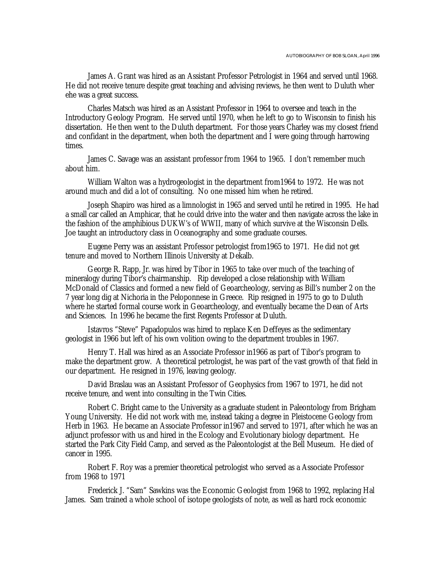James A. Grant was hired as an Assistant Professor Petrologist in 1964 and served until 1968. He did not receive tenure despite great teaching and advising reviews, he then went to Duluth wher ehe was a great success.

Charles Matsch was hired as an Assistant Professor in 1964 to oversee and teach in the Introductory Geology Program. He served until 1970, when he left to go to Wisconsin to finish his dissertation. He then went to the Duluth department. For those years Charley was my closest friend and confidant in the department, when both the department and I were going through harrowing times.

James C. Savage was an assistant professor from 1964 to 1965. I don't remember much about him.

William Walton was a hydrogeologist in the department from1964 to 1972. He was not around much and did a lot of consulting. No one missed him when he retired.

Joseph Shapiro was hired as a limnologist in 1965 and served until he retired in 1995. He had a small car called an Amphicar, that he could drive into the water and then navigate across the lake in the fashion of the amphibious DUKW's of WWII, many of which survive at the Wisconsin Dells. Joe taught an introductory class in Oceanography and some graduate courses.

Eugene Perry was an assistant Professor petrologist from1965 to 1971. He did not get tenure and moved to Northern Illinois University at Dekalb.

George R. Rapp, Jr. was hired by Tibor in 1965 to take over much of the teaching of mineralogy during Tibor's chairmanship. Rip developed a close relationship with William McDonald of Classics and formed a new field of Geoarcheology, serving as Bill's number 2 on the 7 year long dig at Nichoria in the Peloponnese in Greece. Rip resigned in 1975 to go to Duluth where he started formal course work in Geoarcheology, and eventually became the Dean of Arts and Sciences. In 1996 he became the first Regents Professor at Duluth.

Istavros "Steve" Papadopulos was hired to replace Ken Deffeyes as the sedimentary geologist in 1966 but left of his own volition owing to the department troubles in 1967.

Henry T. Hall was hired as an Associate Professor in1966 as part of Tibor's program to make the department grow. A theoretical petrologist, he was part of the vast growth of that field in our department. He resigned in 1976, leaving geology.

David Braslau was an Assistant Professor of Geophysics from 1967 to 1971, he did not receive tenure, and went into consulting in the Twin Cities.

Robert C. Bright came to the University as a graduate student in Paleontology from Brigham Young University. He did not work with me, instead taking a degree in Pleistocene Geology from Herb in 1963. He became an Associate Professor in1967 and served to 1971, after which he was an adjunct professor with us and hired in the Ecology and Evolutionary biology department. He started the Park City Field Camp, and served as the Paleontologist at the Bell Museum. He died of cancer in 1995.

Robert F. Roy was a premier theoretical petrologist who served as a Associate Professor from 1968 to 1971

Frederick J. "Sam" Sawkins was the Economic Geologist from 1968 to 1992, replacing Hal James. Sam trained a whole school of isotope geologists of note, as well as hard rock economic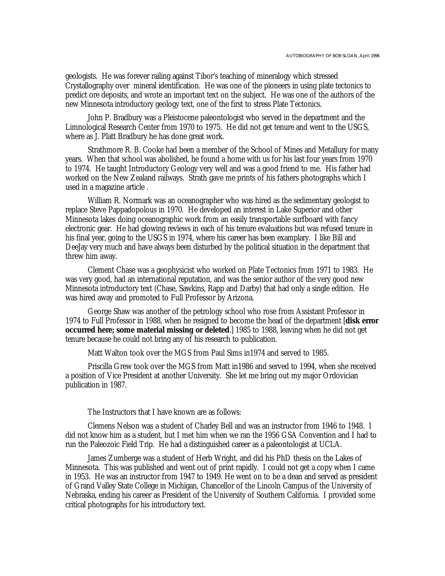geologists. He was forever railing against Tibor's teaching of mineralogy which stressed Crystallography over mineral identification. He was one of the pioneers in using plate tectonics to predict ore deposits, and wrote an important text on the subject. He was one of the authors of the new Minnesota introductory geology text, one of the first to stress Plate Tectonics.

John P. Bradbury was a Pleistocene paleontologist who served in the department and the Limnological Research Center from 1970 to 1975. He did not get tenure and went to the USGS, where as J. Platt Bradbury he has done great work.

Strathmore R. B. Cooke had been a member of the School of Mines and Metallury for many years. When that school was abolished, he found a home with us for his last four years from 1970 to 1974. He taught Introductory Geology very well and was a good friend to me. His father had worked on the New Zealand railways. Strath gave me prints of his fathers photographs which I used in a magazine article .

William R. Normark was an oceanographer who was hired as the sedimentary geologist to replace Steve Pappadopolous in 1970. He developed an interest in Lake Superior and other Minnesota lakes doing oceanographic work from an easily transportable surfboard with fancy electronic gear. He had glowing reviews in each of his tenure evaluations but was refused tenure in his final year, going to the USGS in 1974, where his career has been examplary. I like Bill and DeeJay very much and have always been disturbed by the political situation in the department that threw him away.

Clement Chase was a geophysicist who worked on Plate Tectonics from 1971 to 1983. He was very good, had an international reputation, and was the senior author of the very good new Minnesota introductory text (Chase, Sawkins, Rapp and Darby) that had only a single edition. He was hired away and promoted to Full Professor by Arizona.

George Shaw was another of the petrology school who rose from Assistant Professor in 1974 to Full Professor in 1988, when he resigned to become the head of the department [**disk error occurred here; some material missing or deleted.** 1985 to 1988, leaving when he did not get tenure because he could not bring any of his research to publication.

Matt Walton took over the MGS from Paul Sims in1974 and served to 1985.

Priscilla Grew took over the MGS from Matt in1986 and served to 1994, when she received a position of Vice President at another University. She let me bring out my major Ordovician publication in 1987.

The Instructors that I have known are as follows:

Clemens Nelson was a student of Charley Bell and was an instructor from 1946 to 1948. I did not know him as a student, but I met him when we ran the 1956 GSA Convention and I had to run the Paleozoic Field Trip. He had a distinguished career as a paleontologist at UCLA.

James Zumberge was a student of Herb Wright, and did his PhD thesis on the Lakes of Minnesota. This was published and went out of print rapidly. I could not get a copy when I came in 1953. He was an instructor from 1947 to 1949. He went on to be a dean and served as president of Grand Valley State College in Michigan, Chancellor of the Lincoln Campus of the University of Nebraska, ending his career as President of the University of Southern California. I provided some critical photographs for his introductory text.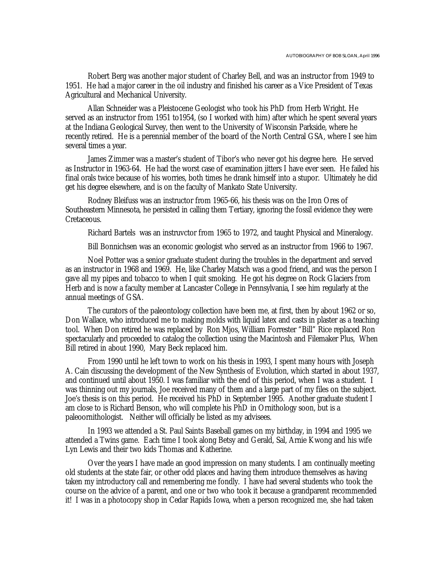Robert Berg was another major student of Charley Bell, and was an instructor from 1949 to 1951. He had a major career in the oil industry and finished his career as a Vice President of Texas Agricultural and Mechanical University.

Allan Schneider was a Pleistocene Geologist who took his PhD from Herb Wright. He served as an instructor from 1951 to1954, (so I worked with him) after which he spent several years at the Indiana Geological Survey, then went to the University of Wisconsin Parkside, where he recently retired. He is a perennial member of the board of the North Central GSA, where I see him several times a year.

James Zimmer was a master's student of Tibor's who never got his degree here. He served as Instructor in 1963-64. He had the worst case of examination jitters I have ever seen. He failed his final orals twice because of his worries, both times he drank himself into a stupor. Ultimately he did get his degree elsewhere, and is on the faculty of Mankato State University.

Rodney Bleifuss was an instructor from 1965-66, his thesis was on the Iron Ores of Southeastern Minnesota, he persisted in calling them Tertiary, ignoring the fossil evidence they were Cretaceous.

Richard Bartels was an instruvctor from 1965 to 1972, and taught Physical and Mineralogy.

Bill Bonnichsen was an economic geologist who served as an instructor from 1966 to 1967.

Noel Potter was a senior graduate student during the troubles in the department and served as an instructor in 1968 and 1969. He, like Charley Matsch was a good friend, and was the person I gave all my pipes and tobacco to when I quit smoking. He got his degree on Rock Glaciers from Herb and is now a faculty member at Lancaster College in Pennsylvania, I see him regularly at the annual meetings of GSA.

The curators of the paleontology collection have been me, at first, then by about 1962 or so, Don Wallace, who introduced me to making molds with liquid latex and casts in plaster as a teaching tool. When Don retired he was replaced by Ron Mjos, William Forrester "Bill" Rice replaced Ron spectacularly and proceeded to catalog the collection using the Macintosh and Filemaker Plus, When Bill retired in about 1990, Mary Beck replaced him.

From 1990 until he left town to work on his thesis in 1993, I spent many hours with Joseph A. Cain discussing the development of the New Synthesis of Evolution, which started in about 1937, and continued until about 1950. I was familiar with the end of this period, when I was a student. I was thinning out my journals, Joe received many of them and a large part of my files on the subject. Joe's thesis is on this period. He received his PhD in September 1995. Another graduate student I am close to is Richard Benson, who will complete his PhD in Ornithology soon, but is a paleoornithologist. Neither will officially be listed as my advisees.

In 1993 we attended a St. Paul Saints Baseball games on my birthday, in 1994 and 1995 we attended a Twins game. Each time I took along Betsy and Gerald, Sal, Arnie Kwong and his wife Lyn Lewis and their two kids Thomas and Katherine.

Over the years I have made an good impression on many students. I am continually meeting old students at the state fair, or other odd places and having them introduce themselves as having taken my introductory call and remembering me fondly. I have had several students who took the course on the advice of a parent, and one or two who took it because a grandparent recommended it! I was in a photocopy shop in Cedar Rapids Iowa, when a person recognized me, she had taken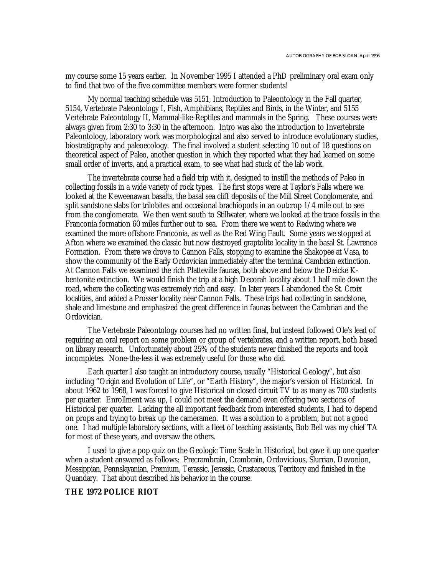my course some 15 years earlier. In November 1995 I attended a PhD preliminary oral exam only to find that two of the five committee members were former students!

My normal teaching schedule was 5151, Introduction to Paleontology in the Fall quarter, 5154, Vertebrate Paleontology I, Fish, Amphibians, Reptiles and Birds, in the Winter, and 5155 Vertebrate Paleontology II, Mammal-like-Reptiles and mammals in the Spring. These courses were always given from 2:30 to 3:30 in the afternoon. Intro was also the introduction to Invertebrate Paleontology, laboratory work was morphological and also served to introduce evolutionary studies, biostratigraphy and paleoecology. The final involved a student selecting 10 out of 18 questions on theoretical aspect of Paleo, another question in which they reported what they had learned on some small order of inverts, and a practical exam, to see what had stuck of the lab work.

The invertebrate course had a field trip with it, designed to instill the methods of Paleo in collecting fossils in a wide variety of rock types. The first stops were at Taylor's Falls where we looked at the Keweenawan basalts, the basal sea cliff deposits of the Mill Street Conglomerate, and split sandstone slabs for trilobites and occasional brachiopods in an outcrop 1/4 mile out to see from the conglomerate. We then went south to Stillwater, where we looked at the trace fossils in the Franconia formation 60 miles further out to sea. From there we went to Redwing where we examined the more offshore Franconia, as well as the Red Wing Fault. Some years we stopped at Afton where we examined the classic but now destroyed graptolite locality in the basal St. Lawrence Formation. From there we drove to Cannon Falls, stopping to examine the Shakopee at Vasa, to show the community of the Early Ordovician immediately after the terminal Cambrian extinction. At Cannon Falls we examined the rich Platteville faunas, both above and below the Deicke Kbentonite extinction. We would finish the trip at a high Decorah locality about 1 half mile down the road, where the collecting was extremely rich and easy. In later years I abandoned the St. Croix localities, and added a Prosser locality near Cannon Falls. These trips had collecting in sandstone, shale and limestone and emphasized the great difference in faunas between the Cambrian and the Ordovician.

The Vertebrate Paleontology courses had no written final, but instead followed Ole's lead of requiring an oral report on some problem or group of vertebrates, and a written report, both based on library research. Unfortunately about 25% of the students never finished the reports and took incompletes. None-the-less it was extremely useful for those who did.

Each quarter I also taught an introductory course, usually "Historical Geology", but also including "Origin and Evolution of Life", or "Earth History", the major's version of Historical. In about 1962 to 1968, I was forced to give Historical on closed circuit TV to as many as 700 students per quarter. Enrollment was up, I could not meet the demand even offering two sections of Historical per quarter. Lacking the all important feedback from interested students, I had to depend on props and trying to break up the cameramen. It was a solution to a problem, but not a good one. I had multiple laboratory sections, with a fleet of teaching assistants, Bob Bell was my chief TA for most of these years, and oversaw the others.

I used to give a pop quiz on the Geologic Time Scale in Historical, but gave it up one quarter when a student answered as follows: Precrambrain, Crambrain, Ordovicious, Slurrian, Devonion, Messippian, Pennslayanian, Premium, Terassic, Jerassic, Crustaceous, Territory and finished in the Quandary. That about described his behavior in the course.

#### **THE 1972 POLICE RIOT**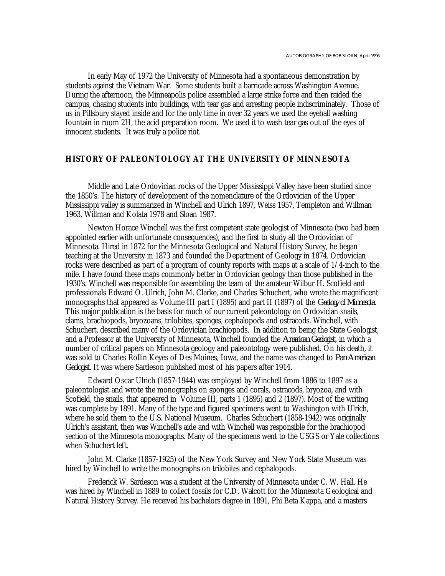In early May of 1972 the University of Minnesota had a spontaneous demonstration by students against the Vietnam War. Some students built a barricade across Washington Avenue. During the afternoon, the Minneapolis police assembled a large strike force and then raided the campus, chasing students into buildings, with tear gas and arresting people indiscriminately. Those of us in Pillsbury stayed inside and for the only time in over 32 years we used the eyeball washing fountain in room 2H, the acid preparation room. We used it to wash tear gas out of the eyes of innocent students. It was truly a police riot.

## **HISTORY OF PALEONTOLOGY AT THE UNIVERSITY OF MINNESOTA**

Middle and Late Ordovician rocks of the Upper Mississippi Valley have been studied since the 1850's. The history of development of the nomenclature of the Ordovician of the Upper Mississippi valley is summarized in Winchell and Ulrich 1897, Weiss 1957, Templeton and Willman 1963, Willman and Kolata 1978 and Sloan 1987.

Newton Horace Winchell was the first competent state geologist of Minnesota (two had been appointed earlier with unfortunate consequences), and the first to study all the Ordovician of Minnesota. Hired in 1872 for the Minnesota Geological and Natural History Survey, he began teaching at the University in 1873 and founded the Department of Geology in 1874. Ordovician rocks were described as part of a program of county reports with maps at a scale of 1/4-inch to the mile. I have found these maps commonly better in Ordovician geology than those published in the 1930's. Winchell was responsible for assembling the team of the amateur Wilbur H. Scofield and professionals Edward O. Ulrich, John M. Clarke, and Charles Schuchert, who wrote the magnificent monographs that appeared as Volume III part I (1895) and part II (1897) of the *Geology of Minnesota*. This major publication is the basis for much of our current paleontology on Ordovician snails, clams, brachiopods, bryozoans, trilobites, sponges, cephalopods and ostracods. Winchell, with Schuchert, described many of the Ordovician brachiopods. In addition to being the State Geologist, and a Professor at the University of Minnesota, Winchell founded the *American Geologist*, in which a number of critical papers on Minnesota geology and paleontology were published. On his death, it was sold to Charles Rollin Keyes of Des Moines, Iowa, and the name was changed to *Pan-American Geologist*. It was where Sardeson published most of his papers after 1914.

Edward Oscar Ulrich (1857-1944) was employed by Winchell from 1886 to 1897 as a paleontologist and wrote the monographs on sponges and corals, ostracods, bryozoa, and with Scofield, the snails, that appeared in Volume III, parts 1 (1895) and 2 (1897). Most of the writing was complete by 1891. Many of the type and figured specimens went to Washington with Ulrich, where he sold them to the U.S. National Museum. Charles Schuchert (1858-1942) was originally Ulrich's assistant, then was Winchell's aide and with Winchell was responsible for the brachiopod section of the Minnesota monographs. Many of the specimens went to the USGS or Yale collections when Schuchert left.

John M. Clarke (1857-1925) of the New York Survey and New York State Museum was hired by Winchell to write the monographs on trilobites and cephalopods.

Frederick W. Sardeson was a student at the University of Minnesota under C. W. Hall. He was hired by Winchell in 1889 to collect fossils for C.D. Walcott for the Minnesota Geological and Natural History Survey. He received his bachelors degree in 1891, Phi Beta Kappa, and a masters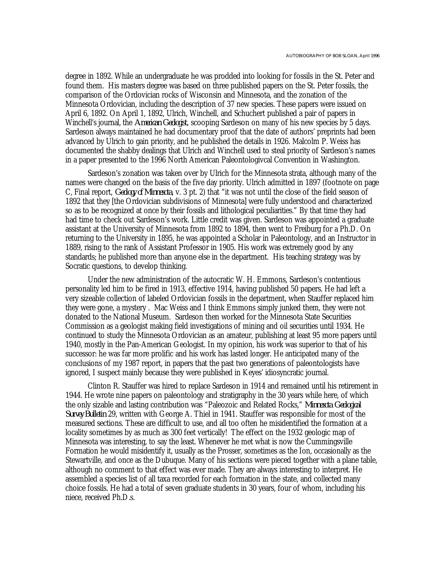degree in 1892. While an undergraduate he was prodded into looking for fossils in the St. Peter and found them. His masters degree was based on three published papers on the St. Peter fossils, the comparison of the Ordovician rocks of Wisconsin and Minnesota, and the zonation of the Minnesota Ordovician, including the description of 37 new species. These papers were issued on April 6, 1892. On April 1, 1892, Ulrich, Winchell, and Schuchert published a pair of papers in Winchell's journal, the *American Geologist*, scooping Sardeson on many of his new species by 5 days. Sardeson always maintained he had documentary proof that the date of authors' preprints had been advanced by Ulrich to gain priority, and he published the details in 1926. Malcolm P. Weiss has documented the shabby dealings that Ulrich and Winchell used to steal priority of Sardeson's names in a paper presented to the 1996 North American Paleontologivcal Convention in Washington.

Sardeson's zonation was taken over by Ulrich for the Minnesota strata, although many of the names were changed on the basis of the five day priority. Ulrich admitted in 1897 (footnote on page C, Final report, *Geology of Minnesota*, v. 3 pt. 2) that "it was not until the close of the field season of 1892 that they [the Ordovician subdivisions of Minnesota] were fully understood and characterized so as to be recognized at once by their fossils and lithological peculiarities." By that time they had had time to check out Sardeson's work. Little credit was given. Sardeson was appointed a graduate assistant at the University of Minnesota from 1892 to 1894, then went to Freiburg for a Ph.D. On returning to the University in 1895, he was appointed a Scholar in Paleontology, and an Instructor in 1889, rising to the rank of Assistant Professor in 1905. His work was extremely good by any standards; he published more than anyone else in the department. His teaching strategy was by Socratic questions, to develop thinking.

Under the new administration of the autocratic W. H. Emmons, Sardeson's contentious personality led him to be fired in 1913, effective 1914, having published 50 papers. He had left a very sizeable collection of labeled Ordovician fossils in the department, when Stauffer replaced him they were gone, a mystery . Mac Weiss and I think Emmons simply junked them, they were not donated to the National Museum. Sardeson then worked for the Minnesota State Securities Commission as a geologist making field investigations of mining and oil securities until 1934. He continued to study the Minnesota Ordovician as an amateur, publishing at least 95 more papers until 1940, mostly in the Pan-American Geologist. In my opinion, his work was superior to that of his successor: he was far more prolific and his work has lasted longer. He anticipated many of the conclusions of my 1987 report, in papers that the past two generations of paleontologists have ignored, I suspect mainly because they were published in Keyes' idiosyncratic journal.

Clinton R. Stauffer was hired to replace Sardeson in 1914 and remained until his retirement in 1944. He wrote nine papers on paleontology and stratigraphy in the 30 years while here, of which the only sizable and lasting contribution was "Paleozoic and Related Rocks," *Minnesota Geological Survey Bulletin* 29, written with George A. Thiel in 1941. Stauffer was responsible for most of the measured sections. These are difficult to use, and all too often he misidentified the formation at a locality sometimes by as much as 300 feet vertically! The effect on the 1932 geologic map of Minnesota was interesting, to say the least. Whenever he met what is now the Cummingsville Formation he would misidentify it, usually as the Prosser, sometimes as the Ion, occasionally as the Stewartville, and once as the Dubuque. Many of his sections were pieced together with a plane table, although no comment to that effect was ever made. They are always interesting to interpret. He assembled a species list of all taxa recorded for each formation in the state, and collected many choice fossils. He had a total of seven graduate students in 30 years, four of whom, including his niece, received Ph.D.s.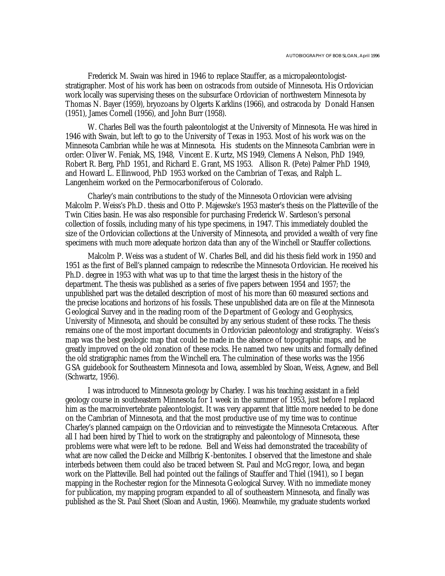Frederick M. Swain was hired in 1946 to replace Stauffer, as a micropaleontologiststratigrapher. Most of his work has been on ostracods from outside of Minnesota. His Ordovician work locally was supervising theses on the subsurface Ordovician of northwestern Minnesota by Thomas N. Bayer (1959), bryozoans by Olgerts Karklins (1966), and ostracoda by Donald Hansen (1951), James Cornell (1956), and John Burr (1958).

W. Charles Bell was the fourth paleontologist at the University of Minnesota. He was hired in 1946 with Swain, but left to go to the University of Texas in 1953. Most of his work was on the Minnesota Cambrian while he was at Minnesota. His students on the Minnesota Cambrian were in order: Oliver W. Feniak, MS, 1948, Vincent E. Kurtz, MS 1949, Clemens A Nelson, PhD 1949, Robert R. Berg, PhD 1951, and Richard E. Grant, MS 1953. Allison R. (Pete) Palmer PhD 1949, and Howard L. Ellinwood, PhD 1953 worked on the Cambrian of Texas, and Ralph L. Langenheim worked on the Permocarboniferous of Colorado.

Charley's main contributions to the study of the Minnesota Ordovician were advising Malcolm P. Weiss's Ph.D. thesis and Otto P. Majewske's 1953 master's thesis on the Platteville of the Twin Cities basin. He was also responsible for purchasing Frederick W. Sardeson's personal collection of fossils, including many of his type specimens, in 1947. This immediately doubled the size of the Ordovician collections at the University of Minnesota, and provided a wealth of very fine specimens with much more adequate horizon data than any of the Winchell or Stauffer collections.

Malcolm P. Weiss was a student of W. Charles Bell, and did his thesis field work in 1950 and 1951 as the first of Bell's planned campaign to redescribe the Minnesota Ordovician. He received his Ph.D. degree in 1953 with what was up to that time the largest thesis in the history of the department. The thesis was published as a series of five papers between 1954 and 1957; the unpublished part was the detailed description of most of his more than 60 measured sections and the precise locations and horizons of his fossils. These unpublished data are on file at the Minnesota Geological Survey and in the reading room of the Department of Geology and Geophysics, University of Minnesota, and should be consulted by any serious student of these rocks. The thesis remains one of the most important documents in Ordovician paleontology and stratigraphy. Weiss's map was the best geologic map that could be made in the absence of topographic maps, and he greatly improved on the old zonation of these rocks. He named two new units and formally defined the old stratigraphic names from the Winchell era. The culmination of these works was the 1956 GSA guidebook for Southeastern Minnesota and Iowa, assembled by Sloan, Weiss, Agnew, and Bell (Schwartz, 1956).

I was introduced to Minnesota geology by Charley. I was his teaching assistant in a field geology course in southeastern Minnesota for 1 week in the summer of 1953, just before I replaced him as the macroinvertebrate paleontologist. It was very apparent that little more needed to be done on the Cambrian of Minnesota, and that the most productive use of my time was to continue Charley's planned campaign on the Ordovician and to reinvestigate the Minnesota Cretaceous. After all I had been hired by Thiel to work on the stratigraphy and paleontology of Minnesota, these problems were what were left to be redone. Bell and Weiss had demonstrated the traceability of what are now called the Deicke and Millbrig K-bentonites. I observed that the limestone and shale interbeds between them could also be traced between St. Paul and McGregor, Iowa, and began work on the Platteville. Bell had pointed out the failings of Stauffer and Thiel (1941), so I began mapping in the Rochester region for the Minnesota Geological Survey. With no immediate money for publication, my mapping program expanded to all of southeastern Minnesota, and finally was published as the St. Paul Sheet (Sloan and Austin, 1966). Meanwhile, my graduate students worked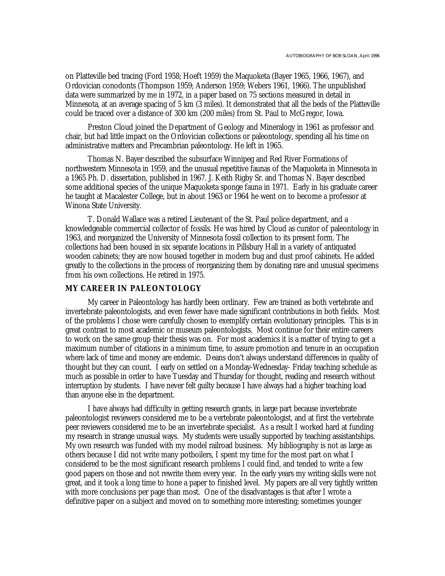on Platteville bed tracing (Ford 1958; Hoeft 1959) the Maquoketa (Bayer 1965, 1966, 1967), and Ordovician conodonts (Thompson 1959; Anderson 1959; Webers 1961, 1966). The unpublished data were summarized by me in 1972, in a paper based on 75 sections measured in detail in Minnesota, at an average spacing of 5 km (3 miles). It demonstrated that all the beds of the Platteville could be traced over a distance of 300 km (200 miles) from St. Paul to McGregor, Iowa.

Preston Cloud joined the Department of Geology and Mineralogy in 1961 as professor and chair, but had little impact on the Ordovician collections or paleontology, spending all his time on administrative matters and Precambrian paleontology. He left in 1965.

Thomas N. Bayer described the subsurface Winnipeg and Red River Formations of northwestern Minnesota in 1959, and the unusual repetitive faunas of the Maquoketa in Minnesota in a 1965 Ph. D. dissertation, published in 1967. J. Keith Rigby Sr. and Thomas N. Bayer described some additional species of the unique Maquoketa sponge fauna in 1971. Early in his graduate career he taught at Macalester College, but in about 1963 or 1964 he went on to become a professor at Winona State University.

T. Donald Wallace was a retired Lieutenant of the St. Paul police department, and a knowledgeable commercial collector of fossils. He was hired by Cloud as curator of paleontology in 1963, and reorganized the University of Minnesota fossil collection to its present form. The collections had been housed in six separate locations in Pillsbury Hall in a variety of antiquated wooden cabinets; they are now housed together in modern bug and dust proof cabinets. He added greatly to the collections in the process of reorganizing them by donating rare and unusual specimens from his own collections. He retired in 1975.

# **MY CAREER IN PALEONTOLOGY**

My career in Paleontology has hardly been ordinary. Few are trained as both vertebrate and invertebrate paleontologists, and even fewer have made significant contributions in both fields. Most of the problems I chose were carefully chosen to exemplify certain evolutionary principles. This is in great contrast to most academic or museum paleontologists. Most continue for their entire careers to work on the same group their thesis was on. For most academics it is a matter of trying to get a maximum number of citations in a minimum time, to assure promotion and tenure in an occupation where lack of time and money are endemic. Deans don't always understand differences in quality of thought but they can count. I early on settled on a Monday-Wednesday- Friday teaching schedule as much as possible in order to have Tuesday and Thursday for thought, reading and research without interruption by students. I have never felt guilty because I have always had a higher teaching load than anyone else in the department.

I have always had difficulty in getting research grants, in large part because invertebrate paleontologist reviewers considered me to be a vertebrate paleontologist, and at first the vertebrate peer reviewers considered me to be an invertebrate specialist. As a result I worked hard at funding my research in strange unusual ways. My students were usually supported by teaching assistantships. My own research was funded with my model railroad business. My bibliography is not as large as others because I did not write many potboilers, I spent my time for the most part on what I considered to be the most significant research problems I could find, and tended to write a few good papers on those and not rewrite them every year. In the early years my writing skills were not great, and it took a long time to hone a paper to finished level. My papers are all very tightly written with more conclusions per page than most. One of the disadvantages is that after I wrote a definitive paper on a subject and moved on to something more interesting; sometimes younger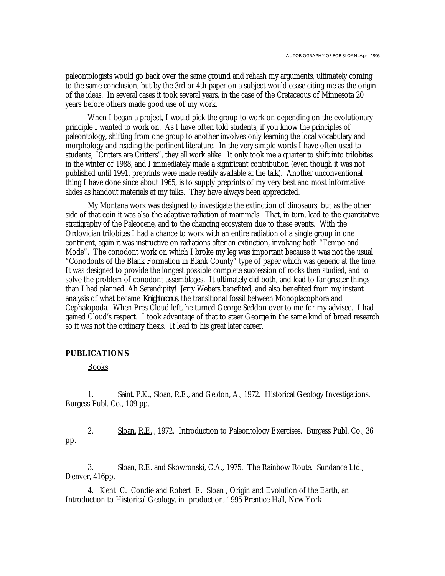paleontologists would go back over the same ground and rehash my arguments, ultimately coming to the same conclusion, but by the 3rd or 4th paper on a subject would cease citing me as the origin of the ideas. In several cases it took several years, in the case of the Cretaceous of Minnesota 20 years before others made good use of my work.

When I began a project, I would pick the group to work on depending on the evolutionary principle I wanted to work on. As I have often told students, if you know the principles of paleontology, shifting from one group to another involves only learning the local vocabulary and morphology and reading the pertinent literature. In the very simple words I have often used to students, "Critters are Critters", they all work alike. It only took me a quarter to shift into trilobites in the winter of 1988, and I immediately made a significant contribution (even though it was not published until 1991, preprints were made readily available at the talk). Another unconventional thing I have done since about 1965, is to supply preprints of my very best and most informative slides as handout materials at my talks. They have always been appreciated.

My Montana work was designed to investigate the extinction of dinosaurs, but as the other side of that coin it was also the adaptive radiation of mammals. That, in turn, lead to the quantitative stratigraphy of the Paleocene, and to the changing ecosystem due to these events. With the Ordovician trilobites I had a chance to work with an entire radiation of a single group in one continent, again it was instructive on radiations after an extinction, involving both "Tempo and Mode". The conodont work on which I broke my leg was important because it was not the usual "Conodonts of the Blank Formation in Blank County" type of paper which was generic at the time. It was designed to provide the longest possible complete succession of rocks then studied, and to solve the problem of conodont assemblages. It ultimately did both, and lead to far greater things than I had planned. Ah Serendipity! Jerry Webers benefited, and also benefited from my instant analysis of what became *Knightoconus,* the transitional fossil between Monoplacophora and Cephalopoda. When Pres Cloud left, he turned George Seddon over to me for my advisee. I had gained Cloud's respect. I took advantage of that to steer George in the same kind of broad research so it was not the ordinary thesis. It lead to his great later career.

### **PUBLICATIONS**

Books

1. Saint, P.K., Sloan, R.E., and Geldon, A., 1972. Historical Geology Investigations. Burgess Publ. Co., 109 pp.

2. Sloan, R.E.., 1972. Introduction to Paleontology Exercises. Burgess Publ. Co., 36 pp.

3. Sloan, R.E. and Skowronski, C.A., 1975. The Rainbow Route. Sundance Ltd., Denver, 416pp.

4. Kent C. Condie and Robert E. Sloan , Origin and Evolution of the Earth, an Introduction to Historical Geology. in production, 1995 Prentice Hall, New York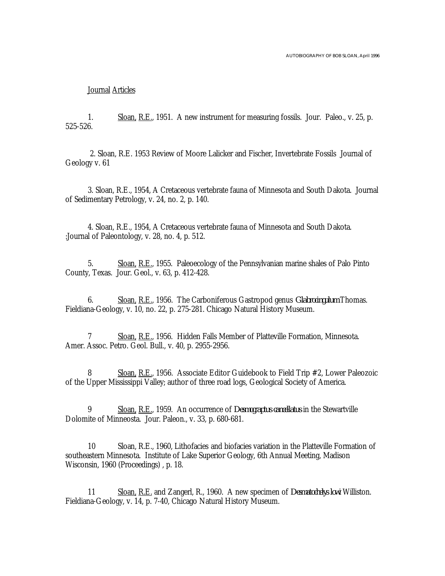#### Journal Articles

1. Sloan, R.E., 1951. A new instrument for measuring fossils. Jour. Paleo., v. 25, p. 525-526.

 2. Sloan, R.E. 1953 Review of Moore Lalicker and Fischer, Invertebrate Fossils Journal of Geology v. 61

3. Sloan, R.E., 1954, A Cretaceous vertebrate fauna of Minnesota and South Dakota. Journal of Sedimentary Petrology, v. 24, no. 2, p. 140.

4. Sloan, R.E., 1954, A Cretaceous vertebrate fauna of Minnesota and South Dakota. :Journal of Paleontology, v. 28, no. 4, p. 512.

5. Sloan, R.E., 1955. Paleoecology of the Pennsylvanian marine shales of Palo Pinto County, Texas. Jour. Geol., v. 63, p. 412-428.

6. Sloan, R.E., 1956. The Carboniferous Gastropod genus *Glabrocingulum* Thomas. Fieldiana-Geology, v. 10, no. 22, p. 275-281. Chicago Natural History Museum.

7 Sloan, R.E., 1956. Hidden Falls Member of Platteville Formation, Minnesota. Amer. Assoc. Petro. Geol. Bull., v. 40, p. 2955-2956.

8 Sloan, R.E., 1956. Associate Editor Guidebook to Field Trip #2, Lower Paleozoic of the Upper Mississippi Valley; author of three road logs, Geological Society of America.

9 Sloan, R.E., 1959. An occurrence of *Desmograptus cancellatus* in the Stewartville Dolomite of Minneosta. Jour. Paleon., v. 33, p. 680-681.

10 Sloan, R.E., 1960, Lithofacies and biofacies variation in the Platteville Formation of southeastern Minnesota. Institute of Lake Superior Geology, 6th Annual Meeting, Madison Wisconsin, 1960 (Proceedings) , p. 18.

11 Sloan, R.E. and Zangerl, R., 1960. A new specimen of *Desmatochelys lowi* Williston. Fieldiana-Geology, v. 14, p. 7-40, Chicago Natural History Museum.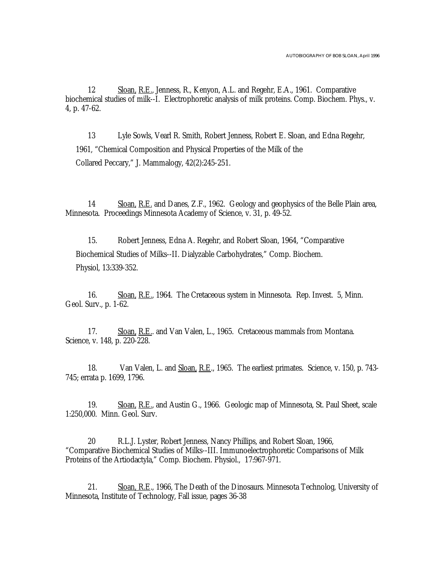12 Sloan, R.E., Jenness, R., Kenyon, A.L. and Regehr, E.A., 1961. Comparative biochemical studies of milk--I. Electrophoretic analysis of milk proteins. Comp. Biochem. Phys., v. 4, p. 47-62.

13 Lyle Sowls, Vearl R. Smith, Robert Jenness, Robert E. Sloan, and Edna Regehr, 1961, "Chemical Composition and Physical Properties of the Milk of the Collared Peccary," J. Mammalogy, 42(2):245-251.

14 Sloan, R.E. and Danes, Z.F., 1962. Geology and geophysics of the Belle Plain area, Minnesota. Proceedings Minnesota Academy of Science, v. 31, p. 49-52.

15. Robert Jenness, Edna A. Regehr, and Robert Sloan, 1964, "Comparative Biochemical Studies of Milks--II. Dialyzable Carbohydrates," Comp. Biochem. Physiol, 13:339-352.

16. Sloan, R.E., 1964. The Cretaceous system in Minnesota. Rep. Invest. 5, Minn. Geol. Surv., p. 1-62.

17. Sloan, R.E.. and Van Valen, L., 1965. Cretaceous mammals from Montana. Science, v. 148, p. 220-228.

18. Van Valen, L. and Sloan, R.E., 1965. The earliest primates. Science, v. 150, p. 743-745; errata p. 1699, 1796.

19. Sloan, R.E., and Austin G., 1966. Geologic map of Minnesota, St. Paul Sheet, scale 1:250,000. Minn. Geol. Surv.

20 R.L.J. Lyster, Robert Jenness, Nancy Phillips, and Robert Sloan, 1966, "Comparative Biochemical Studies of Milks--III. Immunoelectrophoretic Comparisons of Milk Proteins of the Artiodactyla," Comp. Biochem. Physiol., 17:967-971.

21. Sloan, R.E., 1966, The Death of the Dinosaurs. Minnesota Technolog, University of Minnesota, Institute of Technology, Fall issue, pages 36-38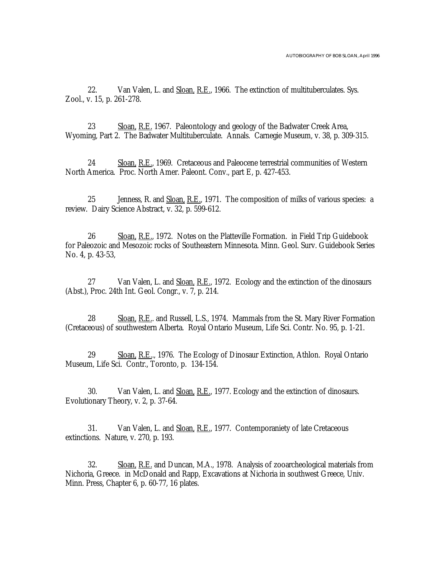22. Van Valen, L. and Sloan, R.E., 1966. The extinction of multituberculates. Sys. Zool., v. 15, p. 261-278.

23 Sloan, R.E. 1967. Paleontology and geology of the Badwater Creek Area, Wyoming, Part 2. The Badwater Multituberculate. Annals. Carnegie Museum, v. 38, p. 309-315.

24 Sloan, R.E., 1969. Cretaceous and Paleocene terrestrial communities of Western North America. Proc. North Amer. Paleont. Conv., part E, p. 427-453.

25 Jenness, R. and Sloan, R.E., 1971. The composition of milks of various species: a review. Dairy Science Abstract, v. 32, p. 599-612.

26 Sloan, R.E., 1972. Notes on the Platteville Formation. in Field Trip Guidebook for Paleozoic and Mesozoic rocks of Southeastern Minnesota. Minn. Geol. Surv. Guidebook Series No. 4, p. 43-53,

27 Van Valen, L. and Sloan, R.E., 1972. Ecology and the extinction of the dinosaurs (Abst.), Proc. 24th Int. Geol. Congr., v. 7, p. 214.

28 Sloan, R.E.. and Russell, L.S., 1974. Mammals from the St. Mary River Formation (Cretaceous) of southwestern Alberta. Royal Ontario Museum, Life Sci. Contr. No. 95, p. 1-21.

29 Sloan, R.E.., 1976. The Ecology of Dinosaur Extinction, Athlon. Royal Ontario Museum, Life Sci. Contr., Toronto, p. 134-154.

30. Van Valen, L. and Sloan, R.E., 1977. Ecology and the extinction of dinosaurs. Evolutionary Theory, v. 2, p. 37-64.

31. Van Valen, L. and Sloan, R.E., 1977. Contemporaniety of late Cretaceous extinctions. Nature, v. 270, p. 193.

32. Sloan, R.E. and Duncan, M.A., 1978. Analysis of zooarcheological materials from Nichoria, Greece. in McDonald and Rapp, Excavations at Nichoria in southwest Greece, Univ. Minn. Press, Chapter 6, p. 60-77, 16 plates.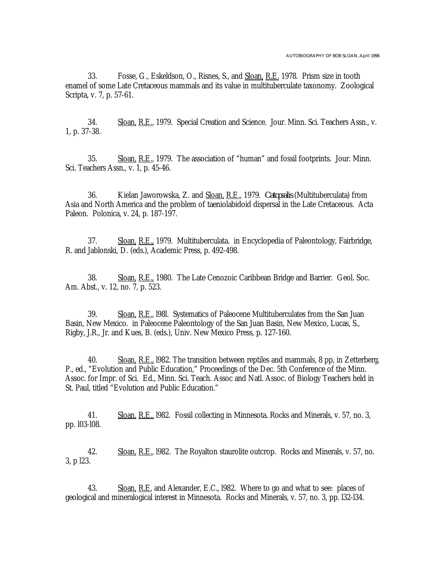33. Fosse, G., Eskeldson, O., Risnes, S., and Sloan, R.E. 1978. Prism size in tooth enamel of some Late Cretaceous mammals and its value in multituberculate taxonomy. Zoological Scripta, v. 7, p. 57-61.

34. Sloan, R.E., 1979. Special Creation and Science. Jour. Minn. Sci. Teachers Assn., v. 1, p. 37-38.

35. Sloan, R.E., 1979. The association of "human" and fossil footprints. Jour. Minn. Sci. Teachers Assn., v. 1, p. 45-46.

36. Kielan Jaworowska, Z. and Sloan, R.E., 1979. *Catopsalis* (Multituberculata) from Asia and North America and the problem of taeniolabidoid dispersal in the Late Cretaceous. Acta Paleon. Polonica, v. 24, p. 187-197.

37. Sloan, R.E., 1979. Multituberculata. in Encyclopedia of Paleontology, Fairbridge, R. and Jablonski, D. (eds.), Academic Press, p. 492-498.

38. Sloan, R.E., 1980. The Late Cenozoic Caribbean Bridge and Barrier. Geol. Soc. Am. Abst., v. 12, no. 7, p. 523.

39. Sloan, R.E., l98l. Systematics of Paleocene Multituberculates from the San Juan Basin, New Mexico. in Paleocene Paleontology of the San Juan Basin, New Mexico, Lucas, S., Rigby, J.R., Jr. and Kues, B. (eds.), Univ. New Mexico Press, p. 127-160.

40. Sloan, R.E., 1982. The transition between reptiles and mammals, 8 pp, in Zetterberg, P., ed., "Evolution and Public Education," Proceedings of the Dec. 5th Conference of the Minn. Assoc. for Impr. of Sci. Ed., Minn. Sci. Teach. Assoc and Natl. Assoc. of Biology Teachers held in St. Paul, titled "Evolution and Public Education."

41. Sloan, R.E., l982. Fossil collecting in Minnesota. Rocks and Minerals, v. 57, no. 3, pp. l03-l08.

42. Sloan, R.E., 1982. The Royalton staurolite outcrop. Rocks and Minerals, v. 57, no. 3, p l23.

43. Sloan, R.E. and Alexander, E.C., 1982. Where to go and what to see: places of geological and mineralogical interest in Minnesota. Rocks and Minerals, v. 57, no. 3, pp. l32-l34.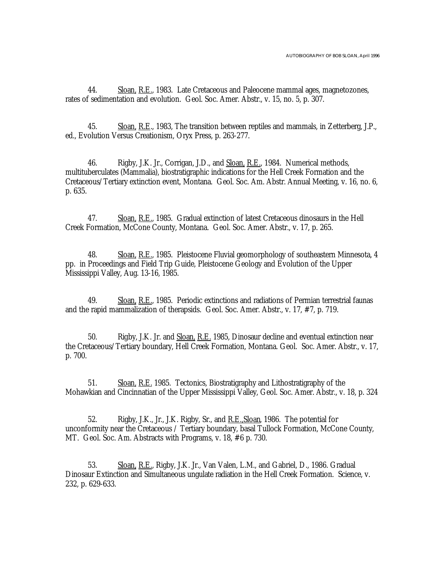44. Sloan, R.E., 1983. Late Cretaceous and Paleocene mammal ages, magnetozones, rates of sedimentation and evolution. Geol. Soc. Amer. Abstr., v. 15, no. 5, p. 307.

45. Sloan, R.E., 1983, The transition between reptiles and mammals, in Zetterberg, J.P., ed., Evolution Versus Creationism, Oryx Press, p. 263-277.

46. Rigby, J.K. Jr., Corrigan, J.D., and Sloan, R.E., 1984. Numerical methods, multituberculates (Mammalia), biostratigraphic indications for the Hell Creek Formation and the Cretaceous/Tertiary extinction event, Montana. Geol. Soc. Am. Abstr. Annual Meeting, v. 16, no. 6, p. 635.

47. Sloan, R.E., 1985. Gradual extinction of latest Cretaceous dinosaurs in the Hell Creek Formation, McCone County, Montana. Geol. Soc. Amer. Abstr., v. 17, p. 265.

48. Sloan, R.E., 1985. Pleistocene Fluvial geomorphology of southeastern Minnesota, 4 pp. in Proceedings and Field Trip Guide, Pleistocene Geology and Evolution of the Upper Mississippi Valley, Aug. 13-16, 1985.

49. Sloan, R.E., 1985. Periodic extinctions and radiations of Permian terrestrial faunas and the rapid mammalization of therapsids. Geol. Soc. Amer. Abstr., v. 17, #7, p. 719.

50. Rigby, J.K. Jr. and Sloan, R.E. 1985, Dinosaur decline and eventual extinction near the Cretaceous/Tertiary boundary, Hell Creek Formation, Montana. Geol. Soc. Amer. Abstr., v. 17, p. 700.

51. Sloan, R.E. 1985. Tectonics, Biostratigraphy and Lithostratigraphy of the Mohawkian and Cincinnatian of the Upper Mississippi Valley, Geol. Soc. Amer. Abstr., v. 18, p. 324

52. Rigby, J.K., Jr., J.K. Rigby, Sr., and R.E.,Sloan, 1986. The potential for unconformity near the Cretaceous / Tertiary boundary, basal Tullock Formation, McCone County, MT. Geol. Soc. Am. Abstracts with Programs, v. 18, #6 p. 730.

53. Sloan, R.E., Rigby, J.K. Jr., Van Valen, L.M., and Gabriel, D., 1986. Gradual Dinosaur Extinction and Simultaneous ungulate radiation in the Hell Creek Formation. Science, v. 232, p. 629-633.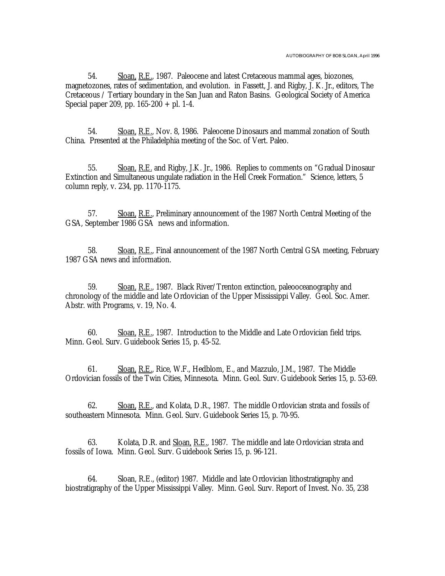54. Sloan, R.E., 1987. Paleocene and latest Cretaceous mammal ages, biozones, magnetozones, rates of sedimentation, and evolution. in Fassett, J. and Rigby, J. K. Jr., editors, The Cretaceous / Tertiary boundary in the San Juan and Raton Basins. Geological Society of America Special paper 209, pp.  $165-200 +$  pl. 1-4.

54. Sloan, R.E., Nov. 8, 1986. Paleocene Dinosaurs and mammal zonation of South China. Presented at the Philadelphia meeting of the Soc. of Vert. Paleo.

55. Sloan, R.E. and Rigby, J.K. Jr., 1986. Replies to comments on "Gradual Dinosaur Extinction and Simultaneous ungulate radiation in the Hell Creek Formation." Science, letters, 5 column reply, v. 234, pp. 1170-1175.

57. Sloan, R.E., Preliminary announcement of the 1987 North Central Meeting of the GSA, September 1986 GSA news and information.

58. Sloan, R.E., Final announcement of the 1987 North Central GSA meeting, February 1987 GSA news and information.

59. Sloan, R.E., 1987. Black River/Trenton extinction, paleooceanography and chronology of the middle and late Ordovician of the Upper Mississippi Valley. Geol. Soc. Amer. Abstr. with Programs, v. 19, No. 4.

60. Sloan, R.E., 1987. Introduction to the Middle and Late Ordovician field trips. Minn. Geol. Surv. Guidebook Series 15, p. 45-52.

61. Sloan, R.E., Rice, W.F., Hedblom, E., and Mazzulo, J.M., 1987. The Middle Ordovician fossils of the Twin Cities, Minnesota. Minn. Geol. Surv. Guidebook Series 15, p. 53-69.

62. Sloan, R.E., and Kolata, D.R., 1987. The middle Ordovician strata and fossils of southeastern Minnesota. Minn. Geol. Surv. Guidebook Series 15, p. 70-95.

63. Kolata, D.R. and Sloan, R.E., 1987. The middle and late Ordovician strata and fossils of Iowa. Minn. Geol. Surv. Guidebook Series 15, p. 96-121.

64. Sloan, R.E., (editor) 1987. Middle and late Ordovician lithostratigraphy and biostratigraphy of the Upper Mississippi Valley. Minn. Geol. Surv. Report of Invest. No. 35, 238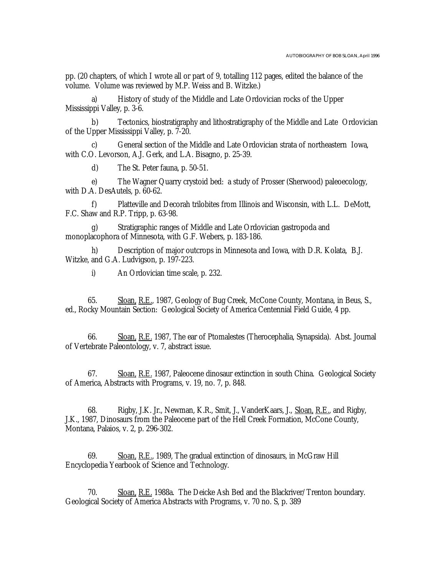pp. (20 chapters, of which I wrote all or part of 9, totalling 112 pages, edited the balance of the volume. Volume was reviewed by M.P. Weiss and B. Witzke.)

a) History of study of the Middle and Late Ordovician rocks of the Upper Mississippi Valley, p. 3-6.

b) Tectonics, biostratigraphy and lithostratigraphy of the Middle and Late Ordovician of the Upper Mississippi Valley, p. 7-20.

c) General section of the Middle and Late Ordovician strata of northeastern Iowa, with C.O. Levorson, A.J. Gerk, and L.A. Bisagno, p. 25-39.

d) The St. Peter fauna, p. 50-51.

e) The Wagner Quarry crystoid bed: a study of Prosser (Sherwood) paleoecology, with D.A. DesAutels, p. 60-62.

f) Platteville and Decorah trilobites from Illinois and Wisconsin, with L.L. DeMott, F.C. Shaw and R.P. Tripp, p. 63-98.

Stratigraphic ranges of Middle and Late Ordovician gastropoda and monoplacophora of Minnesota, with G.F. Webers, p. 183-186.

h) Description of major outcrops in Minnesota and Iowa, with D.R. Kolata, B.J. Witzke, and G.A. Ludvigson, p. 197-223.

i) An Ordovician time scale, p. 232.

65. Sloan, R.E., 1987, Geology of Bug Creek, McCone County, Montana, in Beus, S., ed., Rocky Mountain Section: Geological Society of America Centennial Field Guide, 4 pp.

66. Sloan, R.E. 1987, The ear of Ptomalestes (Therocephalia, Synapsida). Abst. Journal of Vertebrate Paleontology, v. 7, abstract issue.

67. Sloan, R.E. 1987, Paleocene dinosaur extinction in south China. Geological Society of America, Abstracts with Programs, v. 19, no. 7, p. 848.

68. Rigby, J.K. Jr., Newman, K.R., Smit, J., VanderKaars, J., Sloan, R.E., and Rigby, J.K., 1987, Dinosaurs from the Paleocene part of the Hell Creek Formation, McCone County, Montana, Palaios, v. 2, p. 296-302.

69. Sloan, R.E., 1989, The gradual extinction of dinosaurs, in McGraw Hill Encyclopedia Yearbook of Science and Technology.

70. Sloan, R.E. 1988a. The Deicke Ash Bed and the Blackriver/Trenton boundary. Geological Society of America Abstracts with Programs, v. 70 no. S, p. 389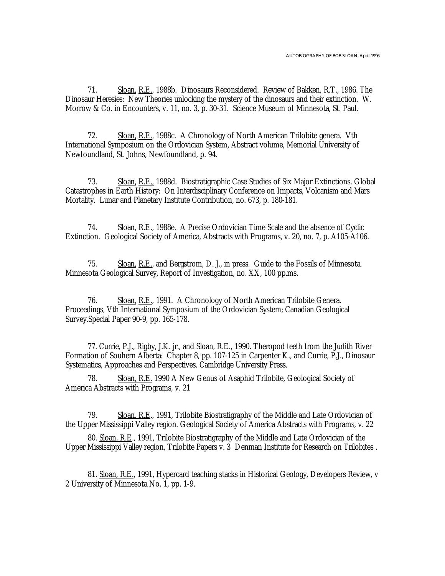71. Sloan, R.E., 1988b. Dinosaurs Reconsidered. Review of Bakken, R.T., 1986. The Dinosaur Heresies: New Theories unlocking the mystery of the dinosaurs and their extinction. W. Morrow & Co. in Encounters, v. 11, no. 3, p. 30-31. Science Museum of Minnesota, St. Paul.

72. Sloan, R.E., 1988c. A Chronology of North American Trilobite genera. Vth International Symposium on the Ordovician System, Abstract volume, Memorial University of Newfoundland, St. Johns, Newfoundland, p. 94.

73. Sloan, R.E., 1988d. Biostratigraphic Case Studies of Six Major Extinctions. Global Catastrophes in Earth History: On Interdisciplinary Conference on Impacts, Volcanism and Mars Mortality. Lunar and Planetary Institute Contribution, no. 673, p. 180-181.

74. Sloan, R.E., 1988e. A Precise Ordovician Time Scale and the absence of Cyclic Extinction. Geological Society of America, Abstracts with Programs, v. 20, no. 7, p. A105-A106.

75. Sloan, R.E., and Bergstrom, D. J., in press. Guide to the Fossils of Minnesota. Minnesota Geological Survey, Report of Investigation, no. XX, 100 pp.ms.

76. Sloan, R.E., 1991. A Chronology of North American Trilobite Genera. Proceedings, Vth International Symposium of the Ordovician System; Canadian Geological Survey.Special Paper 90-9, pp. 165-178.

77. Currie, P.J., Rigby, J.K. jr., and Sloan, R.E., 1990. Theropod teeth from the Judith River Formation of Souhern Alberta: Chapter 8, pp. 107-125 in Carpenter K., and Currie, P.J., Dinosaur Systematics, Approaches and Perspectives. Cambridge University Press.

Sloan, R.E. 1990 A New Genus of Asaphid Trilobite, Geological Society of America Abstracts with Programs, v. 21

79. Sloan, R.E., 1991, Trilobite Biostratigraphy of the Middle and Late Ordovician of the Upper Mississippi Valley region. Geological Society of America Abstracts with Programs, v. 22

80. Sloan, R.E., 1991, Trilobite Biostratigraphy of the Middle and Late Ordovician of the Upper Mississippi Valley region, Trilobite Papers v. 3 Denman Institute for Research on Trilobites .

81. Sloan, R.E., 1991, Hypercard teaching stacks in Historical Geology, Developers Review, v 2 University of Minnesota No. 1, pp. 1-9.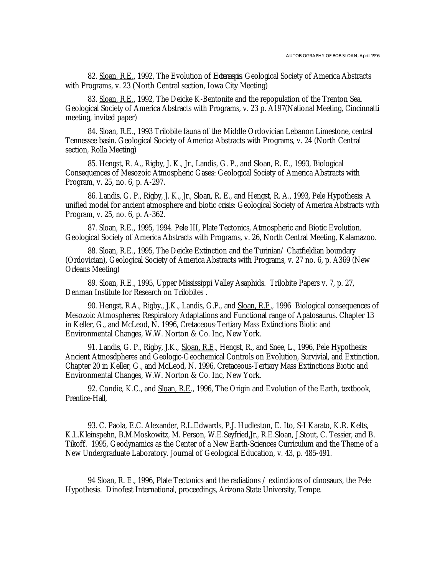82. Sloan, R.E., 1992, The Evolution of *Ectenaspis*. Geological Society of America Abstracts with Programs, v. 23 (North Central section, Iowa City Meeting)

83. Sloan, R.E., 1992, The Deicke K-Bentonite and the repopulation of the Trenton Sea. Geological Society of America Abstracts with Programs, v. 23 p. A197(National Meeting, Cincinnatti meeting, invited paper)

84. Sloan, R.E., 1993 Trilobite fauna of the Middle Ordovician Lebanon Limestone, central Tennessee basin. Geological Society of America Abstracts with Programs, v. 24 (North Central section, Rolla Meeting)

85. Hengst, R. A., Rigby, J. K., Jr., Landis, G. P., and Sloan, R. E., 1993, Biological Consequences of Mesozoic Atmospheric Gases: Geological Society of America Abstracts with Program, v. 25, no. 6, p. A-297.

86. Landis, G. P., Rigby, J. K., Jr., Sloan, R. E., and Hengst, R. A., 1993, Pele Hypothesis: A unified model for ancient atmosphere and biotic crisis: Geological Society of America Abstracts with Program, v. 25, no. 6, p. A-362.

87. Sloan, R.E., 1995, 1994. Pele III, Plate Tectonics, Atmospheric and Biotic Evolution. Geological Society of America Abstracts with Programs, v. 26, North Central Meeting, Kalamazoo.

88. Sloan, R.E., 1995, The Deicke Extinction and the Turinian/ Chatfieldian boundary (Ordovician), Geological Society of America Abstracts with Programs, v. 27 no. 6, p. A369 (New Orleans Meeting)

89. Sloan, R.E., 1995, Upper Mississippi Valley Asaphids. Trilobite Papers v. 7, p. 27, Denman Institute for Research on Trilobites .

90. Hengst, R.A., Rigby., J.K., Landis, G.P., and Sloan, R.E., 1996 Biological consequences of Mesozoic Atmospheres: Respiratory Adaptations and Functional range of Apatosaurus. Chapter 13 in Keller, G., and McLeod, N. 1996, Cretaceous-Tertiary Mass Extinctions Biotic and Environmental Changes, W.W. Norton & Co. Inc, New York.

91. Landis, G. P., Rigby, J.K., Sloan, R.E., Hengst, R., and Snee, L., 1996, Pele Hypothesis: Ancient Atmosdpheres and Geologic-Geochemical Controls on Evolution, Survivial, and Extinction. Chapter 20 in Keller, G., and McLeod, N. 1996, Cretaceous-Tertiary Mass Extinctions Biotic and Environmental Changes, W.W. Norton & Co. Inc, New York.

92. Condie, K.C., and Sloan, R.E., 1996, The Origin and Evolution of the Earth, textbook, Prentice-Hall,

93. C. Paola, E.C. Alexander, R.L.Edwards, P.J. Hudleston, E. Ito, S-I Karato, K.R. Kelts, K.L.Kleinspehn, B.M.Moskowitz, M. Person, W.E.Seyfried,Jr., R.E.Sloan, J.Stout, C. Tessier, and B. Tikoff. 1995, Geodynamics as the Center of a New Earth-Sciences Curriculum and the Theme of a New Undergraduate Laboratory. Journal of Geological Education, v. 43, p. 485-491.

94 Sloan, R. E., 1996, Plate Tectonics and the radiations / extinctions of dinosaurs, the Pele Hypothesis. Dinofest International, proceedings, Arizona State University, Tempe.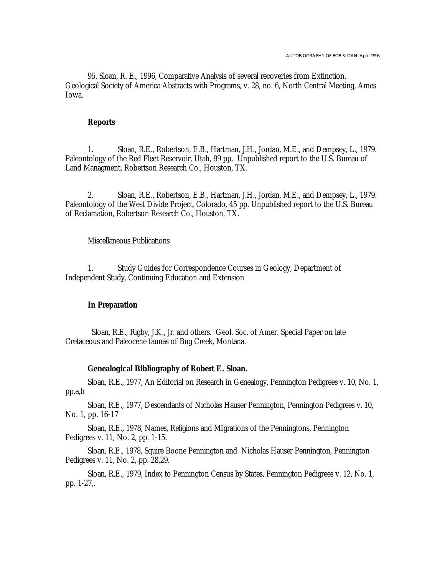95. Sloan, R. E., 1996, Comparative Analysis of several recoveries from Extinction. Geological Society of America Abstracts with Programs, v. 28, no. 6, North Central Meeting, Ames Iowa.

#### **Reports**

1. Sloan, R.E., Robertson, E.B., Hartman, J.H., Jordan, M.E., and Dempsey, L., 1979. Paleontology of the Red Fleet Reservoir, Utah, 99 pp. Unpublished report to the U.S. Bureau of Land Managment, Robertson Research Co., Houston, TX.

2. Sloan, R.E., Robertson, E.B., Hartman, J.H., Jordan, M.E., and Dempsey, L., 1979. Paleontology of the West Divide Project, Colorado, 45 pp. Unpublished report to the U.S. Bureau of Reclamation, Robertson Research Co., Houston, TX.

Miscellaneous Publications

1. Study Guides for Correspondence Courses in Geology, Department of Independent Study, Continuing Education and Extension

#### **In Preparation**

Sloan, R.E., Rigby, J.K., Jr. and others. Geol. Soc. of Amer. Special Paper on late Cretaceous and Paleocene faunas of Bug Creek, Montana.

### **Genealogical Bibliography of Robert E. Sloan.**

Sloan, R.E., 1977, An Editorial on Research in Genealogy, Pennington Pedigrees v. 10, No. 1, pp.a,b

Sloan, R.E., 1977, Descendants of Nicholas Hauser Pennington, Pennington Pedigrees v. 10, No. 1, pp. 16-17

Sloan, R.E., 1978, Names, Religions and MIgrations of the Penningtons, Pennington Pedigrees v. 11, No. 2, pp. 1-15.

Sloan, R.E., 1978, Squire Boone Pennington and Nicholas Hauser Pennington, Pennington Pedigrees v. 11, No. 2, pp. 28,29.

Sloan, R.E., 1979, Index to Pennington Census by States, Pennington Pedigrees v. 12, No. 1, pp. 1-27,.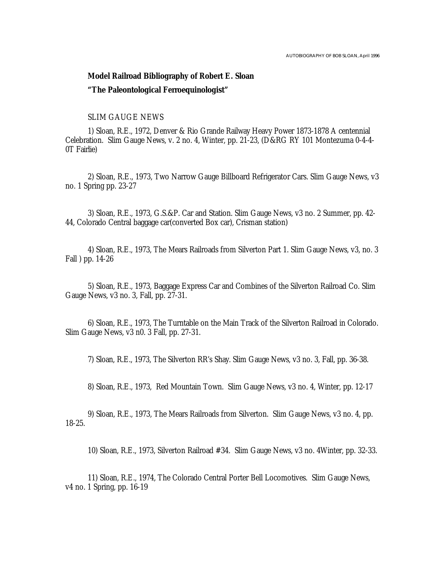## **Model Railroad Bibliography of Robert E. Sloan "The Paleontological Ferroequinologist"**

## SLIM GAUGE NEWS

1) Sloan, R.E., 1972, Denver & Rio Grande Railway Heavy Power 1873-1878 A centennial Celebration. Slim Gauge News, v. 2 no. 4, Winter, pp. 21-23, (D&RG RY 101 Montezuma 0-4-4- 0T Fairlie)

2) Sloan, R.E., 1973, Two Narrow Gauge Billboard Refrigerator Cars. Slim Gauge News, v3 no. 1 Spring pp. 23-27

3) Sloan, R.E., 1973, G.S.&P. Car and Station. Slim Gauge News, v3 no. 2 Summer, pp. 42- 44, Colorado Central baggage car(converted Box car), Crisman station)

4) Sloan, R.E., 1973, The Mears Railroads from Silverton Part 1. Slim Gauge News, v3, no. 3 Fall ) pp. 14-26

5) Sloan, R.E., 1973, Baggage Express Car and Combines of the Silverton Railroad Co. Slim Gauge News, v3 no. 3, Fall, pp. 27-31.

6) Sloan, R.E., 1973, The Turntable on the Main Track of the Silverton Railroad in Colorado. Slim Gauge News, v3 n0. 3 Fall, pp. 27-31.

7) Sloan, R.E., 1973, The Silverton RR's Shay. Slim Gauge News, v3 no. 3, Fall, pp. 36-38.

8) Sloan, R.E., 1973, Red Mountain Town. Slim Gauge News, v3 no. 4, Winter, pp. 12-17

9) Sloan, R.E., 1973, The Mears Railroads from Silverton. Slim Gauge News, v3 no. 4, pp. 18-25.

10) Sloan, R.E., 1973, Silverton Railroad #34. Slim Gauge News, v3 no. 4Winter, pp. 32-33.

11) Sloan, R.E., 1974, The Colorado Central Porter Bell Locomotives. Slim Gauge News, v4 no. 1 Spring, pp. 16-19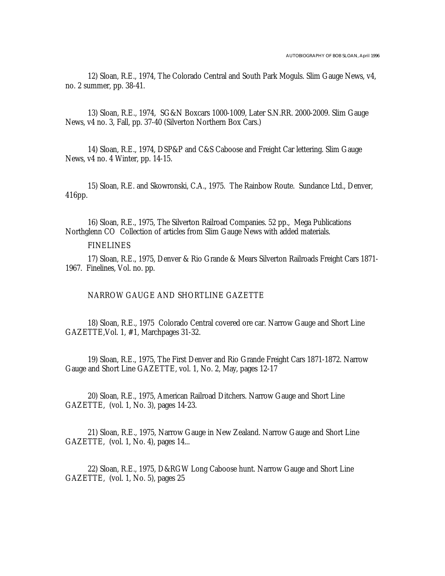12) Sloan, R.E., 1974, The Colorado Central and South Park Moguls. Slim Gauge News, v4, no. 2 summer, pp. 38-41.

13) Sloan, R.E., 1974, SG&N Boxcars 1000-1009, Later S.N.RR. 2000-2009. Slim Gauge News, v4 no. 3, Fall, pp. 37-40 (Silverton Northern Box Cars.)

14) Sloan, R.E., 1974, DSP&P and C&S Caboose and Freight Car lettering. Slim Gauge News, v4 no. 4 Winter, pp. 14-15.

15) Sloan, R.E. and Skowronski, C.A., 1975. The Rainbow Route. Sundance Ltd., Denver, 416pp.

16) Sloan, R.E., 1975, The Silverton Railroad Companies. 52 pp., Mega Publications Northglenn CO Collection of articles from Slim Gauge News with added materials.

## FINELINES

17) Sloan, R.E., 1975, Denver & Rio Grande & Mears Silverton Railroads Freight Cars 1871- 1967. Finelines, Vol. no. pp.

NARROW GAUGE AND SHORTLINE GAZETTE

18) Sloan, R.E., 1975 Colorado Central covered ore car. Narrow Gauge and Short Line GAZETTE,Vol. 1, #1, Marchpages 31-32.

19) Sloan, R.E., 1975, The First Denver and Rio Grande Freight Cars 1871-1872. Narrow Gauge and Short Line GAZETTE, vol. 1, No. 2, May, pages 12-17

20) Sloan, R.E., 1975, American Railroad Ditchers. Narrow Gauge and Short Line GAZETTE, (vol. 1, No. 3), pages 14-23.

21) Sloan, R.E., 1975, Narrow Gauge in New Zealand. Narrow Gauge and Short Line GAZETTE, (vol. 1, No. 4), pages 14...

22) Sloan, R.E., 1975, D&RGW Long Caboose hunt. Narrow Gauge and Short Line GAZETTE, (vol. 1, No. 5), pages 25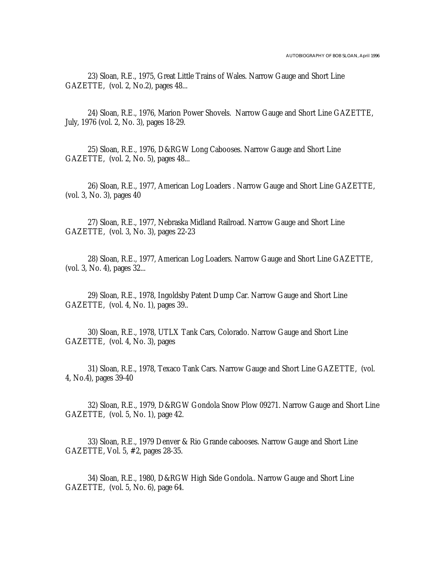23) Sloan, R.E., 1975, Great Little Trains of Wales. Narrow Gauge and Short Line GAZETTE, (vol. 2, No.2), pages 48...

24) Sloan, R.E., 1976, Marion Power Shovels. Narrow Gauge and Short Line GAZETTE, July, 1976 (vol. 2, No. 3), pages 18-29.

25) Sloan, R.E., 1976, D&RGW Long Cabooses. Narrow Gauge and Short Line GAZETTE, (vol. 2, No. 5), pages 48...

26) Sloan, R.E., 1977, American Log Loaders . Narrow Gauge and Short Line GAZETTE, (vol. 3, No. 3), pages 40

27) Sloan, R.E., 1977, Nebraska Midland Railroad. Narrow Gauge and Short Line GAZETTE, (vol. 3, No. 3), pages 22-23

28) Sloan, R.E., 1977, American Log Loaders. Narrow Gauge and Short Line GAZETTE, (vol. 3, No. 4), pages 32...

29) Sloan, R.E., 1978, Ingoldsby Patent Dump Car. Narrow Gauge and Short Line GAZETTE, (vol. 4, No. 1), pages 39..

30) Sloan, R.E., 1978, UTLX Tank Cars, Colorado. Narrow Gauge and Short Line GAZETTE, (vol. 4, No. 3), pages

31) Sloan, R.E., 1978, Texaco Tank Cars. Narrow Gauge and Short Line GAZETTE, (vol. 4, No.4), pages 39-40

32) Sloan, R.E., 1979, D&RGW Gondola Snow Plow 09271. Narrow Gauge and Short Line GAZETTE, (vol. 5, No. 1), page 42.

33) Sloan, R.E., 1979 Denver & Rio Grande cabooses. Narrow Gauge and Short Line GAZETTE, Vol. 5, #2, pages 28-35.

34) Sloan, R.E., 1980, D&RGW High Side Gondola.. Narrow Gauge and Short Line GAZETTE, (vol. 5, No. 6), page 64.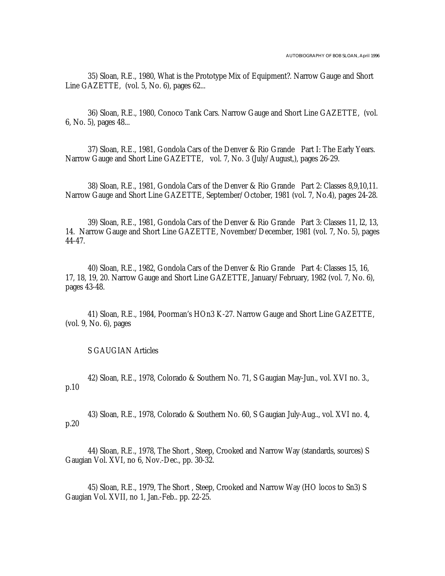35) Sloan, R.E., 1980, What is the Prototype Mix of Equipment?. Narrow Gauge and Short Line GAZETTE, (vol. 5, No. 6), pages 62...

36) Sloan, R.E., 1980, Conoco Tank Cars. Narrow Gauge and Short Line GAZETTE, (vol. 6, No. 5), pages 48...

37) Sloan, R.E., 1981, Gondola Cars of the Denver & Rio Grande Part I: The Early Years. Narrow Gauge and Short Line GAZETTE, vol. 7, No. 3 (July/August,), pages 26-29.

38) Sloan, R.E., 1981, Gondola Cars of the Denver & Rio Grande Part 2: Classes 8,9,10,11. Narrow Gauge and Short Line GAZETTE, September/October, 1981 (vol. 7, No.4), pages 24-28.

39) Sloan, R.E., 1981, Gondola Cars of the Denver & Rio Grande Part 3: Classes 11, l2, 13, 14. Narrow Gauge and Short Line GAZETTE, November/December, 1981 (vol. 7, No. 5), pages 44-47.

40) Sloan, R.E., 1982, Gondola Cars of the Denver & Rio Grande Part 4: Classes 15, 16, 17, 18, 19, 20. Narrow Gauge and Short Line GAZETTE, January/February, 1982 (vol. 7, No. 6), pages 43-48.

41) Sloan, R.E., 1984, Poorman's HOn3 K-27. Narrow Gauge and Short Line GAZETTE, (vol. 9, No. 6), pages

S GAUGIAN Articles

42) Sloan, R.E., 1978, Colorado & Southern No. 71, S Gaugian May-Jun., vol. XVI no. 3., p.10

43) Sloan, R.E., 1978, Colorado & Southern No. 60, S Gaugian July-Aug.., vol. XVI no. 4, p.20

44) Sloan, R.E., 1978, The Short , Steep, Crooked and Narrow Way (standards, sources) S Gaugian Vol. XVI, no 6, Nov.-Dec., pp. 30-32.

45) Sloan, R.E., 1979, The Short , Steep, Crooked and Narrow Way (HO locos to Sn3) S Gaugian Vol. XVII, no 1, Jan.-Feb.. pp. 22-25.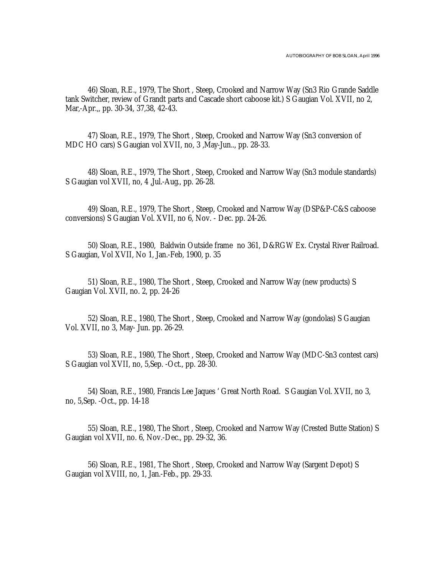46) Sloan, R.E., 1979, The Short , Steep, Crooked and Narrow Way (Sn3 Rio Grande Saddle tank Switcher, review of Grandt parts and Cascade short caboose kit.) S Gaugian Vol. XVII, no 2, Mar,-Apr.,, pp. 30-34, 37,38, 42-43.

47) Sloan, R.E., 1979, The Short , Steep, Crooked and Narrow Way (Sn3 conversion of MDC HO cars) S Gaugian vol XVII, no, 3 ,May-Jun.., pp. 28-33.

48) Sloan, R.E., 1979, The Short , Steep, Crooked and Narrow Way (Sn3 module standards) S Gaugian vol XVII, no, 4 ,Jul.-Aug., pp. 26-28.

49) Sloan, R.E., 1979, The Short , Steep, Crooked and Narrow Way (DSP&P-C&S caboose conversions) S Gaugian Vol. XVII, no 6, Nov. - Dec. pp. 24-26.

50) Sloan, R.E., 1980, Baldwin Outside frame no 361, D&RGW Ex. Crystal River Railroad. S Gaugian, Vol XVII, No 1, Jan.-Feb, 1900, p. 35

51) Sloan, R.E., 1980, The Short , Steep, Crooked and Narrow Way (new products) S Gaugian Vol. XVII, no. 2, pp. 24-26

52) Sloan, R.E., 1980, The Short , Steep, Crooked and Narrow Way (gondolas) S Gaugian Vol. XVII, no 3, May- Jun. pp. 26-29.

53) Sloan, R.E., 1980, The Short , Steep, Crooked and Narrow Way (MDC-Sn3 contest cars) S Gaugian vol XVII, no, 5,Sep. -Oct., pp. 28-30.

54) Sloan, R.E., 1980, Francis Lee Jaques ' Great North Road. S Gaugian Vol. XVII, no 3, no, 5,Sep. -Oct., pp. 14-18

55) Sloan, R.E., 1980, The Short , Steep, Crooked and Narrow Way (Crested Butte Station) S Gaugian vol XVII, no. 6, Nov.-Dec., pp. 29-32, 36.

56) Sloan, R.E., 1981, The Short , Steep, Crooked and Narrow Way (Sargent Depot) S Gaugian vol XVIII, no, 1, Jan.-Feb., pp. 29-33.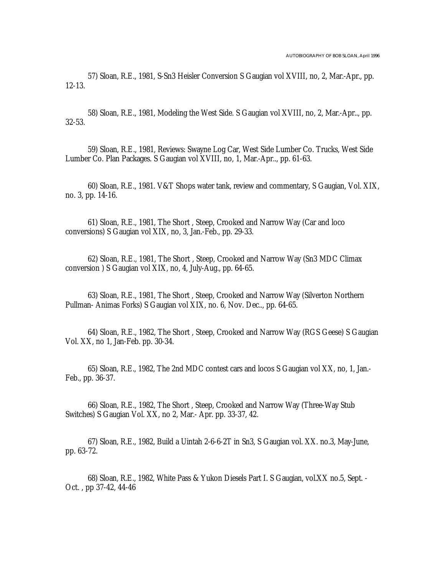57) Sloan, R.E., 1981, S-Sn3 Heisler Conversion S Gaugian vol XVIII, no, 2, Mar.-Apr., pp. 12-13.

58) Sloan, R.E., 1981, Modeling the West Side. S Gaugian vol XVIII, no, 2, Mar.-Apr.., pp. 32-53.

59) Sloan, R.E., 1981, Reviews: Swayne Log Car, West Side Lumber Co. Trucks, West Side Lumber Co. Plan Packages. S Gaugian vol XVIII, no, 1, Mar.-Apr.., pp. 61-63.

60) Sloan, R.E., 1981. V&T Shops water tank, review and commentary, S Gaugian, Vol. XIX, no. 3, pp. 14-16.

61) Sloan, R.E., 1981, The Short , Steep, Crooked and Narrow Way (Car and loco conversions) S Gaugian vol XIX, no, 3, Jan.-Feb., pp. 29-33.

62) Sloan, R.E., 1981, The Short , Steep, Crooked and Narrow Way (Sn3 MDC Climax conversion ) S Gaugian vol XIX, no, 4, July-Aug., pp. 64-65.

63) Sloan, R.E., 1981, The Short , Steep, Crooked and Narrow Way (Silverton Northern Pullman- Animas Forks) S Gaugian vol XIX, no. 6, Nov. Dec.., pp. 64-65.

64) Sloan, R.E., 1982, The Short , Steep, Crooked and Narrow Way (RGS Geese) S Gaugian Vol. XX, no 1, Jan-Feb. pp. 30-34.

65) Sloan, R.E., 1982, The 2nd MDC contest cars and locos S Gaugian vol XX, no, 1, Jan.- Feb., pp. 36-37.

66) Sloan, R.E., 1982, The Short , Steep, Crooked and Narrow Way (Three-Way Stub Switches) S Gaugian Vol. XX, no 2, Mar.- Apr. pp. 33-37, 42.

67) Sloan, R.E., 1982, Build a Uintah 2-6-6-2T in Sn3, S Gaugian vol. XX. no.3, May-June, pp. 63-72.

68) Sloan, R.E., 1982, White Pass & Yukon Diesels Part I. S Gaugian, vol.XX no.5, Sept. - Oct. , pp 37-42, 44-46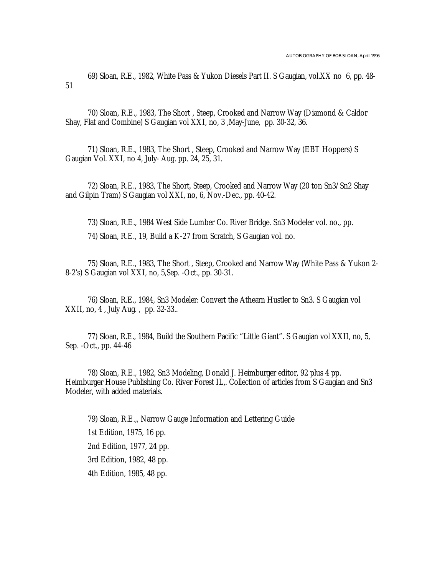69) Sloan, R.E., 1982, White Pass & Yukon Diesels Part II. S Gaugian, vol.XX no 6, pp. 48- 51

70) Sloan, R.E., 1983, The Short , Steep, Crooked and Narrow Way (Diamond & Caldor Shay, Flat and Combine) S Gaugian vol XXI, no, 3 ,May-June, pp. 30-32, 36.

71) Sloan, R.E., 1983, The Short , Steep, Crooked and Narrow Way (EBT Hoppers) S Gaugian Vol. XXI, no 4, July- Aug. pp. 24, 25, 31.

72) Sloan, R.E., 1983, The Short, Steep, Crooked and Narrow Way (20 ton Sn3/Sn2 Shay and Gilpin Tram) S Gaugian vol XXI, no, 6, Nov.-Dec., pp. 40-42.

73) Sloan, R.E., 1984 West Side Lumber Co. River Bridge. Sn3 Modeler vol. no., pp.

74) Sloan, R.E., 19, Build a K-27 from Scratch, S Gaugian vol. no.

75) Sloan, R.E., 1983, The Short , Steep, Crooked and Narrow Way (White Pass & Yukon 2- 8-2's) S Gaugian vol XXI, no, 5,Sep. -Oct., pp. 30-31.

76) Sloan, R.E., 1984, Sn3 Modeler: Convert the Athearn Hustler to Sn3. S Gaugian vol XXII, no, 4 , July Aug. , pp. 32-33..

77) Sloan, R.E., 1984, Build the Southern Pacific "Little Giant". S Gaugian vol XXII, no, 5, Sep. -Oct., pp. 44-46

78) Sloan, R.E., 1982, Sn3 Modeling, Donald J. Heimburger editor, 92 plus 4 pp. Heimburger House Publishing Co. River Forest IL,. Collection of articles from S Gaugian and Sn3 Modeler, with added materials.

79) Sloan, R.E.,, Narrow Gauge Information and Lettering Guide 1st Edition, 1975, 16 pp. 2nd Edition, 1977, 24 pp. 3rd Edition, 1982, 48 pp. 4th Edition, 1985, 48 pp.